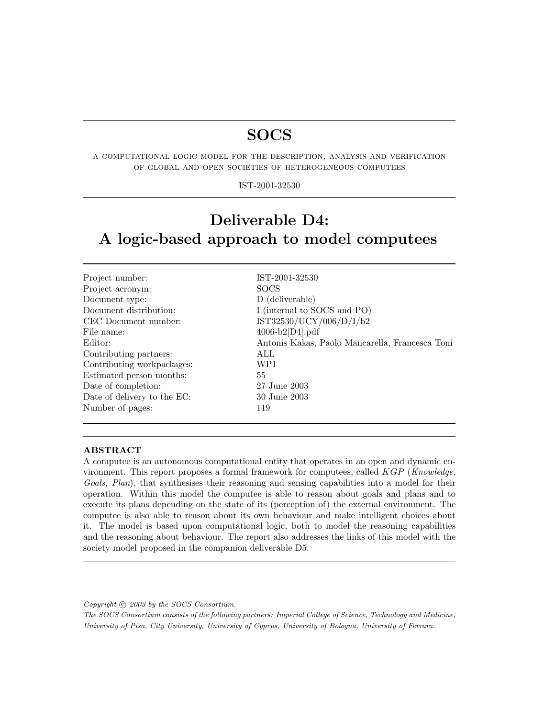# SOCS

a computational logic model for the description, analysis and verification of global and open societies of heterogeneous computees

### IST-2001-32530

# Deliverable D4: A logic-based approach to model computees

| Project number:             | IST-2001-32530                                  |
|-----------------------------|-------------------------------------------------|
| Project acronym:            | <b>SOCS</b>                                     |
| Document type:              | D (deliverable)                                 |
| Document distribution:      | I (internal to SOCS and PO)                     |
| CEC Document number:        | IST32530/UCY/006/D/I/b2                         |
| File name:                  | $4006-b2[D4].pdf$                               |
| Editor:                     | Antonis Kakas, Paolo Mancarella, Francesca Toni |
| Contributing partners:      | ALL.                                            |
| Contributing workpackages:  | WP1                                             |
| Estimated person months:    | 55                                              |
| Date of completion:         | 27 June 2003                                    |
| Date of delivery to the EC: | 30 June 2003                                    |
| Number of pages:            | 119                                             |

### ABSTRACT

A computee is an autonomous computational entity that operates in an open and dynamic environment. This report proposes a formal framework for computees, called KGP (Knowledge, Goals, Plan), that synthesises their reasoning and sensing capabilities into a model for their operation. Within this model the computee is able to reason about goals and plans and to execute its plans depending on the state of its (perception of) the external environment. The computee is also able to reason about its own behaviour and make intelligent choices about it. The model is based upon computational logic, both to model the reasoning capabilities and the reasoning about behaviour. The report also addresses the links of this model with the society model proposed in the companion deliverable D5.

Copyright  $\odot$  2003 by the SOCS Consortium.

The SOCS Consortium consists of the following partners: Imperial College of Science, Technology and Medicine, University of Pisa, City University, University of Cyprus, University of Bologna, University of Ferrara.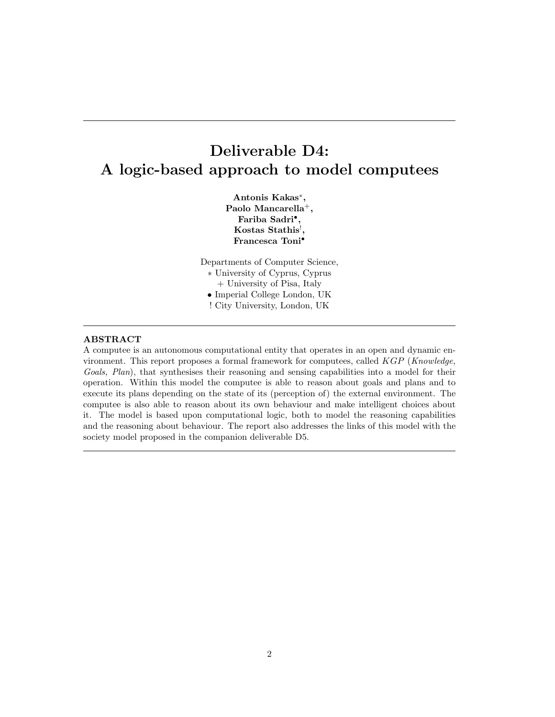# Deliverable D4: A logic-based approach to model computees

Antonis Kakas<sup>∗</sup> , Paolo Mancarella<sup>+</sup>, Fariba Sadri<sup>•</sup>,  $K$ ostas Stathis $<sup>!</sup>,$ Francesca Toni•

Departments of Computer Science, ∗ University of Cyprus, Cyprus + University of Pisa, Italy • Imperial College London, UK ! City University, London, UK

### ABSTRACT

A computee is an autonomous computational entity that operates in an open and dynamic environment. This report proposes a formal framework for computees, called KGP (Knowledge, Goals, Plan), that synthesises their reasoning and sensing capabilities into a model for their operation. Within this model the computee is able to reason about goals and plans and to execute its plans depending on the state of its (perception of) the external environment. The computee is also able to reason about its own behaviour and make intelligent choices about it. The model is based upon computational logic, both to model the reasoning capabilities and the reasoning about behaviour. The report also addresses the links of this model with the society model proposed in the companion deliverable D5.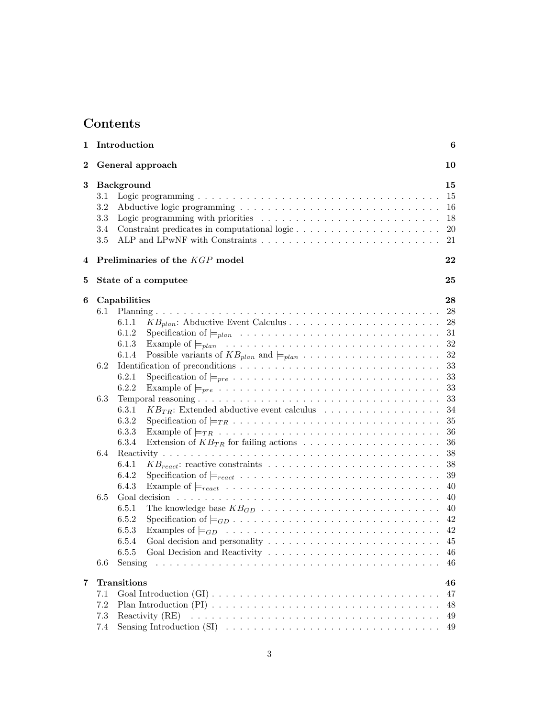# Contents

| 1              |                                 | Introduction                                                                                                                                                                                                                                                                                                                                                                                                                                                                                                                                                                                                                                                                                                                         | 6                                                                                                          |
|----------------|---------------------------------|--------------------------------------------------------------------------------------------------------------------------------------------------------------------------------------------------------------------------------------------------------------------------------------------------------------------------------------------------------------------------------------------------------------------------------------------------------------------------------------------------------------------------------------------------------------------------------------------------------------------------------------------------------------------------------------------------------------------------------------|------------------------------------------------------------------------------------------------------------|
| $\overline{2}$ |                                 | General approach                                                                                                                                                                                                                                                                                                                                                                                                                                                                                                                                                                                                                                                                                                                     | 10                                                                                                         |
| 3              | 3.1<br>3.2<br>3.3<br>3.4<br>3.5 | <b>Background</b>                                                                                                                                                                                                                                                                                                                                                                                                                                                                                                                                                                                                                                                                                                                    | 15<br>15<br>16<br>18<br>$20\,$<br>21                                                                       |
| 4              |                                 | Preliminaries of the KGP model                                                                                                                                                                                                                                                                                                                                                                                                                                                                                                                                                                                                                                                                                                       | 22                                                                                                         |
| 5              |                                 | State of a computee                                                                                                                                                                                                                                                                                                                                                                                                                                                                                                                                                                                                                                                                                                                  | 25                                                                                                         |
| 6              | 6.2<br>6.3<br>6.4               | Capabilities<br>6.1.1<br>6.1.2<br>6.1.3<br>Possible variants of $KB_{plan}$ and $\models_{plan} \ldots \ldots \ldots \ldots \ldots \ldots$<br>6.1.4<br>6.2.1<br>Specification of $\models_{pre} \ldots \ldots \ldots \ldots \ldots \ldots \ldots \ldots \ldots \ldots \ldots$<br>6.2.2<br>Example of $\models_{pre} \ldots \ldots \ldots \ldots \ldots \ldots \ldots \ldots \ldots \ldots \ldots$<br>6.3.1<br>$KB_{TR}$ : Extended abductive event calculus<br>Specification of $\models_{TR} \ldots \ldots \ldots \ldots \ldots \ldots \ldots \ldots \ldots \ldots \ldots$<br>6.3.2<br>6.3.3<br>6.3.4<br>6.4.1<br>Specification of $\models_{react} \ldots \ldots \ldots \ldots \ldots \ldots \ldots \ldots \ldots \ldots$<br>6.4.2 | 28<br>28<br>28<br>31<br>32<br>$32\,$<br>33<br>33<br>33<br>33<br>34<br>35<br>36<br>36<br>38<br>38<br>$39\,$ |
|                | 6.5<br>6.6                      | 6.4.3<br>Example of $\models_{react} \ldots \ldots \ldots \ldots \ldots \ldots \ldots \ldots \ldots \ldots \ldots$<br>6.5.1<br>6.5.2<br>6.5.3<br>6.5.4<br>6.5.5<br>Sensing                                                                                                                                                                                                                                                                                                                                                                                                                                                                                                                                                           | 40<br>40<br>40<br>42<br>42<br>45<br>46<br>46                                                               |
| 7              | 7.1<br>7.2<br>7.3<br>7.4        | Transitions<br>Reactivity (RE)                                                                                                                                                                                                                                                                                                                                                                                                                                                                                                                                                                                                                                                                                                       | 46<br>47<br>48<br>49<br>49                                                                                 |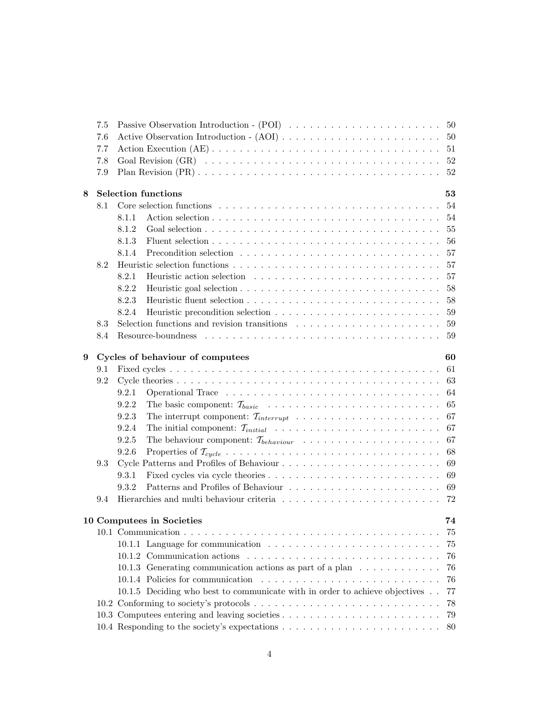|   | 7.5 |                                                                                                              |
|---|-----|--------------------------------------------------------------------------------------------------------------|
|   | 7.6 |                                                                                                              |
|   | 7.7 | 51                                                                                                           |
|   | 7.8 | 52                                                                                                           |
|   | 7.9 | 52                                                                                                           |
| 8 |     | <b>Selection functions</b><br>53                                                                             |
|   | 8.1 | 54                                                                                                           |
|   |     | -54<br>8.1.1                                                                                                 |
|   |     | 8.1.2<br>Goal selection $\ldots \ldots \ldots \ldots \ldots \ldots \ldots \ldots \ldots \ldots \ldots$<br>55 |
|   |     | 8.1.3<br>56                                                                                                  |
|   |     | 8.1.4<br>Precondition selection $\ldots \ldots \ldots \ldots \ldots \ldots \ldots \ldots \ldots$<br>57       |
|   | 8.2 | 57                                                                                                           |
|   |     | 8.2.1<br>57                                                                                                  |
|   |     | 8.2.2                                                                                                        |
|   |     | 8.2.3<br>58                                                                                                  |
|   |     | 8.2.4<br>59                                                                                                  |
|   | 8.3 | Selection functions and revision transitions $\ldots \ldots \ldots \ldots \ldots \ldots$<br>59               |
|   | 8.4 | -59                                                                                                          |
|   |     |                                                                                                              |
| 9 |     | Cycles of behaviour of computees<br>60                                                                       |
|   | 9.1 | 61                                                                                                           |
|   | 9.2 |                                                                                                              |
|   |     | 9.2.1<br>-64                                                                                                 |
|   |     | 9.2.2<br>-65                                                                                                 |
|   |     | 9.2.3                                                                                                        |
|   |     | 9.2.4<br>-67                                                                                                 |
|   |     | 9.2.5<br>67                                                                                                  |
|   |     | 9.2.6<br>68                                                                                                  |
|   | 9.3 | 69                                                                                                           |
|   |     | 9.3.1<br>69                                                                                                  |
|   |     | Patterns and Profiles of Behaviour<br>9.3.2<br>-69                                                           |
|   | 9.4 | Hierarchies and multi behaviour criteria $\ldots \ldots \ldots \ldots \ldots \ldots \ldots \ldots$<br>72     |
|   |     | 10 Computees in Societies<br>74                                                                              |
|   |     | 75                                                                                                           |
|   |     | 10.1.1 Language for communication<br>75                                                                      |
|   |     | 76                                                                                                           |
|   |     | 10.1.3 Generating communication actions as part of a plan<br>76                                              |
|   |     | 76                                                                                                           |
|   |     | 10.1.5 Deciding who best to communicate with in order to achieve objectives<br>77                            |
|   |     | 78                                                                                                           |
|   |     | 79                                                                                                           |
|   |     | 80                                                                                                           |
|   |     |                                                                                                              |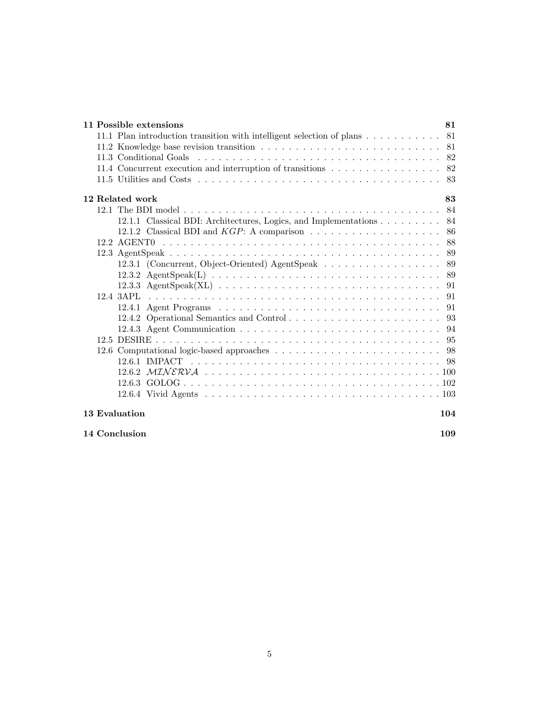| 11 Possible extensions                                                | 81  |
|-----------------------------------------------------------------------|-----|
| 11.1 Plan introduction transition with intelligent selection of plans | 81  |
|                                                                       | -81 |
|                                                                       | 82  |
| 11.4 Concurrent execution and interruption of transitions             | 82  |
|                                                                       | 83  |
| 12 Related work                                                       | 83  |
|                                                                       | 84  |
| 12.1.1 Classical BDI: Architectures, Logics, and Implementations      | 84  |
|                                                                       | 86  |
|                                                                       | 88  |
|                                                                       | 89  |
| 12.3.1 (Concurrent, Object-Oriented) AgentSpeak                       | 89  |
|                                                                       | 89  |
|                                                                       | 91  |
| $12.4$ $3API.$                                                        | 91  |
|                                                                       | 91  |
|                                                                       | 93  |
|                                                                       | 94  |
|                                                                       | 95  |
|                                                                       | 98  |
|                                                                       | -98 |
|                                                                       |     |
|                                                                       |     |
|                                                                       |     |
| 13 Evaluation                                                         | 104 |

14 Conclusion 109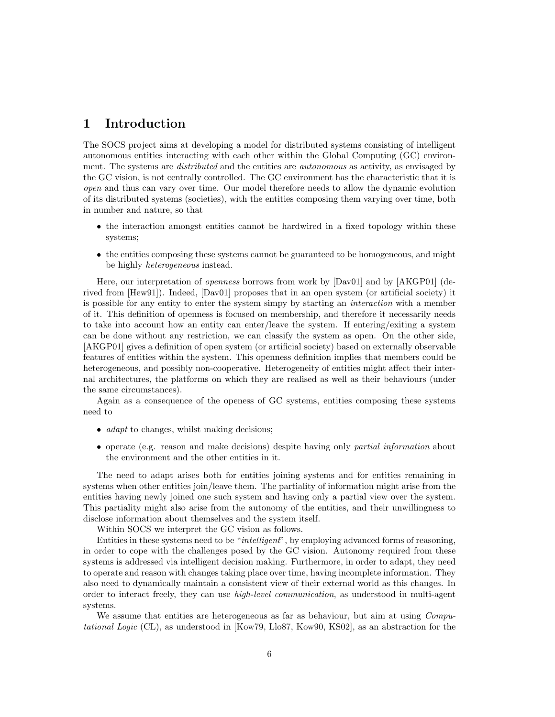# 1 Introduction

The SOCS project aims at developing a model for distributed systems consisting of intelligent autonomous entities interacting with each other within the Global Computing (GC) environment. The systems are *distributed* and the entities are *autonomous* as activity, as envisaged by the GC vision, is not centrally controlled. The GC environment has the characteristic that it is open and thus can vary over time. Our model therefore needs to allow the dynamic evolution of its distributed systems (societies), with the entities composing them varying over time, both in number and nature, so that

- the interaction amongst entities cannot be hardwired in a fixed topology within these systems;
- the entities composing these systems cannot be guaranteed to be homogeneous, and might be highly heterogeneous instead.

Here, our interpretation of openness borrows from work by [Dav01] and by [AKGP01] (derived from [Hew91]). Indeed, [Dav01] proposes that in an open system (or artificial society) it is possible for any entity to enter the system simpy by starting an interaction with a member of it. This definition of openness is focused on membership, and therefore it necessarily needs to take into account how an entity can enter/leave the system. If entering/exiting a system can be done without any restriction, we can classify the system as open. On the other side, [AKGP01] gives a definition of open system (or artificial society) based on externally observable features of entities within the system. This openness definition implies that members could be heterogeneous, and possibly non-cooperative. Heterogeneity of entities might affect their internal architectures, the platforms on which they are realised as well as their behaviours (under the same circumstances).

Again as a consequence of the openess of GC systems, entities composing these systems need to

- *adapt* to changes, whilst making decisions;
- operate (e.g. reason and make decisions) despite having only partial information about the environment and the other entities in it.

The need to adapt arises both for entities joining systems and for entities remaining in systems when other entities join/leave them. The partiality of information might arise from the entities having newly joined one such system and having only a partial view over the system. This partiality might also arise from the autonomy of the entities, and their unwillingness to disclose information about themselves and the system itself.

Within SOCS we interpret the GC vision as follows.

Entities in these systems need to be "intelligent", by employing advanced forms of reasoning, in order to cope with the challenges posed by the GC vision. Autonomy required from these systems is addressed via intelligent decision making. Furthermore, in order to adapt, they need to operate and reason with changes taking place over time, having incomplete information. They also need to dynamically maintain a consistent view of their external world as this changes. In order to interact freely, they can use high-level communication, as understood in multi-agent systems.

We assume that entities are heterogeneous as far as behaviour, but aim at using Computational Logic (CL), as understood in [Kow79, Llo87, Kow90, KS02], as an abstraction for the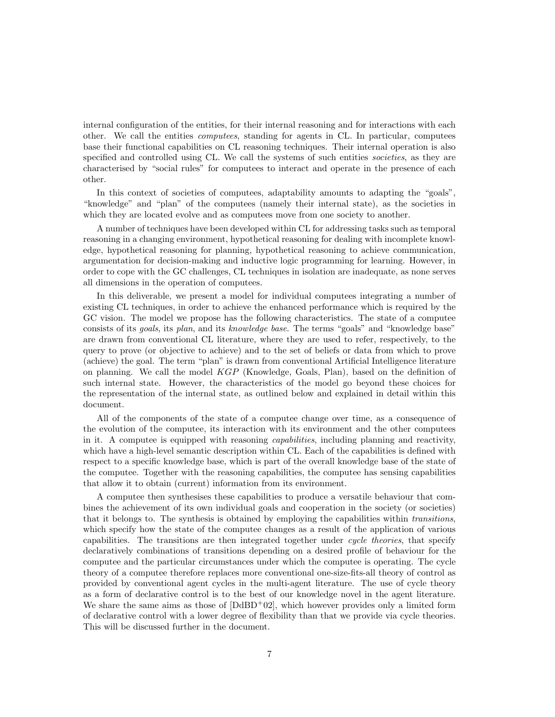internal configuration of the entities, for their internal reasoning and for interactions with each other. We call the entities computees, standing for agents in CL. In particular, computees base their functional capabilities on CL reasoning techniques. Their internal operation is also specified and controlled using CL. We call the systems of such entities *societies*, as they are characterised by "social rules" for computees to interact and operate in the presence of each other.

In this context of societies of computees, adaptability amounts to adapting the "goals", "knowledge" and "plan" of the computees (namely their internal state), as the societies in which they are located evolve and as computees move from one society to another.

A number of techniques have been developed within CL for addressing tasks such as temporal reasoning in a changing environment, hypothetical reasoning for dealing with incomplete knowledge, hypothetical reasoning for planning, hypothetical reasoning to achieve communication, argumentation for decision-making and inductive logic programming for learning. However, in order to cope with the GC challenges, CL techniques in isolation are inadequate, as none serves all dimensions in the operation of computees.

In this deliverable, we present a model for individual computees integrating a number of existing CL techniques, in order to achieve the enhanced performance which is required by the GC vision. The model we propose has the following characteristics. The state of a computee consists of its goals, its plan, and its knowledge base. The terms "goals" and "knowledge base" are drawn from conventional CL literature, where they are used to refer, respectively, to the query to prove (or objective to achieve) and to the set of beliefs or data from which to prove (achieve) the goal. The term "plan" is drawn from conventional Artificial Intelligence literature on planning. We call the model  $KGP$  (Knowledge, Goals, Plan), based on the definition of such internal state. However, the characteristics of the model go beyond these choices for the representation of the internal state, as outlined below and explained in detail within this document.

All of the components of the state of a computee change over time, as a consequence of the evolution of the computee, its interaction with its environment and the other computees in it. A computee is equipped with reasoning capabilities, including planning and reactivity, which have a high-level semantic description within CL. Each of the capabilities is defined with respect to a specific knowledge base, which is part of the overall knowledge base of the state of the computee. Together with the reasoning capabilities, the computee has sensing capabilities that allow it to obtain (current) information from its environment.

A computee then synthesises these capabilities to produce a versatile behaviour that combines the achievement of its own individual goals and cooperation in the society (or societies) that it belongs to. The synthesis is obtained by employing the capabilities within transitions, which specify how the state of the computee changes as a result of the application of various capabilities. The transitions are then integrated together under cycle theories, that specify declaratively combinations of transitions depending on a desired profile of behaviour for the computee and the particular circumstances under which the computee is operating. The cycle theory of a computee therefore replaces more conventional one-size-fits-all theory of control as provided by conventional agent cycles in the multi-agent literature. The use of cycle theory as a form of declarative control is to the best of our knowledge novel in the agent literature. We share the same aims as those of  $[D\text{d}BD^{+}02]$ , which however provides only a limited form of declarative control with a lower degree of flexibility than that we provide via cycle theories. This will be discussed further in the document.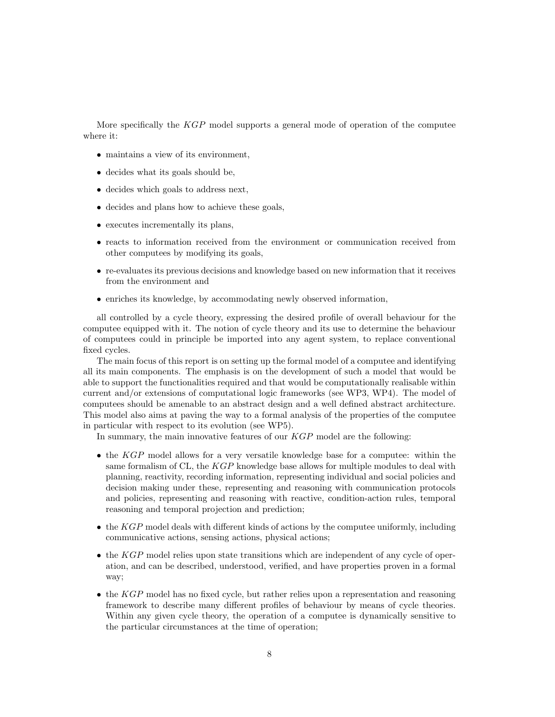More specifically the KGP model supports a general mode of operation of the computee where it:

- maintains a view of its environment,
- decides what its goals should be,
- decides which goals to address next,
- decides and plans how to achieve these goals,
- executes incrementally its plans,
- reacts to information received from the environment or communication received from other computees by modifying its goals,
- re-evaluates its previous decisions and knowledge based on new information that it receives from the environment and
- enriches its knowledge, by accommodating newly observed information,

all controlled by a cycle theory, expressing the desired profile of overall behaviour for the computee equipped with it. The notion of cycle theory and its use to determine the behaviour of computees could in principle be imported into any agent system, to replace conventional fixed cycles.

The main focus of this report is on setting up the formal model of a computee and identifying all its main components. The emphasis is on the development of such a model that would be able to support the functionalities required and that would be computationally realisable within current and/or extensions of computational logic frameworks (see WP3, WP4). The model of computees should be amenable to an abstract design and a well defined abstract architecture. This model also aims at paving the way to a formal analysis of the properties of the computee in particular with respect to its evolution (see WP5).

In summary, the main innovative features of our  $KGP$  model are the following:

- the KGP model allows for a very versatile knowledge base for a computee: within the same formalism of CL, the KGP knowledge base allows for multiple modules to deal with planning, reactivity, recording information, representing individual and social policies and decision making under these, representing and reasoning with communication protocols and policies, representing and reasoning with reactive, condition-action rules, temporal reasoning and temporal projection and prediction;
- $\bullet$  the KGP model deals with different kinds of actions by the computee uniformly, including communicative actions, sensing actions, physical actions;
- the KGP model relies upon state transitions which are independent of any cycle of operation, and can be described, understood, verified, and have properties proven in a formal way;
- the  $KGP$  model has no fixed cycle, but rather relies upon a representation and reasoning framework to describe many different profiles of behaviour by means of cycle theories. Within any given cycle theory, the operation of a computee is dynamically sensitive to the particular circumstances at the time of operation;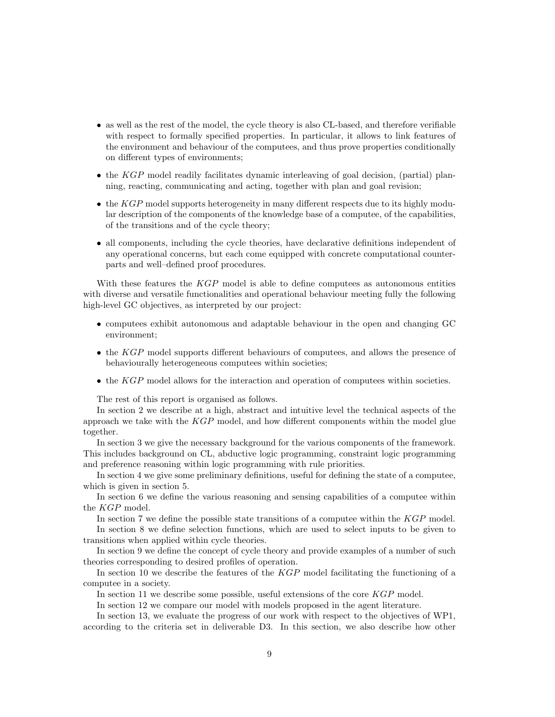- as well as the rest of the model, the cycle theory is also CL-based, and therefore verifiable with respect to formally specified properties. In particular, it allows to link features of the environment and behaviour of the computees, and thus prove properties conditionally on different types of environments;
- $\bullet$  the KGP model readily facilitates dynamic interleaving of goal decision, (partial) planning, reacting, communicating and acting, together with plan and goal revision;
- $\bullet$  the  $KGP$  model supports heterogeneity in many different respects due to its highly modular description of the components of the knowledge base of a computee, of the capabilities, of the transitions and of the cycle theory;
- all components, including the cycle theories, have declarative definitions independent of any operational concerns, but each come equipped with concrete computational counterparts and well–defined proof procedures.

With these features the KGP model is able to define computees as autonomous entities with diverse and versatile functionalities and operational behaviour meeting fully the following high-level GC objectives, as interpreted by our project:

- computees exhibit autonomous and adaptable behaviour in the open and changing GC environment;
- the KGP model supports different behaviours of computees, and allows the presence of behaviourally heterogeneous computees within societies;
- $\bullet$  the KGP model allows for the interaction and operation of computees within societies.

The rest of this report is organised as follows.

In section 2 we describe at a high, abstract and intuitive level the technical aspects of the approach we take with the  $KGP$  model, and how different components within the model glue together.

In section 3 we give the necessary background for the various components of the framework. This includes background on CL, abductive logic programming, constraint logic programming and preference reasoning within logic programming with rule priorities.

In section 4 we give some preliminary definitions, useful for defining the state of a computee, which is given in section 5.

In section 6 we define the various reasoning and sensing capabilities of a computee within the KGP model.

In section 7 we define the possible state transitions of a computee within the KGP model.

In section 8 we define selection functions, which are used to select inputs to be given to transitions when applied within cycle theories.

In section 9 we define the concept of cycle theory and provide examples of a number of such theories corresponding to desired profiles of operation.

In section 10 we describe the features of the KGP model facilitating the functioning of a computee in a society.

In section 11 we describe some possible, useful extensions of the core KGP model.

In section 12 we compare our model with models proposed in the agent literature.

In section 13, we evaluate the progress of our work with respect to the objectives of WP1, according to the criteria set in deliverable D3. In this section, we also describe how other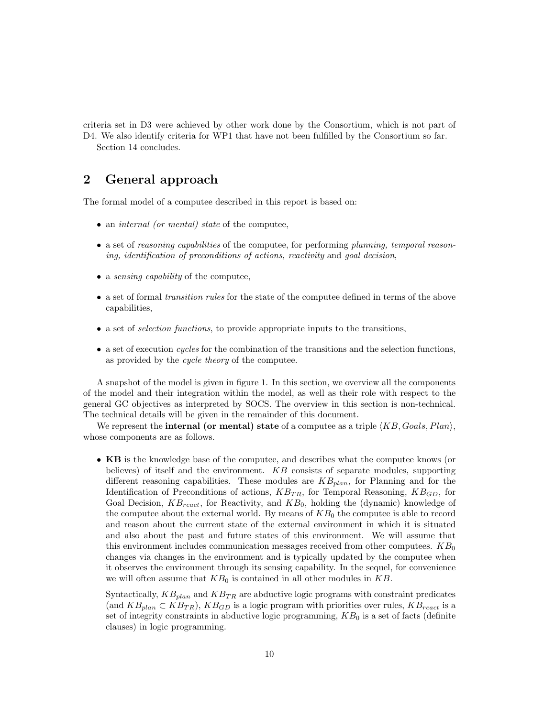criteria set in D3 were achieved by other work done by the Consortium, which is not part of D4. We also identify criteria for WP1 that have not been fulfilled by the Consortium so far. Section 14 concludes.

# 2 General approach

The formal model of a computee described in this report is based on:

- an *internal (or mental)* state of the computee,
- a set of reasoning capabilities of the computee, for performing planning, temporal reasoning, identification of preconditions of actions, reactivity and goal decision,
- a *sensing capability* of the computee,
- a set of formal *transition rules* for the state of the computee defined in terms of the above capabilities,
- a set of selection functions, to provide appropriate inputs to the transitions,
- $\bullet$  a set of execution *cycles* for the combination of the transitions and the selection functions, as provided by the cycle theory of the computee.

A snapshot of the model is given in figure 1. In this section, we overview all the components of the model and their integration within the model, as well as their role with respect to the general GC objectives as interpreted by SOCS. The overview in this section is non-technical. The technical details will be given in the remainder of this document.

We represent the **internal (or mental) state** of a computee as a triple  $\langle KB, Goals, Plan \rangle$ , whose components are as follows.

• KB is the knowledge base of the computee, and describes what the computee knows (or believes) of itself and the environment.  $KB$  consists of separate modules, supporting different reasoning capabilities. These modules are  $KB_{plan}$ , for Planning and for the Identification of Preconditions of actions,  $KB_{TR}$ , for Temporal Reasoning,  $KB_{GD}$ , for Goal Decision,  $KB_{react}$ , for Reactivity, and  $KB_0$ , holding the (dynamic) knowledge of the computee about the external world. By means of  $KB<sub>0</sub>$  the computee is able to record and reason about the current state of the external environment in which it is situated and also about the past and future states of this environment. We will assume that this environment includes communication messages received from other computees.  $KB_0$ changes via changes in the environment and is typically updated by the computee when it observes the environment through its sensing capability. In the sequel, for convenience we will often assume that  $KB_0$  is contained in all other modules in  $KB$ .

Syntactically,  $KB_{plan}$  and  $KB_{TR}$  are abductive logic programs with constraint predicates (and  $KB_{plan} \subset KB_{TR}$ ),  $KB_{GD}$  is a logic program with priorities over rules,  $KB_{react}$  is a set of integrity constraints in abductive logic programming,  $KB<sub>0</sub>$  is a set of facts (definite clauses) in logic programming.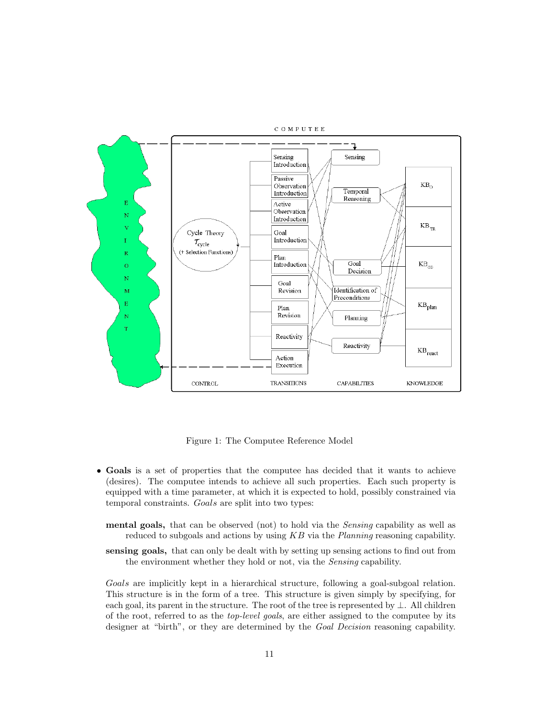

Figure 1: The Computee Reference Model

- Goals is a set of properties that the computee has decided that it wants to achieve (desires). The computee intends to achieve all such properties. Each such property is equipped with a time parameter, at which it is expected to hold, possibly constrained via temporal constraints. Goals are split into two types:
	- mental goals, that can be observed (not) to hold via the *Sensing* capability as well as reduced to subgoals and actions by using  $KB$  via the *Planning* reasoning capability.
	- sensing goals, that can only be dealt with by setting up sensing actions to find out from the environment whether they hold or not, via the Sensing capability.

Goals are implicitly kept in a hierarchical structure, following a goal-subgoal relation. This structure is in the form of a tree. This structure is given simply by specifying, for each goal, its parent in the structure. The root of the tree is represented by ⊥. All children of the root, referred to as the top-level goals, are either assigned to the computee by its designer at "birth", or they are determined by the Goal Decision reasoning capability.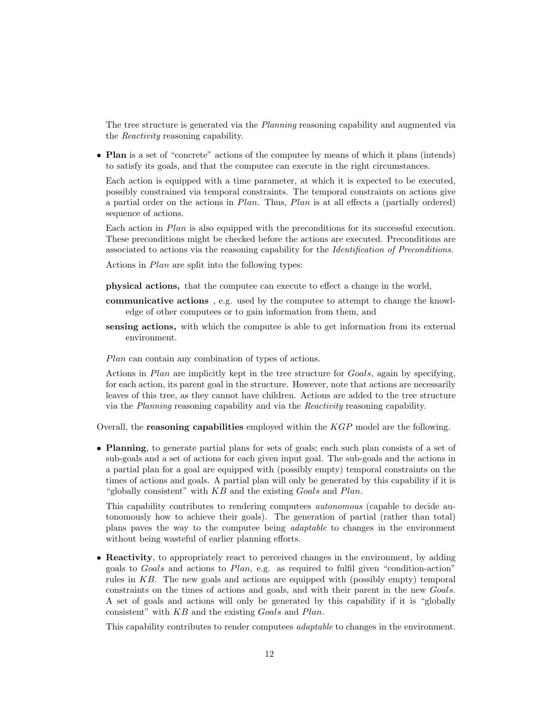The tree structure is generated via the *Planning* reasoning capability and augmented via the Reactivity reasoning capability.

• Plan is a set of "concrete" actions of the computee by means of which it plans (intends) to satisfy its goals, and that the computee can execute in the right circumstances.

Each action is equipped with a time parameter, at which it is expected to be executed, possibly constrained via temporal constraints. The temporal constraints on actions give a partial order on the actions in  $Plan$ . Thus,  $Plan$  is at all effects a (partially ordered) sequence of actions.

Each action in *Plan* is also equipped with the preconditions for its successful execution. These preconditions might be checked before the actions are executed. Preconditions are associated to actions via the reasoning capability for the Identification of Preconditions.

Actions in Plan are split into the following types:

physical actions, that the computee can execute to effect a change in the world,

- communicative actions , e.g. used by the computee to attempt to change the knowledge of other computees or to gain information from them, and
- sensing actions, with which the computee is able to get information from its external environment.

Plan can contain any combination of types of actions.

Actions in Plan are implicitly kept in the tree structure for Goals, again by specifying, for each action, its parent goal in the structure. However, note that actions are necessarily leaves of this tree, as they cannot have children. Actions are added to the tree structure via the Planning reasoning capability and via the Reactivity reasoning capability.

Overall, the **reasoning capabilities** employed within the  $KGP$  model are the following.

• Planning, to generate partial plans for sets of goals; each such plan consists of a set of sub-goals and a set of actions for each given input goal. The sub-goals and the actions in a partial plan for a goal are equipped with (possibly empty) temporal constraints on the times of actions and goals. A partial plan will only be generated by this capability if it is "globally consistent" with  $KB$  and the existing Goals and Plan.

This capability contributes to rendering computees autonomous (capable to decide autonomously how to achieve their goals). The generation of partial (rather than total) plans paves the way to the computee being adaptable to changes in the environment without being wasteful of earlier planning efforts.

• Reactivity, to appropriately react to perceived changes in the environment, by adding goals to Goals and actions to Plan, e.g. as required to fulfil given "condition-action" rules in KB. The new goals and actions are equipped with (possibly empty) temporal constraints on the times of actions and goals, and with their parent in the new Goals. A set of goals and actions will only be generated by this capability if it is "globally consistent" with KB and the existing Goals and Plan.

This capability contributes to render computees *adaptable* to changes in the environment.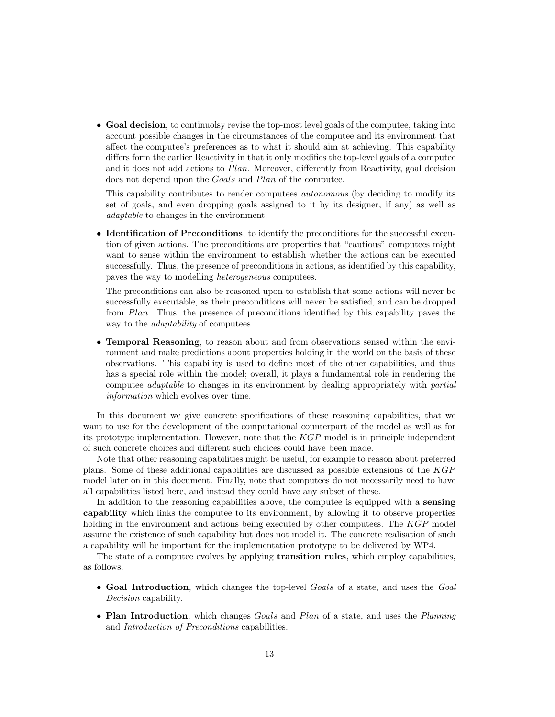• Goal decision, to continuolsy revise the top-most level goals of the computee, taking into account possible changes in the circumstances of the computee and its environment that affect the computee's preferences as to what it should aim at achieving. This capability differs form the earlier Reactivity in that it only modifies the top-level goals of a computee and it does not add actions to Plan. Moreover, differently from Reactivity, goal decision does not depend upon the Goals and Plan of the computee.

This capability contributes to render computees autonomous (by deciding to modify its set of goals, and even dropping goals assigned to it by its designer, if any) as well as adaptable to changes in the environment.

• Identification of Preconditions, to identify the preconditions for the successful execution of given actions. The preconditions are properties that "cautious" computees might want to sense within the environment to establish whether the actions can be executed successfully. Thus, the presence of preconditions in actions, as identified by this capability, paves the way to modelling heterogeneous computees.

The preconditions can also be reasoned upon to establish that some actions will never be successfully executable, as their preconditions will never be satisfied, and can be dropped from Plan. Thus, the presence of preconditions identified by this capability paves the way to the *adaptability* of computees.

• Temporal Reasoning, to reason about and from observations sensed within the environment and make predictions about properties holding in the world on the basis of these observations. This capability is used to define most of the other capabilities, and thus has a special role within the model; overall, it plays a fundamental role in rendering the computee adaptable to changes in its environment by dealing appropriately with partial information which evolves over time.

In this document we give concrete specifications of these reasoning capabilities, that we want to use for the development of the computational counterpart of the model as well as for its prototype implementation. However, note that the  $KGP$  model is in principle independent of such concrete choices and different such choices could have been made.

Note that other reasoning capabilities might be useful, for example to reason about preferred plans. Some of these additional capabilities are discussed as possible extensions of the KGP model later on in this document. Finally, note that computees do not necessarily need to have all capabilities listed here, and instead they could have any subset of these.

In addition to the reasoning capabilities above, the computee is equipped with a sensing capability which links the computee to its environment, by allowing it to observe properties holding in the environment and actions being executed by other computees. The KGP model assume the existence of such capability but does not model it. The concrete realisation of such a capability will be important for the implementation prototype to be delivered by WP4.

The state of a computee evolves by applying transition rules, which employ capabilities, as follows.

- Goal Introduction, which changes the top-level Goals of a state, and uses the Goal Decision capability.
- Plan Introduction, which changes Goals and Plan of a state, and uses the Planning and Introduction of Preconditions capabilities.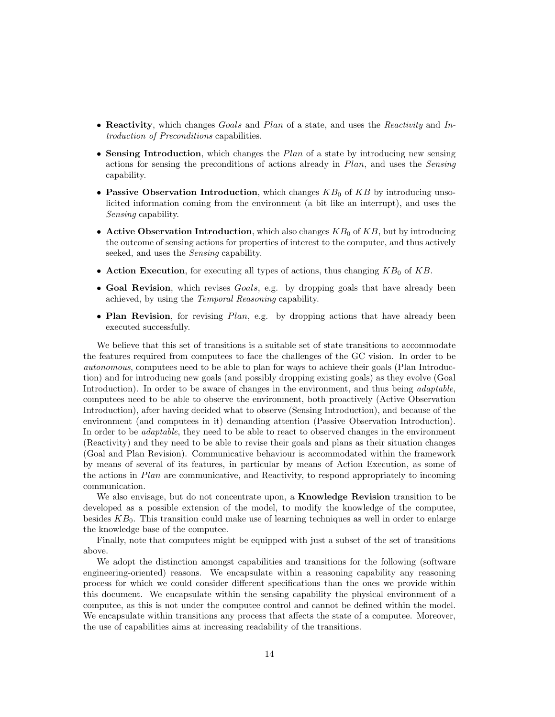- Reactivity, which changes Goals and Plan of a state, and uses the Reactivity and Introduction of Preconditions capabilities.
- Sensing Introduction, which changes the  $Plan$  of a state by introducing new sensing actions for sensing the preconditions of actions already in Plan, and uses the Sensing capability.
- Passive Observation Introduction, which changes  $KB<sub>0</sub>$  of  $KB$  by introducing unsolicited information coming from the environment (a bit like an interrupt), and uses the Sensing capability.
- Active Observation Introduction, which also changes  $KB_0$  of  $KB$ , but by introducing the outcome of sensing actions for properties of interest to the computee, and thus actively seeked, and uses the Sensing capability.
- Action Execution, for executing all types of actions, thus changing  $KB_0$  of  $KB$ .
- Goal Revision, which revises Goals, e.g. by dropping goals that have already been achieved, by using the Temporal Reasoning capability.
- Plan Revision, for revising Plan, e.g. by dropping actions that have already been executed successfully.

We believe that this set of transitions is a suitable set of state transitions to accommodate the features required from computees to face the challenges of the GC vision. In order to be autonomous, computees need to be able to plan for ways to achieve their goals (Plan Introduction) and for introducing new goals (and possibly dropping existing goals) as they evolve (Goal Introduction). In order to be aware of changes in the environment, and thus being *adaptable*, computees need to be able to observe the environment, both proactively (Active Observation Introduction), after having decided what to observe (Sensing Introduction), and because of the environment (and computees in it) demanding attention (Passive Observation Introduction). In order to be *adaptable*, they need to be able to react to observed changes in the environment (Reactivity) and they need to be able to revise their goals and plans as their situation changes (Goal and Plan Revision). Communicative behaviour is accommodated within the framework by means of several of its features, in particular by means of Action Execution, as some of the actions in Plan are communicative, and Reactivity, to respond appropriately to incoming communication.

We also envisage, but do not concentrate upon, a **Knowledge Revision** transition to be developed as a possible extension of the model, to modify the knowledge of the computee, besides  $KB<sub>0</sub>$ . This transition could make use of learning techniques as well in order to enlarge the knowledge base of the computee.

Finally, note that computees might be equipped with just a subset of the set of transitions above.

We adopt the distinction amongst capabilities and transitions for the following (software engineering-oriented) reasons. We encapsulate within a reasoning capability any reasoning process for which we could consider different specifications than the ones we provide within this document. We encapsulate within the sensing capability the physical environment of a computee, as this is not under the computee control and cannot be defined within the model. We encapsulate within transitions any process that affects the state of a computee. Moreover, the use of capabilities aims at increasing readability of the transitions.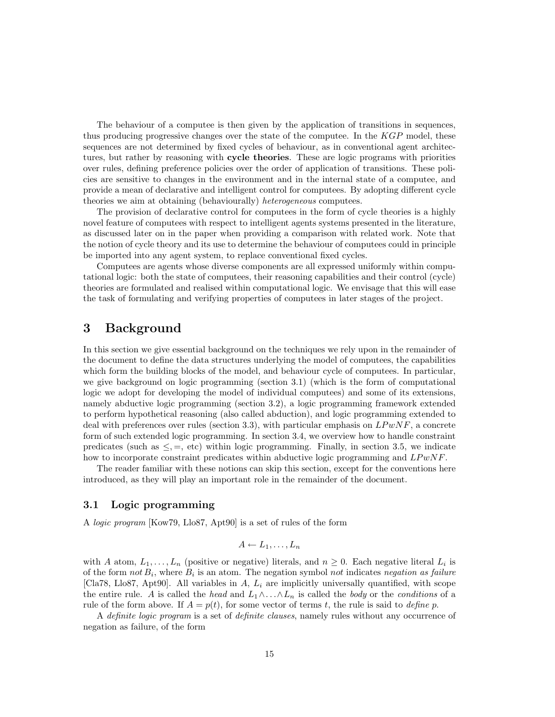The behaviour of a computee is then given by the application of transitions in sequences, thus producing progressive changes over the state of the computee. In the  $KGP$  model, these sequences are not determined by fixed cycles of behaviour, as in conventional agent architectures, but rather by reasoning with cycle theories. These are logic programs with priorities over rules, defining preference policies over the order of application of transitions. These policies are sensitive to changes in the environment and in the internal state of a computee, and provide a mean of declarative and intelligent control for computees. By adopting different cycle theories we aim at obtaining (behaviourally) heterogeneous computees.

The provision of declarative control for computees in the form of cycle theories is a highly novel feature of computees with respect to intelligent agents systems presented in the literature, as discussed later on in the paper when providing a comparison with related work. Note that the notion of cycle theory and its use to determine the behaviour of computees could in principle be imported into any agent system, to replace conventional fixed cycles.

Computees are agents whose diverse components are all expressed uniformly within computational logic: both the state of computees, their reasoning capabilities and their control (cycle) theories are formulated and realised within computational logic. We envisage that this will ease the task of formulating and verifying properties of computees in later stages of the project.

# 3 Background

In this section we give essential background on the techniques we rely upon in the remainder of the document to define the data structures underlying the model of computees, the capabilities which form the building blocks of the model, and behaviour cycle of computees. In particular, we give background on logic programming (section 3.1) (which is the form of computational logic we adopt for developing the model of individual computees) and some of its extensions, namely abductive logic programming (section 3.2), a logic programming framework extended to perform hypothetical reasoning (also called abduction), and logic programming extended to deal with preferences over rules (section 3.3), with particular emphasis on  $LP wNF$ , a concrete form of such extended logic programming. In section 3.4, we overview how to handle constraint predicates (such as  $\leq, =, \text{etc}$ ) within logic programming. Finally, in section 3.5, we indicate how to incorporate constraint predicates within abductive logic programming and  $LPwNF$ .

The reader familiar with these notions can skip this section, except for the conventions here introduced, as they will play an important role in the remainder of the document.

## 3.1 Logic programming

A logic program [Kow79, Llo87, Apt90] is a set of rules of the form

$$
A \leftarrow L_1, \ldots, L_n
$$

with A atom,  $L_1, \ldots, L_n$  (positive or negative) literals, and  $n \geq 0$ . Each negative literal  $L_i$  is of the form not  $B_i$ , where  $B_i$  is an atom. The negation symbol not indicates negation as failure [Cla78, Llo87, Apt90]. All variables in  $A$ ,  $L_i$  are implicitly universally quantified, with scope the entire rule. A is called the head and  $L_1 \wedge \ldots \wedge L_n$  is called the body or the conditions of a rule of the form above. If  $A = p(t)$ , for some vector of terms t, the rule is said to define p.

A *definite logic program* is a set of *definite clauses*, namely rules without any occurrence of negation as failure, of the form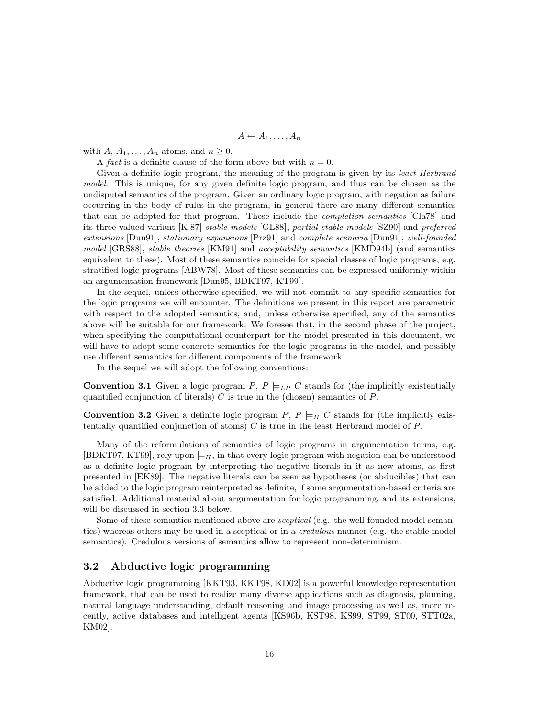$A \leftarrow A_1, \ldots, A_n$ 

with  $A, A_1, \ldots, A_n$  atoms, and  $n \geq 0$ .

A fact is a definite clause of the form above but with  $n = 0$ .

Given a definite logic program, the meaning of the program is given by its least Herbrand model. This is unique, for any given definite logic program, and thus can be chosen as the undisputed semantics of the program. Given an ordinary logic program, with negation as failure occurring in the body of rules in the program, in general there are many different semantics that can be adopted for that program. These include the completion semantics [Cla78] and its three-valued variant [K.87] stable models [GL88], partial stable models [SZ90] and preferred extensions [Dun91], stationary expansions [Prz91] and complete scenaria [Dun91], well-founded model [GRS88], stable theories [KM91] and acceptability semantics [KMD94b] (and semantics equivalent to these). Most of these semantics coincide for special classes of logic programs, e.g. stratified logic programs [ABW78]. Most of these semantics can be expressed uniformly within an argumentation framework [Dun95, BDKT97, KT99].

In the sequel, unless otherwise specified, we will not commit to any specific semantics for the logic programs we will encounter. The definitions we present in this report are parametric with respect to the adopted semantics, and, unless otherwise specified, any of the semantics above will be suitable for our framework. We foresee that, in the second phase of the project, when specifying the computational counterpart for the model presented in this document, we will have to adopt some concrete semantics for the logic programs in the model, and possibly use different semantics for different components of the framework.

In the sequel we will adopt the following conventions:

**Convention 3.1** Given a logic program P,  $P \models_{LP} C$  stands for (the implicitly existentially quantified conjunction of literals)  $C$  is true in the (chosen) semantics of  $P$ .

**Convention 3.2** Given a definite logic program P,  $P \models_H C$  stands for (the implicitly existentially quantified conjunction of atoms)  $C$  is true in the least Herbrand model of  $P$ .

Many of the reformulations of semantics of logic programs in argumentation terms, e.g. [BDKT97, KT99], rely upon  $\models H$ , in that every logic program with negation can be understood as a definite logic program by interpreting the negative literals in it as new atoms, as first presented in [EK89]. The negative literals can be seen as hypotheses (or abducibles) that can be added to the logic program reinterpreted as definite, if some argumentation-based criteria are satisfied. Additional material about argumentation for logic programming, and its extensions, will be discussed in section 3.3 below.

Some of these semantics mentioned above are sceptical (e.g. the well-founded model semantics) whereas others may be used in a sceptical or in a credulous manner (e.g. the stable model semantics). Credulous versions of semantics allow to represent non-determinism.

### 3.2 Abductive logic programming

Abductive logic programming [KKT93, KKT98, KD02] is a powerful knowledge representation framework, that can be used to realize many diverse applications such as diagnosis, planning, natural language understanding, default reasoning and image processing as well as, more recently, active databases and intelligent agents [KS96b, KST98, KS99, ST99, ST00, STT02a, KM02].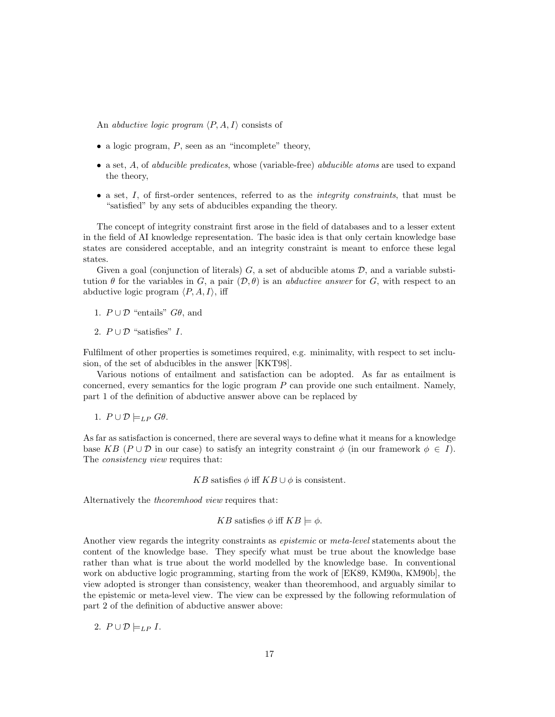An *abductive logic program*  $\langle P, A, I \rangle$  consists of

- a logic program,  $P$ , seen as an "incomplete" theory,
- a set, A, of abducible predicates, whose (variable-free) abducible atoms are used to expand the theory,
- $\bullet$  a set,  $I$ , of first-order sentences, referred to as the *integrity constraints*, that must be "satisfied" by any sets of abducibles expanding the theory.

The concept of integrity constraint first arose in the field of databases and to a lesser extent in the field of AI knowledge representation. The basic idea is that only certain knowledge base states are considered acceptable, and an integrity constraint is meant to enforce these legal states.

Given a goal (conjunction of literals)  $G$ , a set of abducible atoms  $D$ , and a variable substitution  $\theta$  for the variables in G, a pair  $(\mathcal{D}, \theta)$  is an *abductive answer* for G, with respect to an abductive logic program  $\langle P, A, I \rangle$ , iff

1.  $P \cup \mathcal{D}$  "entails"  $G\theta$ , and

2.  $P \cup \mathcal{D}$  "satisfies" *I*.

Fulfilment of other properties is sometimes required, e.g. minimality, with respect to set inclusion, of the set of abducibles in the answer [KKT98].

Various notions of entailment and satisfaction can be adopted. As far as entailment is concerned, every semantics for the logic program  $P$  can provide one such entailment. Namely, part 1 of the definition of abductive answer above can be replaced by

1.  $P \cup \mathcal{D} \models_{LP} G\theta$ .

As far as satisfaction is concerned, there are several ways to define what it means for a knowledge base KB ( $P \cup \mathcal{D}$  in our case) to satisfy an integrity constraint  $\phi$  (in our framework  $\phi \in I$ ). The *consistency view* requires that:

KB satisfies  $\phi$  iff KB ∪  $\phi$  is consistent.

Alternatively the theoremhood view requires that:

$$
KB \text{ satisfies } \phi \text{ iff } KB \models \phi.
$$

Another view regards the integrity constraints as *epistemic* or *meta-level* statements about the content of the knowledge base. They specify what must be true about the knowledge base rather than what is true about the world modelled by the knowledge base. In conventional work on abductive logic programming, starting from the work of [EK89, KM90a, KM90b], the view adopted is stronger than consistency, weaker than theoremhood, and arguably similar to the epistemic or meta-level view. The view can be expressed by the following reformulation of part 2 of the definition of abductive answer above:

2.  $P \cup \mathcal{D} \models_{LP} I$ .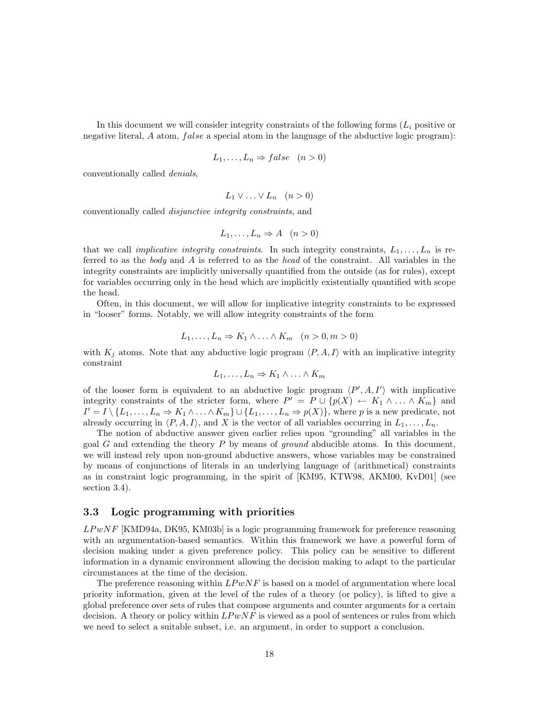In this document we will consider integrity constraints of the following forms  $(L_i)$  positive or negative literal,  $A$  atom,  $false$  a special atom in the language of the abductive logic program):

$$
L_1, \ldots, L_n \Rightarrow false \quad (n > 0)
$$

conventionally called denials,

$$
L_1 \vee \ldots \vee L_n \quad (n > 0)
$$

conventionally called disjunctive integrity constraints, and

$$
L_1, \ldots, L_n \Rightarrow A \quad (n > 0)
$$

that we call *implicative integrity constraints*. In such integrity constraints,  $L_1, \ldots, L_n$  is referred to as the body and A is referred to as the head of the constraint. All variables in the integrity constraints are implicitly universally quantified from the outside (as for rules), except for variables occurring only in the head which are implicitly existentially quantified with scope the head.

Often, in this document, we will allow for implicative integrity constraints to be expressed in "looser" forms. Notably, we will allow integrity constraints of the form

$$
L_1, \ldots, L_n \Rightarrow K_1 \wedge \ldots \wedge K_m \quad (n > 0, m > 0)
$$

with  $K_j$  atoms. Note that any abductive logic program  $\langle P, A, I \rangle$  with an implicative integrity constraint

$$
L_1,\ldots,L_n\Rightarrow K_1\wedge\ldots\wedge K_m
$$

of the looser form is equivalent to an abductive logic program  $\langle P', A, I' \rangle$  with implicative integrity constraints of the stricter form, where  $P' = P \cup \{p(X) \leftarrow K_1 \wedge \ldots \wedge K_m\}$  and  $I' = I \setminus \{L_1, \ldots, L_n \Rightarrow K_1 \wedge \ldots \wedge K_m\} \cup \{L_1, \ldots, L_n \Rightarrow p(X)\}\)$ , where p is a new predicate, not already occurring in  $\langle P, A, I \rangle$ , and X is the vector of all variables occurring in  $L_1, \ldots, L_n$ .

The notion of abductive answer given earlier relies upon "grounding" all variables in the goal G and extending the theory  $P$  by means of *ground* abducible atoms. In this document, we will instead rely upon non-ground abductive answers, whose variables may be constrained by means of conjunctions of literals in an underlying language of (arithmetical) constraints as in constraint logic programming, in the spirit of [KM95, KTW98, AKM00, KvD01] (see section 3.4).

### 3.3 Logic programming with priorities

 $LPwNF$  [KMD94a, DK95, KM03b] is a logic programming framework for preference reasoning with an argumentation-based semantics. Within this framework we have a powerful form of decision making under a given preference policy. This policy can be sensitive to different information in a dynamic environment allowing the decision making to adapt to the particular circumstances at the time of the decision.

The preference reasoning within  $LP wNF$  is based on a model of argumentation where local priority information, given at the level of the rules of a theory (or policy), is lifted to give a global preference over sets of rules that compose arguments and counter arguments for a certain decision. A theory or policy within  $LP wNF$  is viewed as a pool of sentences or rules from which we need to select a suitable subset, i.e. an argument, in order to support a conclusion.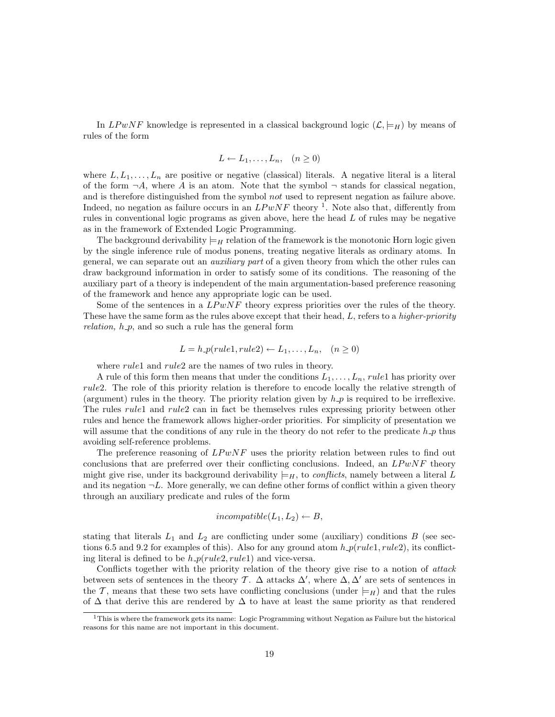In LPwNF knowledge is represented in a classical background logic  $(\mathcal{L}, \models_H)$  by means of rules of the form

$$
L \leftarrow L_1, \dots, L_n, \quad (n \ge 0)
$$

where  $L, L_1, \ldots, L_n$  are positive or negative (classical) literals. A negative literal is a literal of the form  $\neg A$ , where A is an atom. Note that the symbol  $\neg$  stands for classical negation, and is therefore distinguished from the symbol not used to represent negation as failure above. Indeed, no negation as failure occurs in an  $LPwNF$  theory <sup>1</sup>. Note also that, differently from rules in conventional logic programs as given above, here the head L of rules may be negative as in the framework of Extended Logic Programming.

The background derivability  $\models_H$  relation of the framework is the monotonic Horn logic given by the single inference rule of modus ponens, treating negative literals as ordinary atoms. In general, we can separate out an auxiliary part of a given theory from which the other rules can draw background information in order to satisfy some of its conditions. The reasoning of the auxiliary part of a theory is independent of the main argumentation-based preference reasoning of the framework and hence any appropriate logic can be used.

Some of the sentences in a  $L P w N F$  theory express priorities over the rules of the theory. These have the same form as the rules above except that their head, L, refers to a higher-priority *relation,*  $h_p$ , and so such a rule has the general form

$$
L = h\_p(rule1, rule2) \leftarrow L_1, \dots, L_n, \quad (n \ge 0)
$$

where *rule1* and *rule2* are the names of two rules in theory.

A rule of this form then means that under the conditions  $L_1, \ldots, L_n$ , rule1 has priority over rule2. The role of this priority relation is therefore to encode locally the relative strength of (argument) rules in the theory. The priority relation given by  $h$ - $p$  is required to be irreflexive. The rules *rule1* and *rule2* can in fact be themselves rules expressing priority between other rules and hence the framework allows higher-order priorities. For simplicity of presentation we will assume that the conditions of any rule in the theory do not refer to the predicate  $h$ -p thus avoiding self-reference problems.

The preference reasoning of  $L P w N F$  uses the priority relation between rules to find out conclusions that are preferred over their conflicting conclusions. Indeed, an  $LPwNF$  theory might give rise, under its background derivability  $\models H$ , to conflicts, namely between a literal L and its negation  $\neg L$ . More generally, we can define other forms of conflict within a given theory through an auxiliary predicate and rules of the form

$$
incompatible(L_1,L_2)\leftarrow B,
$$

stating that literals  $L_1$  and  $L_2$  are conflicting under some (auxiliary) conditions  $B$  (see sections 6.5 and 9.2 for examples of this). Also for any ground atom  $h\_p(rule1, rule2)$ , its conflicting literal is defined to be  $h$   $p(\text{rule2}, \text{rule1})$  and vice-versa.

Conflicts together with the priority relation of the theory give rise to a notion of *attack* between sets of sentences in the theory T.  $\Delta$  attacks  $\Delta'$ , where  $\Delta, \Delta'$  are sets of sentences in the T, means that these two sets have conflicting conclusions (under  $\models_H$ ) and that the rules of  $\Delta$  that derive this are rendered by  $\Delta$  to have at least the same priority as that rendered

 $1$ This is where the framework gets its name: Logic Programming without Negation as Failure but the historical reasons for this name are not important in this document.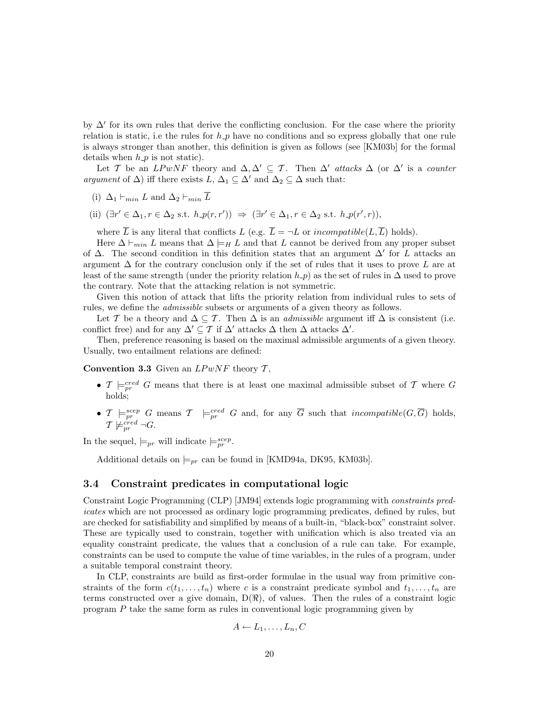by  $\Delta'$  for its own rules that derive the conflicting conclusion. For the case where the priority relation is static, i.e the rules for  $h \, p$  have no conditions and so express globally that one rule is always stronger than another, this definition is given as follows (see [KM03b] for the formal details when  $h_p$  is not static).

Let T be an  $LPwNF$  theory and  $\Delta, \Delta' \subseteq T$ . Then  $\Delta'$  attacks  $\Delta$  (or  $\Delta'$  is a counter argument of  $\Delta$ ) iff there exists  $L, \Delta_1 \subseteq \Delta'$  and  $\Delta_2 \subseteq \Delta$  such that:

(i) 
$$
\Delta_1 \vdash_{min} L
$$
 and  $\Delta_2 \vdash_{min} \overline{L}$ 

(ii)  $(\exists r' \in \Delta_1, r \in \Delta_2 \text{ s.t. } h p(r, r')) \Rightarrow (\exists r' \in \Delta_1, r \in \Delta_2 \text{ s.t. } h p(r', r)),$ 

where  $\overline{L}$  is any literal that conflicts L (e.g.  $\overline{L} = \neg L$  or incompatible(L, $\overline{L}$ ) holds).

Here  $\Delta \vdash_{min} L$  means that  $\Delta \models_H L$  and that L cannot be derived from any proper subset of  $\Delta$ . The second condition in this definition states that an argument  $\Delta'$  for L attacks an argument  $\Delta$  for the contrary conclusion only if the set of rules that it uses to prove L are at least of the same strength (under the priority relation  $h_p$ ) as the set of rules in  $\Delta$  used to prove the contrary. Note that the attacking relation is not symmetric.

Given this notion of attack that lifts the priority relation from individual rules to sets of rules, we define the admissible subsets or arguments of a given theory as follows.

Let T be a theory and  $\Delta \subseteq T$ . Then  $\Delta$  is an *admissible* argument iff  $\Delta$  is consistent (i.e. conflict free) and for any  $\Delta' \subseteq T$  if  $\Delta'$  attacks  $\Delta$  then  $\Delta$  attacks  $\Delta'$ .

Then, preference reasoning is based on the maximal admissible arguments of a given theory. Usually, two entailment relations are defined:

Convention 3.3 Given an  $LPwNF$  theory  $\mathcal{T}$ ,

- $\mathcal{T} \models_{pr}^{cred} G$  means that there is at least one maximal admissible subset of  $\mathcal{T}$  where  $G$ holds;
- $\mathcal{T} \models_{pr}^{seep} G$  means  $\mathcal{T} \models_{pr}^{cred} G$  and, for any  $\overline{G}$  such that *incompatible*( $G, \overline{G}$ ) holds,  $\mathcal{T} \not\models^{\dot{c}red}_{pr} \neg G.$

In the sequel,  $\models_{pr}$  will indicate  $\models_{pr}^{scep}$ .

Additional details on  $\models_{pr}$  can be found in [KMD94a, DK95, KM03b].

## 3.4 Constraint predicates in computational logic

Constraint Logic Programming (CLP) [JM94] extends logic programming with constraints predicates which are not processed as ordinary logic programming predicates, defined by rules, but are checked for satisfiability and simplified by means of a built-in, "black-box" constraint solver. These are typically used to constrain, together with unification which is also treated via an equality constraint predicate, the values that a conclusion of a rule can take. For example, constraints can be used to compute the value of time variables, in the rules of a program, under a suitable temporal constraint theory.

In CLP, constraints are build as first-order formulae in the usual way from primitive constraints of the form  $c(t_1, \ldots, t_n)$  where c is a constraint predicate symbol and  $t_1, \ldots, t_n$  are terms constructed over a give domain,  $D(\Re)$ , of values. Then the rules of a constraint logic program P take the same form as rules in conventional logic programming given by

$$
A \leftarrow L_1, \ldots, L_n, C
$$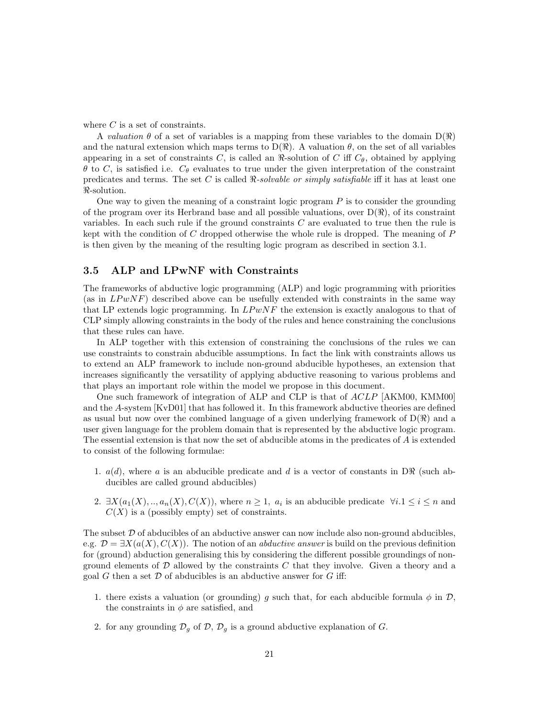where  $C$  is a set of constraints.

A valuation  $\theta$  of a set of variables is a mapping from these variables to the domain  $D(\Re)$ and the natural extension which maps terms to  $D(\Re)$ . A valuation  $\theta$ , on the set of all variables appearing in a set of constraints C, is called an  $\Re$ -solution of C iff  $C_{\theta}$ , obtained by applying  $\theta$  to C, is satisfied i.e.  $C_{\theta}$  evaluates to true under the given interpretation of the constraint predicates and terms. The set C is called  $\Re$ -solvable or simply satisfiable iff it has at least one  $\Re$ -solution.

One way to given the meaning of a constraint logic program  $P$  is to consider the grounding of the program over its Herbrand base and all possible valuations, over  $D(\mathcal{R})$ , of its constraint variables. In each such rule if the ground constraints  $C$  are evaluated to true then the rule is kept with the condition of  $C$  dropped otherwise the whole rule is dropped. The meaning of  $P$ is then given by the meaning of the resulting logic program as described in section 3.1.

## 3.5 ALP and LPwNF with Constraints

The frameworks of abductive logic programming (ALP) and logic programming with priorities (as in  $LPwNF$ ) described above can be usefully extended with constraints in the same way that LP extends logic programming. In  $LP wNF$  the extension is exactly analogous to that of CLP simply allowing constraints in the body of the rules and hence constraining the conclusions that these rules can have.

In ALP together with this extension of constraining the conclusions of the rules we can use constraints to constrain abducible assumptions. In fact the link with constraints allows us to extend an ALP framework to include non-ground abducible hypotheses, an extension that increases significantly the versatility of applying abductive reasoning to various problems and that plays an important role within the model we propose in this document.

One such framework of integration of ALP and CLP is that of ACLP [AKM00, KMM00] and the A-system [KvD01] that has followed it. In this framework abductive theories are defined as usual but now over the combined language of a given underlying framework of  $D(\Re)$  and a user given language for the problem domain that is represented by the abductive logic program. The essential extension is that now the set of abducible atoms in the predicates of A is extended to consist of the following formulae:

- 1.  $a(d)$ , where a is an abducible predicate and d is a vector of constants in DR (such abducibles are called ground abducibles)
- 2.  $\exists X(a_1(X),..,a_n(X),C(X))$ , where  $n \geq 1$ ,  $a_i$  is an abducible predicate  $\forall i.1 \leq i \leq n$  and  $C(X)$  is a (possibly empty) set of constraints.

The subset  $D$  of abducibles of an abductive answer can now include also non-ground abducibles. e.g.  $\mathcal{D} = \exists X(a(X), C(X))$ . The notion of an *abductive answer* is build on the previous definition for (ground) abduction generalising this by considering the different possible groundings of nonground elements of  $\mathcal D$  allowed by the constraints  $C$  that they involve. Given a theory and a goal  $G$  then a set  $D$  of abducibles is an abductive answer for  $G$  iff:

- 1. there exists a valuation (or grounding) g such that, for each abducible formula  $\phi$  in  $\mathcal{D}$ , the constraints in  $\phi$  are satisfied, and
- 2. for any grounding  $\mathcal{D}_g$  of  $\mathcal{D}, \mathcal{D}_g$  is a ground abductive explanation of G.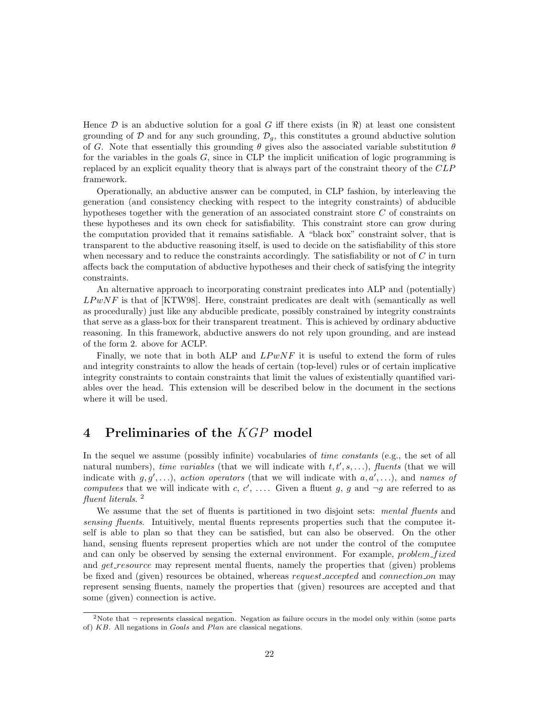Hence  $\mathcal D$  is an abductive solution for a goal G iff there exists (in  $\Re$ ) at least one consistent grounding of  $D$  and for any such grounding,  $D_g$ , this constitutes a ground abductive solution of G. Note that essentially this grounding  $\theta$  gives also the associated variable substitution  $\theta$ for the variables in the goals  $G$ , since in CLP the implicit unification of logic programming is replaced by an explicit equality theory that is always part of the constraint theory of the CLP framework.

Operationally, an abductive answer can be computed, in CLP fashion, by interleaving the generation (and consistency checking with respect to the integrity constraints) of abducible hypotheses together with the generation of an associated constraint store C of constraints on these hypotheses and its own check for satisfiability. This constraint store can grow during the computation provided that it remains satisfiable. A "black box" constraint solver, that is transparent to the abductive reasoning itself, is used to decide on the satisfiability of this store when necessary and to reduce the constraints accordingly. The satisfiability or not of  $C$  in turn affects back the computation of abductive hypotheses and their check of satisfying the integrity constraints.

An alternative approach to incorporating constraint predicates into ALP and (potentially)  $LPwNF$  is that of [KTW98]. Here, constraint predicates are dealt with (semantically as well as procedurally) just like any abducible predicate, possibly constrained by integrity constraints that serve as a glass-box for their transparent treatment. This is achieved by ordinary abductive reasoning. In this framework, abductive answers do not rely upon grounding, and are instead of the form 2. above for ACLP.

Finally, we note that in both ALP and  $LPwNF$  it is useful to extend the form of rules and integrity constraints to allow the heads of certain (top-level) rules or of certain implicative integrity constraints to contain constraints that limit the values of existentially quantified variables over the head. This extension will be described below in the document in the sections where it will be used.

# 4 Preliminaries of the KGP model

In the sequel we assume (possibly infinite) vocabularies of *time constants* (e.g., the set of all natural numbers), time variables (that we will indicate with  $t, t', s, \ldots$ ), fluents (that we will indicate with  $g, g', \ldots$ ), action operators (that we will indicate with  $a, a', \ldots$ ), and names of computees that we will indicate with c, c', .... Given a fluent g, g and  $\neg g$  are referred to as fluent literals.<sup>2</sup>

We assume that the set of fluents is partitioned in two disjoint sets: *mental fluents* and sensing fluents. Intuitively, mental fluents represents properties such that the computee itself is able to plan so that they can be satisfied, but can also be observed. On the other hand, sensing fluents represent properties which are not under the control of the computee and can only be observed by sensing the external environment. For example, problem fixed and *get resource* may represent mental fluents, namely the properties that (given) problems be fixed and (given) resources be obtained, whereas request accepted and connection on may represent sensing fluents, namely the properties that (given) resources are accepted and that some (given) connection is active.

<sup>&</sup>lt;sup>2</sup>Note that  $\neg$  represents classical negation. Negation as failure occurs in the model only within (some parts of)  $KB$ . All negations in Goals and Plan are classical negations.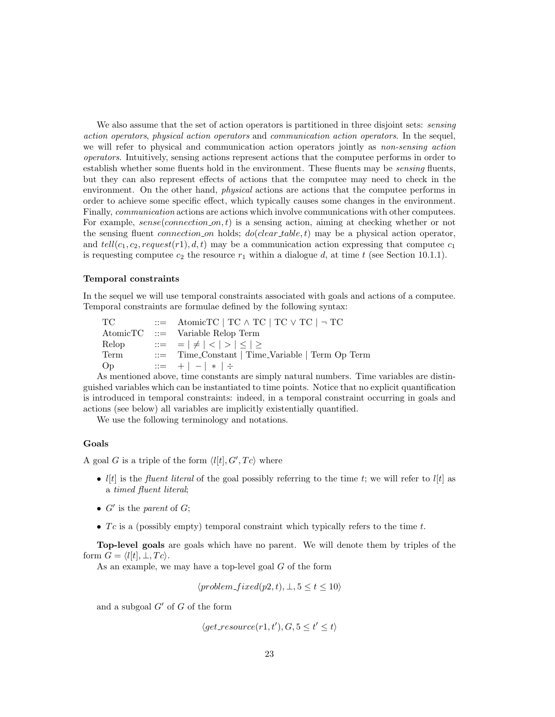We also assume that the set of action operators is partitioned in three disjoint sets: *sensing* action operators, physical action operators and communication action operators. In the sequel, we will refer to physical and communication action operators jointly as non-sensing action operators. Intuitively, sensing actions represent actions that the computee performs in order to establish whether some fluents hold in the environment. These fluents may be sensing fluents, but they can also represent effects of actions that the computee may need to check in the environment. On the other hand, *physical* actions are actions that the computee performs in order to achieve some specific effect, which typically causes some changes in the environment. Finally, communication actions are actions which involve communications with other computees. For example,  $sense(connection\_{on}, t)$  is a sensing action, aiming at checking whether or not the sensing fluent *connection on* holds;  $do(clear_table, t)$  may be a physical action operator, and  $tell(c_1, c_2, request(r1), d, t)$  may be a communication action expressing that computee  $c_1$ is requesting computee  $c_2$  the resource  $r_1$  within a dialogue d, at time t (see Section 10.1.1).

### Temporal constraints

In the sequel we will use temporal constraints associated with goals and actions of a computee. Temporal constraints are formulae defined by the following syntax:

 $TC$  ::= AtomicTC | TC  $\wedge$  TC | TC  $\vee$  TC |  $\neg$  TC AtomicTC ::= Variable Relop Term Relop  $::= | \neq | < | > | \leq | \geq$ Term ::= Time Constant | Time Variable | Term Op Term Op ::=  $+$  |  $-$  |  $*$  |  $\div$ 

As mentioned above, time constants are simply natural numbers. Time variables are distinguished variables which can be instantiated to time points. Notice that no explicit quantification is introduced in temporal constraints: indeed, in a temporal constraint occurring in goals and actions (see below) all variables are implicitly existentially quantified.

We use the following terminology and notations.

### Goals

A goal G is a triple of the form  $\langle l[t], G', Tc \rangle$  where

- $l[t]$  is the *fluent literal* of the goal possibly referring to the time t; we will refer to  $l[t]$  as a timed fluent literal;
- $G'$  is the parent of  $G$ ;
- $Tc$  is a (possibly empty) temporal constraint which typically refers to the time  $t$ .

Top-level goals are goals which have no parent. We will denote them by triples of the form  $G = \langle l[t], \perp, T_c \rangle$ .

As an example, we may have a top-level goal  $G$  of the form

$$
\langle problem\_fixed(p2,t), \bot, 5 \le t \le 10 \rangle
$$

and a subgoal  $G'$  of G of the form

 $\langle get\_resource(r1, t'), G, 5 \le t' \le t \rangle$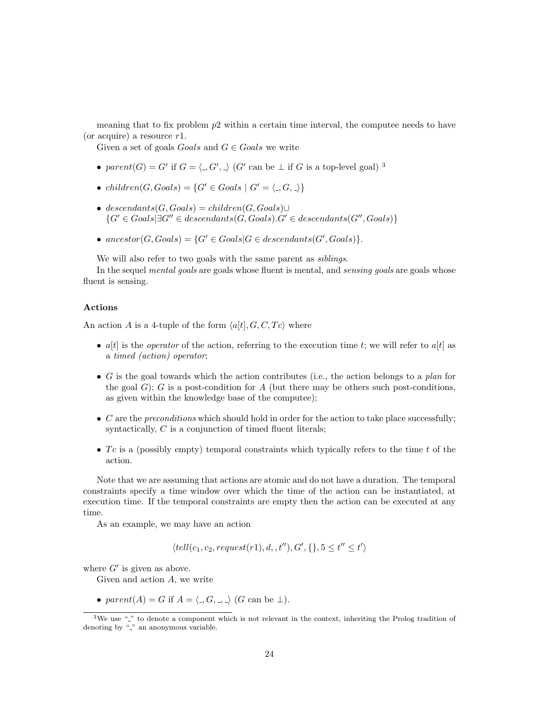meaning that to fix problem  $p2$  within a certain time interval, the computee needs to have (or acquire) a resource  $r1$ .

Given a set of goals Goals and  $G \in \text{Goals}$  we write

- parent(G) = G' if  $G = \langle \cdot, G', \cdot \rangle$  (G' can be  $\perp$  if G is a top-level goal)<sup>3</sup>
- children $(G, Goals) = \{G' \in Goals \mid G' = \langle \_, G, \_\rangle\}$
- descendants $(G, Goals) = children(G, Goals) \cup$  ${G' \in G}$ oals $\exists G'' \in descendants(G, Goals).G' \in descendants(G'', Goals)$
- $\text{ancestor}(G, \text{Goals}) = \{G' \in \text{Goals} | G \in \text{descendants}(G', \text{Goals})\}.$

We will also refer to two goals with the same parent as *siblings*.

In the sequel *mental goals* are goals whose fluent is mental, and *sensing goals* are goals whose fluent is sensing.

### Actions

An action A is a 4-tuple of the form  $\langle a[t], G, C, Tc \rangle$  where

- $a[t]$  is the *operator* of the action, referring to the execution time t; we will refer to  $a[t]$  as a timed (action) operator;
- G is the goal towards which the action contributes (i.e., the action belongs to a plan for the goal  $G$ ; G is a post-condition for A (but there may be others such post-conditions, as given within the knowledge base of the computee);
- $\bullet$  C are the *preconditions* which should hold in order for the action to take place successfully; syntactically,  $C$  is a conjunction of timed fluent literals;
- Tc is a (possibly empty) temporal constraints which typically refers to the time t of the action.

Note that we are assuming that actions are atomic and do not have a duration. The temporal constraints specify a time window over which the time of the action can be instantiated, at execution time. If the temporal constraints are empty then the action can be executed at any time.

As an example, we may have an action

$$
\langle tell(c_1, c_2, request(r1), d, t''), G', \{\}, 5 \le t'' \le t' \rangle
$$

where  $G'$  is given as above.

Given and action A, we write

• parent(A) = G if  $A = \langle \_, G, \_, \rangle$  (G can be  $\bot$ ).

 $3$ We use " $\cdot$ " to denote a component which is not relevant in the context, inheriting the Prolog tradition of denoting by " " an anonymous variable.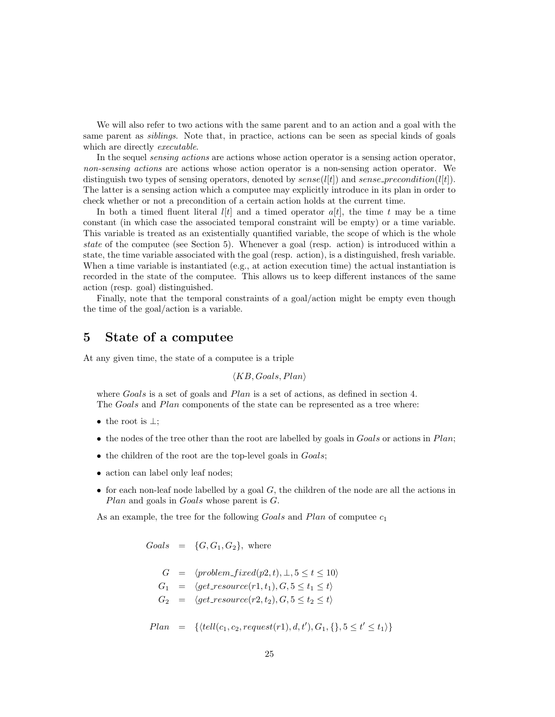We will also refer to two actions with the same parent and to an action and a goal with the same parent as *siblings*. Note that, in practice, actions can be seen as special kinds of goals which are directly *executable*.

In the sequel *sensing actions* are actions whose action operator is a sensing action operator, non-sensing actions are actions whose action operator is a non-sensing action operator. We distinguish two types of sensing operators, denoted by  $sense(l[t])$  and  $sense\_precondition(l[t])$ . The latter is a sensing action which a computee may explicitly introduce in its plan in order to check whether or not a precondition of a certain action holds at the current time.

In both a timed fluent literal  $l[t]$  and a timed operator  $a[t]$ , the time t may be a time constant (in which case the associated temporal constraint will be empty) or a time variable. This variable is treated as an existentially quantified variable, the scope of which is the whole state of the computee (see Section 5). Whenever a goal (resp. action) is introduced within a state, the time variable associated with the goal (resp. action), is a distinguished, fresh variable. When a time variable is instantiated (e.g., at action execution time) the actual instantiation is recorded in the state of the computee. This allows us to keep different instances of the same action (resp. goal) distinguished.

Finally, note that the temporal constraints of a goal/action might be empty even though the time of the goal/action is a variable.

## 5 State of a computee

At any given time, the state of a computee is a triple

$$
\langle KB, Goals, Plan \rangle
$$

where Goals is a set of goals and Plan is a set of actions, as defined in section 4. The Goals and Plan components of the state can be represented as a tree where:

- the root is  $\perp$ ;
- the nodes of the tree other than the root are labelled by goals in Goals or actions in Plan;
- the children of the root are the top-level goals in *Goals*;
- action can label only leaf nodes;
- for each non-leaf node labelled by a goal  $G$ , the children of the node are all the actions in Plan and goals in Goals whose parent is G.

As an example, the tree for the following  $G \circ als$  and  $Plan$  of computee  $c_1$ 

 $Goals = {G, G_1, G_2}$ , where

$$
G = \langle problem\_fixed(p2, t), \bot, 5 \le t \le 10 \rangle
$$
  
\n
$$
G_1 = \langle get\_resource(r1, t_1), G, 5 \le t_1 \le t \rangle
$$
  
\n
$$
G_2 = \langle get\_resource(r2, t_2), G, 5 \le t_2 \le t \rangle
$$

$$
Plan = \{ \langle tell(c_1, c_2, request(r1), d, t'), G_1, \{\}, 5 \le t' \le t_1 \rangle \}
$$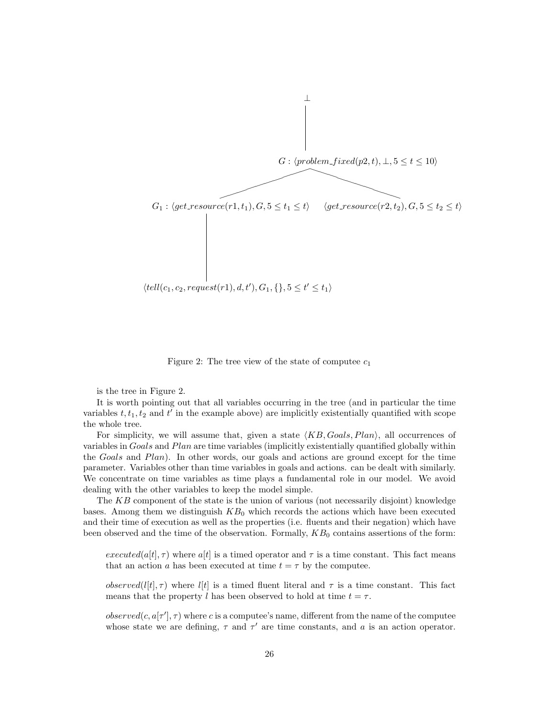

Figure 2: The tree view of the state of computee  $c_1$ 

is the tree in Figure 2.

It is worth pointing out that all variables occurring in the tree (and in particular the time variables  $t, t_1, t_2$  and  $t'$  in the example above) are implicitly existentially quantified with scope the whole tree.

For simplicity, we will assume that, given a state  $\langle KB, Goals, Plan \rangle$ , all occurrences of variables in Goals and Plan are time variables (implicitly existentially quantified globally within the Goals and Plan). In other words, our goals and actions are ground except for the time parameter. Variables other than time variables in goals and actions. can be dealt with similarly. We concentrate on time variables as time plays a fundamental role in our model. We avoid dealing with the other variables to keep the model simple.

The KB component of the state is the union of various (not necessarily disjoint) knowledge bases. Among them we distinguish  $KB<sub>0</sub>$  which records the actions which have been executed and their time of execution as well as the properties (i.e. fluents and their negation) which have been observed and the time of the observation. Formally,  $KB<sub>0</sub>$  contains assertions of the form:

executed(a[t],  $\tau$ ) where a[t] is a timed operator and  $\tau$  is a time constant. This fact means that an action a has been executed at time  $t = \tau$  by the computee.

*observed*(*l*[t],  $\tau$ ) where *l*[t] is a timed fluent literal and  $\tau$  is a time constant. This fact means that the property l has been observed to hold at time  $t = \tau$ .

 $observed(c, a[\tau'], \tau)$  where c is a computee's name, different from the name of the computee whose state we are defining,  $\tau$  and  $\tau'$  are time constants, and a is an action operator.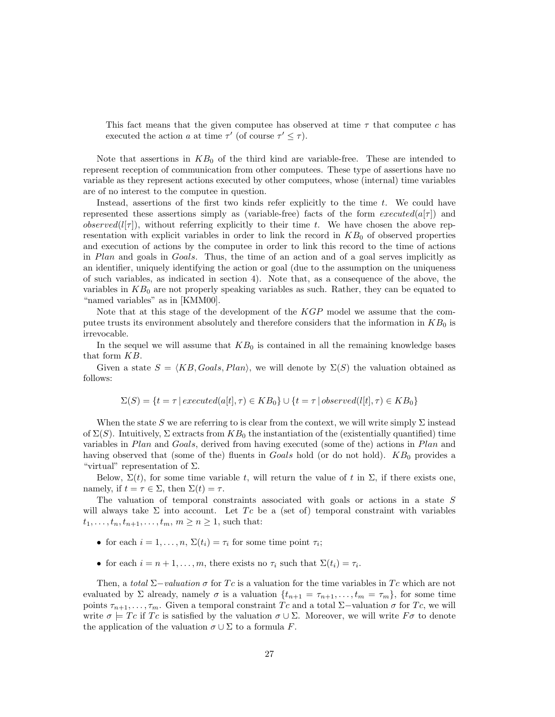This fact means that the given computee has observed at time  $\tau$  that computee c has executed the action a at time  $\tau'$  (of course  $\tau' \leq \tau$ ).

Note that assertions in  $KB<sub>0</sub>$  of the third kind are variable-free. These are intended to represent reception of communication from other computees. These type of assertions have no variable as they represent actions executed by other computees, whose (internal) time variables are of no interest to the computee in question.

Instead, assertions of the first two kinds refer explicitly to the time t. We could have represented these assertions simply as (variable-free) facts of the form  $executed(a[\tau])$  and observed( $l[\tau]$ ), without referring explicitly to their time t. We have chosen the above representation with explicit variables in order to link the record in  $KB<sub>0</sub>$  of observed properties and execution of actions by the computee in order to link this record to the time of actions in Plan and goals in Goals. Thus, the time of an action and of a goal serves implicitly as an identifier, uniquely identifying the action or goal (due to the assumption on the uniqueness of such variables, as indicated in section 4). Note that, as a consequence of the above, the variables in  $KB<sub>0</sub>$  are not properly speaking variables as such. Rather, they can be equated to "named variables" as in [KMM00].

Note that at this stage of the development of the KGP model we assume that the computee trusts its environment absolutely and therefore considers that the information in  $KB_0$  is irrevocable.

In the sequel we will assume that  $KB<sub>0</sub>$  is contained in all the remaining knowledge bases that form KB.

Given a state  $S = \langle KB, Goals, Plan \rangle$ , we will denote by  $\Sigma(S)$  the valuation obtained as follows:

$$
\Sigma(S) = \{ t = \tau \mid executed(a[t], \tau) \in KB_0 \} \cup \{ t = \tau \mid observed(l[t], \tau) \in KB_0 \}
$$

When the state S we are referring to is clear from the context, we will write simply  $\Sigma$  instead of  $\Sigma(S)$ . Intuitively,  $\Sigma$  extracts from  $KB_0$  the instantiation of the (existentially quantified) time variables in Plan and Goals, derived from having executed (some of the) actions in Plan and having observed that (some of the) fluents in Goals hold (or do not hold).  $KB<sub>0</sub>$  provides a "virtual" representation of  $\Sigma$ .

Below,  $\Sigma(t)$ , for some time variable t, will return the value of t in  $\Sigma$ , if there exists one, namely, if  $t = \tau \in \Sigma$ , then  $\Sigma(t) = \tau$ .

The valuation of temporal constraints associated with goals or actions in a state S will always take  $\Sigma$  into account. Let Tc be a (set of) temporal constraint with variables  $t_1, ..., t_n, t_{n+1}, ..., t_m, m \ge n \ge 1$ , such that:

- for each  $i = 1, ..., n$ ,  $\Sigma(t_i) = \tau_i$  for some time point  $\tau_i$ ;
- for each  $i = n + 1, ..., m$ , there exists no  $\tau_i$  such that  $\Sigma(t_i) = \tau_i$ .

Then, a total  $\Sigma$ −valuation  $\sigma$  for Tc is a valuation for the time variables in Tc which are not evaluated by  $\Sigma$  already, namely  $\sigma$  is a valuation  $\{t_{n+1} = \tau_{n+1}, \ldots, t_m = \tau_m\}$ , for some time points  $\tau_{n+1}, \ldots, \tau_m$ . Given a temporal constraint Tc and a total Σ-valuation  $\sigma$  for Tc, we will write  $\sigma \models T_c$  if Tc is satisfied by the valuation  $\sigma \cup \Sigma$ . Moreover, we will write  $F\sigma$  to denote the application of the valuation  $\sigma \cup \Sigma$  to a formula F.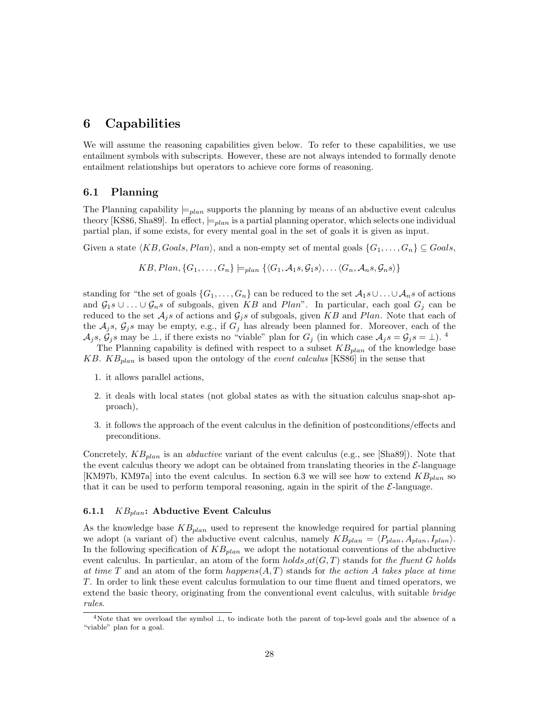# 6 Capabilities

We will assume the reasoning capabilities given below. To refer to these capabilities, we use entailment symbols with subscripts. However, these are not always intended to formally denote entailment relationships but operators to achieve core forms of reasoning.

### 6.1 Planning

The Planning capability  $\models_{plan}$  supports the planning by means of an abductive event calculus theory [KS86, Sha89]. In effect,  $\models$ <sub>plan</sub> is a partial planning operator, which selects one individual partial plan, if some exists, for every mental goal in the set of goals it is given as input.

Given a state  $\langle KB, Goals, Plan \rangle$ , and a non-empty set of mental goals  $\{G_1, \ldots, G_n\} \subseteq Goals$ 

$$
KB, Plan, \{G_1, \ldots, G_n\} \models_{plan} \{ \langle G_1, A_1s, G_1s \rangle, \ldots \langle G_n, A_ns, G_ns \rangle \}
$$

standing for "the set of goals  $\{G_1, \ldots, G_n\}$  can be reduced to the set  $\mathcal{A}_1 s\cup \ldots \cup \mathcal{A}_n s$  of actions and  $G_1s\cup \ldots \cup G_ns$  of subgoals, given KB and Plan". In particular, each goal  $G_j$  can be reduced to the set  $A_j$ s of actions and  $G_j$ s of subgoals, given KB and Plan. Note that each of the  $A_j$ s,  $G_j$ s may be empty, e.g., if  $G_j$  has already been planned for. Moreover, each of the  $\mathcal{A}_j s, \mathcal{G}_j s$  may be  $\perp$ , if there exists no "viable" plan for  $G_j$  (in which case  $\mathcal{A}_j s = \mathcal{G}_j s = \perp$ ). <sup>4</sup>

The Planning capability is defined with respect to a subset  $KB_{plan}$  of the knowledge base KB.  $KB_{plan}$  is based upon the ontology of the *event calculus* [KS86] in the sense that

- 1. it allows parallel actions,
- 2. it deals with local states (not global states as with the situation calculus snap-shot approach),
- 3. it follows the approach of the event calculus in the definition of postconditions/effects and preconditions.

Concretely,  $KB_{plan}$  is an *abductive* variant of the event calculus (e.g., see [Sha89]). Note that the event calculus theory we adopt can be obtained from translating theories in the  $\mathcal{E}\text{-language}$ [KM97b, KM97a] into the event calculus. In section 6.3 we will see how to extend  $KB_{plan}$  so that it can be used to perform temporal reasoning, again in the spirit of the  $\mathcal{E}\text{-language.}$ 

### 6.1.1  $KB_{plan}$ : Abductive Event Calculus

As the knowledge base  $KB_{plan}$  used to represent the knowledge required for partial planning we adopt (a variant of) the abductive event calculus, namely  $KB_{plan} = \langle P_{plan}, A_{plan}, I_{plan} \rangle$ . In the following specification of  $KB_{plan}$  we adopt the notational conventions of the abductive event calculus. In particular, an atom of the form *holds*  $at(G, T)$  stands for the fluent G holds at time T and an atom of the form  $happens(A, T)$  stands for the action A takes place at time T. In order to link these event calculus formulation to our time fluent and timed operators, we extend the basic theory, originating from the conventional event calculus, with suitable *bridge* rules.

<sup>&</sup>lt;sup>4</sup>Note that we overload the symbol  $\perp$ , to indicate both the parent of top-level goals and the absence of a "viable" plan for a goal.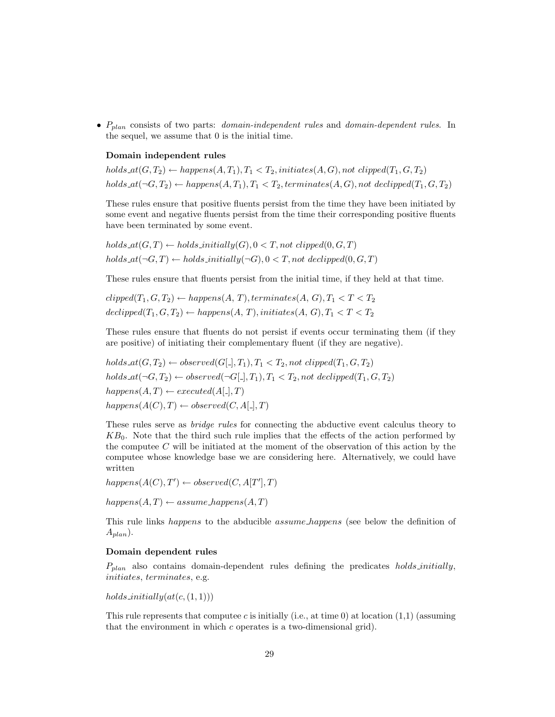•  $P_{plan}$  consists of two parts: *domain-independent rules* and *domain-dependent rules*. In the sequel, we assume that 0 is the initial time.

### Domain independent rules

holds  $at(G, T_2) \leftarrow happens(A, T_1), T_1 < T_2, initiates(A, G), not \text{clipped}(T_1, G, T_2)$ holds  $at(\neg G, T_2) \leftarrow happens(A, T_1), T_1 < T_2, terminates(A, G), not\,\,]$ 

These rules ensure that positive fluents persist from the time they have been initiated by some event and negative fluents persist from the time their corresponding positive fluents have been terminated by some event.

 $holds\_at(G, T) \leftarrow holds\_initially(G), 0 < T, not \ clipped(0, G, T)$ holds  $at(\neg G, T) \leftarrow holds\_initially(\neg G), 0 < T, not\ declipped(0, G, T)$ 

These rules ensure that fluents persist from the initial time, if they held at that time.

 $clipped(T_1, G, T_2) \leftarrow happens(A, T), terminates(A, G), T_1 < T < T_2$  $declipped(T_1, G, T_2) \leftarrow happens(A, T), initiates(A, G), T_1 < T < T_2$ 

These rules ensure that fluents do not persist if events occur terminating them (if they are positive) of initiating their complementary fluent (if they are negative).

holds  $at(G, T_2) \leftarrow observed(G[1], T_1), T_1 < T_2$ , not clipped $(T_1, G, T_2)$ holds  $at(\neg G, T_2) \leftarrow observed(\neg G[\_, T_1), T_1 < T_2, not\ declipped(T_1, G, T_2))$  $happens(A, T) \leftarrow executed(A[\_], T)$  $happens(A(C), T) \leftarrow observed(C, A[\square], T)$ 

These rules serve as bridge rules for connecting the abductive event calculus theory to  $KB<sub>0</sub>$ . Note that the third such rule implies that the effects of the action performed by the computee  $C$  will be initiated at the moment of the observation of this action by the computee whose knowledge base we are considering here. Alternatively, we could have written

 $happens(A(C), T') \leftarrow observed(C, A[T'], T)$ 

 $happens(A, T) \leftarrow assume\_happens(A, T)$ 

This rule links *happens* to the abducible *assume happens* (see below the definition of  $A_{plan}$ ).

#### Domain dependent rules

 $P_{plan}$  also contains domain-dependent rules defining the predicates holds initially, initiates, terminates, e.g.

holds initially $(at(c,(1,1)))$ 

This rule represents that computee c is initially (i.e., at time 0) at location  $(1,1)$  (assuming that the environment in which  $c$  operates is a two-dimensional grid).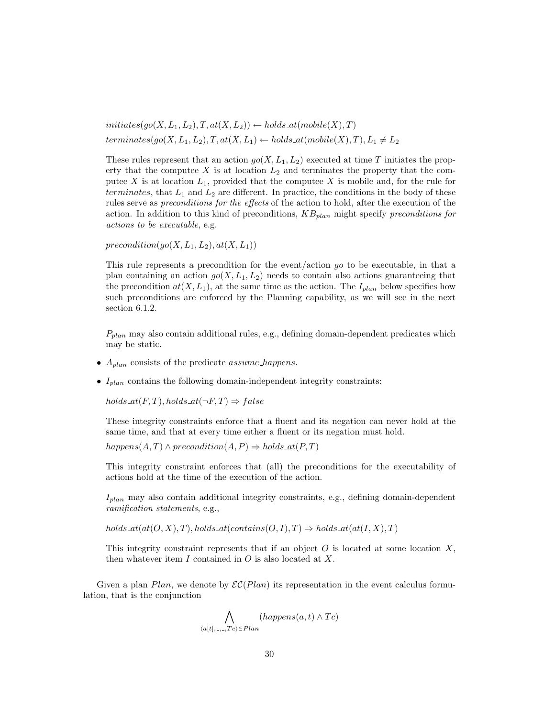$initiates(go(X, L_1, L_2), T, at(X, L_2)) \leftarrow holds\_at(mobile(X), T)$ terminates(go(X, L<sub>1</sub>, L<sub>2</sub>), T, at(X, L<sub>1</sub>)  $\leftarrow$  holds at(mobile(X), T), L<sub>1</sub>  $\neq$  L<sub>2</sub>

These rules represent that an action  $g_0(X, L_1, L_2)$  executed at time T initiates the property that the computee  $X$  is at location  $L_2$  and terminates the property that the computee X is at location  $L_1$ , provided that the computee X is mobile and, for the rule for terminates, that  $L_1$  and  $L_2$  are different. In practice, the conditions in the body of these rules serve as preconditions for the effects of the action to hold, after the execution of the action. In addition to this kind of preconditions,  $KB_{plan}$  might specify preconditions for actions to be executable, e.g.

 $precondition(qo(X, L_1, L_2), at(X, L_1))$ 

This rule represents a precondition for the event/action go to be executable, in that a plan containing an action  $g_0(X, L_1, L_2)$  needs to contain also actions guaranteeing that the precondition  $at(X, L_1)$ , at the same time as the action. The  $I_{plan}$  below specifies how such preconditions are enforced by the Planning capability, as we will see in the next section 6.1.2.

 $P_{plan}$  may also contain additional rules, e.g., defining domain-dependent predicates which may be static.

- $A_{plan}$  consists of the predicate *assume* happens.
- $I_{plan}$  contains the following domain-independent integrity constraints:

holds  $at(F,T)$ , holds  $at(\neg F,T) \Rightarrow false$ 

These integrity constraints enforce that a fluent and its negation can never hold at the same time, and that at every time either a fluent or its negation must hold.

 $happens(A, T) \wedge precondition(A, P) \Rightarrow holds_at(P, T)$ 

This integrity constraint enforces that (all) the preconditions for the executability of actions hold at the time of the execution of the action.

 $I_{plan}$  may also contain additional integrity constraints, e.g., defining domain-dependent ramification statements, e.g.,

holds  $at(at(O, X), T)$ , holds  $at(contains(O, I), T) \Rightarrow holds \,at(at(I, X), T)$ 

This integrity constraint represents that if an object  $O$  is located at some location  $X$ , then whatever item  $I$  contained in  $O$  is also located at  $X$ .

Given a plan Plan, we denote by  $\mathcal{EC}(Plan)$  its representation in the event calculus formulation, that is the conjunction

$$
\bigwedge_{\langle a[t], \dots, Tc \rangle \in Plan} (happens(a, t) \land Tc)
$$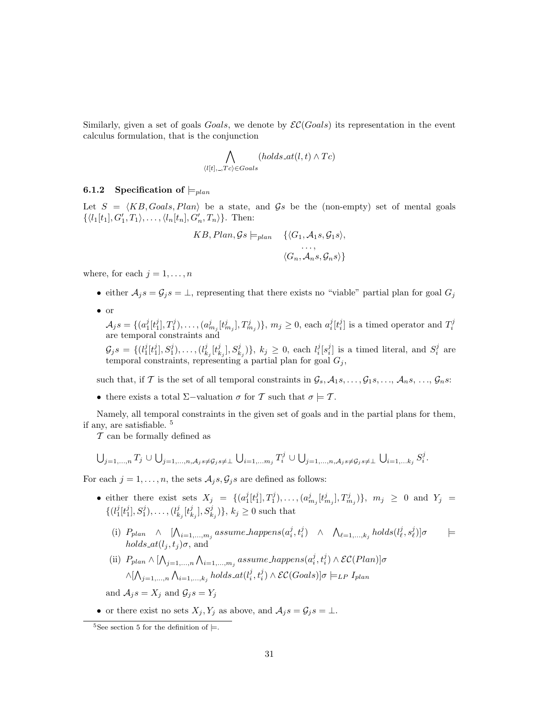Similarly, given a set of goals Goals, we denote by  $\mathcal{EC}(Gools)$  its representation in the event calculus formulation, that is the conjunction

$$
\bigwedge_{\langle l[t], \ldots, Tc \rangle \in \text{G} \text{oals}} (holds\_at(l, t) \land Tc)
$$

### 6.1.2 Specification of  $\models$ <sub>plan</sub>

Let  $S = \langle KB, Goals, Plan \rangle$  be a state, and  $\mathcal{G}s$  be the (non-empty) set of mental goals  $\{\langle l_1[t_1], G'_1, T_1 \rangle, \ldots, \langle l_n[t_n], G'_n, T_n \rangle\}.$  Then:

$$
KB, Plan, \mathcal{G}s \models_{plan} \{ \langle G_1, \mathcal{A}_1s, \mathcal{G}_1s \rangle, \ldots, \langle G_n, \mathcal{A}_ns, \mathcal{G}_ns \rangle \}
$$

where, for each  $j = 1, \ldots, n$ 

- either  $A_j s = G_j s = \perp$ , representing that there exists no "viable" partial plan for goal  $G_j$
- or

 $\mathcal{A}_j s = \{ (a_1^j[t_1^j], T_1^j), \ldots, (a_{m_j}^j[t_{m_j}^j], T_{m_j}^j) \}, m_j \ge 0$ , each  $a_i^j[t_i^j]$  is a timed operator and  $T_i^j$  are temporal constraints and

 $\mathcal{G}_j s = \{ (l_1^j[t_1^j], S_1^j), \ldots, (l_{k_j}^j[t_{k_j}^j], S_{k_j}^j) \}, k_j \geq 0$ , each  $l_i^j[s_i^j]$  is a timed literal, and  $S_i^j$  are temporal constraints, representing a partial plan for goal  $G_j$ ,

such that, if T is the set of all temporal constraints in  $\mathcal{G}_s$ ,  $\mathcal{A}_1$ s, ...,  $\mathcal{G}_1$ s, ...,  $\mathcal{A}_n$ s, ...,  $\mathcal{G}_n$ s:

• there exists a total  $\Sigma$ -valuation  $\sigma$  for T such that  $\sigma \models T$ .

Namely, all temporal constraints in the given set of goals and in the partial plans for them, if any, are satisfiable. <sup>5</sup>

 $\mathcal T$  can be formally defined as

$$
\bigcup_{j=1,...,n} T_j \cup \bigcup_{j=1,...,n, A_j} s \neq \mathcal{G}_j s \neq \perp \bigcup_{i=1,...,m_j} T_i^j \cup \bigcup_{j=1,...,n, A_j} s \neq \mathcal{G}_j s \neq \perp \bigcup_{i=1,...k_j} S_i^j.
$$

For each  $j = 1, \ldots, n$ , the sets  $A_j s, G_j s$  are defined as follows:

- either there exist sets  $X_j = \{ (a_1^j[t_1^j], T_1^j), \ldots, (a_{m_j}^j[t_{m_j}^j], T_{m_j}^j) \}, m_j \ge 0 \text{ and } Y_j =$  $\{(l_1^j[t_1^j], S_1^j), \ldots, (l_{k_j}^j[t_{k_j}^j], S_{k_j}^j)\}, k_j \geq 0$  such that
	- (i)  $P_{plan} \wedge [\bigwedge_{i=1,\dots,m_j} assume\_happens(a_i^j, t_i^j) \wedge \bigwedge_{\ell=1,\dots,k_j} holds(l_\ell^j, s_\ell^j)]\sigma \qquad \models$ *holds*  $at(l_j, t_j)\sigma$ , and
	- (ii)  $P_{plan} \wedge [\bigwedge_{j=1,\dots,n} \bigwedge_{i=1,\dots,m_j} assume\_happens(a_i^j, t_i^j) \wedge \mathcal{EC}(Plan)]\sigma$  $\wedge [\bigwedge_{j=1,\ldots,n} \bigwedge_{i=1,\ldots,k_j} holds\_at(l_i^j,t_i^j) \wedge \mathcal{EC}(Goal s)]\sigma \models_{LP} I_{plan}$

and  $A_j s = X_j$  and  $G_j s = Y_j$ 

• or there exist no sets  $X_j, Y_j$  as above, and  $A_j s = \mathcal{G}_j s = \bot$ .

<sup>&</sup>lt;sup>5</sup>See section 5 for the definition of  $\models$ .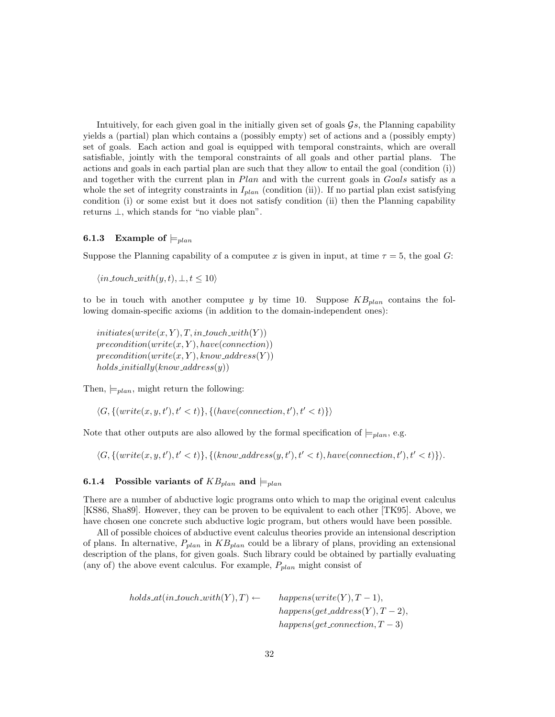Intuitively, for each given goal in the initially given set of goals  $\mathcal{G}_s$ , the Planning capability yields a (partial) plan which contains a (possibly empty) set of actions and a (possibly empty) set of goals. Each action and goal is equipped with temporal constraints, which are overall satisfiable, jointly with the temporal constraints of all goals and other partial plans. The actions and goals in each partial plan are such that they allow to entail the goal (condition (i)) and together with the current plan in Plan and with the current goals in Goals satisfy as a whole the set of integrity constraints in  $I_{plan}$  (condition (ii)). If no partial plan exist satisfying condition (i) or some exist but it does not satisfy condition (ii) then the Planning capability returns ⊥, which stands for "no viable plan".

### **6.1.3** Example of  $\models$ <sub>plan</sub>

Suppose the Planning capability of a computee x is given in input, at time  $\tau = 5$ , the goal G:

 $\langle in\_touch\_with(y, t), \perp, t \leq 10 \rangle$ 

to be in touch with another computee y by time 10. Suppose  $KB_{plan}$  contains the following domain-specific axioms (in addition to the domain-independent ones):

 $initiates(write(x, Y), T, in\_touch\_with(Y))$  $precondition(write(x, Y), have(connection))$  $precondition(write(x, Y), know\_address(Y))$  $holds\_initially(know\_address(y))$ 

Then,  $\models_{plan}$ , might return the following:

 $\langle G, \{ (write(x, y, t'), t' < t) \}, \{ (have(connection, t'), t' < t) \} \rangle$ 

Note that other outputs are also allowed by the formal specification of  $\models$ <sub>plan</sub>, e.g.

 $\langle G, \{ (write(x, y, t'), t' < t) \}, \{ (know\_address(y, t'), t' < t), have (connection, t'), t' < t) \} \rangle.$ 

### **6.1.4** Possible variants of  $KB_{plan}$  and  $\models$ <sub>plan</sub>

There are a number of abductive logic programs onto which to map the original event calculus [KS86, Sha89]. However, they can be proven to be equivalent to each other [TK95]. Above, we have chosen one concrete such abductive logic program, but others would have been possible.

All of possible choices of abductive event calculus theories provide an intensional description of plans. In alternative,  $P_{plan}$  in  $KB_{plan}$  could be a library of plans, providing an extensional description of the plans, for given goals. Such library could be obtained by partially evaluating (any of) the above event calculus. For example,  $P_{plan}$  might consist of

> holds  $at(in\_touch\_with(Y), T) \leftarrow$  happens(write(Y), T – 1),  $happens(qet\_address(Y), T-2),$  $happens(qet\_connection, T-3)$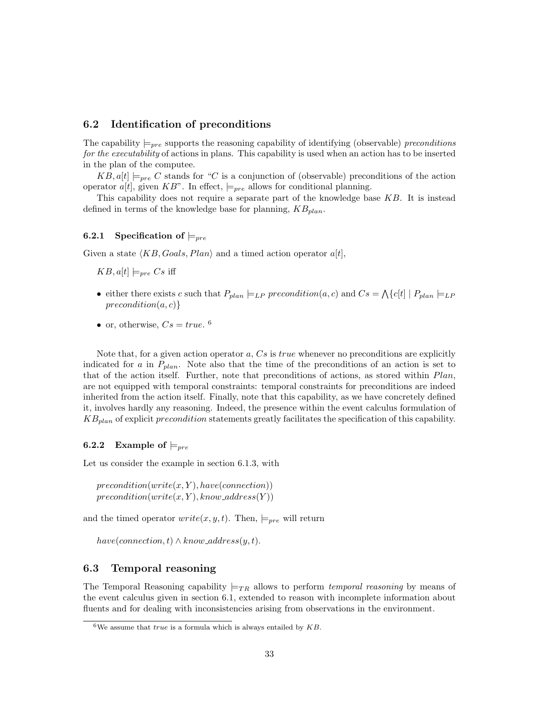### 6.2 Identification of preconditions

The capability  $\models_{pre}$  supports the reasoning capability of identifying (observable) preconditions for the executability of actions in plans. This capability is used when an action has to be inserted in the plan of the computee.

 $KB, a[t] \models_{pre} C$  stands for "C is a conjunction of (observable) preconditions of the action operator  $a[t]$ , given KB". In effect,  $\models_{pre}$  allows for conditional planning.

This capability does not require a separate part of the knowledge base  $KB$ . It is instead defined in terms of the knowledge base for planning,  $KB_{plan}$ .

### 6.2.1 Specification of  $\models_{pre}$

Given a state  $\langle KB, Goals, Plan \rangle$  and a timed action operator  $a[t]$ ,

 $KB, a[t] \models_{pre} Cs$  iff

- either there exists c such that  $P_{plan} \models_{LP} precondition(a, c)$  and  $Cs = \Lambda\{c[t] | P_{plan} \models_{LP}$  $precondition(a, c)$ }
- or, otherwise,  $Cs = true$ . <sup>6</sup>

Note that, for a given action operator  $a, Cs$  is true whenever no preconditions are explicitly indicated for a in  $P_{plan}$ . Note also that the time of the preconditions of an action is set to that of the action itself. Further, note that preconditions of actions, as stored within Plan, are not equipped with temporal constraints: temporal constraints for preconditions are indeed inherited from the action itself. Finally, note that this capability, as we have concretely defined it, involves hardly any reasoning. Indeed, the presence within the event calculus formulation of  $KB_{plan}$  of explicit precondition statements greatly facilitates the specification of this capability.

### **6.2.2** Example of  $\models_{pre}$

Let us consider the example in section 6.1.3, with

 $precondition(write(x, Y), have(connection))$  $precondition(write(x, Y), know\_address(Y))$ 

and the timed operator  $write(x, y, t)$ . Then,  $\models_{pre}$  will return

 $have (connection, t) \wedge know\_address(y, t).$ 

### 6.3 Temporal reasoning

The Temporal Reasoning capability  $\models_{TR}$  allows to perform temporal reasoning by means of the event calculus given in section 6.1, extended to reason with incomplete information about fluents and for dealing with inconsistencies arising from observations in the environment.

 $6$ We assume that *true* is a formula which is always entailed by  $KB$ .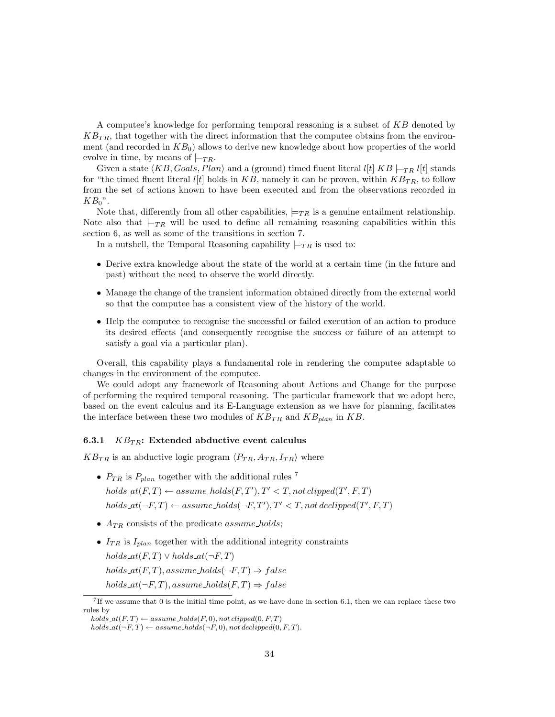A computee's knowledge for performing temporal reasoning is a subset of KB denoted by  $KB_{TR}$ , that together with the direct information that the computee obtains from the environment (and recorded in  $KB<sub>0</sub>$ ) allows to derive new knowledge about how properties of the world evolve in time, by means of  $\models_{TR}$ .

Given a state  $\langle KB, Goals, Plan \rangle$  and a (ground) timed fluent literal  $l[t]$  KB  $\models_{TR} l[t]$  stands for "the timed fluent literal  $l[t]$  holds in  $KB$ , namely it can be proven, within  $KB_{TR}$ , to follow from the set of actions known to have been executed and from the observations recorded in  $KB_0$ ".

Note that, differently from all other capabilities,  $\models_{TR}$  is a genuine entailment relationship. Note also that  $\models_{TR}$  will be used to define all remaining reasoning capabilities within this section 6, as well as some of the transitions in section 7.

In a nutshell, the Temporal Reasoning capability  $\models_{TR}$  is used to:

- Derive extra knowledge about the state of the world at a certain time (in the future and past) without the need to observe the world directly.
- Manage the change of the transient information obtained directly from the external world so that the computee has a consistent view of the history of the world.
- Help the computee to recognise the successful or failed execution of an action to produce its desired effects (and consequently recognise the success or failure of an attempt to satisfy a goal via a particular plan).

Overall, this capability plays a fundamental role in rendering the computee adaptable to changes in the environment of the computee.

We could adopt any framework of Reasoning about Actions and Change for the purpose of performing the required temporal reasoning. The particular framework that we adopt here, based on the event calculus and its E-Language extension as we have for planning, facilitates the interface between these two modules of  $KB_{TR}$  and  $KB_{plan}$  in  $KB$ .

### 6.3.1  $KB_{TR}$ : Extended abductive event calculus

 $KB_{TR}$  is an abductive logic program  $\langle P_{TR}, A_{TR}, I_{TR} \rangle$  where

- $P_{TR}$  is  $P_{plan}$  together with the additional rules <sup>7</sup>  $holds \, \mathit{at}(F,T) \leftarrow assume\_holds(F,T'), T' < T, not \,clipped(T',F,T)$  $holds\_at(\neg F, T) \leftarrow assume\_holds(\neg F, T'), T' < T, not \, decipherd(T', F, T)$
- $A_{TR}$  consists of the predicate *assume* holds;
- $I_{TR}$  is  $I_{plan}$  together with the additional integrity constraints holds  $at(F,T) \vee holds_{at}(\neg F,T)$ holds  $at(F,T)$ , assume holds $(\neg F,T) \Rightarrow false$ holds  $at(\neg F, T)$ , assume holds $(F, T) \Rightarrow false$

<sup>7</sup> If we assume that 0 is the initial time point, as we have done in section 6.1, then we can replace these two rules by

holds  $at(F,T) \leftarrow assume\_holds(F,0)$ , not clipped $(0, F, T)$ 

holds  $at(\neg F, T) \leftarrow assume\_holds(\neg F, 0)$ , not declipped $(0, F, T)$ .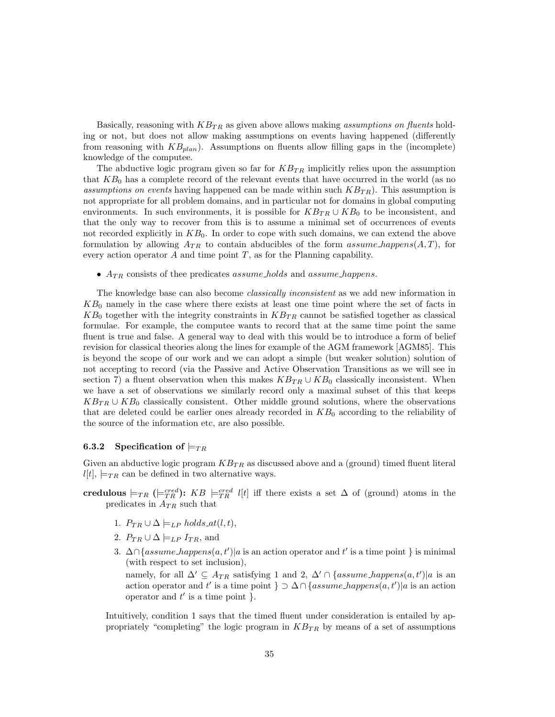Basically, reasoning with  $KB_{TR}$  as given above allows making *assumptions on fluents* holding or not, but does not allow making assumptions on events having happened (differently from reasoning with  $KB_{plan}$ ). Assumptions on fluents allow filling gaps in the (incomplete) knowledge of the computee.

The abductive logic program given so far for  $KB_{TR}$  implicitly relies upon the assumption that  $KB<sub>0</sub>$  has a complete record of the relevant events that have occurred in the world (as no assumptions on events having happened can be made within such  $K_{TR}$ ). This assumption is not appropriate for all problem domains, and in particular not for domains in global computing environments. In such environments, it is possible for  $KB_{TR} \cup KB_0$  to be inconsistent, and that the only way to recover from this is to assume a minimal set of occurrences of events not recorded explicitly in  $KB<sub>0</sub>$ . In order to cope with such domains, we can extend the above formulation by allowing  $A_{TR}$  to contain abducibles of the form assume happens(A,T), for every action operator  $A$  and time point  $T$ , as for the Planning capability.

•  $A_{TR}$  consists of thee predicates *assume holds* and *assume happens*.

The knowledge base can also become classically inconsistent as we add new information in  $KB<sub>0</sub>$  namely in the case where there exists at least one time point where the set of facts in  $KB_0$  together with the integrity constraints in  $KB_{TR}$  cannot be satisfied together as classical formulae. For example, the computee wants to record that at the same time point the same fluent is true and false. A general way to deal with this would be to introduce a form of belief revision for classical theories along the lines for example of the AGM framework [AGM85]. This is beyond the scope of our work and we can adopt a simple (but weaker solution) solution of not accepting to record (via the Passive and Active Observation Transitions as we will see in section 7) a fluent observation when this makes  $KB_{TR} \cup KB_0$  classically inconsistent. When we have a set of observations we similarly record only a maximal subset of this that keeps  $KB_{TR} \cup KB_0$  classically consistent. Other middle ground solutions, where the observations that are deleted could be earlier ones already recorded in  $KB<sub>0</sub>$  according to the reliability of the source of the information etc, are also possible.

#### 6.3.2 Specification of  $\models_{TR}$

Given an abductive logic program  $KB_{TR}$  as discussed above and a (ground) timed fluent literal  $l[t], \models_{TR}$  can be defined in two alternative ways.

- credulous  $\models_{TR} ( \models_{TR}^{cred})$ :  $KB \models_{TR}^{cred} l[t]$  iff there exists a set  $\Delta$  of (ground) atoms in the predicates in  $A_{TR}$  such that
	- 1.  $P_{TR} \cup \Delta \models_{LP} holds_at(l,t),$
	- 2.  $P_{TR} \cup \Delta \models_{LP} I_{TR}$ , and
	- 3.  $\Delta \cap \{assume\_happens(a, t') | a$  is an action operator and t' is a time point } is minimal (with respect to set inclusion), namely, for all  $\Delta' \subseteq A_{TR}$  satisfying 1 and 2,  $\Delta' \cap \{assume\_happens(a, t')|a \text{ is an }$ action operator and t' is a time point  $\} \supset \Delta \cap \{assume\_happens(a, t') | a$  is an action operator and  $t'$  is a time point  $\tilde{f}$ .

Intuitively, condition 1 says that the timed fluent under consideration is entailed by appropriately "completing" the logic program in  $KB_{TR}$  by means of a set of assumptions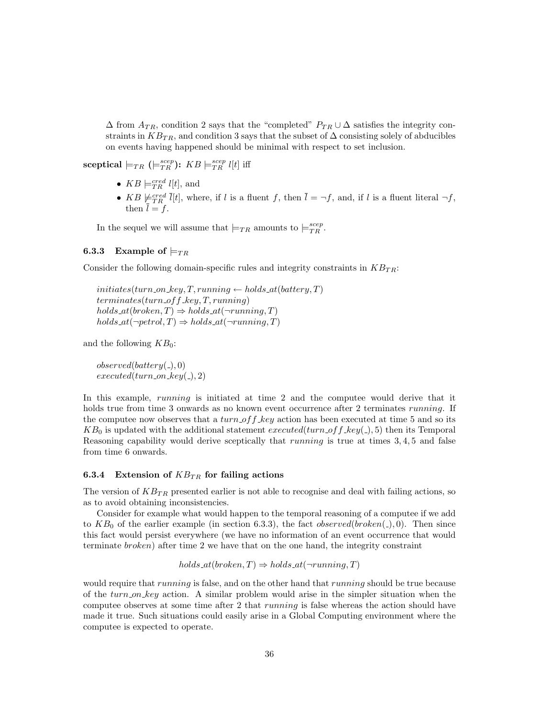$\Delta$  from  $A_{TR}$ , condition 2 says that the "completed"  $P_{TR} \cup \Delta$  satisfies the integrity constraints in  $KB_{TR}$ , and condition 3 says that the subset of  $\Delta$  consisting solely of abducibles on events having happened should be minimal with respect to set inclusion.

sceptical  $\models_{TR} (\models_{TR}^{scep})$ :  $KB \models_{TR}^{scep} l[t]$  iff

- $KB \models_{TR}^{cred} l[t]$ , and
- KB  $\not\models_{TR}^{cred} \bar{l}[t]$ , where, if l is a fluent f, then  $\bar{l} = \neg f$ , and, if l is a fluent literal  $\neg f$ , then  $l = f$ .

In the sequel we will assume that  $\models_{TR}$  amounts to  $\models_{TR}^{scep}$ .

### **6.3.3** Example of  $\models_{TR}$

Consider the following domain-specific rules and integrity constraints in  $KB_{TR}$ :

initiates(turn\_on\_key, T, running  $\leftarrow$  holds\_at(battery, T)  $terminates(turn_off key, T, running)$ holds  $at(broken, T) \Rightarrow holds_at(\neg running, T)$ holds  $at(\neg petrol, T) \Rightarrow holds \cdot at(\neg running, T)$ 

and the following  $KB_0$ :

 $observed(battery( _), 0)$  $executed(turn\_on\_key(.), 2)$ 

In this example, *running* is initiated at time 2 and the computee would derive that it holds true from time 3 onwards as no known event occurrence after 2 terminates *running*. If the computee now observes that a  $turn\_off\_key$  action has been executed at time 5 and so its  $KB_0$  is updated with the additional statement executed(turn of f key(), 5) then its Temporal Reasoning capability would derive sceptically that *running* is true at times 3,4,5 and false from time 6 onwards.

#### 6.3.4 Extension of  $KB_{TR}$  for failing actions

The version of  $KB_{TR}$  presented earlier is not able to recognise and deal with failing actions, so as to avoid obtaining inconsistencies.

Consider for example what would happen to the temporal reasoning of a computee if we add to  $KB<sub>0</sub>$  of the earlier example (in section 6.3.3), the fact *observed*(*broken*( $\Box$ ), 0). Then since this fact would persist everywhere (we have no information of an event occurrence that would terminate broken) after time 2 we have that on the one hand, the integrity constraint

$$
holds\_at(broken, T) \Rightarrow holds\_at(\neg running, T)
$$

would require that *running* is false, and on the other hand that *running* should be true because of the  $turn\_{on}$  key action. A similar problem would arise in the simpler situation when the computee observes at some time after 2 that running is false whereas the action should have made it true. Such situations could easily arise in a Global Computing environment where the computee is expected to operate.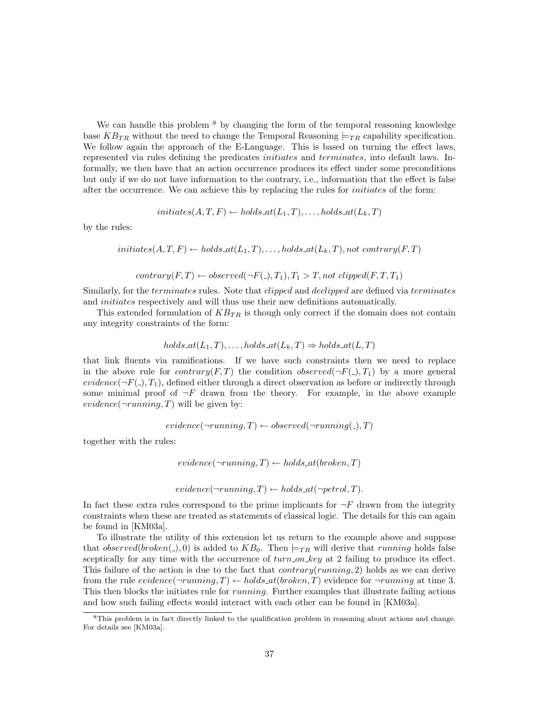We can handle this problem <sup>8</sup> by changing the form of the temporal reasoning knowledge base  $KB_{TR}$  without the need to change the Temporal Reasoning  $\models_{TR}$  capability specification. We follow again the approach of the E-Language. This is based on turning the effect laws, represented via rules defining the predicates *initiates* and *terminates*, into default laws. Informally, we then have that an action occurrence produces its effect under some preconditions but only if we do not have information to the contrary, i.e., information that the effect is false after the occurrence. We can achieve this by replacing the rules for initiates of the form:

$$
initiates(A, T, F) \leftarrow holds\_at(L_1, T), \dots, holds\_at(L_k, T)
$$

by the rules:

$$
initiates(A, T, F) \leftarrow holds\_at(L_1, T), \dots, holds\_at(L_k, T), not: contrary(F, T)
$$

$$
contrary(F, T) \leftarrow observed(\neg F(.), T_1), T_1 > T, not \;clipped(F, T, T_1)
$$

Similarly, for the *terminates* rules. Note that *clipped* and *declipped* are defined via *terminates* and initiates respectively and will thus use their new definitions automatically.

This extended formulation of  $KB_{TR}$  is though only correct if the domain does not contain any integrity constraints of the form:

holds\_at(
$$
L_1, T
$$
),..., holds\_at( $L_k, T$ )  $\Rightarrow$  holds\_at( $L, T$ )

that link fluents via ramifications. If we have such constraints then we need to replace in the above rule for *contrary*(*F,T*) the condition *observed*( $\neg F(.)$ , *T*<sub>1</sub>) by a more general evidence( $\neg F(.)$ , T<sub>1</sub>), defined either through a direct observation as before or indirectly through some minimal proof of  $\neg F$  drawn from the theory. For example, in the above example evidence( $\neg running, T$ ) will be given by:

 $evidence(\neg running, T) \leftarrow observed(\neg running, T)$ 

together with the rules:

```
evidence(\neg running, T) \leftarrow holds_at(broke, T)
```

$$
evidence(\neg running, T) \leftarrow holds\_at(\neg petrol, T).
$$

In fact these extra rules correspond to the prime implicants for  $\neg F$  drawn from the integrity constraints when these are treated as statements of classical logic. The details for this can again be found in [KM03a].

To illustrate the utility of this extension let us return to the example above and suppose that observed(broken(), 0) is added to  $KB_0$ . Then  $\models_{TR}$  will derive that running holds false sceptically for any time with the occurrence of  $turn\_on\_key$  at 2 failing to produce its effect. This failure of the action is due to the fact that  $contrary(running, 2)$  holds as we can derive from the rule evidence( $\neg running, T$ )  $\leftarrow holds_{at}(broken, T)$  evidence for  $\neg running$  at time 3. This then blocks the initiates rule for running. Further examples that illustrate failing actions and how such failing effects would interact with each other can be found in [KM03a].

<sup>8</sup>This problem is in fact directly linked to the qualification problem in reasoning about actions and change. For details see [KM03a].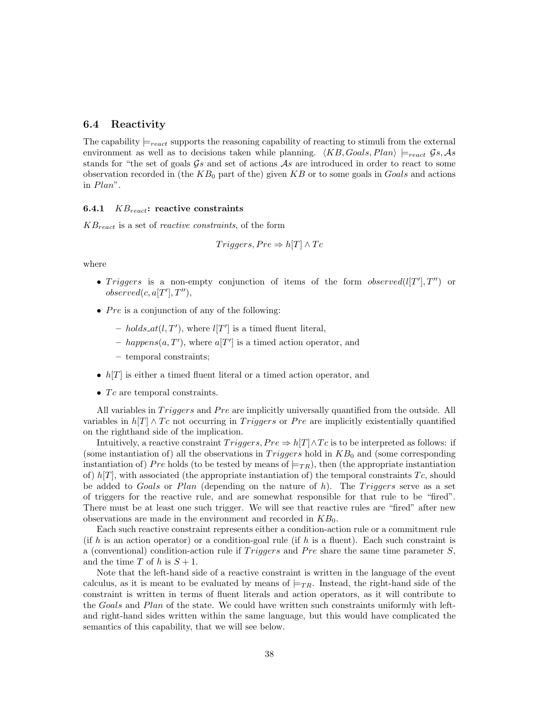## 6.4 Reactivity

The capability  $\models_{react}$  supports the reasoning capability of reacting to stimuli from the external environment as well as to decisions taken while planning.  $\langle KB, Goals, Plan \rangle \models_{react} \mathcal{G}s, As$ stands for "the set of goals  $\mathcal{G}s$  and set of actions  $\mathcal{A}s$  are introduced in order to react to some observation recorded in (the  $KB_0$  part of the) given  $KB$  or to some goals in Goals and actions in Plan".

### 6.4.1  $KB_{react}$ : reactive constraints

 $KB_{react}$  is a set of *reactive constraints*, of the form

$$
Triggers, Pre \Rightarrow h[T] \land Te
$$

where

- Triggers is a non-empty conjunction of items of the form observed  $(l[T'], T'')$  or  $observed(c, a[T'], T''),$
- $Pre$  is a conjunction of any of the following:
	- holds  $at(l, T')$ , where  $l[T']$  is a timed fluent literal,
	- happens $(a, T')$ , where  $a[T']$  is a timed action operator, and
	- temporal constraints;
- $h[T]$  is either a timed fluent literal or a timed action operator, and
- $Tc$  are temporal constraints.

All variables in *Triggers* and *Pre* are implicitly universally quantified from the outside. All variables in  $h[T] \wedge Te$  not occurring in *Triggers* or *Pre* are implicitly existentially quantified on the righthand side of the implication.

Intuitively, a reactive constraint  $Triggers, Pre \Rightarrow h[T] \wedge Tc$  is to be interpreted as follows: if (some instantiation of) all the observations in  $Triggers$  hold in  $KB<sub>0</sub>$  and (some corresponding instantiation of) Pre holds (to be tested by means of  $\models_{TR}$ ), then (the appropriate instantiation of)  $h[T]$ , with associated (the appropriate instantiation of) the temporal constraints  $T_c$ , should be added to Goals or Plan (depending on the nature of  $h$ ). The Triggers serve as a set of triggers for the reactive rule, and are somewhat responsible for that rule to be "fired". There must be at least one such trigger. We will see that reactive rules are "fired" after new observations are made in the environment and recorded in  $KB<sub>0</sub>$ .

Each such reactive constraint represents either a condition-action rule or a commitment rule (if h is an action operator) or a condition-goal rule (if h is a fluent). Each such constraint is a (conventional) condition-action rule if  $Triggers$  and Pre share the same time parameter S, and the time T of h is  $S + 1$ .

Note that the left-hand side of a reactive constraint is written in the language of the event calculus, as it is meant to be evaluated by means of  $\models_{TR}$ . Instead, the right-hand side of the constraint is written in terms of fluent literals and action operators, as it will contribute to the Goals and Plan of the state. We could have written such constraints uniformly with leftand right-hand sides written within the same language, but this would have complicated the semantics of this capability, that we will see below.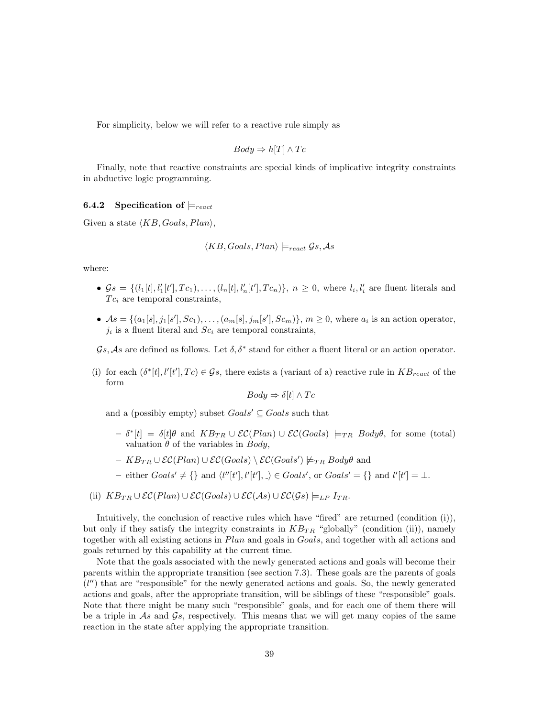For simplicity, below we will refer to a reactive rule simply as

$$
Body \Rightarrow h[T] \land Tc
$$

Finally, note that reactive constraints are special kinds of implicative integrity constraints in abductive logic programming.

## 6.4.2 Specification of  $\models_{react}$

Given a state  $\langle KB, Goals, Plan \rangle$ ,

$$
\langle KB, Goals, Plan \rangle \models_{react} \mathcal{G}s, \mathcal{A}s
$$

where:

- $\mathcal{G}s = \{(l_1[t], l'_1[t'], Tc_1), \ldots, (l_n[t], l'_n[t'], Tc_n)\}, n \ge 0$ , where  $l_i, l'_i$  are fluent literals and  $T_{c_i}$  are temporal constraints,
- $As = \{(a_1[s], j_1[s'], Sc_1), \ldots, (a_m[s], j_m[s'], Sc_m)\}, m \ge 0$ , where  $a_i$  is an action operator,  $j_i$  is a fluent literal and  $Sc_i$  are temporal constraints,

 $\mathcal{G}s$ , As are defined as follows. Let  $\delta, \delta^*$  stand for either a fluent literal or an action operator.

(i) for each  $(\delta^*[t], l'[t'], Tc) \in \mathcal{G}_s$ , there exists a (variant of a) reactive rule in  $KB_{react}$  of the form

$$
Body \Rightarrow \delta[t] \wedge Tc
$$

and a (possibly empty) subset  $Goals' \subseteq Goals$  such that

- $-\delta^*[t] = \delta[t] \theta$  and  $KB_{TR} \cup \mathcal{EC}(Plan) \cup \mathcal{EC}(Goals) \models_{TR} Body\theta$ , for some (total) valuation  $\theta$  of the variables in *Body*.
- $-$  KB<sub>TR</sub> ∪  $\mathcal{EC}(Plan)$  ∪  $\mathcal{EC}(Goals) \setminus \mathcal{EC}(Goals') \not\models_{TR} Body\theta$  and
- either  $Goals' \neq \{\}$  and  $\langle l''[t'], l'[t'], \_ \rangle \in Goals',$  or  $Goals' = \{\}$  and  $l'[t'] = \bot$ .
- (ii)  $KB_{TR} \cup \mathcal{EC}(Plan) \cup \mathcal{EC}(Goals) \cup \mathcal{EC}(As) \cup \mathcal{EC}(\mathcal{G}s) \models_{LP} I_{TR}.$

Intuitively, the conclusion of reactive rules which have "fired" are returned (condition (i)), but only if they satisfy the integrity constraints in  $KB_{TR}$  "globally" (condition (ii)), namely together with all existing actions in Plan and goals in Goals, and together with all actions and goals returned by this capability at the current time.

Note that the goals associated with the newly generated actions and goals will become their parents within the appropriate transition (see section 7.3). These goals are the parents of goals  $(l'')$  that are "responsible" for the newly generated actions and goals. So, the newly generated actions and goals, after the appropriate transition, will be siblings of these "responsible" goals. Note that there might be many such "responsible" goals, and for each one of them there will be a triple in  $\mathcal{A}s$  and  $\mathcal{G}s$ , respectively. This means that we will get many copies of the same reaction in the state after applying the appropriate transition.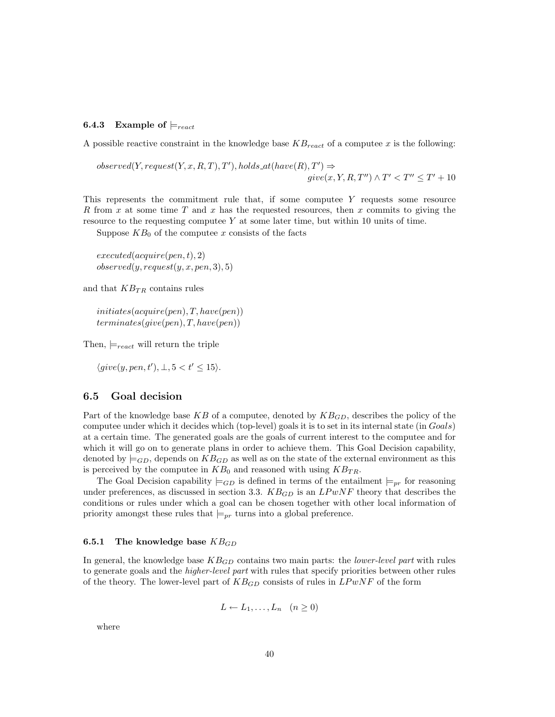## **6.4.3** Example of  $\models_{react}$

A possible reactive constraint in the knowledge base  $KB_{react}$  of a computee x is the following:

$$
observed(Y, request(Y, x, R, T), T'), holds\_at(have(R), T') \Rightarrow
$$
  

$$
give(x, Y, R, T'') \land T' < T'' \leq T' + 10
$$

This represents the commitment rule that, if some computee Y requests some resource R from x at some time T and x has the requested resources, then x commits to giving the resource to the requesting computee Y at some later time, but within 10 units of time.

Suppose  $KB<sub>0</sub>$  of the computee x consists of the facts

 $executed(acquire(pen, t), 2)$  $observed(y, request(y, x, pen, 3), 5)$ 

and that  $KB_{TR}$  contains rules

 $initiates(acquire(pen), T, have(pen))$  $terminates(give(pen), T, have(pen))$ 

Then,  $\models_{react}$  will return the triple

 $\langle give(y, pen, t'), \bot, 5 < t' \leq 15 \rangle.$ 

## 6.5 Goal decision

Part of the knowledge base KB of a computee, denoted by  $KB_{GD}$ , describes the policy of the computee under which it decides which (top-level) goals it is to set in its internal state (in Goals) at a certain time. The generated goals are the goals of current interest to the computee and for which it will go on to generate plans in order to achieve them. This Goal Decision capability, denoted by  $\models$  GD, depends on  $KB$ <sub>GD</sub> as well as on the state of the external environment as this is perceived by the computee in  $KB_0$  and reasoned with using  $KB_{TR}$ .

The Goal Decision capability  $\models_{GD}$  is defined in terms of the entailment  $\models_{pr}$  for reasoning under preferences, as discussed in section 3.3.  $KB_{GD}$  is an  $LPwNF$  theory that describes the conditions or rules under which a goal can be chosen together with other local information of priority amongst these rules that  $\models_{pr}$  turns into a global preference.

### 6.5.1 The knowledge base  $KB_{GD}$

In general, the knowledge base  $KB_{GD}$  contains two main parts: the *lower-level part* with rules to generate goals and the *higher-level part* with rules that specify priorities between other rules of the theory. The lower-level part of  $KB_{GD}$  consists of rules in  $LPwNF$  of the form

$$
L \leftarrow L_1, \dots, L_n \quad (n \ge 0)
$$

where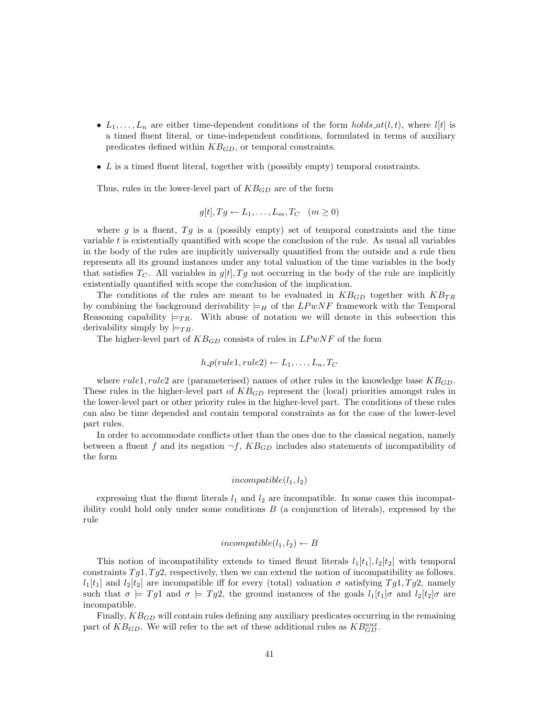- $L_1, \ldots, L_n$  are either time-dependent conditions of the form holds  $at(l, t)$ , where  $l[t]$  is a timed fluent literal, or time-independent conditions, formulated in terms of auxiliary predicates defined within  $KB_{GD}$ , or temporal constraints.
- $L$  is a timed fluent literal, together with (possibly empty) temporal constraints.

Thus, rules in the lower-level part of  $KB_{GD}$  are of the form

$$
g[t], Tg \leftarrow L_1, \dots, L_m, T_C \quad (m \ge 0)
$$

where g is a fluent,  $Tg$  is a (possibly empty) set of temporal constraints and the time variable  $t$  is existentially quantified with scope the conclusion of the rule. As usual all variables in the body of the rules are implicitly universally quantified from the outside and a rule then represents all its ground instances under any total valuation of the time variables in the body that satisfies  $T_C$ . All variables in  $g[t], Tg$  not occurring in the body of the rule are implicitly existentially quantified with scope the conclusion of the implication.

The conditions of the rules are meant to be evaluated in  $KB_{GD}$  together with  $KB_{TR}$ by combining the background derivability  $\models$ <sub>H</sub> of the LPwNF framework with the Temporal Reasoning capability  $\models_{TR}$ . With abuse of notation we will denote in this subsection this derivability simply by  $\models_{TR}$ .

The higher-level part of  $KB_{GD}$  consists of rules in  $LPwNF$  of the form

$$
h\_p(rule1, rule2) \leftarrow L_1, \ldots, L_n, T_C
$$

where rule1, rule2 are (parameterised) names of other rules in the knowledge base  $KB_{GD}$ . These rules in the higher-level part of  $KB_{GD}$  represent the (local) priorities amongst rules in the lower-level part or other priority rules in the higher-level part. The conditions of these rules can also be time depended and contain temporal constraints as for the case of the lower-level part rules.

In order to accommodate conflicts other than the ones due to the classical negation, namely between a fluent f and its negation  $\neg f$ ,  $KB_{GD}$  includes also statements of incompatibility of the form

## $incompatible(l_1, l_2)$

expressing that the fluent literals  $l_1$  and  $l_2$  are incompatible. In some cases this incompatibility could hold only under some conditions  $B$  (a conjunction of literals), expressed by the rule

# incompatible $(l_1, l_2) \leftarrow B$

This notion of incompatibility extends to timed fleunt literals  $l_1[t_1], l_2[t_2]$  with temporal constraints  $Tg_1, Tg_2$ , respectively, then we can extend the notion of incompatibility as follows.  $l_1[t_1]$  and  $l_2[t_2]$  are incompatible iff for every (total) valuation  $\sigma$  satisfying  $Tg_1, Tg_2$ , namely such that  $\sigma = Tg_1$  and  $\sigma = Tg_2$ , the ground instances of the goals  $l_1[t_1]\sigma$  and  $l_2[t_2]\sigma$  are incompatible.

Finally,  $KB_{GD}$  will contain rules defining any auxiliary predicates occurring in the remaining part of  $KB_{GD}$ . We will refer to the set of these additional rules as  $KB_{GD}^{aux}$ .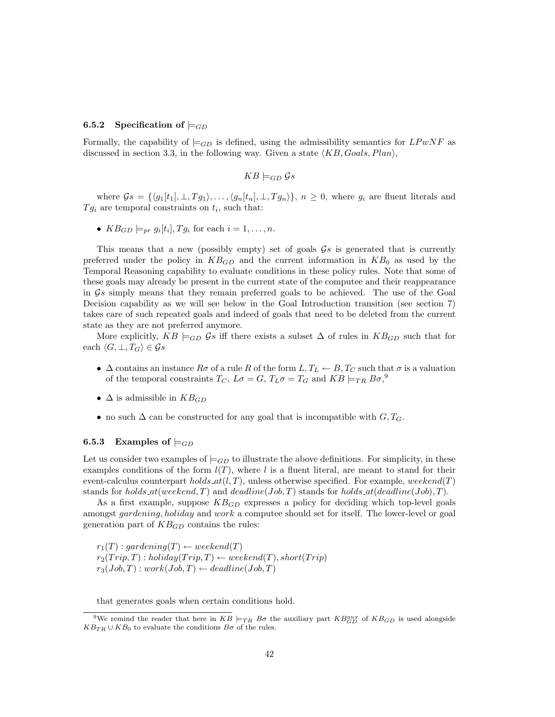#### 6.5.2 Specification of  $\models$ <sub>GD</sub>

Formally, the capability of  $\models_{GD}$  is defined, using the admissibility semantics for  $LPwNF$  as discussed in section 3.3, in the following way. Given a state  $\langle KB, Goals, Plan \rangle$ ,

$$
KB \models_{GD} \mathcal{G}s
$$

where  $\mathcal{G}s = \{\langle g_1[t_1], \perp, T g_1 \rangle, \ldots, \langle g_n[t_n], \perp, T g_n \rangle\}, n \geq 0$ , where  $g_i$  are fluent literals and  $Tg_i$  are temporal constraints on  $t_i$ , such that:

•  $KB_{GD} \models_{pr} g_i[t_i], Tg_i$  for each  $i = 1, \ldots, n$ .

This means that a new (possibly empty) set of goals  $\mathcal{G}_s$  is generated that is currently preferred under the policy in  $KB_{GD}$  and the current information in  $KB_0$  as used by the Temporal Reasoning capability to evaluate conditions in these policy rules. Note that some of these goals may already be present in the current state of the computee and their reappearance in  $\mathcal{G}s$  simply means that they remain preferred goals to be achieved. The use of the Goal Decision capability as we will see below in the Goal Introduction transition (see section 7) takes care of such repeated goals and indeed of goals that need to be deleted from the current state as they are not preferred anymore.

More explicitly,  $KB \models_{GD} \mathcal{G}s$  iff there exists a subset  $\Delta$  of rules in  $KB_{GD}$  such that for each  $\langle G, \perp, T_G \rangle \in \mathcal{G} s$ 

- $\Delta$  contains an instance  $R\sigma$  of a rule R of the form  $L, T_L \leftarrow B, T_C$  such that  $\sigma$  is a valuation of the temporal constraints  $T_C$ ,  $L\sigma = G$ ,  $T_L\sigma = T_G$  and  $KB \models_{TR} B\sigma$ ,<sup>9</sup>
- $\Delta$  is admissible in  $KB_{GD}$
- no such  $\Delta$  can be constructed for any goal that is incompatible with  $G, T_G$ .

#### 6.5.3 Examples of  $\models$ <sub>GD</sub>

Let us consider two examples of  $\models_{GD}$  to illustrate the above definitions. For simplicity, in these examples conditions of the form  $l(T)$ , where l is a fluent literal, are meant to stand for their event-calculus counterpart holds  $at(l, T)$ , unless otherwise specified. For example, weekend(T) stands for holds  $at(weekend, T)$  and  $deadline(Job, T)$  stands for holds  $at(deadline(Job), T)$ .

As a first example, suppose  $KB_{GD}$  expresses a policy for deciding which top-level goals amongst gardening, holiday and work a computee should set for itself. The lower-level or goal generation part of  $KB_{GD}$  contains the rules:

 $r_1(T)$ : gardening(T)  $\leftarrow$  weekend(T)  $r_2(Trip, T) : \text{holiday}(Trip, T) \leftarrow \text{weekend}(T), \text{short}(Trip)$  $r_3(Job, T) : work(Job, T) \leftarrow deadline(Job, T)$ 

that generates goals when certain conditions hold.

<sup>&</sup>lt;sup>9</sup>We remind the reader that here in  $KB \models_{TR} B\sigma$  the auxiliary part  $KB_{GD}$  of  $KB_{GD}$  is used alongside  $KB_{TR} \cup KB_0$  to evaluate the conditions  $B\sigma$  of the rules.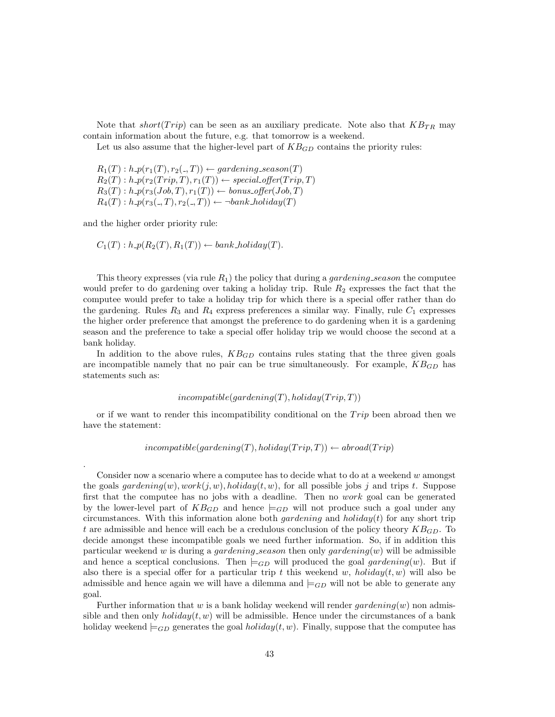Note that short(Trip) can be seen as an auxiliary predicate. Note also that  $KB_{TR}$  may contain information about the future, e.g. that tomorrow is a weekend.

Let us also assume that the higher-level part of  $KB_{GD}$  contains the priority rules:

 $R_1(T): h \cdot p(r_1(T), r_2(., T)) \leftarrow \text{gardening\_season}(T)$  $R_2(T) : h \cdot p(r_2(Trip, T), r_1(T)) \leftarrow special\_offer(Trip, T)$  $R_3(T): h \cdot p(r_3(Job, T), r_1(T)) \leftarrow bonus\_offer(Job, T)$  $R_4(T): h \cdot p(r_3(.,T), r_2(.,T)) \leftarrow \neg bank\_holiday(T)$ 

and the higher order priority rule:

.

$$
C_1(T): h \cdot p(R_2(T), R_1(T)) \leftarrow bank\_holding(T).
$$

This theory expresses (via rule  $R_1$ ) the policy that during a *gardening season* the computee would prefer to do gardening over taking a holiday trip. Rule  $R_2$  expresses the fact that the computee would prefer to take a holiday trip for which there is a special offer rather than do the gardening. Rules  $R_3$  and  $R_4$  express preferences a similar way. Finally, rule  $C_1$  expresses the higher order preference that amongst the preference to do gardening when it is a gardening season and the preference to take a special offer holiday trip we would choose the second at a bank holiday.

In addition to the above rules,  $KB_{GD}$  contains rules stating that the three given goals are incompatible namely that no pair can be true simultaneously. For example,  $KB_{GD}$  has statements such as:

#### $incompatible(gardening(T), holiday(Trip, T))$

or if we want to render this incompatibility conditional on the  $Trip$  been abroad then we have the statement:

 $incompatible(gardening(T), holiday(Trip, T)) \leftarrow abroad(Trip)$ 

Consider now a scenario where a computee has to decide what to do at a weekend  $w$  amongst the goals gardening $(w)$ , work $(j, w)$ , holiday $(t, w)$ , for all possible jobs j and trips t. Suppose first that the computee has no jobs with a deadline. Then no work goal can be generated by the lower-level part of  $KB_{GD}$  and hence  $\models_{GD}$  will not produce such a goal under any circumstances. With this information alone both *gardening* and *holiday(t)* for any short trip t are admissible and hence will each be a credulous conclusion of the policy theory  $KB_{GD}$ . To decide amongst these incompatible goals we need further information. So, if in addition this particular weekend w is during a *gardening season* then only  $\mathit{gardening}(w)$  will be admissible and hence a sceptical conclusions. Then  $\models$  GD will produced the goal gardening(w). But if also there is a special offer for a particular trip t this weekend w, holiday $(t, w)$  will also be admissible and hence again we will have a dilemma and  $\models$  GD will not be able to generate any goal.

Further information that w is a bank holiday weekend will render  $gardening(w)$  non admissible and then only  $holding(t, w)$  will be admissible. Hence under the circumstances of a bank holiday weekend  $\models_{GD}$  generates the goal *holiday* $(t, w)$ . Finally, suppose that the computee has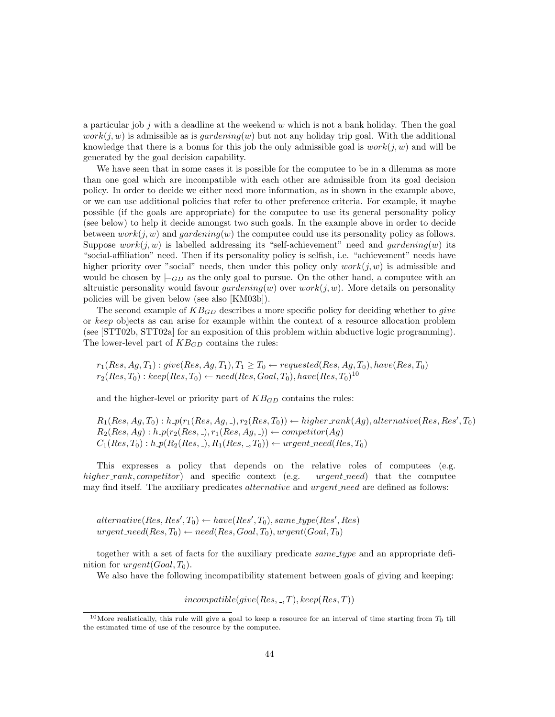a particular job j with a deadline at the weekend  $w$  which is not a bank holiday. Then the goal  $work(j, w)$  is admissible as is gardening(w) but not any holiday trip goal. With the additional knowledge that there is a bonus for this job the only admissible goal is  $work(j, w)$  and will be generated by the goal decision capability.

We have seen that in some cases it is possible for the computee to be in a dilemma as more than one goal which are incompatible with each other are admissible from its goal decision policy. In order to decide we either need more information, as in shown in the example above, or we can use additional policies that refer to other preference criteria. For example, it maybe possible (if the goals are appropriate) for the computee to use its general personality policy (see below) to help it decide amongst two such goals. In the example above in order to decide between  $work(j, w)$  and  $gardening(w)$  the computee could use its personality policy as follows. Suppose  $work(j, w)$  is labelled addressing its "self-achievement" need and *gardening(w)* its "social-affiliation" need. Then if its personality policy is selfish, i.e. "achievement" needs have higher priority over "social" needs, then under this policy only  $work(j, w)$  is admissible and would be chosen by  $\models$  GD as the only goal to pursue. On the other hand, a computee with an altruistic personality would favour  $gardening(w)$  over  $work(j, w)$ . More details on personality policies will be given below (see also [KM03b]).

The second example of  $KB_{GD}$  describes a more specific policy for deciding whether to *give* or keep objects as can arise for example within the context of a resource allocation problem (see [STT02b, STT02a] for an exposition of this problem within abductive logic programming). The lower-level part of  $KB_{GD}$  contains the rules:

 $r_1(Res, Ag, T_1): give(Res, Ag, T_1), T_1 \geq T_0 \leftarrow requested(Res, Ag, T_0), have(Res, T_0)$  $r_2(Res, T_0): keep(Res, T_0) \leftarrow need(Res, Goal, T_0), have(Res, T_0)^{10}$ 

and the higher-level or priority part of  $KB_{GD}$  contains the rules:

 $R_1(Res, Ag, T_0): h.p(r_1(Res, Ag, \text{-}), r_2(Res, T_0)) \leftarrow higher\_rank(Ag), alternative(Res, Res', T_0)$  $R_2(Res, Ag) : h \cdot p(r_2(Res, \_), r_1(Res, Ag, \_)) \leftarrow \text{competitive}(Ag)$  $C_1(Res, T_0): h \text{-}p(R_2(Res, \text{-}), R_1(Res, \text{-}, T_0)) \leftarrow \text{urgent}\text{-}need(Res, T_0)$ 

This expresses a policy that depends on the relative roles of computees (e.g. higher rank, competitor) and specific context (e.g. urgent need) that the computee may find itself. The auxiliary predicates *alternative* and *urgent-need* are defined as follows:

 $\mathit{alternative}(Res, Res', T_0) \leftarrow \mathit{have}(Res', T_0), \mathit{same\_type}(Res', Res)$  $urgent\_need(Res, T_0) \leftarrow need(Res, Goal, T_0), urgent(Goal, T_0)$ 

together with a set of facts for the auxiliary predicate same type and an appropriate definition for  $\text{urgent}(Goal, T_0)$ .

We also have the following incompatibility statement between goals of giving and keeping:

 $incompatible(qive(Res, \_, T), keep(Res, T))$ 

<sup>&</sup>lt;sup>10</sup>More realistically, this rule will give a goal to keep a resource for an interval of time starting from  $T_0$  till the estimated time of use of the resource by the computee.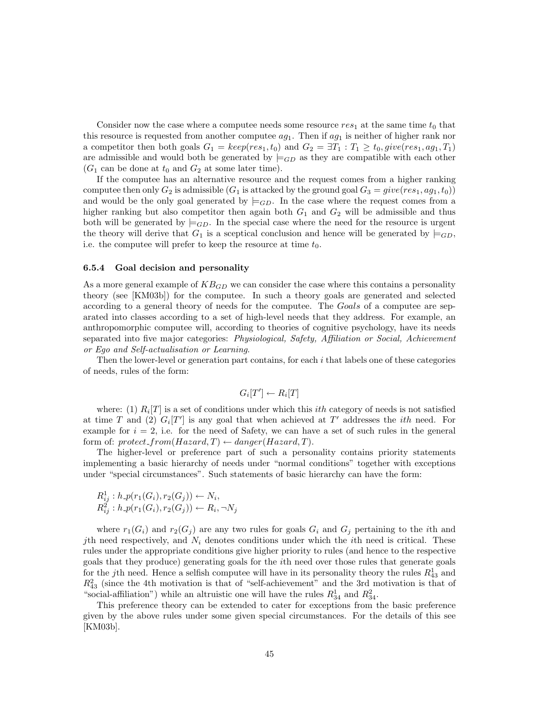Consider now the case where a computee needs some resource  $res_1$  at the same time  $t_0$  that this resource is requested from another computee  $ag_1$ . Then if  $ag_1$  is neither of higher rank nor a competitor then both goals  $G_1 = keep(res_1, t_0)$  and  $G_2 = \exists T_1 : T_1 \ge t_0, give(res_1, ag_1, T_1)$ are admissible and would both be generated by  $\models$  G<sub>D</sub> as they are compatible with each other  $(G_1$  can be done at  $t_0$  and  $G_2$  at some later time).

If the computee has an alternative resource and the request comes from a higher ranking computee then only  $G_2$  is admissible  $(G_1$  is attacked by the ground goal  $G_3 = give(res_1, aq_1, t_0)$ and would be the only goal generated by  $\models$  GD. In the case where the request comes from a higher ranking but also competitor then again both  $G_1$  and  $G_2$  will be admissible and thus both will be generated by  $\models_{GD}$ . In the special case where the need for the resource is urgent the theory will derive that  $G_1$  is a sceptical conclusion and hence will be generated by  $\models_{GD}$ , i.e. the computee will prefer to keep the resource at time  $t_0$ .

#### 6.5.4 Goal decision and personality

As a more general example of  $KB_{GD}$  we can consider the case where this contains a personality theory (see [KM03b]) for the computee. In such a theory goals are generated and selected according to a general theory of needs for the computee. The Goals of a computee are separated into classes according to a set of high-level needs that they address. For example, an anthropomorphic computee will, according to theories of cognitive psychology, have its needs separated into five major categories: Physiological, Safety, Affiliation or Social, Achievement or Ego and Self-actualisation or Learning.

Then the lower-level or generation part contains, for each  $i$  that labels one of these categories of needs, rules of the form:

$$
G_i[T'] \leftarrow R_i[T]
$$

where: (1)  $R_i[T]$  is a set of conditions under which this *ith* category of needs is not satisfied at time T and (2)  $G_i[T']$  is any goal that when achieved at T' addresses the *ith* need. For example for  $i = 2$ , i.e. for the need of Safety, we can have a set of such rules in the general form of: protect\_from(Hazard, T)  $\leftarrow$  danger(Hazard, T).

The higher-level or preference part of such a personality contains priority statements implementing a basic hierarchy of needs under "normal conditions" together with exceptions under "special circumstances". Such statements of basic hierarchy can have the form:

$$
R_{ij}^1 : h \cdot p(r_1(G_i), r_2(G_j)) \leftarrow N_i, R_{ij}^2 : h \cdot p(r_1(G_i), r_2(G_j)) \leftarrow R_i, \neg N_j
$$

where  $r_1(G_i)$  and  $r_2(G_j)$  are any two rules for goals  $G_i$  and  $G_j$  pertaining to the *i*th and *j*th need respectively, and  $N_i$  denotes conditions under which the *i*th need is critical. These rules under the appropriate conditions give higher priority to rules (and hence to the respective goals that they produce) generating goals for the ith need over those rules that generate goals for the jth need. Hence a selfish computee will have in its personality theory the rules  $R_{43}^1$  and  $R_{43}^2$  (since the 4th motivation is that of "self-achievement" and the 3rd motivation is that of "social-affiliation") while an altruistic one will have the rules  $R_{34}^1$  and  $R_{34}^2$ .

This preference theory can be extended to cater for exceptions from the basic preference given by the above rules under some given special circumstances. For the details of this see [KM03b].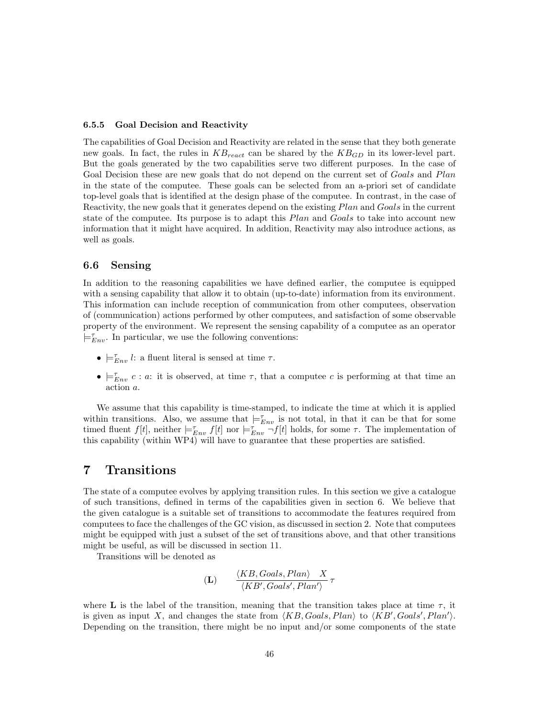#### 6.5.5 Goal Decision and Reactivity

The capabilities of Goal Decision and Reactivity are related in the sense that they both generate new goals. In fact, the rules in  $KB_{react}$  can be shared by the  $KB_{GD}$  in its lower-level part. But the goals generated by the two capabilities serve two different purposes. In the case of Goal Decision these are new goals that do not depend on the current set of Goals and Plan in the state of the computee. These goals can be selected from an a-priori set of candidate top-level goals that is identified at the design phase of the computee. In contrast, in the case of Reactivity, the new goals that it generates depend on the existing Plan and Goals in the current state of the computee. Its purpose is to adapt this *Plan* and *Goals* to take into account new information that it might have acquired. In addition, Reactivity may also introduce actions, as well as goals.

## 6.6 Sensing

In addition to the reasoning capabilities we have defined earlier, the computee is equipped with a sensing capability that allow it to obtain (up-to-date) information from its environment. This information can include reception of communication from other computees, observation of (communication) actions performed by other computees, and satisfaction of some observable property of the environment. We represent the sensing capability of a computee as an operator  $\models_{Env}^{\tau}$ . In particular, we use the following conventions:

- $\models_{Env}^{\tau}$  *l*: a fluent literal is sensed at time  $\tau$ .
- $\bullet \vDash_{Env}^{\tau} c : a:$  it is observed, at time  $\tau$ , that a computee c is performing at that time an action a.

We assume that this capability is time-stamped, to indicate the time at which it is applied within transitions. Also, we assume that  $\models_{Env}^{\tau}$  is not total, in that it can be that for some timed fluent  $f[t]$ , neither  $\models_{Env}^{\tau} f[t]$  nor  $\models_{Env}^{\tau} f[t]$  holds, for some  $\tau$ . The implementation of this capability (within WP4) will have to guarantee that these properties are satisfied.

# 7 Transitions

The state of a computee evolves by applying transition rules. In this section we give a catalogue of such transitions, defined in terms of the capabilities given in section 6. We believe that the given catalogue is a suitable set of transitions to accommodate the features required from computees to face the challenges of the GC vision, as discussed in section 2. Note that computees might be equipped with just a subset of the set of transitions above, and that other transitions might be useful, as will be discussed in section 11.

Transitions will be denoted as

$$
\textbf{(L)} \qquad \frac{\langle KB, Goals, Plan \rangle}{\langle KB', Goals', Plan \rangle} \, \tau
$$

where **L** is the label of the transition, meaning that the transition takes place at time  $\tau$ , it is given as input X, and changes the state from  $\langle KB, Goals, Plan \rangle$  to  $\langle KB', Goals', Plan' \rangle$ . Depending on the transition, there might be no input and/or some components of the state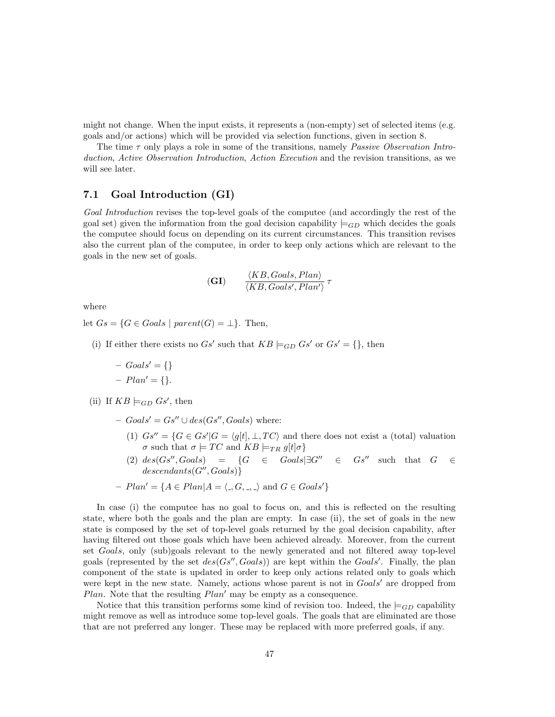might not change. When the input exists, it represents a (non-empty) set of selected items (e.g. goals and/or actions) which will be provided via selection functions, given in section 8.

The time  $\tau$  only plays a role in some of the transitions, namely *Passive Observation Intro*duction, Active Observation Introduction, Action Execution and the revision transitions, as we will see later.

# 7.1 Goal Introduction (GI)

Goal Introduction revises the top-level goals of the computee (and accordingly the rest of the goal set) given the information from the goal decision capability  $\models$   $_{GD}$  which decides the goals the computee should focus on depending on its current circumstances. This transition revises also the current plan of the computee, in order to keep only actions which are relevant to the goals in the new set of goals.

**(GI)** 
$$
\frac{\langle KB, Goals, Plan \rangle}{\langle KB, Goals', Plan' \rangle} \tau
$$

where

let  $Gs = \{G \in Goals \mid parent(G) = \bot\}.$  Then,

- (i) If either there exists no  $Gs'$  such that  $KB \models_{GD} Gs'$  or  $Gs' = \{\}$ , then
	- $\text{Goals'} = \{\}$

$$
- Plan' = \{\}.
$$

(ii) If  $KB \models_{GD} Gs'$ , then

 $-Goals' = Gs'' \cup des(Gs'', Goals)$  where:

- (1)  $Gs'' = \{G \in Gs'| G = \langle g[t], \perp, TC \rangle \}$  and there does not exist a (total) valuation σ such that  $σ \models TC$  and  $KB \models_{TR} g[t]\sigma$ }
- (2)  $des(Gs'',Goals) = \{G \in Goals | \exists G'' \in Gs'' \text{ such that } G \in$  $descendants(G'',Gools)$
- $Plan' = \{A \in Plan | A = \langle ., G, ., . \rangle \text{ and } G \in Goals'\}$

In case (i) the computee has no goal to focus on, and this is reflected on the resulting state, where both the goals and the plan are empty. In case (ii), the set of goals in the new state is composed by the set of top-level goals returned by the goal decision capability, after having filtered out those goals which have been achieved already. Moreover, from the current set Goals, only (sub)goals relevant to the newly generated and not filtered away top-level goals (represented by the set  $des(Gs'',Goals)$ ) are kept within the Goals'. Finally, the plan component of the state is updated in order to keep only actions related only to goals which were kept in the new state. Namely, actions whose parent is not in  $Goals'$  are dropped from *Plan.* Note that the resulting  $Plan'$  may be empty as a consequence.

Notice that this transition performs some kind of revision too. Indeed, the  $\models_{GD}$  capability might remove as well as introduce some top-level goals. The goals that are eliminated are those that are not preferred any longer. These may be replaced with more preferred goals, if any.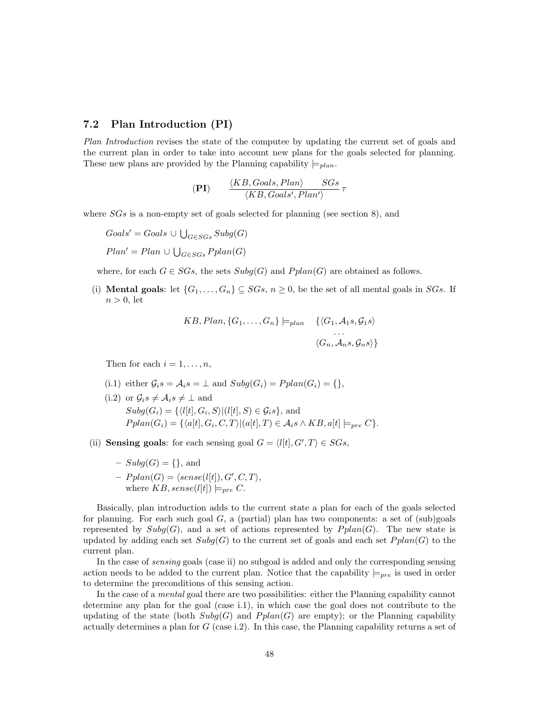## 7.2 Plan Introduction (PI)

Plan Introduction revises the state of the computee by updating the current set of goals and the current plan in order to take into account new plans for the goals selected for planning. These new plans are provided by the Planning capability  $\models$ <sub>plan</sub>.

$$
(PI) \qquad \frac{\langle KB, Goals, Plan \rangle}{\langle KB, Goals', Plan' \rangle} \, 5Gs
$$

where  $SGs$  is a non-empty set of goals selected for planning (see section 8), and

 $Goals' = Goals \cup \bigcup_{G \in SGs} Subg(G)$  $Plan' = Plan \cup \bigcup_{G \in SGS} Pplan(G)$ 

where, for each  $G \in SGs$ , the sets  $Subg(G)$  and  $Pplan(G)$  are obtained as follows.

(i) **Mental goals**: let  $\{G_1, \ldots, G_n\} \subseteq SGs, n \geq 0$ , be the set of all mental goals in  $SGs$ . If  $n > 0$ , let

$$
KB, Plan, \{G_1, \ldots, G_n\} \models_{plan} \{ \langle G_1, A_1s, G_1s \rangle \newline \cdots \newline \langle G_n, A_ns, G_ns \rangle \}
$$

Then for each  $i = 1, \ldots, n$ ,

- (i.1) either  $\mathcal{G}_i s = \mathcal{A}_i s = \perp$  and  $\text{Subg}(G_i) = \text{Pplan}(G_i) = \{\},\$
- (i.2) or  $\mathcal{G}_i s \neq \mathcal{A}_i s \neq \perp$  and  $Subg(G_i) = {\langle l[t], G_i, S \rangle | (l[t], S) \in \mathcal{G}_i s}$ , and  $Pplan(G_i) = \{ \langle a[t], G_i, C, T \rangle | (a[t], T) \in \mathcal{A}_i \land KB, a[t] \models_{pre} C \}.$
- (ii) **Sensing goals**: for each sensing goal  $G = \langle l[t], G', T \rangle \in SGs$ ,
	- $Subg(G) = \{\}, \text{ and}$
	- $Pplan(G) = \langle sense(l[t]), G', C, T \rangle,$ where  $KB, sense(l[t]) \models_{pre} C$ .

Basically, plan introduction adds to the current state a plan for each of the goals selected for planning. For each such goal  $G$ , a (partial) plan has two components: a set of (sub)goals represented by  $Subg(G)$ , and a set of actions represented by  $Pplan(G)$ . The new state is updated by adding each set  $Subg(G)$  to the current set of goals and each set  $Pplan(G)$  to the current plan.

In the case of sensing goals (case ii) no subgoal is added and only the corresponding sensing action needs to be added to the current plan. Notice that the capability  $\models_{pre}$  is used in order to determine the preconditions of this sensing action.

In the case of a mental goal there are two possibilities: either the Planning capability cannot determine any plan for the goal (case i.1), in which case the goal does not contribute to the updating of the state (both  $Subg(G)$  and  $Pplan(G)$  are empty); or the Planning capability actually determines a plan for  $G$  (case i.2). In this case, the Planning capability returns a set of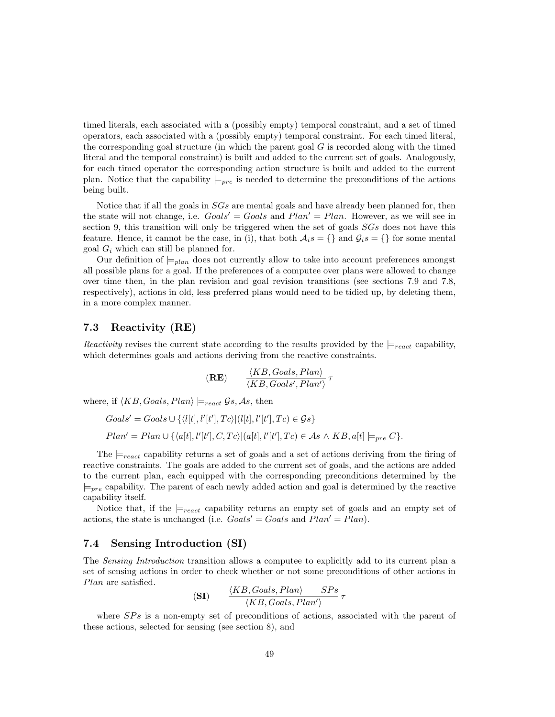timed literals, each associated with a (possibly empty) temporal constraint, and a set of timed operators, each associated with a (possibly empty) temporal constraint. For each timed literal, the corresponding goal structure (in which the parent goal  $G$  is recorded along with the timed literal and the temporal constraint) is built and added to the current set of goals. Analogously, for each timed operator the corresponding action structure is built and added to the current plan. Notice that the capability  $\models_{pre}$  is needed to determine the preconditions of the actions being built.

Notice that if all the goals in SGs are mental goals and have already been planned for, then the state will not change, i.e.  $Gools' = Goals$  and  $Plan' = Plan$ . However, as we will see in section 9, this transition will only be triggered when the set of goals  $SGs$  does not have this feature. Hence, it cannot be the case, in (i), that both  $A_i s = \{\}$  and  $\mathcal{G}_i s = \{\}$  for some mental goal  $G_i$  which can still be planned for.

Our definition of  $\models_{plan}$  does not currently allow to take into account preferences amongst all possible plans for a goal. If the preferences of a computee over plans were allowed to change over time then, in the plan revision and goal revision transitions (see sections 7.9 and 7.8, respectively), actions in old, less preferred plans would need to be tidied up, by deleting them, in a more complex manner.

## 7.3 Reactivity (RE)

Reactivity revises the current state according to the results provided by the  $\models_{react}$  capability, which determines goals and actions deriving from the reactive constraints.

$$
(\mathbf{RE}) \qquad \frac{\langle KB, Goals, Plan \rangle}{\langle KB, Goals', Plan' \rangle} \tau
$$

where, if  $\langle KB, Goals, Plan \rangle \models_{react} \mathcal{G}s, \mathcal{A}s$ , then

$$
Goal s' = Goals \cup \{ \langle l[t], l'[t'], Tc \rangle | (l[t], l'[t'], Tc) \in \mathcal{G}s \}
$$
  
Plan' = Plan \cup \{ \langle a[t], l'[t'], C, Tc \rangle | (a[t], l'[t'], Tc) \in \mathcal{A}s \land KB, a[t] \models\_{pre} C \}.

The  $\models_{react}$  capability returns a set of goals and a set of actions deriving from the firing of reactive constraints. The goals are added to the current set of goals, and the actions are added to the current plan, each equipped with the corresponding preconditions determined by the  $\models_{pre}$  capability. The parent of each newly added action and goal is determined by the reactive capability itself.

Notice that, if the  $\models_{react}$  capability returns an empty set of goals and an empty set of actions, the state is unchanged (i.e.  $Goals' = Goals$  and  $Plan' = Plan$ ).

## 7.4 Sensing Introduction (SI)

The *Sensing Introduction* transition allows a computee to explicitly add to its current plan a set of sensing actions in order to check whether or not some preconditions of other actions in Plan are satisfied.

$$
\textbf{(SI)} \qquad \frac{\langle KB, Goals, Plan \rangle \qquad SPs}{\langle KB, Goals, Plan \rangle} \, \tau
$$

where  $SPs$  is a non-empty set of preconditions of actions, associated with the parent of these actions, selected for sensing (see section 8), and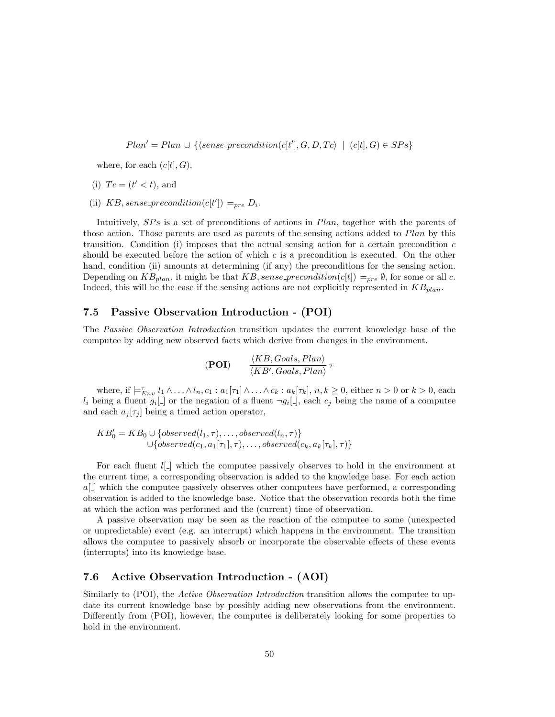$Plan' = Plan \cup \{\langle sense\_precondition(c[t'], G, D, Tc) \mid (c[t], G) \in SPs\}$ 

where, for each  $(c[t], G)$ ,

- (i)  $Tc = (t' < t)$ , and
- (ii) KB, sense\_precondition(c[t'])  $\models_{pre} D_i$ .

Intuitively,  $SPs$  is a set of preconditions of actions in  $Plan$ , together with the parents of those action. Those parents are used as parents of the sensing actions added to Plan by this transition. Condition (i) imposes that the actual sensing action for a certain precondition  $c$ should be executed before the action of which c is a precondition is executed. On the other hand, condition (ii) amounts at determining (if any) the preconditions for the sensing action. Depending on  $KB_{plan}$ , it might be that  $KB, sense\_precondition(c[t]) \models_{pre} \emptyset$ , for some or all c. Indeed, this will be the case if the sensing actions are not explicitly represented in  $KB_{plan}$ .

# 7.5 Passive Observation Introduction - (POI)

The Passive Observation Introduction transition updates the current knowledge base of the computee by adding new observed facts which derive from changes in the environment.

$$
(POI) \qquad \frac{\langle KB, Goals, Plan \rangle}{\langle KB', Goals, Plan \rangle} \tau
$$

where, if  $\models_{Env}^{\tau} l_1 \wedge \ldots \wedge l_n, c_1 : a_1[\tau_1] \wedge \ldots \wedge c_k : a_k[\tau_k], n, k \ge 0$ , either  $n > 0$  or  $k > 0$ , each  $l_i$  being a fluent  $g_i$ [.] or the negation of a fluent  $\neg g_i$ [.], each  $c_j$  being the name of a computee and each  $a_j[\tau_j]$  being a timed action operator,

$$
KB'_0 = KB_0 \cup \{observed(l_1, \tau), \dots, observed(l_n, \tau)\} \cup \{observed(c_1, a_1[\tau_1], \tau), \dots, observed(c_k, a_k[\tau_k], \tau)\}\
$$

For each fluent  $l[\ ]$  which the computee passively observes to hold in the environment at the current time, a corresponding observation is added to the knowledge base. For each action  $a[\_$  which the computee passively observes other computees have performed, a corresponding observation is added to the knowledge base. Notice that the observation records both the time at which the action was performed and the (current) time of observation.

A passive observation may be seen as the reaction of the computee to some (unexpected or unpredictable) event (e.g. an interrupt) which happens in the environment. The transition allows the computee to passively absorb or incorporate the observable effects of these events (interrupts) into its knowledge base.

# 7.6 Active Observation Introduction - (AOI)

Similarly to (POI), the *Active Observation Introduction* transition allows the computee to update its current knowledge base by possibly adding new observations from the environment. Differently from (POI), however, the computee is deliberately looking for some properties to hold in the environment.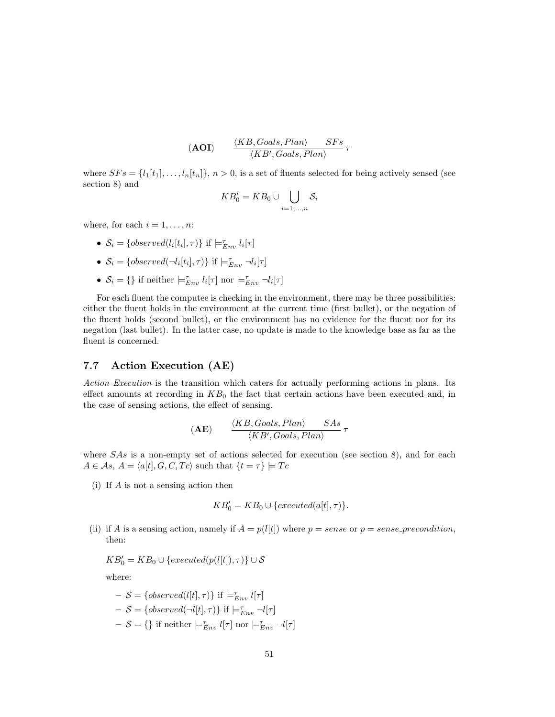$$
(AOI) \qquad \frac{\langle KB, Goals, Plan \rangle \qquad SFs}{\langle KB', Goals, Plan \rangle} \tau
$$

where  $SFs = \{l_1[t_1], \ldots, l_n[t_n]\}, n > 0$ , is a set of fluents selected for being actively sensed (see section 8) and

$$
KB'_0 = KB_0 \cup \bigcup_{i=1,\dots,n} S_i
$$

where, for each  $i = 1, \ldots, n$ :

- $S_i = \{observed(l_i[t_i], \tau)\}\$ if  $\models_{Env}^{\tau} l_i[\tau]$
- $S_i = \{observed(\neg l_i[t_i], \tau)\}\$  if  $\models_{Env}^{\tau} \neg l_i[\tau]$
- $S_i = \{\}$  if neither  $\models_{Env}^{\tau} l_i[\tau]$  nor  $\models_{Env}^{\tau} \neg l_i[\tau]$

For each fluent the computee is checking in the environment, there may be three possibilities: either the fluent holds in the environment at the current time (first bullet), or the negation of the fluent holds (second bullet), or the environment has no evidence for the fluent nor for its negation (last bullet). In the latter case, no update is made to the knowledge base as far as the fluent is concerned.

## 7.7 Action Execution (AE)

Action Execution is the transition which caters for actually performing actions in plans. Its effect amounts at recording in  $KB<sub>0</sub>$  the fact that certain actions have been executed and, in the case of sensing actions, the effect of sensing.

$$
(AE) \frac{\langle KB, Goals, Plan \rangle}{\langle KB', Goals, Plan \rangle} \frac{SAs}{\tau}
$$

where SAs is a non-empty set of actions selected for execution (see section 8), and for each  $A \in \mathcal{A}s$ ,  $A = \langle a[t], G, C, Tc \rangle$  such that  $\{t = \tau\} \models Tc$ 

(i) If A is not a sensing action then

$$
KB'_0 = KB_0 \cup \{ executed(a[t], \tau)\}.
$$

(ii) if A is a sensing action, namely if  $A = p(l|t|)$  where  $p = sense$  or  $p = sense\_precondition$ , then:

$$
KB'_0 = KB_0 \cup \{ executed(p(l[t]), \tau)\} \cup \mathcal{S}
$$

where:

$$
- S = \{observed(l[t], \tau)\} \text{ if } \models_{Env}^{\tau} l[\tau]
$$
  
\n
$$
- S = \{observed(\neg l[t], \tau)\} \text{ if } \models_{Env}^{\tau} \neg l[\tau]
$$
  
\n
$$
- S = \{\} \text{ if neither } \models_{Env}^{\tau} l[\tau] \text{ nor } \models_{Env}^{\tau} \neg l[\tau]
$$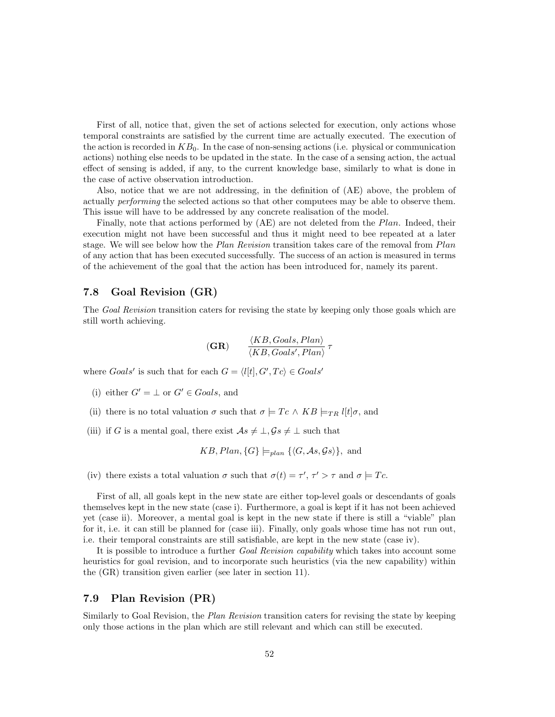First of all, notice that, given the set of actions selected for execution, only actions whose temporal constraints are satisfied by the current time are actually executed. The execution of the action is recorded in  $KB<sub>0</sub>$ . In the case of non-sensing actions (i.e. physical or communication actions) nothing else needs to be updated in the state. In the case of a sensing action, the actual effect of sensing is added, if any, to the current knowledge base, similarly to what is done in the case of active observation introduction.

Also, notice that we are not addressing, in the definition of (AE) above, the problem of actually performing the selected actions so that other computees may be able to observe them. This issue will have to be addressed by any concrete realisation of the model.

Finally, note that actions performed by (AE) are not deleted from the Plan. Indeed, their execution might not have been successful and thus it might need to bee repeated at a later stage. We will see below how the Plan Revision transition takes care of the removal from Plan of any action that has been executed successfully. The success of an action is measured in terms of the achievement of the goal that the action has been introduced for, namely its parent.

## 7.8 Goal Revision (GR)

The Goal Revision transition caters for revising the state by keeping only those goals which are still worth achieving.

$$
(\mathbf{GR}) \qquad \frac{\langle KB, Goals, Plan \rangle}{\langle KB, Goals', Plan \rangle} \tau
$$

where  $Goal s'$  is such that for each  $G = \langle l[t], G', Tc \rangle \in Goals'$ 

- (i) either  $G' = \perp$  or  $G' \in \text{Goals}$ , and
- (ii) there is no total valuation  $\sigma$  such that  $\sigma \models T_c \land KB \models_{TR} l[t]\sigma$ , and
- (iii) if G is a mental goal, there exist  $As \neq \perp, Gs \neq \perp$  such that

$$
KB, Plan, \{G\} \models_{plan} \{\langle G, \mathcal{A}s, \mathcal{G}s \rangle\}, \text{ and}
$$

(iv) there exists a total valuation  $\sigma$  such that  $\sigma(t) = \tau', \tau' > \tau$  and  $\sigma \models T_c$ .

First of all, all goals kept in the new state are either top-level goals or descendants of goals themselves kept in the new state (case i). Furthermore, a goal is kept if it has not been achieved yet (case ii). Moreover, a mental goal is kept in the new state if there is still a "viable" plan for it, i.e. it can still be planned for (case iii). Finally, only goals whose time has not run out, i.e. their temporal constraints are still satisfiable, are kept in the new state (case iv).

It is possible to introduce a further Goal Revision capability which takes into account some heuristics for goal revision, and to incorporate such heuristics (via the new capability) within the (GR) transition given earlier (see later in section 11).

## 7.9 Plan Revision (PR)

Similarly to Goal Revision, the Plan Revision transition caters for revising the state by keeping only those actions in the plan which are still relevant and which can still be executed.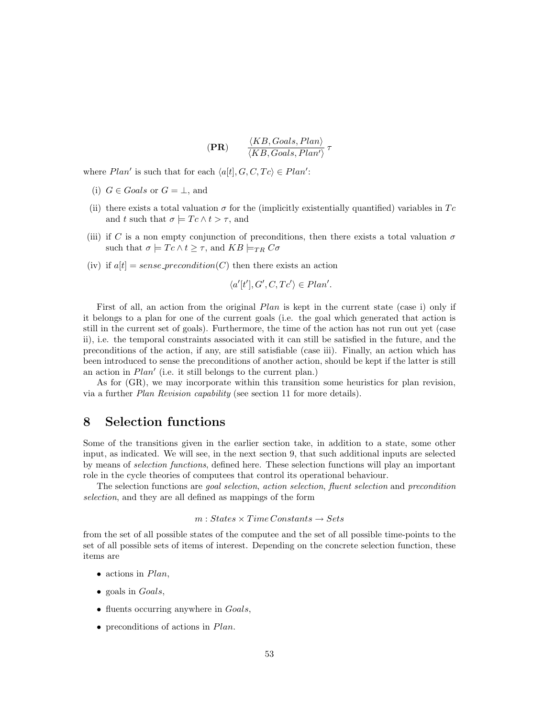$$
(\mathbf{PR}) \qquad \frac{\langle KB, Goals, Plan \rangle}{\langle KB, Goals, Plan' \rangle} \tau
$$

where  $Plan'$  is such that for each  $\langle a[t], G, C, Tc \rangle \in Plan'$ :

- (i)  $G \in \text{Goals}$  or  $G = \perp$ , and
- (ii) there exists a total valuation  $\sigma$  for the (implicitly existentially quantified) variables in Tc and t such that  $\sigma \models T_c \land t > \tau$ , and
- (iii) if C is a non empty conjunction of preconditions, then there exists a total valuation  $\sigma$ such that  $\sigma \models T_c \land t \geq \tau$ , and  $KB \models_{TR} C_{\sigma}$
- (iv) if  $a[t] = sense\_precondition(C)$  then there exists an action

$$
\langle a'[t'], G', C, Tc' \rangle \in Plan'.
$$

First of all, an action from the original *Plan* is kept in the current state (case i) only if it belongs to a plan for one of the current goals (i.e. the goal which generated that action is still in the current set of goals). Furthermore, the time of the action has not run out yet (case ii), i.e. the temporal constraints associated with it can still be satisfied in the future, and the preconditions of the action, if any, are still satisfiable (case iii). Finally, an action which has been introduced to sense the preconditions of another action, should be kept if the latter is still an action in  $Plan'$  (i.e. it still belongs to the current plan.)

As for (GR), we may incorporate within this transition some heuristics for plan revision, via a further Plan Revision capability (see section 11 for more details).

# 8 Selection functions

Some of the transitions given in the earlier section take, in addition to a state, some other input, as indicated. We will see, in the next section 9, that such additional inputs are selected by means of selection functions, defined here. These selection functions will play an important role in the cycle theories of computees that control its operational behaviour.

The selection functions are goal selection, action selection, fluent selection and precondition selection, and they are all defined as mappings of the form

# $m: States \times Time \, Constants \rightarrow Sets$

from the set of all possible states of the computee and the set of all possible time-points to the set of all possible sets of items of interest. Depending on the concrete selection function, these items are

- $\bullet$  actions in  $Plan$ ,
- goals in *Goals*,
- fluents occurring anywhere in *Goals*,
- preconditions of actions in Plan.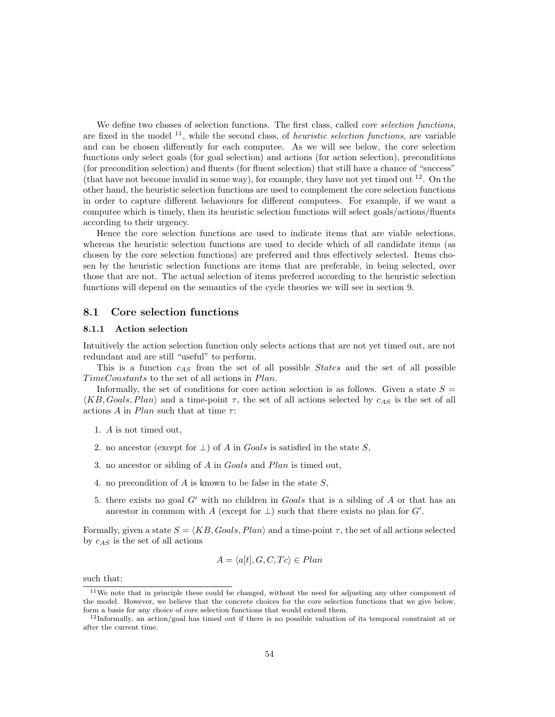We define two classes of selection functions. The first class, called *core selection functions*, are fixed in the model  $^{11}$ , while the second class, of *heuristic selection functions*, are variable and can be chosen differently for each computee. As we will see below, the core selection functions only select goals (for goal selection) and actions (for action selection), preconditions (for precondition selection) and fluents (for fluent selection) that still have a chance of "success" (that have not become invalid in some way), for example, they have not yet timed out  $^{12}$ . On the other hand, the heuristic selection functions are used to complement the core selection functions in order to capture different behaviours for different computees. For example, if we want a computee which is timely, then its heuristic selection functions will select goals/actions/fluents according to their urgency.

Hence the core selection functions are used to indicate items that are viable selections, whereas the heuristic selection functions are used to decide which of all candidate items (as chosen by the core selection functions) are preferred and thus effectively selected. Items chosen by the heuristic selection functions are items that are preferable, in being selected, over those that are not. The actual selection of items preferred according to the heuristic selection functions will depend on the semantics of the cycle theories we will see in section 9.

## 8.1 Core selection functions

#### 8.1.1 Action selection

Intuitively the action selection function only selects actions that are not yet timed out, are not redundant and are still "useful" to perform.

This is a function  $c_{AS}$  from the set of all possible *States* and the set of all possible TimeConstants to the set of all actions in Plan.

Informally, the set of conditions for core action selection is as follows. Given a state  $S =$  $\langle KB, Goals, Plan \rangle$  and a time-point  $\tau$ , the set of all actions selected by  $c_{AS}$  is the set of all actions A in Plan such that at time  $\tau$ :

- 1. A is not timed out,
- 2. no ancestor (except for  $\perp$ ) of A in Goals is satisfied in the state S,
- 3. no ancestor or sibling of A in Goals and Plan is timed out,
- 4. no precondition of A is known to be false in the state S,
- 5. there exists no goal G' with no children in Goals that is a sibling of A or that has an ancestor in common with A (except for  $\perp$ ) such that there exists no plan for G'.

Formally, given a state  $S = \langle KB, Goals, Plan \rangle$  and a time-point  $\tau$ , the set of all actions selected by  $c_{AS}$  is the set of all actions

$$
A = \langle a[t], G, C, Tc \rangle \in Plan
$$

such that:

<sup>&</sup>lt;sup>11</sup>We note that in principle these could be changed, without the need for adjusting any other component of the model. However, we believe that the concrete choices for the core selection functions that we give below, form a basis for any choice of core selection functions that would extend them.

 $12$ Informally, an action/goal has timed out if there is no possible valuation of its temporal constraint at or after the current time.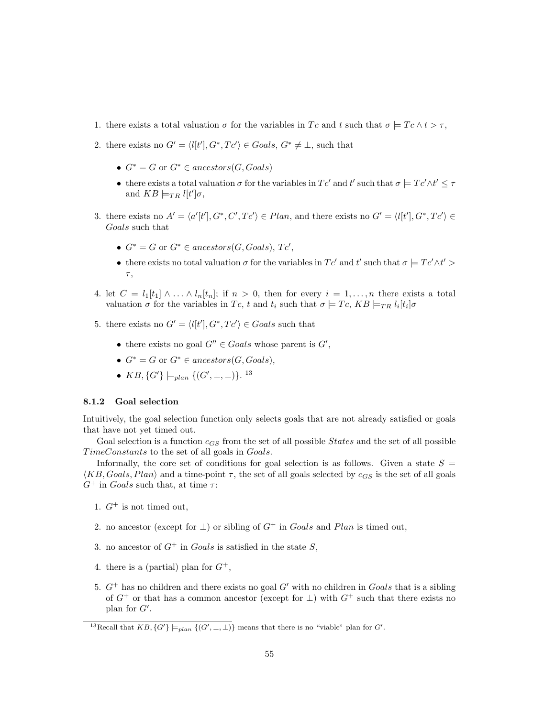- 1. there exists a total valuation  $\sigma$  for the variables in Tc and t such that  $\sigma \models T_c \land t > \tau$ ,
- 2. there exists no  $G' = \langle l[t'], G^*, Tc' \rangle \in \text{Goals}, G^* \neq \bot$ , such that
	- $G^* = G$  or  $G^* \in ancestors(G, Goals)$
	- there exists a total valuation  $\sigma$  for the variables in  $T c'$  and t' such that  $\sigma \models T c' \land t' \leq \tau$ and  $KB \models_{TR} l[t']\sigma$ ,
- 3. there exists no  $A' = \langle a'[t'], G^*, C', Tc' \rangle \in Plan$ , and there exists no  $G' = \langle l[t'], G^*, Tc' \rangle \in$ Goals such that
	- $G^* = G$  or  $G^* \in ancestors(G, Goals), Tc',$
	- there exists no total valuation  $\sigma$  for the variables in  $T c'$  and t' such that  $\sigma \models T c' \wedge t' >$ τ ,
- 4. let  $C = l_1[t_1] \wedge \ldots \wedge l_n[t_n]$ ; if  $n > 0$ , then for every  $i = 1, \ldots, n$  there exists a total valuation  $\sigma$  for the variables in Tc, t and  $t_i$  such that  $\sigma \models T_c$ ,  $KB \models_{TR} l_i[t_i] \sigma$
- 5. there exists no  $G' = \langle l[t'], G^*, Tc' \rangle \in \text{Goals}$  such that
	- there exists no goal  $G'' \in \text{Goal} s$  whose parent is  $G'$ ,
	- $G^* = G$  or  $G^* \in ancestors(G, Goals),$
	- $KB, \{G'\} \models_{plan} \{ (G', \bot, \bot) \}.$ <sup>13</sup>

#### 8.1.2 Goal selection

Intuitively, the goal selection function only selects goals that are not already satisfied or goals that have not yet timed out.

Goal selection is a function  $c_{GS}$  from the set of all possible *States* and the set of all possible TimeConstants to the set of all goals in Goals.

Informally, the core set of conditions for goal selection is as follows. Given a state  $S =$  $\langle KB, Goals, Plan \rangle$  and a time-point  $\tau$ , the set of all goals selected by  $c_{GS}$  is the set of all goals  $G^+$  in *Goals* such that, at time  $\tau$ :

- 1.  $G^+$  is not timed out,
- 2. no ancestor (except for  $\perp$ ) or sibling of  $G^+$  in Goals and Plan is timed out,
- 3. no ancestor of  $G^+$  in *Goals* is satisfied in the state S,
- 4. there is a (partial) plan for  $G^+$ ,
- 5.  $G^+$  has no children and there exists no goal  $G'$  with no children in Goals that is a sibling of  $G^+$  or that has a common ancestor (except for  $\perp$ ) with  $G^+$  such that there exists no plan for  $G'$ .

<sup>&</sup>lt;sup>13</sup>Recall that  $KB, \{G'\}\models_{plan} \{(G', \bot, \bot)\}$  means that there is no "viable" plan for G'.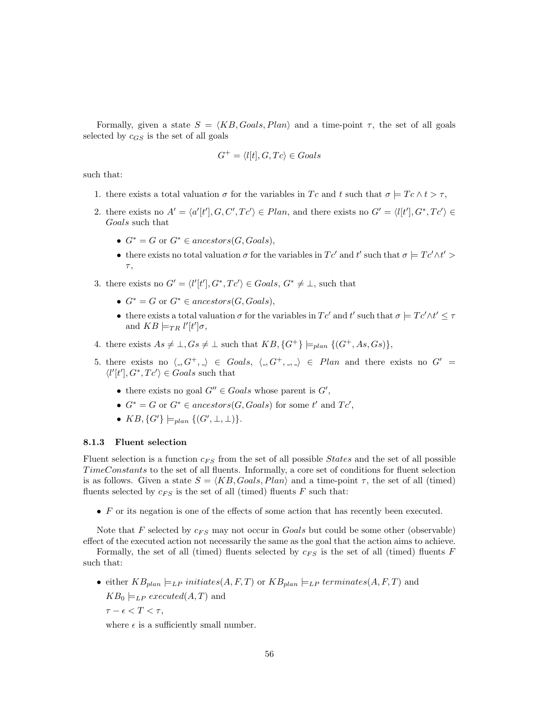Formally, given a state  $S = \langle KB, Goals, Plan \rangle$  and a time-point  $\tau$ , the set of all goals selected by  $c_{GS}$  is the set of all goals

$$
G^+ = \langle l[t], G, Tc \rangle \in \text{Goals}
$$

such that:

- 1. there exists a total valuation  $\sigma$  for the variables in Tc and t such that  $\sigma \models T_c \land t > \tau$ ,
- 2. there exists no  $A' = \langle a'[t'], G, C', Tc' \rangle \in Plan$ , and there exists no  $G' = \langle l[t'], G^*, Tc' \rangle \in$ Goals such that
	- $G^* = G$  or  $G^* \in ancestors(G, Goals),$
	- there exists no total valuation  $\sigma$  for the variables in  $T c'$  and t' such that  $\sigma \models T c' \wedge t' > 0$  $\tau$ ,
- 3. there exists no  $G' = \langle l'[t'], G^*, Tc' \rangle \in \text{Goals}, G^* \neq \bot$ , such that
	- $G^* = G$  or  $G^* \in ancestors(G, Goals),$
	- there exists a total valuation  $\sigma$  for the variables in  $T c'$  and t' such that  $\sigma \models T c' \land t' \leq \tau$ and  $KB \models_{TR} l'[t']\sigma$ ,
- 4. there exists  $As \neq \perp, Gs \neq \perp$  such that  $KB, \{G^+\}\models_{plan} \{(G^+, As, Gs)\},$
- 5. there exists no  $\langle 0, G^+, \cdot \rangle \in \text{Goals}, \langle 0, G^+, \cdot \rangle \in \text{Plan}$  and there exists no  $G' =$  $\langle l'[t'], G^*, T c' \rangle \in \text{Goals}$  such that
	- there exists no goal  $G'' \in \text{Goal} s$  whose parent is  $G'$ ,
	- $G^* = G$  or  $G^* \in ancestors(G, Goals)$  for some t' and  $Tc'$ ,
	- $KB, \{G'\}\models_{plan} \{ (G', \bot, \bot) \}.$

#### 8.1.3 Fluent selection

Fluent selection is a function  $c_{FS}$  from the set of all possible *States* and the set of all possible TimeConstants to the set of all fluents. Informally, a core set of conditions for fluent selection is as follows. Given a state  $S = \langle KB, Goals, Plan \rangle$  and a time-point  $\tau$ , the set of all (timed) fluents selected by  $c_{FS}$  is the set of all (timed) fluents  $F$  such that:

• F or its negation is one of the effects of some action that has recently been executed.

Note that F selected by  $c_{FS}$  may not occur in Goals but could be some other (observable)

effect of the executed action not necessarily the same as the goal that the action aims to achieve. Formally, the set of all (timed) fluents selected by  $c_{FS}$  is the set of all (timed) fluents F such that:

• either  $KB_{plan} \models_{LP} initiates(A, F, T)$  or  $KB_{plan} \models_{LP} terminates(A, F, T)$  and  $KB_0 \models_{LP} executed(A, T)$  and

 $\tau - \epsilon < T < \tau$ ,

where  $\epsilon$  is a sufficiently small number.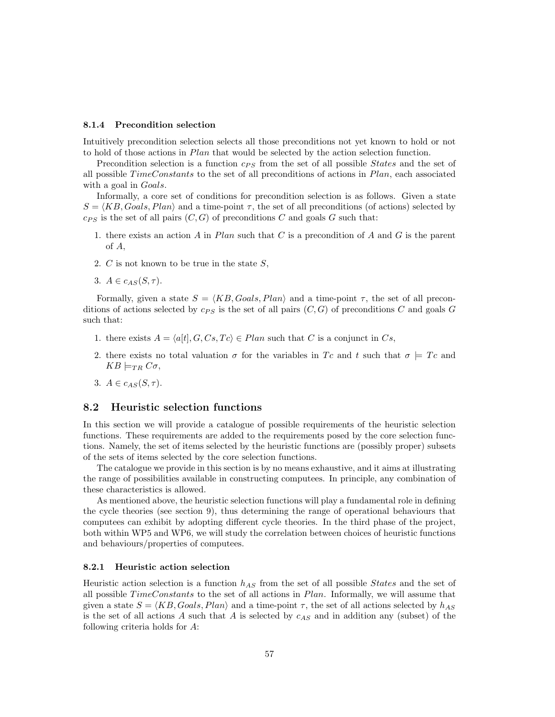#### 8.1.4 Precondition selection

Intuitively precondition selection selects all those preconditions not yet known to hold or not to hold of those actions in Plan that would be selected by the action selection function.

Precondition selection is a function  $c_{PS}$  from the set of all possible *States* and the set of all possible  $TimeConstants$  to the set of all preconditions of actions in  $Plan$ , each associated with a goal in *Goals*.

Informally, a core set of conditions for precondition selection is as follows. Given a state  $S = \langle KB, Goals, Plan \rangle$  and a time-point  $\tau$ , the set of all preconditions (of actions) selected by  $c_{PS}$  is the set of all pairs  $(C, G)$  of preconditions C and goals G such that:

- 1. there exists an action A in Plan such that C is a precondition of A and G is the parent of A,
- 2.  $C$  is not known to be true in the state  $S$ ,
- 3.  $A \in c_{AS}(S, \tau)$ .

Formally, given a state  $S = \langle KB, Goals, Plan \rangle$  and a time-point  $\tau$ , the set of all preconditions of actions selected by  $c_{PS}$  is the set of all pairs  $(C, G)$  of preconditions C and goals G such that:

- 1. there exists  $A = \langle a[t], G, Cs, Tc \rangle \in Plan$  such that C is a conjunct in Cs,
- 2. there exists no total valuation  $\sigma$  for the variables in Tc and t such that  $\sigma = T_c$  and  $KB \models_{TR} C\sigma$
- 3.  $A \in c_{AS}(S, \tau)$ .

## 8.2 Heuristic selection functions

In this section we will provide a catalogue of possible requirements of the heuristic selection functions. These requirements are added to the requirements posed by the core selection functions. Namely, the set of items selected by the heuristic functions are (possibly proper) subsets of the sets of items selected by the core selection functions.

The catalogue we provide in this section is by no means exhaustive, and it aims at illustrating the range of possibilities available in constructing computees. In principle, any combination of these characteristics is allowed.

As mentioned above, the heuristic selection functions will play a fundamental role in defining the cycle theories (see section 9), thus determining the range of operational behaviours that computees can exhibit by adopting different cycle theories. In the third phase of the project, both within WP5 and WP6, we will study the correlation between choices of heuristic functions and behaviours/properties of computees.

## 8.2.1 Heuristic action selection

Heuristic action selection is a function  $h_{AS}$  from the set of all possible *States* and the set of all possible  $TimeConstants$  to the set of all actions in  $Plan$ . Informally, we will assume that given a state  $S = \langle KB, Goals, Plan \rangle$  and a time-point  $\tau$ , the set of all actions selected by  $h_{AS}$ is the set of all actions A such that A is selected by  $c_{AS}$  and in addition any (subset) of the following criteria holds for A: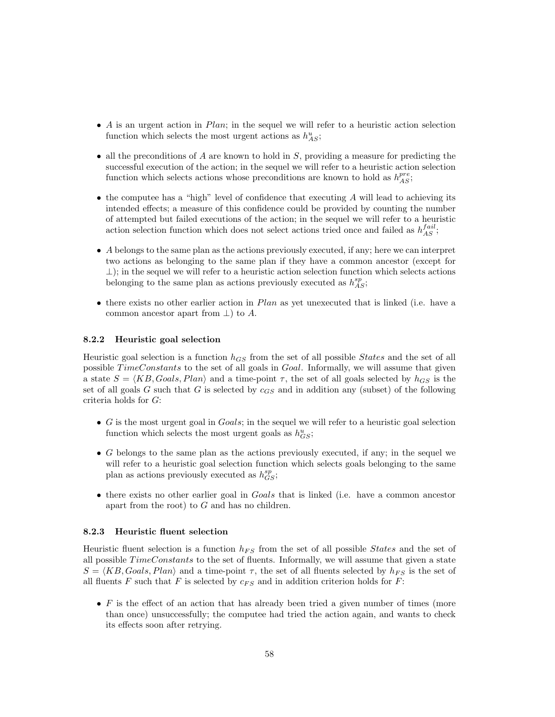- A is an urgent action in  $Plan$ ; in the sequel we will refer to a heuristic action selection function which selects the most urgent actions as  $h_{AS}^u$ ;
- all the preconditions of A are known to hold in  $S$ , providing a measure for predicting the successful execution of the action; in the sequel we will refer to a heuristic action selection function which selects actions whose preconditions are known to hold as  $h^{pre}_{AS}$ ;
- $\bullet$  the computee has a "high" level of confidence that executing A will lead to achieving its intended effects; a measure of this confidence could be provided by counting the number of attempted but failed executions of the action; in the sequel we will refer to a heuristic action selection function which does not select actions tried once and failed as  $h_{AS}^{fail}$ ;
- $\bullet$  A belongs to the same plan as the actions previously executed, if any; here we can interpret two actions as belonging to the same plan if they have a common ancestor (except for  $\perp$ ); in the sequel we will refer to a heuristic action selection function which selects actions belonging to the same plan as actions previously executed as  $h_{AS}^{sp}$ ;
- there exists no other earlier action in *Plan* as yet unexecuted that is linked (i.e. have a common ancestor apart from  $\perp$ ) to A.

#### 8.2.2 Heuristic goal selection

Heuristic goal selection is a function  $h_{GS}$  from the set of all possible *States* and the set of all possible TimeConstants to the set of all goals in Goal. Informally, we will assume that given a state  $S = \langle KB, Goals, Plan \rangle$  and a time-point  $\tau$ , the set of all goals selected by  $h_{GS}$  is the set of all goals G such that G is selected by  $c_{GS}$  and in addition any (subset) of the following criteria holds for G:

- $\bullet$  G is the most urgent goal in  $Goals$ ; in the sequel we will refer to a heuristic goal selection function which selects the most urgent goals as  $h_{GS}^u$ ;
- G belongs to the same plan as the actions previously executed, if any; in the sequel we will refer to a heuristic goal selection function which selects goals belonging to the same plan as actions previously executed as  $h_{GS}^{sp}$ ;
- there exists no other earlier goal in Goals that is linked (i.e. have a common ancestor apart from the root) to  $G$  and has no children.

### 8.2.3 Heuristic fluent selection

Heuristic fluent selection is a function  $h_{FS}$  from the set of all possible *States* and the set of all possible  $TimeConstants$  to the set of fluents. Informally, we will assume that given a state  $S = \langle KB, Goals, Plan \rangle$  and a time-point  $\tau$ , the set of all fluents selected by  $h_{FS}$  is the set of all fluents  $F$  such that  $F$  is selected by  $c_{FS}$  and in addition criterion holds for  $F$ :

 $\bullet$  F is the effect of an action that has already been tried a given number of times (more than once) unsuccessfully; the computee had tried the action again, and wants to check its effects soon after retrying.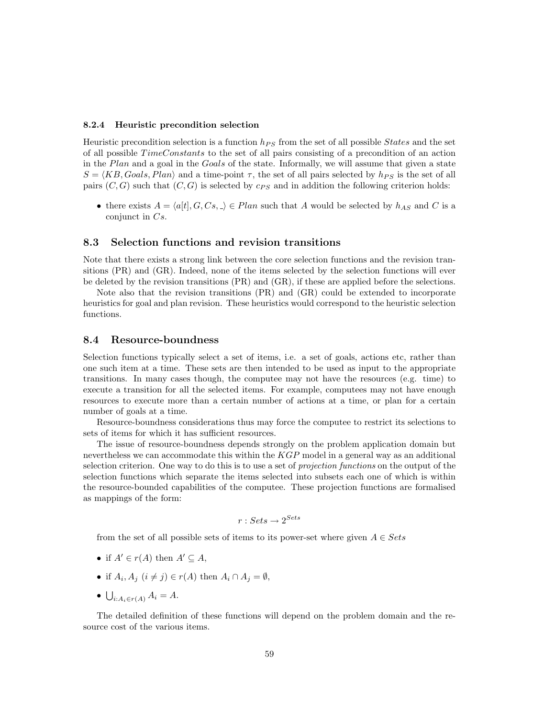#### 8.2.4 Heuristic precondition selection

Heuristic precondition selection is a function  $h_{PS}$  from the set of all possible *States* and the set of all possible TimeConstants to the set of all pairs consisting of a precondition of an action in the Plan and a goal in the Goals of the state. Informally, we will assume that given a state  $S = \langle KB, Goals, Plan \rangle$  and a time-point  $\tau$ , the set of all pairs selected by  $h_{PS}$  is the set of all pairs  $(C, G)$  such that  $(C, G)$  is selected by  $c_{PS}$  and in addition the following criterion holds:

• there exists  $A = \langle a[t], G, Cs, \square \rangle \in Plan$  such that A would be selected by  $h_{AS}$  and C is a conjunct in Cs.

## 8.3 Selection functions and revision transitions

Note that there exists a strong link between the core selection functions and the revision transitions (PR) and (GR). Indeed, none of the items selected by the selection functions will ever be deleted by the revision transitions (PR) and (GR), if these are applied before the selections.

Note also that the revision transitions (PR) and (GR) could be extended to incorporate heuristics for goal and plan revision. These heuristics would correspond to the heuristic selection functions.

## 8.4 Resource-boundness

Selection functions typically select a set of items, i.e. a set of goals, actions etc, rather than one such item at a time. These sets are then intended to be used as input to the appropriate transitions. In many cases though, the computee may not have the resources (e.g. time) to execute a transition for all the selected items. For example, computees may not have enough resources to execute more than a certain number of actions at a time, or plan for a certain number of goals at a time.

Resource-boundness considerations thus may force the computee to restrict its selections to sets of items for which it has sufficient resources.

The issue of resource-boundness depends strongly on the problem application domain but nevertheless we can accommodate this within the KGP model in a general way as an additional selection criterion. One way to do this is to use a set of *projection functions* on the output of the selection functions which separate the items selected into subsets each one of which is within the resource-bounded capabilities of the computee. These projection functions are formalised as mappings of the form:

$$
r:Sets\rightarrow 2^{Sets}
$$

from the set of all possible sets of items to its power-set where given  $A \in Sets$ 

- if  $A' \in r(A)$  then  $A' \subseteq A$ ,
- if  $A_i$ ,  $A_j$   $(i \neq j) \in r(A)$  then  $A_i \cap A_j = \emptyset$ ,
- $\bigcup_{i:A_i\in r(A)} A_i = A.$

The detailed definition of these functions will depend on the problem domain and the resource cost of the various items.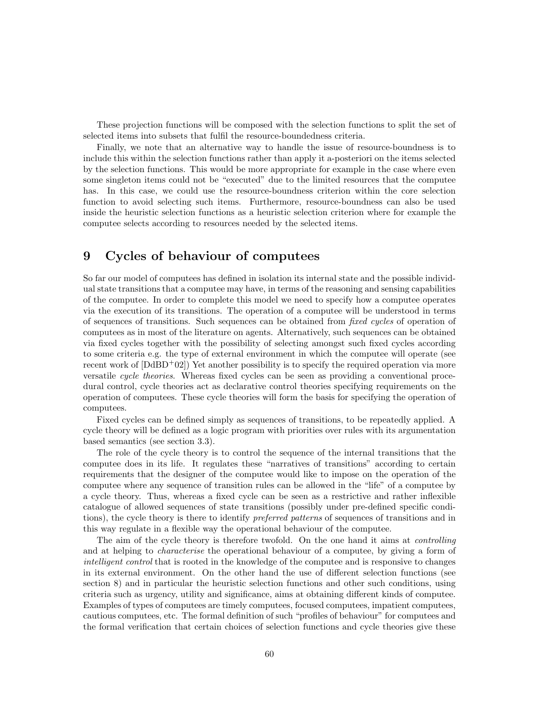These projection functions will be composed with the selection functions to split the set of selected items into subsets that fulfil the resource-boundedness criteria.

Finally, we note that an alternative way to handle the issue of resource-boundness is to include this within the selection functions rather than apply it a-posteriori on the items selected by the selection functions. This would be more appropriate for example in the case where even some singleton items could not be "executed" due to the limited resources that the computee has. In this case, we could use the resource-boundness criterion within the core selection function to avoid selecting such items. Furthermore, resource-boundness can also be used inside the heuristic selection functions as a heuristic selection criterion where for example the computee selects according to resources needed by the selected items.

# 9 Cycles of behaviour of computees

So far our model of computees has defined in isolation its internal state and the possible individual state transitions that a computee may have, in terms of the reasoning and sensing capabilities of the computee. In order to complete this model we need to specify how a computee operates via the execution of its transitions. The operation of a computee will be understood in terms of sequences of transitions. Such sequences can be obtained from fixed cycles of operation of computees as in most of the literature on agents. Alternatively, such sequences can be obtained via fixed cycles together with the possibility of selecting amongst such fixed cycles according to some criteria e.g. the type of external environment in which the computee will operate (see recent work of  $[DdBD+02]$  Yet another possibility is to specify the required operation via more versatile cycle theories. Whereas fixed cycles can be seen as providing a conventional procedural control, cycle theories act as declarative control theories specifying requirements on the operation of computees. These cycle theories will form the basis for specifying the operation of computees.

Fixed cycles can be defined simply as sequences of transitions, to be repeatedly applied. A cycle theory will be defined as a logic program with priorities over rules with its argumentation based semantics (see section 3.3).

The role of the cycle theory is to control the sequence of the internal transitions that the computee does in its life. It regulates these "narratives of transitions" according to certain requirements that the designer of the computee would like to impose on the operation of the computee where any sequence of transition rules can be allowed in the "life" of a computee by a cycle theory. Thus, whereas a fixed cycle can be seen as a restrictive and rather inflexible catalogue of allowed sequences of state transitions (possibly under pre-defined specific conditions), the cycle theory is there to identify *preferred patterns* of sequences of transitions and in this way regulate in a flexible way the operational behaviour of the computee.

The aim of the cycle theory is therefore twofold. On the one hand it aims at controlling and at helping to characterise the operational behaviour of a computee, by giving a form of intelligent control that is rooted in the knowledge of the computee and is responsive to changes in its external environment. On the other hand the use of different selection functions (see section 8) and in particular the heuristic selection functions and other such conditions, using criteria such as urgency, utility and significance, aims at obtaining different kinds of computee. Examples of types of computees are timely computees, focused computees, impatient computees, cautious computees, etc. The formal definition of such "profiles of behaviour" for computees and the formal verification that certain choices of selection functions and cycle theories give these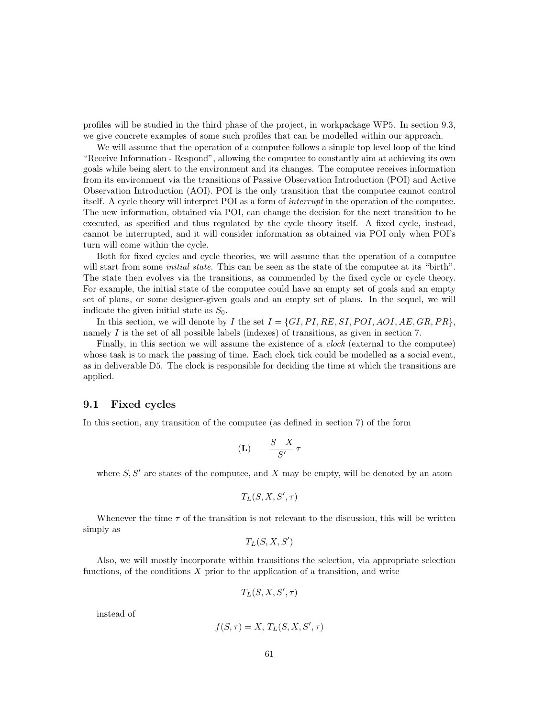profiles will be studied in the third phase of the project, in workpackage WP5. In section 9.3, we give concrete examples of some such profiles that can be modelled within our approach.

We will assume that the operation of a computee follows a simple top level loop of the kind "Receive Information - Respond", allowing the computee to constantly aim at achieving its own goals while being alert to the environment and its changes. The computee receives information from its environment via the transitions of Passive Observation Introduction (POI) and Active Observation Introduction (AOI). POI is the only transition that the computee cannot control itself. A cycle theory will interpret POI as a form of interrupt in the operation of the computee. The new information, obtained via POI, can change the decision for the next transition to be executed, as specified and thus regulated by the cycle theory itself. A fixed cycle, instead, cannot be interrupted, and it will consider information as obtained via POI only when POI's turn will come within the cycle.

Both for fixed cycles and cycle theories, we will assume that the operation of a computee will start from some *initial state*. This can be seen as the state of the computee at its "birth". The state then evolves via the transitions, as commended by the fixed cycle or cycle theory. For example, the initial state of the computee could have an empty set of goals and an empty set of plans, or some designer-given goals and an empty set of plans. In the sequel, we will indicate the given initial state as  $S_0$ .

In this section, we will denote by I the set  $I = \{GI, PI, RE, SI, POI, AOI, AE, GR, PR\}$ , namely I is the set of all possible labels (indexes) of transitions, as given in section 7.

Finally, in this section we will assume the existence of a *clock* (external to the computee) whose task is to mark the passing of time. Each clock tick could be modelled as a social event, as in deliverable D5. The clock is responsible for deciding the time at which the transitions are applied.

## 9.1 Fixed cycles

In this section, any transition of the computee (as defined in section 7) of the form

$$
(\mathbf{L}) \qquad \frac{S-X}{S'}\,\tau
$$

where  $S, S'$  are states of the computee, and X may be empty, will be denoted by an atom

$$
T_L(S, X, S', \tau)
$$

Whenever the time  $\tau$  of the transition is not relevant to the discussion, this will be written simply as

$$
T_L(S,X,S')
$$

Also, we will mostly incorporate within transitions the selection, via appropriate selection functions, of the conditions  $X$  prior to the application of a transition, and write

$$
T_L(S, X, S', \tau)
$$

instead of

$$
f(S,\tau) = X, T_L(S, X, S', \tau)
$$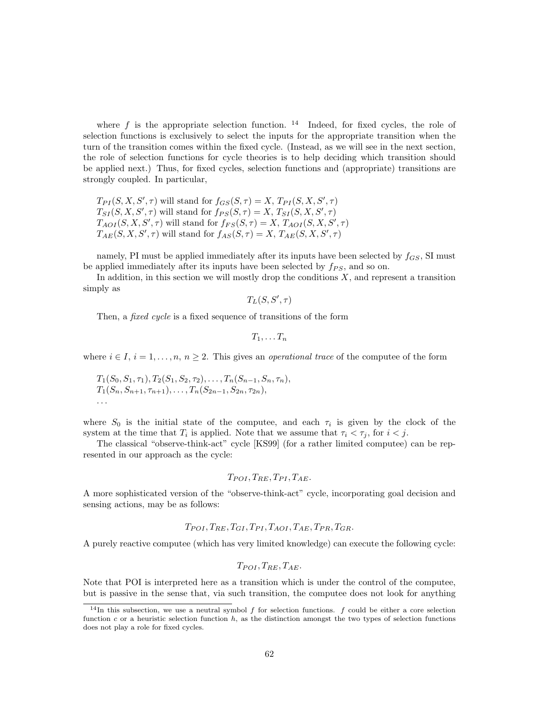where f is the appropriate selection function. <sup>14</sup> Indeed, for fixed cycles, the role of selection functions is exclusively to select the inputs for the appropriate transition when the turn of the transition comes within the fixed cycle. (Instead, as we will see in the next section, the role of selection functions for cycle theories is to help deciding which transition should be applied next.) Thus, for fixed cycles, selection functions and (appropriate) transitions are strongly coupled. In particular,

 $T_{PI}(S, X, S', \tau)$  will stand for  $f_{GS}(S, \tau) = X$ ,  $T_{PI}(S, X, S', \tau)$  $T_{SI}(S, X, S', \tau)$  will stand for  $f_{PS}(S, \tau) = X, T_{SI}(S, X, S', \tau)$  $T_{AOI}(S, X, S', \tau)$  will stand for  $f_{FS}(S, \tau) = X, T_{AOI}(S, X, S', \tau)$  $T_{AE}(S, X, S', \tau)$  will stand for  $f_{AS}(S, \tau) = X, T_{AE}(S, X, S', \tau)$ 

namely, PI must be applied immediately after its inputs have been selected by  $f_{GS}$ , SI must be applied immediately after its inputs have been selected by  $f_{PS}$ , and so on.

In addition, in this section we will mostly drop the conditions  $X$ , and represent a transition simply as

$$
T_L(S,S',\tau)
$$

Then, a *fixed cycle* is a fixed sequence of transitions of the form

$$
T_1,\ldots T_n
$$

where  $i \in I$ ,  $i = 1, \ldots, n$ ,  $n \geq 2$ . This gives an *operational trace* of the computee of the form

$$
T_1(S_0, S_1, \tau_1), T_2(S_1, S_2, \tau_2), \ldots, T_n(S_{n-1}, S_n, \tau_n),
$$
  
\n
$$
T_1(S_n, S_{n+1}, \tau_{n+1}), \ldots, T_n(S_{2n-1}, S_{2n}, \tau_{2n}),
$$
  
\n...

where  $S_0$  is the initial state of the computee, and each  $\tau_i$  is given by the clock of the system at the time that  $T_i$  is applied. Note that we assume that  $\tau_i < \tau_j$ , for  $i < j$ .

The classical "observe-think-act" cycle [KS99] (for a rather limited computee) can be represented in our approach as the cycle:

$$
T_{POI}, T_{RE}, T_{PI}, T_{AE}.
$$

A more sophisticated version of the "observe-think-act" cycle, incorporating goal decision and sensing actions, may be as follows:

$$
T_{POI}, T_{RE}, T_{GI}, T_{PI}, T_{AOI}, T_{AE}, T_{PR}, T_{GR}.
$$

A purely reactive computee (which has very limited knowledge) can execute the following cycle:

$$
T_{POI}, T_{RE}, T_{AE}.
$$

Note that POI is interpreted here as a transition which is under the control of the computee, but is passive in the sense that, via such transition, the computee does not look for anything

<sup>&</sup>lt;sup>14</sup>In this subsection, we use a neutral symbol f for selection functions. f could be either a core selection function c or a heuristic selection function  $h$ , as the distinction amongst the two types of selection functions does not play a role for fixed cycles.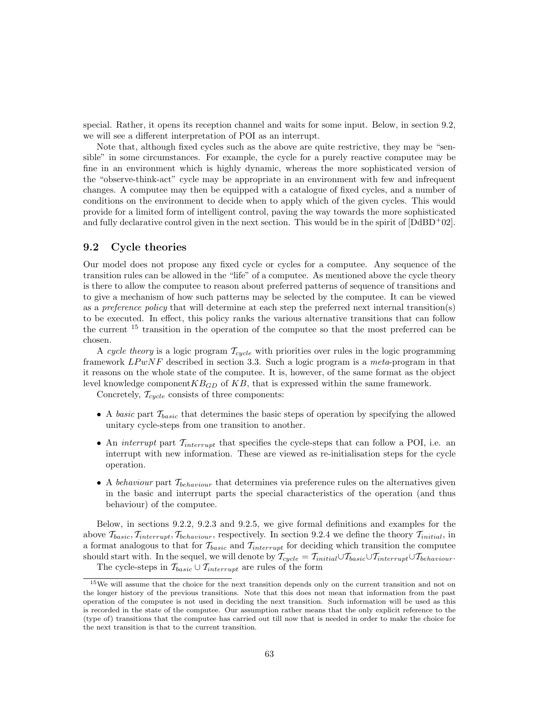special. Rather, it opens its reception channel and waits for some input. Below, in section 9.2, we will see a different interpretation of POI as an interrupt.

Note that, although fixed cycles such as the above are quite restrictive, they may be "sensible" in some circumstances. For example, the cycle for a purely reactive computee may be fine in an environment which is highly dynamic, whereas the more sophisticated version of the "observe-think-act" cycle may be appropriate in an environment with few and infrequent changes. A computee may then be equipped with a catalogue of fixed cycles, and a number of conditions on the environment to decide when to apply which of the given cycles. This would provide for a limited form of intelligent control, paving the way towards the more sophisticated and fully declarative control given in the next section. This would be in the spirit of  $[DdBD+02]$ .

## 9.2 Cycle theories

Our model does not propose any fixed cycle or cycles for a computee. Any sequence of the transition rules can be allowed in the "life" of a computee. As mentioned above the cycle theory is there to allow the computee to reason about preferred patterns of sequence of transitions and to give a mechanism of how such patterns may be selected by the computee. It can be viewed as a *preference policy* that will determine at each step the preferred next internal transition(s) to be executed. In effect, this policy ranks the various alternative transitions that can follow the current <sup>15</sup> transition in the operation of the computee so that the most preferred can be chosen.

A cycle theory is a logic program  $\mathcal{T}_{cycle}$  with priorities over rules in the logic programming framework  $LPwNF$  described in section 3.3. Such a logic program is a meta-program in that it reasons on the whole state of the computee. It is, however, of the same format as the object level knowledge component  $KB_{GD}$  of  $KB$ , that is expressed within the same framework.

Concretely,  $T_{cycle}$  consists of three components:

- A basic part  $\mathcal{T}_{basic}$  that determines the basic steps of operation by specifying the allowed unitary cycle-steps from one transition to another.
- An *interrupt* part  $T_{interrupt}$  that specifies the cycle-steps that can follow a POI, i.e. an interrupt with new information. These are viewed as re-initialisation steps for the cycle operation.
- A behaviour part  $\mathcal{T}_{behavior}$  that determines via preference rules on the alternatives given in the basic and interrupt parts the special characteristics of the operation (and thus behaviour) of the computee.

Below, in sections 9.2.2, 9.2.3 and 9.2.5, we give formal definitions and examples for the above  $T_{basic}, T_{interrupt}, T_{behavior}$ , respectively. In section 9.2.4 we define the theory  $T_{initial}$ , in a format analogous to that for  $\mathcal{T}_{basic}$  and  $\mathcal{T}_{interrupt}$  for deciding which transition the computee should start with. In the sequel, we will denote by  $\mathcal{T}_{cycle} = \mathcal{T}_{initial} \cup \mathcal{T}_{basic} \cup \mathcal{T}_{interrupt} \cup \mathcal{T}_{behavior}$ .

The cycle-steps in  $\mathcal{T}_{basic} \cup \mathcal{T}_{interrupt}$  are rules of the form

<sup>&</sup>lt;sup>15</sup>We will assume that the choice for the next transition depends only on the current transition and not on the longer history of the previous transitions. Note that this does not mean that information from the past operation of the computee is not used in deciding the next transition. Such information will be used as this is recorded in the state of the computee. Our assumption rather means that the only explicit reference to the (type of) transitions that the computee has carried out till now that is needed in order to make the choice for the next transition is that to the current transition.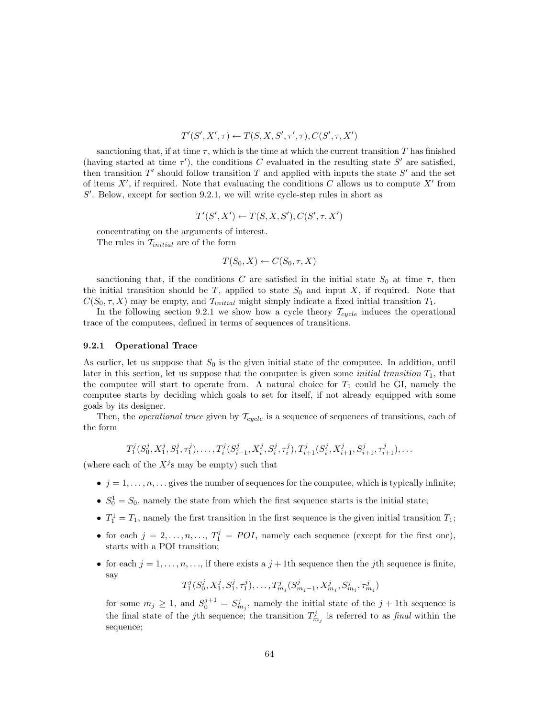$$
T'(S', X', \tau) \leftarrow T(S, X, S', \tau', \tau), C(S', \tau, X')
$$

sanctioning that, if at time  $\tau$ , which is the time at which the current transition T has finished (having started at time  $\tau'$ ), the conditions C evaluated in the resulting state S' are satisfied, then transition  $T'$  should follow transition  $T$  and applied with inputs the state  $S'$  and the set of items  $X'$ , if required. Note that evaluating the conditions C allows us to compute  $X'$  from  $S'$ . Below, except for section 9.2.1, we will write cycle-step rules in short as

$$
T'(S', X') \leftarrow T(S, X, S'), C(S', \tau, X')
$$

concentrating on the arguments of interest. The rules in  $\mathcal{T}_{initial}$  are of the form

$$
T(S_0, X) \leftarrow C(S_0, \tau, X)
$$

sanctioning that, if the conditions C are satisfied in the initial state  $S_0$  at time  $\tau$ , then the initial transition should be T, applied to state  $S_0$  and input X, if required. Note that  $C(S_0, \tau, X)$  may be empty, and  $\mathcal{T}_{initial}$  might simply indicate a fixed initial transition  $T_1$ .

In the following section 9.2.1 we show how a cycle theory  $\mathcal{T}_{cycle}$  induces the operational trace of the computees, defined in terms of sequences of transitions.

#### 9.2.1 Operational Trace

As earlier, let us suppose that  $S_0$  is the given initial state of the computee. In addition, until later in this section, let us suppose that the computee is given some *initial transition*  $T_1$ , that the computee will start to operate from. A natural choice for  $T_1$  could be GI, namely the computee starts by deciding which goals to set for itself, if not already equipped with some goals by its designer.

Then, the *operational trace* given by  $T_{cycle}$  is a sequence of sequences of transitions, each of the form

$$
T_1^j(S_0^j, X_1^j, S_1^j, \tau_1^j), \ldots, T_i^j(S_{i-1}^j, X_i^j, S_i^j, \tau_i^j), T_{i+1}^j(S_i^j, X_{i+1}^j, S_{i+1}^j, \tau_{i+1}^j), \ldots
$$

(where each of the  $X^j$ s may be empty) such that

- $j = 1, \ldots, n, \ldots$  gives the number of sequences for the computee, which is typically infinite;
- $S_0^1 = S_0$ , namely the state from which the first sequence starts is the initial state;
- $T_1^1 = T_1$ , namely the first transition in the first sequence is the given initial transition  $T_1$ ;
- for each  $j = 2, \ldots, n, \ldots, T_1^j = POI$ , namely each sequence (except for the first one), starts with a POI transition;
- for each  $j = 1, \ldots, n, \ldots$ , if there exists a  $j + 1$ th sequence then the jth sequence is finite, say

$$
T_1^j(S_0^j, X_1^j, S_1^j, \tau_1^j), \ldots, T_{m_j}^j(S_{m_j-1}^j, X_{m_j}^j, S_{m_j}^j, \tau_{m_j}^j)
$$

for some  $m_j \geq 1$ , and  $S_0^{j+1} = S_{m_j}^j$ , namely the initial state of the  $j + 1$ th sequence is the final state of the jth sequence; the transition  $T_{m_j}^j$  is referred to as final within the sequence;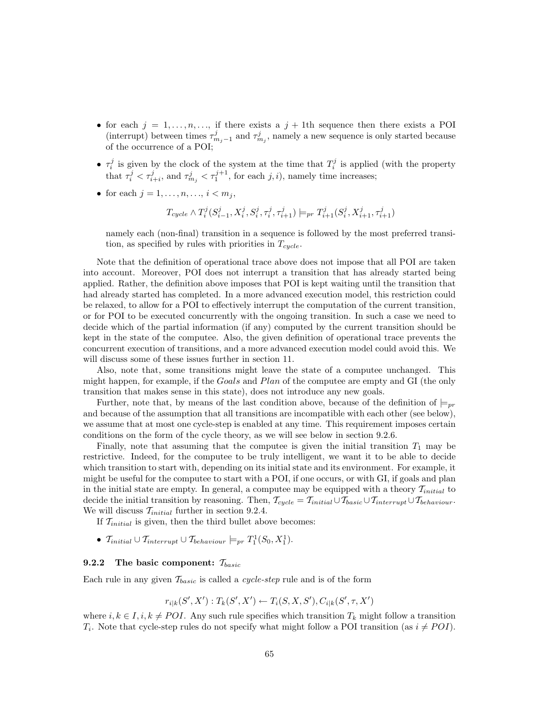- for each  $j = 1, \ldots, n, \ldots$ , if there exists a  $j + 1$ th sequence then there exists a POI (interrupt) between times  $\tau_{m_j-1}^j$  and  $\tau_{m_j}^j$ , namely a new sequence is only started because of the occurrence of a POI;
- $\tau_i^j$  is given by the clock of the system at the time that  $T_i^j$  is applied (with the property that  $\tau_i^j < \tau_{i+i}^j$ , and  $\tau_{m_j}^j < \tau_1^{j+1}$ , for each  $j, i$ ), namely time increases;
- for each  $j = 1, ..., n, ..., i < m_j$ ,

$$
T_{cycle} \wedge T_{i}^{j}(S_{i-1}^{j},X_{i}^{j},S_{i}^{j},\tau_{i}^{j},\tau_{i+1}^{j}) \models_{pr} T_{i+1}^{j}(S_{i}^{j},X_{i+1}^{j},\tau_{i+1}^{j})
$$

namely each (non-final) transition in a sequence is followed by the most preferred transition, as specified by rules with priorities in  $T_{cycle}$ .

Note that the definition of operational trace above does not impose that all POI are taken into account. Moreover, POI does not interrupt a transition that has already started being applied. Rather, the definition above imposes that POI is kept waiting until the transition that had already started has completed. In a more advanced execution model, this restriction could be relaxed, to allow for a POI to effectively interrupt the computation of the current transition, or for POI to be executed concurrently with the ongoing transition. In such a case we need to decide which of the partial information (if any) computed by the current transition should be kept in the state of the computee. Also, the given definition of operational trace prevents the concurrent execution of transitions, and a more advanced execution model could avoid this. We will discuss some of these issues further in section 11.

Also, note that, some transitions might leave the state of a computee unchanged. This might happen, for example, if the Goals and Plan of the computee are empty and GI (the only transition that makes sense in this state), does not introduce any new goals.

Further, note that, by means of the last condition above, because of the definition of  $\models_{pr}$ and because of the assumption that all transitions are incompatible with each other (see below), we assume that at most one cycle-step is enabled at any time. This requirement imposes certain conditions on the form of the cycle theory, as we will see below in section 9.2.6.

Finally, note that assuming that the computee is given the initial transition  $T_1$  may be restrictive. Indeed, for the computee to be truly intelligent, we want it to be able to decide which transition to start with, depending on its initial state and its environment. For example, it might be useful for the computee to start with a POI, if one occurs, or with GI, if goals and plan in the initial state are empty. In general, a computee may be equipped with a theory  $\mathcal{T}_{initial}$  to decide the initial transition by reasoning. Then,  $\mathcal{T}_{cycle} = \mathcal{T}_{initial} \cup \mathcal{T}_{basic} \cup \mathcal{T}_{interrupt} \cup \mathcal{T}_{behavior}$ . We will discuss  $\mathcal{T}_{initial}$  further in section 9.2.4.

If  $\mathcal{T}_{initial}$  is given, then the third bullet above becomes:

•  $\mathcal{T}_{initial} \cup \mathcal{T}_{interrupt} \cup \mathcal{T}_{behavior} \models_{pr} T_1^1(S_0, X_1^1).$ 

### **9.2.2** The basic component:  $\mathcal{T}_{basic}$

Each rule in any given  $\mathcal{T}_{basic}$  is called a *cycle-step* rule and is of the form

$$
r_{i|k}(S', X') : T_k(S', X') \leftarrow T_i(S, X, S'), C_{i|k}(S', \tau, X')
$$

where  $i, k \in I, i, k \neq POI$ . Any such rule specifies which transition  $T_k$  might follow a transition  $T_i$ . Note that cycle-step rules do not specify what might follow a POI transition (as  $i \neq POI$ ).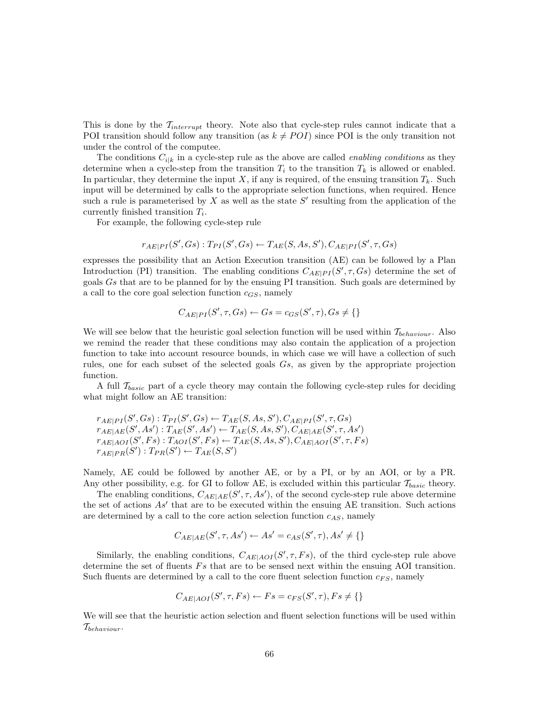This is done by the  $T_{interrupt}$  theory. Note also that cycle-step rules cannot indicate that a POI transition should follow any transition (as  $k \neq POI$ ) since POI is the only transition not under the control of the computee.

The conditions  $C_{i|k}$  in a cycle-step rule as the above are called *enabling conditions* as they determine when a cycle-step from the transition  $T_i$  to the transition  $T_k$  is allowed or enabled. In particular, they determine the input X, if any is required, of the ensuing transition  $T_k$ . Such input will be determined by calls to the appropriate selection functions, when required. Hence such a rule is parameterised by X as well as the state  $S'$  resulting from the application of the currently finished transition  $T_i$ .

For example, the following cycle-step rule

$$
r_{AE|PI}(S',Gs):T_{PI}(S',Gs) \leftarrow T_{AE}(S,As,S'),C_{AE|PI}(S',\tau,Gs)
$$

expresses the possibility that an Action Execution transition (AE) can be followed by a Plan Introduction (PI) transition. The enabling conditions  $C_{AE|PI}(S', \tau, Gs)$  determine the set of goals  $Gs$  that are to be planned for by the ensuing PI transition. Such goals are determined by a call to the core goal selection function  $c_{GS}$ , namely

$$
C_{AE|PI}(S', \tau, Gs) \leftarrow Gs = c_{GS}(S', \tau), Gs \neq \{\}
$$

We will see below that the heuristic goal selection function will be used within  $\mathcal{T}_{behavior}$ . Also we remind the reader that these conditions may also contain the application of a projection function to take into account resource bounds, in which case we will have a collection of such rules, one for each subset of the selected goals Gs, as given by the appropriate projection function.

A full  $\mathcal{T}_{basic}$  part of a cycle theory may contain the following cycle-step rules for deciding what might follow an AE transition:

$$
r_{AE|PI}(S', Gs): T_{PI}(S', Gs) \leftarrow T_{AE}(S, As, S'), C_{AE|PI}(S', \tau, Gs)
$$
  
\n
$$
r_{AE|AE}(S', As'): T_{AE}(S', As') \leftarrow T_{AE}(S, As, S'), C_{AE|AE}(S', \tau, As')
$$
  
\n
$$
r_{AE|AOI}(S', Fs): T_{AOI}(S', Fs) \leftarrow T_{AE}(S, As, S'), C_{AE|AOI}(S', \tau, Fs)
$$
  
\n
$$
r_{AE|PR}(S'): T_{PR}(S') \leftarrow T_{AE}(S, S')
$$

Namely, AE could be followed by another AE, or by a PI, or by an AOI, or by a PR. Any other possibility, e.g. for GI to follow AE, is excluded within this particular  $\mathcal{T}_{basic}$  theory.

The enabling conditions,  $C_{AE|AE}(S', \tau, As')$ , of the second cycle-step rule above determine the set of actions  $As'$  that are to be executed within the ensuing AE transition. Such actions are determined by a call to the core action selection function  $c_{AS}$ , namely

$$
C_{AE|AE}(S',\tau, As') \leftarrow As' = c_{AS}(S',\tau), As' \neq \{\}
$$

Similarly, the enabling conditions,  $C_{AE|AOI}(S', \tau, Fs)$ , of the third cycle-step rule above determine the set of fluents  $Fs$  that are to be sensed next within the ensuing AOI transition. Such fluents are determined by a call to the core fluent selection function  $c_{FS}$ , namely

$$
C_{AE|AOI}(S',\tau,Fs) \leftarrow Fs = c_{FS}(S',\tau), Fs \neq \{\}
$$

We will see that the heuristic action selection and fluent selection functions will be used within  $T_{behavior}$ .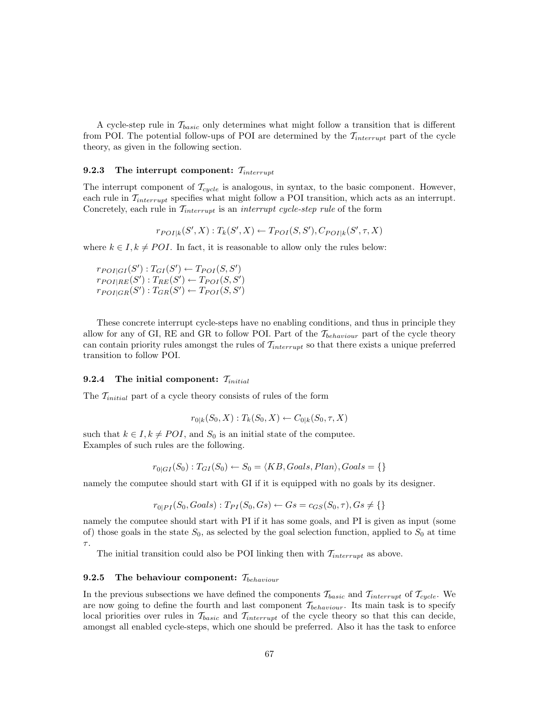A cycle-step rule in  $\mathcal{T}_{basic}$  only determines what might follow a transition that is different from POI. The potential follow-ups of POI are determined by the  $\mathcal{T}_{interrupt}$  part of the cycle theory, as given in the following section.

## 9.2.3 The interrupt component:  $T_{interrunt}$

The interrupt component of  $\mathcal{T}_{cycle}$  is analogous, in syntax, to the basic component. However, each rule in  $\mathcal{T}_{interrupt}$  specifies what might follow a POI transition, which acts as an interrupt. Concretely, each rule in  $\mathcal{T}_{interrupt}$  is an *interrupt cycle-step rule* of the form

 $r_{POI|k}(S', X) : T_k(S', X) \leftarrow T_{POI}(S, S'), C_{POI|k}(S', \tau, X)$ 

where  $k \in I, k \neq POI$ . In fact, it is reasonable to allow only the rules below:

 $r_{POI|GI}(S'): T_{GI}(S') \leftarrow T_{POI}(S, S')$  $r_{POI|RE}(S'): T_{RE}(S') \leftarrow T_{POI}(S,S')$  $r_{POI|GR}(S'): T_{GR}(S') \leftarrow T_{POI}(S,S')$ 

These concrete interrupt cycle-steps have no enabling conditions, and thus in principle they allow for any of GI, RE and GR to follow POI. Part of the  $\mathcal{T}_{behavior}$  part of the cycle theory can contain priority rules amongst the rules of  $T_{interrupt}$  so that there exists a unique preferred transition to follow POI.

## 9.2.4 The initial component:  $\mathcal{T}_{initial}$

The  $\mathcal{T}_{initial}$  part of a cycle theory consists of rules of the form

$$
r_{0|k}(S_0, X) : T_k(S_0, X) \leftarrow C_{0|k}(S_0, \tau, X)
$$

such that  $k \in I, k \neq POI$ , and  $S_0$  is an initial state of the computee. Examples of such rules are the following.

$$
r_{0|GI}(S_0): T_{GI}(S_0) \leftarrow S_0 = \langle KB, Goals, Plan \rangle, Goals = \{\}
$$

namely the computee should start with GI if it is equipped with no goals by its designer.

$$
r_{0|PI}(S_0, Goals):T_{PI}(S_0, Gs) \leftarrow Gs = c_{GS}(S_0, \tau), Gs \neq \{\}
$$

namely the computee should start with PI if it has some goals, and PI is given as input (some of) those goals in the state  $S_0$ , as selected by the goal selection function, applied to  $S_0$  at time  $\tau.$ 

The initial transition could also be POI linking then with  $T_{interrunt}$  as above.

#### **9.2.5** The behaviour component:  $\mathcal{T}_{behavior}$

In the previous subsections we have defined the components  $\mathcal{T}_{basic}$  and  $\mathcal{T}_{interrupt}$  of  $\mathcal{T}_{cycle}$ . We are now going to define the fourth and last component  $\mathcal{T}_{behavior}$ . Its main task is to specify local priorities over rules in  $\mathcal{T}_{basic}$  and  $\mathcal{T}_{interrupt}$  of the cycle theory so that this can decide, amongst all enabled cycle-steps, which one should be preferred. Also it has the task to enforce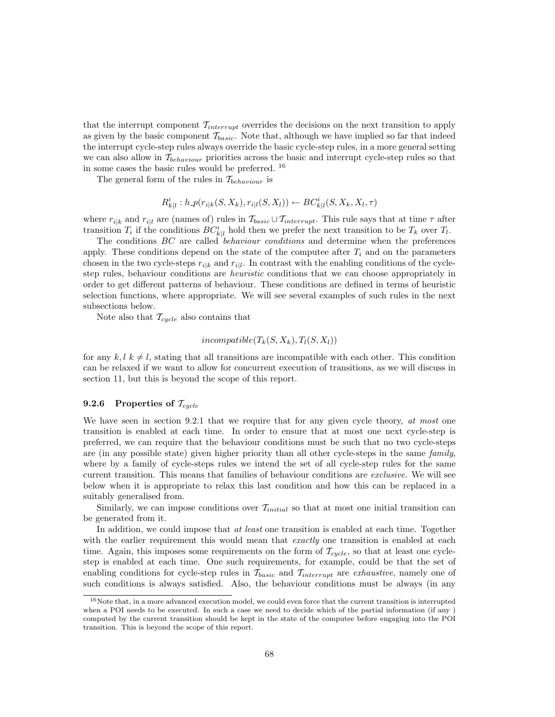that the interrupt component  $T_{interrupt}$  overrides the decisions on the next transition to apply as given by the basic component  $\mathcal{T}_{basic}$ . Note that, although we have implied so far that indeed the interrupt cycle-step rules always override the basic cycle-step rules, in a more general setting we can also allow in  $\mathcal{T}_{behavior}$  priorities across the basic and interrupt cycle-step rules so that in some cases the basic rules would be preferred. <sup>16</sup>

The general form of the rules in  $\mathcal{T}_{behavior}$  is

$$
R_{k|l}^i : h \text{-} p(r_{i|k}(S, X_k), r_{i|l}(S, X_l)) \leftarrow BC_{k|l}^i(S, X_k, X_l, \tau)
$$

where  $r_{i|k}$  and  $r_{i|l}$  are (names of) rules in  $\mathcal{T}_{basic} \cup \mathcal{T}_{interrupt}$ . This rule says that at time  $\tau$  after transition  $T_i$  if the conditions  $BC_{k|l}^i$  hold then we prefer the next transition to be  $T_k$  over  $T_l$ .

The conditions BC are called behaviour conditions and determine when the preferences apply. These conditions depend on the state of the computee after  $T_i$  and on the parameters chosen in the two cycle-steps  $r_{i|k}$  and  $r_{i|l}$ . In contrast with the enabling conditions of the cyclestep rules, behaviour conditions are *heuristic* conditions that we can choose appropriately in order to get different patterns of behaviour. These conditions are defined in terms of heuristic selection functions, where appropriate. We will see several examples of such rules in the next subsections below.

Note also that  $\mathcal{T}_{cycle}$  also contains that

## $incompatible(T_{k}(S, X_{k}), T_{l}(S, X_{l}))$

for any  $k, l \, k \neq l$ , stating that all transitions are incompatible with each other. This condition can be relaxed if we want to allow for concurrent execution of transitions, as we will discuss in section 11, but this is beyond the scope of this report.

### 9.2.6 Properties of  $\mathcal{T}_{cycle}$

We have seen in section 9.2.1 that we require that for any given cycle theory, at most one transition is enabled at each time. In order to ensure that at most one next cycle-step is preferred, we can require that the behaviour conditions must be such that no two cycle-steps are (in any possible state) given higher priority than all other cycle-steps in the same family, where by a family of cycle-steps rules we intend the set of all cycle-step rules for the same current transition. This means that families of behaviour conditions are exclusive. We will see below when it is appropriate to relax this last condition and how this can be replaced in a suitably generalised from.

Similarly, we can impose conditions over  $\mathcal{T}_{initial}$  so that at most one initial transition can be generated from it.

In addition, we could impose that *at least* one transition is enabled at each time. Together with the earlier requirement this would mean that *exactly* one transition is enabled at each time. Again, this imposes some requirements on the form of  $\mathcal{T}_{cycle}$ , so that at least one cyclestep is enabled at each time. One such requirements, for example, could be that the set of enabling conditions for cycle-step rules in  $\mathcal{T}_{basic}$  and  $\mathcal{T}_{interrupt}$  are exhaustive, namely one of such conditions is always satisfied. Also, the behaviour conditions must be always (in any

<sup>16</sup>Note that, in a more advanced execution model, we could even force that the current transition is interrupted when a POI needs to be executed. In such a case we need to decide which of the partial information (if any) computed by the current transition should be kept in the state of the computee before engaging into the POI transition. This is beyond the scope of this report.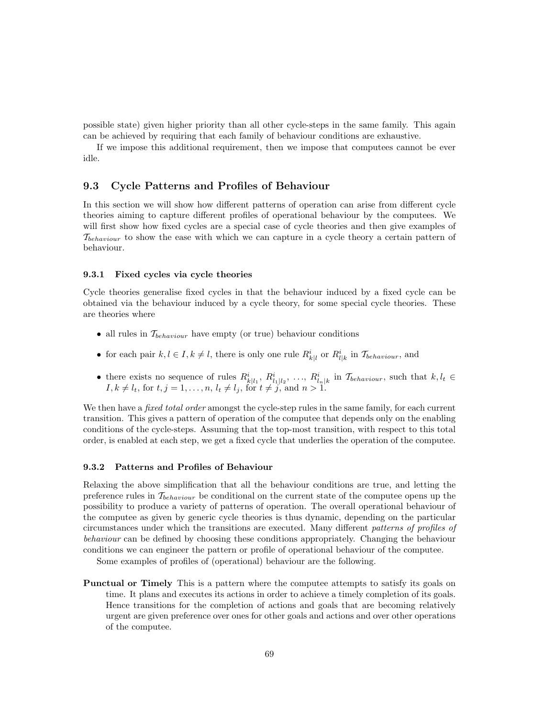possible state) given higher priority than all other cycle-steps in the same family. This again can be achieved by requiring that each family of behaviour conditions are exhaustive.

If we impose this additional requirement, then we impose that computees cannot be ever idle.

## 9.3 Cycle Patterns and Profiles of Behaviour

In this section we will show how different patterns of operation can arise from different cycle theories aiming to capture different profiles of operational behaviour by the computees. We will first show how fixed cycles are a special case of cycle theories and then give examples of  $\mathcal{T}_{behavior}$  to show the ease with which we can capture in a cycle theory a certain pattern of behaviour.

#### 9.3.1 Fixed cycles via cycle theories

Cycle theories generalise fixed cycles in that the behaviour induced by a fixed cycle can be obtained via the behaviour induced by a cycle theory, for some special cycle theories. These are theories where

- all rules in  $\mathcal{T}_{behavior}$  have empty (or true) behaviour conditions
- for each pair  $k, l \in I, k \neq l$ , there is only one rule  $R_{k|l}^i$  or  $R_{l|k}^i$  in  $\mathcal{T}_{behavior}$ , and
- there exists no sequence of rules  $R_{k|l_1}^i, R_{l_1|l_2}^i, \ldots, R_{l_n|k}^i$  in  $\mathcal{T}_{behavior}$ , such that  $k, l_t \in$  $I, k \neq l_t$ , for  $t, j = 1, ..., n$ ,  $l_t \neq l_j$ , for  $t \neq j$ , and  $n > 1$ .

We then have a *fixed total order* amongst the cycle-step rules in the same family, for each current transition. This gives a pattern of operation of the computee that depends only on the enabling conditions of the cycle-steps. Assuming that the top-most transition, with respect to this total order, is enabled at each step, we get a fixed cycle that underlies the operation of the computee.

#### 9.3.2 Patterns and Profiles of Behaviour

Relaxing the above simplification that all the behaviour conditions are true, and letting the preference rules in  $\mathcal{T}_{behavior}$  be conditional on the current state of the computee opens up the possibility to produce a variety of patterns of operation. The overall operational behaviour of the computee as given by generic cycle theories is thus dynamic, depending on the particular circumstances under which the transitions are executed. Many different patterns of profiles of behaviour can be defined by choosing these conditions appropriately. Changing the behaviour conditions we can engineer the pattern or profile of operational behaviour of the computee.

Some examples of profiles of (operational) behaviour are the following.

Punctual or Timely This is a pattern where the computee attempts to satisfy its goals on time. It plans and executes its actions in order to achieve a timely completion of its goals. Hence transitions for the completion of actions and goals that are becoming relatively urgent are given preference over ones for other goals and actions and over other operations of the computee.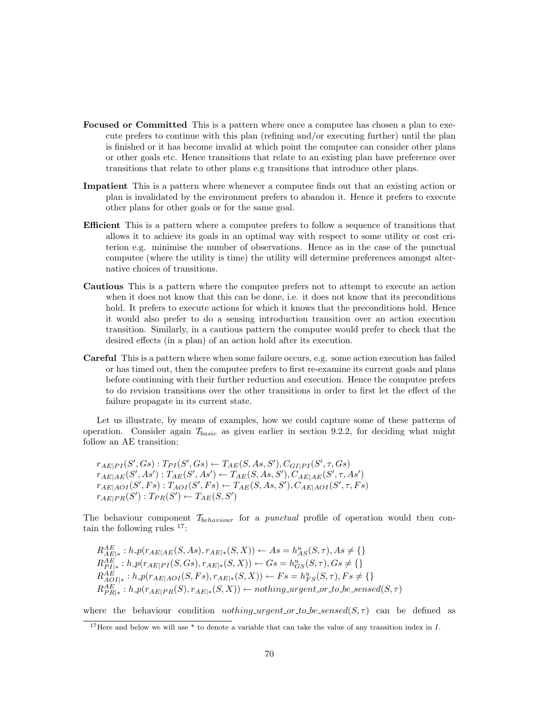- Focused or Committed This is a pattern where once a computee has chosen a plan to execute prefers to continue with this plan (refining and/or executing further) until the plan is finished or it has become invalid at which point the computee can consider other plans or other goals etc. Hence transitions that relate to an existing plan have preference over transitions that relate to other plans e.g transitions that introduce other plans.
- Impatient This is a pattern where whenever a computee finds out that an existing action or plan is invalidated by the environment prefers to abandon it. Hence it prefers to execute other plans for other goals or for the same goal.
- Efficient This is a pattern where a computee prefers to follow a sequence of transitions that allows it to achieve its goals in an optimal way with respect to some utility or cost criterion e.g. minimise the number of observations. Hence as in the case of the punctual computee (where the utility is time) the utility will determine preferences amongst alternative choices of transitions.
- Cautious This is a pattern where the computee prefers not to attempt to execute an action when it does not know that this can be done, i.e. it does not know that its preconditions hold. It prefers to execute actions for which it knows that the preconditions hold. Hence it would also prefer to do a sensing introduction transition over an action execution transition. Similarly, in a cautious pattern the computee would prefer to check that the desired effects (in a plan) of an action hold after its execution.
- Careful This is a pattern where when some failure occurs, e.g. some action execution has failed or has timed out, then the computee prefers to first re-examine its current goals and plans before continuing with their further reduction and execution. Hence the computee prefers to do revision transitions over the other transitions in order to first let the effect of the failure propagate in its current state.

Let us illustrate, by means of examples, how we could capture some of these patterns of operation. Consider again  $\mathcal{T}_{basic}$  as given earlier in section 9.2.2, for deciding what might follow an AE transition:

 $r_{AE|PI}(S', Gs): T_{PI}(S', Gs) \leftarrow T_{AE}(S, As, S'), C_{GI|PI}(S', \tau, Gs)$  $r_{AE|AE}(S', As'): T_{AE}(S', As') \leftarrow T_{AE}(S, As, S'), C_{AE|AE}(S', \tau, As')$  $r_{AE|AOI}(S',Fs): T_{AOI}(S',Fs) \leftarrow T_{AE}(S, As, S'), C_{AE|AOI}(S', \tau, Fs)$  $r_{AE|PR}(S'): T_{PR}(S') \leftarrow T_{AE}(S, S')$ 

The behaviour component  $\mathcal{T}_{behavior}$  for a *punctual* profile of operation would then contain the following rules  $17$ :

 $R_{AE|*}^{AE}: h\_p(r_{AE|AE}(S, As), r_{AE|*}(S, X)) \leftarrow As = h_{AS}^{u}(S, \tau), As \neq \{\}$  $R_{PI|*}^{AE}: h.p(r_{AE|PI}(S, Gs), r_{AE|*}(S, X)) \leftarrow Gs = h_{GS}^{u}(S, \tau), Gs \neq \{\}$  $R_{AOI|*}^{AE}: h \text{-} p(r_{AE|AOI}(S, Fs), r_{AE|*}(S, X)) \leftarrow Fs = h_{FS}^{u}(S, \tau), Fs \neq \{\}$  $R_{PR|*}^{AE}: h\_p(r_{AE|PR}(S), r_{AE|*}(S, X)) \leftarrow nothing\_urgent\_or\_to\_be\_sensed(S, \tau)$ 

where the behaviour condition *nothing urgent or to be sensed*( $S, \tau$ ) can be defined as

<sup>&</sup>lt;sup>17</sup>Here and below we will use  $*$  to denote a variable that can take the value of any transition index in  $I$ .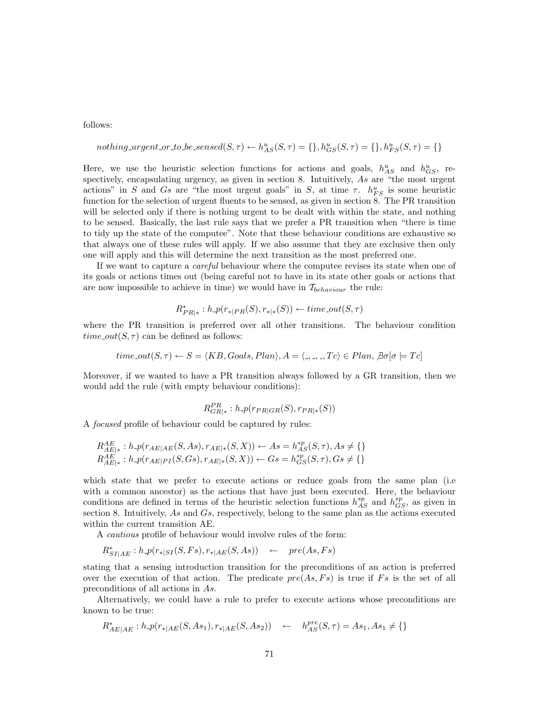follows:

R∗

nothing *ungent* or to be *sensed*(
$$
S, \tau
$$
)  $\leftarrow$   $h_{AS}^{u}(S, \tau) = \{\}, h_{GS}^{u}(S, \tau) = \{\}, h_{FS}^{u}(S, \tau) = \{\}$ 

Here, we use the heuristic selection functions for actions and goals,  $h_{AS}^u$  and  $h_{GS}^u$ , respectively, encapsulating urgency, as given in section 8. Intuitively, As are "the most urgent actions" in S and Gs are "the most urgent goals" in S, at time  $\tau$ .  $h_{FS}^u$  is some heuristic function for the selection of urgent fluents to be sensed, as given in section 8. The PR transition will be selected only if there is nothing urgent to be dealt with within the state, and nothing to be sensed. Basically, the last rule says that we prefer a PR transition when "there is time to tidy up the state of the computee". Note that these behaviour conditions are exhaustive so that always one of these rules will apply. If we also assume that they are exclusive then only one will apply and this will determine the next transition as the most preferred one.

If we want to capture a careful behaviour where the computee revises its state when one of its goals or actions times out (being careful not to have in its state other goals or actions that are now impossible to achieve in time) we would have in  $\mathcal{T}_{behavior}$  the rule:

$$
R^*_{PR|*}: h\_p(r_{*|PR}(S), r_{*|*}(S)) \leftarrow time\_out(S, \tau)
$$

where the PR transition is preferred over all other transitions. The behaviour condition  $time\_out(S, \tau)$  can be defined as follows:

time.out 
$$
(S, \tau) \leftarrow S = \langle KB, Goals, Plan \rangle
$$
,  $A = \langle \_, \_, \_Tc \rangle \in Plan$ ,  $\exists \sigma[\sigma \models Tc]$ 

Moreover, if we wanted to have a PR transition always followed by a GR transition, then we would add the rule (with empty behaviour conditions):

$$
R_{GR|*}^{PR}: h\text{-}p(r_{PR|GR}(S), r_{PR|*}(S))
$$

A focused profile of behaviour could be captured by rules:

$$
R_{AE|*}^{AE}: h \text{-} p(r_{AE|AE}(S, As), r_{AE|*}(S, X)) \leftarrow As = h_{AS}^{sp}(S, \tau), As \neq \{\} \\ R_{AE|*}^{AE}: h \text{-} p(r_{AE|PI}(S, Gs), r_{AE|*}(S, X)) \leftarrow Gs = h_{GS}^{sp}(S, \tau), Gs \neq \{\}
$$

which state that we prefer to execute actions or reduce goals from the same plan (i.e. with a common ancestor) as the actions that have just been executed. Here, the behaviour conditions are defined in terms of the heuristic selection functions  $h_{AS}^{sp}$  and  $h_{GS}^{sp}$ , as given in section 8. Intuitively, As and Gs, respectively, belong to the same plan as the actions executed within the current transition AE.

A cautious profile of behaviour would involve rules of the form:

$$
R^*_{SI|AE}: h\_p(r_{*|SI}(S,Fs), r_{*|AE}(S, As)) \leftarrow pre(As, Fs)
$$

stating that a sensing introduction transition for the preconditions of an action is preferred over the execution of that action. The predicate  $pre(As, Fs)$  is true if Fs is the set of all preconditions of all actions in As.

Alternatively, we could have a rule to prefer to execute actions whose preconditions are known to be true:

$$
R_{AE|AE}^* : h \cdot p(r_{*|AE}(S, As_1), r_{*|AE}(S, As_2)) \leftarrow h_{AS}^{pre}(S, \tau) = As_1, As_1 \neq \{\}
$$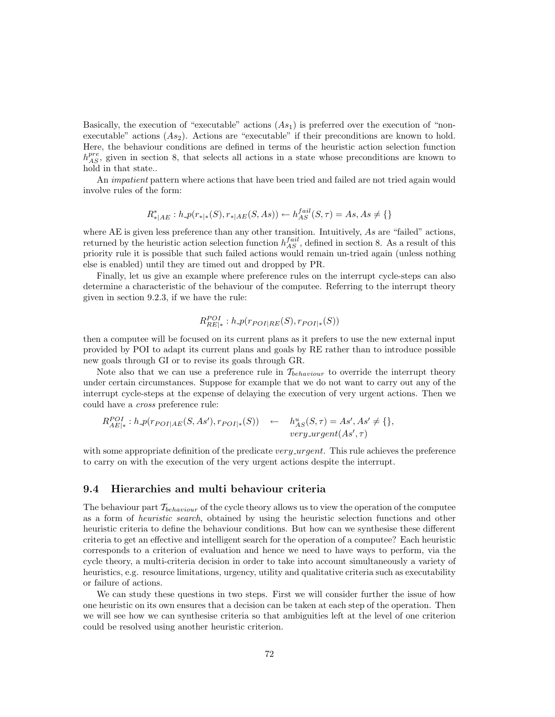Basically, the execution of "executable" actions  $(As_1)$  is preferred over the execution of "nonexecutable" actions  $(As_2)$ . Actions are "executable" if their preconditions are known to hold. Here, the behaviour conditions are defined in terms of the heuristic action selection function  $h_{AS}^{pre}$ , given in section 8, that selects all actions in a state whose preconditions are known to hold in that state..

An impatient pattern where actions that have been tried and failed are not tried again would involve rules of the form:

$$
R_{*|AE}^*: h \text{-} p(r_{*|*}(S), r_{*|AE}(S, As)) \leftarrow h_{AS}^{fail}(S, \tau) = As, As \neq \{\}
$$

where AE is given less preference than any other transition. Intuitively, As are "failed" actions, returned by the heuristic action selection function  $h_{AS}^{fail}$ , defined in section 8. As a result of this priority rule it is possible that such failed actions would remain un-tried again (unless nothing else is enabled) until they are timed out and dropped by PR.

Finally, let us give an example where preference rules on the interrupt cycle-steps can also determine a characteristic of the behaviour of the computee. Referring to the interrupt theory given in section 9.2.3, if we have the rule:

$$
R_{RE|\ast}^{POI}: h\_p(r_{POI|RE}(S), r_{POI|\ast}(S))
$$

then a computee will be focused on its current plans as it prefers to use the new external input provided by POI to adapt its current plans and goals by RE rather than to introduce possible new goals through GI or to revise its goals through GR.

Note also that we can use a preference rule in  $\mathcal{T}_{behavior}$  to override the interrupt theory under certain circumstances. Suppose for example that we do not want to carry out any of the interrupt cycle-steps at the expense of delaying the execution of very urgent actions. Then we could have a cross preference rule:

$$
R_{AE|*}^{POI}: h\_p(r_{POI|AE}(S, As'), r_{POI|*}(S)) \leftarrow h_{AS}^{u}(S, \tau) = As', As' \neq \{\},\
$$
  
very-*urgent*(As', \tau)

with some appropriate definition of the predicate very urgent. This rule achieves the preference to carry on with the execution of the very urgent actions despite the interrupt.

## 9.4 Hierarchies and multi behaviour criteria

The behaviour part  $\mathcal{T}_{behavior}$  of the cycle theory allows us to view the operation of the computee as a form of heuristic search, obtained by using the heuristic selection functions and other heuristic criteria to define the behaviour conditions. But how can we synthesise these different criteria to get an effective and intelligent search for the operation of a computee? Each heuristic corresponds to a criterion of evaluation and hence we need to have ways to perform, via the cycle theory, a multi-criteria decision in order to take into account simultaneously a variety of heuristics, e.g. resource limitations, urgency, utility and qualitative criteria such as executability or failure of actions.

We can study these questions in two steps. First we will consider further the issue of how one heuristic on its own ensures that a decision can be taken at each step of the operation. Then we will see how we can synthesise criteria so that ambiguities left at the level of one criterion could be resolved using another heuristic criterion.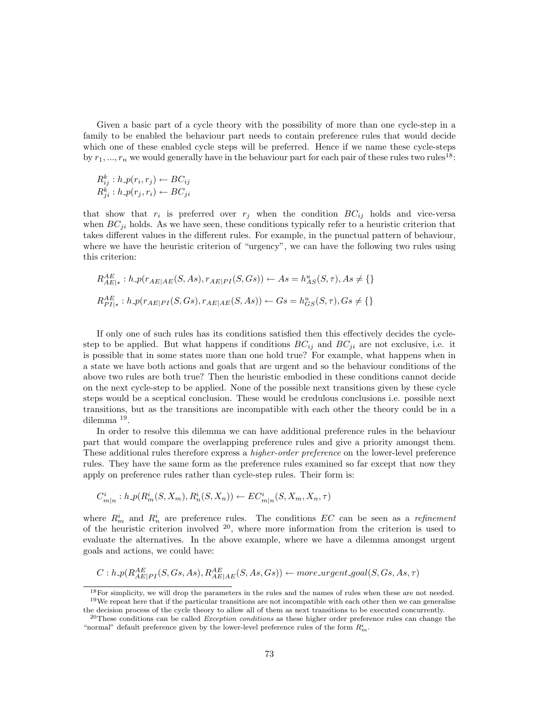Given a basic part of a cycle theory with the possibility of more than one cycle-step in a family to be enabled the behaviour part needs to contain preference rules that would decide which one of these enabled cycle steps will be preferred. Hence if we name these cycle-steps by  $r_1, ..., r_n$  we would generally have in the behaviour part for each pair of these rules two rules<sup>18</sup>:

$$
R_{ij}^k : h\text{-}p(r_i, r_j) \leftarrow BC_{ij}
$$
  

$$
R_{ji}^k : h\text{-}p(r_j, r_i) \leftarrow BC_{ji}
$$

that show that  $r_i$  is preferred over  $r_j$  when the condition  $BC_{ij}$  holds and vice-versa when  $BC_{ji}$  holds. As we have seen, these conditions typically refer to a heuristic criterion that takes different values in the different rules. For example, in the punctual pattern of behaviour, where we have the heuristic criterion of "urgency", we can have the following two rules using this criterion:

$$
R_{AE|*}^{AE}: h \text{-} p(r_{AE|AE}(S, As), r_{AE|PI}(S, Gs)) \leftarrow As = h_{AS}^{u}(S, \tau), As \neq \{\}
$$
  

$$
R_{PI|*}^{AE}: h \text{-} p(r_{AE|PI}(S, Gs), r_{AE|AE}(S, As)) \leftarrow Gs = h_{GS}^{u}(S, \tau), Gs \neq \{\}
$$

If only one of such rules has its conditions satisfied then this effectively decides the cyclestep to be applied. But what happens if conditions  $BC_{ij}$  and  $BC_{ji}$  are not exclusive, i.e. it is possible that in some states more than one hold true? For example, what happens when in a state we have both actions and goals that are urgent and so the behaviour conditions of the above two rules are both true? Then the heuristic embodied in these conditions cannot decide on the next cycle-step to be applied. None of the possible next transitions given by these cycle steps would be a sceptical conclusion. These would be credulous conclusions i.e. possible next transitions, but as the transitions are incompatible with each other the theory could be in a dilemma <sup>19</sup> .

In order to resolve this dilemma we can have additional preference rules in the behaviour part that would compare the overlapping preference rules and give a priority amongst them. These additional rules therefore express a higher-order preference on the lower-level preference rules. They have the same form as the preference rules examined so far except that now they apply on preference rules rather than cycle-step rules. Their form is:

$$
C^i_{m|n}: h\text{-}p(R^i_m(S, X_m), R^i_n(S, X_n)) \leftarrow EC^i_{m|n}(S, X_m, X_n, \tau)
$$

where  $R_m^i$  and  $R_n^i$  are preference rules. The conditions EC can be seen as a refinement of the heuristic criterion involved  $2^0$ , where more information from the criterion is used to evaluate the alternatives. In the above example, where we have a dilemma amongst urgent goals and actions, we could have:

$$
C: h\_p(R_{AE|PI}^{AE}(S, Gs, As), R_{AE|AE}^{AE}(S, As, Gs)) \leftarrow more\_urgent\_goal(S, Gs, As, \tau)
$$

<sup>&</sup>lt;sup>18</sup>For simplicity, we will drop the parameters in the rules and the names of rules when these are not needed. <sup>19</sup>We repeat here that if the particular transitions are not incompatible with each other then we can generalise the decision process of the cycle theory to allow all of them as next transitions to be executed concurrently.

<sup>&</sup>lt;sup>20</sup>These conditions can be called *Exception conditions* as these higher order preference rules can change the "normal" default preference given by the lower-level preference rules of the form  $R_m^i$ .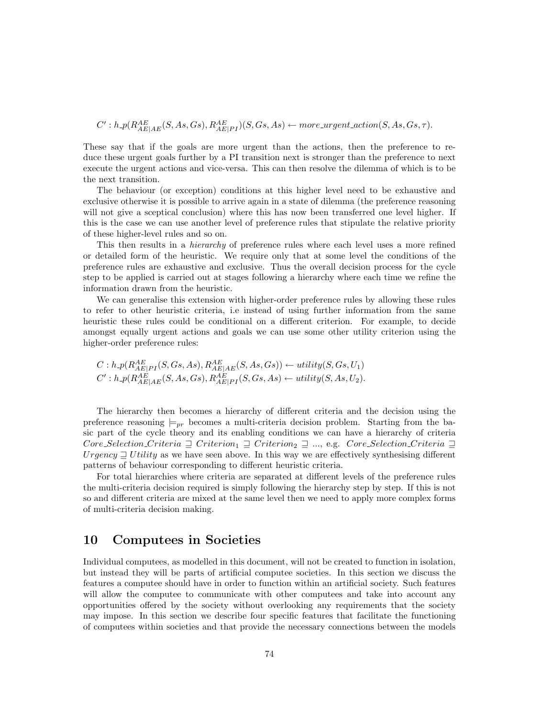$C': h\_p(R_{AE|AE}^{AE}(S, As, Gs), R_{AE|PI}^{AE})(S, Gs, As) \leftarrow more\_urgent\_action(S, As, Gs, \tau).$ 

These say that if the goals are more urgent than the actions, then the preference to reduce these urgent goals further by a PI transition next is stronger than the preference to next execute the urgent actions and vice-versa. This can then resolve the dilemma of which is to be the next transition.

The behaviour (or exception) conditions at this higher level need to be exhaustive and exclusive otherwise it is possible to arrive again in a state of dilemma (the preference reasoning will not give a sceptical conclusion) where this has now been transferred one level higher. If this is the case we can use another level of preference rules that stipulate the relative priority of these higher-level rules and so on.

This then results in a *hierarchy* of preference rules where each level uses a more refined or detailed form of the heuristic. We require only that at some level the conditions of the preference rules are exhaustive and exclusive. Thus the overall decision process for the cycle step to be applied is carried out at stages following a hierarchy where each time we refine the information drawn from the heuristic.

We can generalise this extension with higher-order preference rules by allowing these rules to refer to other heuristic criteria, i.e instead of using further information from the same heuristic these rules could be conditional on a different criterion. For example, to decide amongst equally urgent actions and goals we can use some other utility criterion using the higher-order preference rules:

$$
C: h\text{-}p(R_{AE|PI}^{AE}(S, Gs, As), R_{AE|AE}^{AE}(S, As, Gs)) \leftarrow utility(S, Gs, U_1)
$$
  

$$
C': h\text{-}p(R_{AE|AE}^{AE}(S, As, Gs), R_{AE|PI}^{AE}(S, Gs, As) \leftarrow utility(S, As, U_2).
$$

The hierarchy then becomes a hierarchy of different criteria and the decision using the preference reasoning  $\models_{pr}$  becomes a multi-criteria decision problem. Starting from the basic part of the cycle theory and its enabling conditions we can have a hierarchy of criteria  $Core\_Selection\_Criterion \supseteq Criterion_1 \supseteq Criterion_2 \supseteq ...$ , e.g.  $Core\_Selection\_Criterion \supseteq$ Urgency  $\supseteq$  U tility as we have seen above. In this way we are effectively synthesising different patterns of behaviour corresponding to different heuristic criteria.

For total hierarchies where criteria are separated at different levels of the preference rules the multi-criteria decision required is simply following the hierarchy step by step. If this is not so and different criteria are mixed at the same level then we need to apply more complex forms of multi-criteria decision making.

# 10 Computees in Societies

Individual computees, as modelled in this document, will not be created to function in isolation, but instead they will be parts of artificial computee societies. In this section we discuss the features a computee should have in order to function within an artificial society. Such features will allow the computee to communicate with other computees and take into account any opportunities offered by the society without overlooking any requirements that the society may impose. In this section we describe four specific features that facilitate the functioning of computees within societies and that provide the necessary connections between the models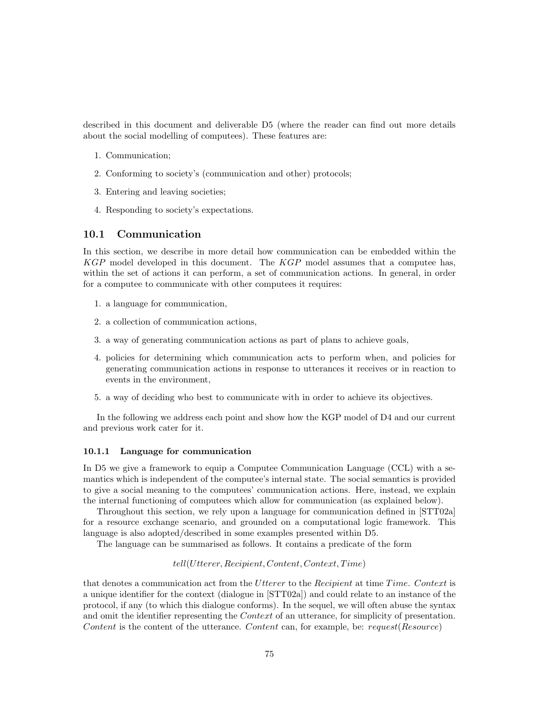described in this document and deliverable D5 (where the reader can find out more details about the social modelling of computees). These features are:

- 1. Communication;
- 2. Conforming to society's (communication and other) protocols;
- 3. Entering and leaving societies;
- 4. Responding to society's expectations.

## 10.1 Communication

In this section, we describe in more detail how communication can be embedded within the  $KGP$  model developed in this document. The  $KGP$  model assumes that a computee has, within the set of actions it can perform, a set of communication actions. In general, in order for a computee to communicate with other computees it requires:

- 1. a language for communication,
- 2. a collection of communication actions,
- 3. a way of generating communication actions as part of plans to achieve goals,
- 4. policies for determining which communication acts to perform when, and policies for generating communication actions in response to utterances it receives or in reaction to events in the environment,
- 5. a way of deciding who best to communicate with in order to achieve its objectives.

In the following we address each point and show how the KGP model of D4 and our current and previous work cater for it.

### 10.1.1 Language for communication

In D5 we give a framework to equip a Computee Communication Language (CCL) with a semantics which is independent of the computee's internal state. The social semantics is provided to give a social meaning to the computees' communication actions. Here, instead, we explain the internal functioning of computees which allow for communication (as explained below).

Throughout this section, we rely upon a language for communication defined in [STT02a] for a resource exchange scenario, and grounded on a computational logic framework. This language is also adopted/described in some examples presented within D5.

The language can be summarised as follows. It contains a predicate of the form

#### $tell(Utterer, Recipient, Content, Context, Time)$

that denotes a communication act from the Utterer to the Recipient at time Time. Context is a unique identifier for the context (dialogue in [STT02a]) and could relate to an instance of the protocol, if any (to which this dialogue conforms). In the sequel, we will often abuse the syntax and omit the identifier representing the *Context* of an utterance, for simplicity of presentation. Content is the content of the utterance. Content can, for example, be: request(Resource)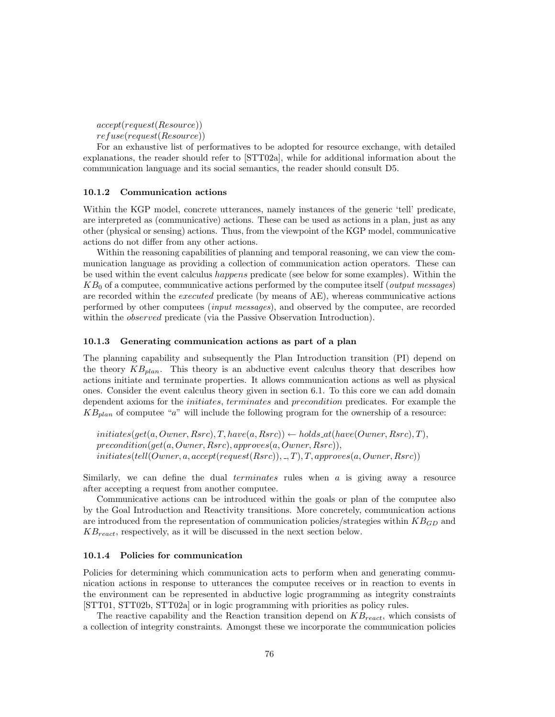accept(request(Resource))

refuse(request(Resource))

For an exhaustive list of performatives to be adopted for resource exchange, with detailed explanations, the reader should refer to [STT02a], while for additional information about the communication language and its social semantics, the reader should consult D5.

### 10.1.2 Communication actions

Within the KGP model, concrete utterances, namely instances of the generic 'tell' predicate, are interpreted as (communicative) actions. These can be used as actions in a plan, just as any other (physical or sensing) actions. Thus, from the viewpoint of the KGP model, communicative actions do not differ from any other actions.

Within the reasoning capabilities of planning and temporal reasoning, we can view the communication language as providing a collection of communication action operators. These can be used within the event calculus happens predicate (see below for some examples). Within the  $KB<sub>0</sub>$  of a computee, communicative actions performed by the computee itself (*output messages*) are recorded within the executed predicate (by means of AE), whereas communicative actions performed by other computees (input messages), and observed by the computee, are recorded within the *observed* predicate (via the Passive Observation Introduction).

#### 10.1.3 Generating communication actions as part of a plan

The planning capability and subsequently the Plan Introduction transition (PI) depend on the theory  $KB_{plan}$ . This theory is an abductive event calculus theory that describes how actions initiate and terminate properties. It allows communication actions as well as physical ones. Consider the event calculus theory given in section 6.1. To this core we can add domain dependent axioms for the initiates, terminates and precondition predicates. For example the  $KB_{plan}$  of computee "a" will include the following program for the ownership of a resource:

 $initiates(qet(a,Owner, Rsrc), T, have(a, Rsrc)) \leftarrow holds_at(have(Owner, Rsrc), T),$  $precondition(get(a,Owner, Rsrc), approaches(a,Owner, Rsrc)),$  $initiates(tell(Owner, a, accept(request(Rsrc)), \_, T), T, approaches(a,Owner, Rsrc))$ 

Similarly, we can define the dual *terminates* rules when  $a$  is giving away a resource after accepting a request from another computee.

Communicative actions can be introduced within the goals or plan of the computee also by the Goal Introduction and Reactivity transitions. More concretely, communication actions are introduced from the representation of communication policies/strategies within  $KB_{GD}$  and  $KB_{react}$ , respectively, as it will be discussed in the next section below.

#### 10.1.4 Policies for communication

Policies for determining which communication acts to perform when and generating communication actions in response to utterances the computee receives or in reaction to events in the environment can be represented in abductive logic programming as integrity constraints [STT01, STT02b, STT02a] or in logic programming with priorities as policy rules.

The reactive capability and the Reaction transition depend on  $KB_{react}$ , which consists of a collection of integrity constraints. Amongst these we incorporate the communication policies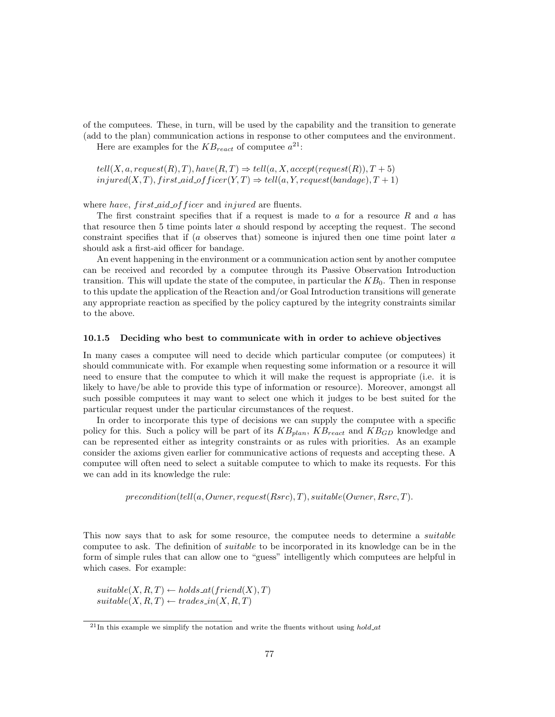of the computees. These, in turn, will be used by the capability and the transition to generate (add to the plan) communication actions in response to other computees and the environment.

Here are examples for the  $KB_{react}$  of computee  $a^{21}$ :

 $tell(X, a, request(R), T), have(R, T) \Rightarrow tell(a, X, accept(request(R)), T + 5)$  $injured(X, T), first\_aid\_offset(Y, T) \Rightarrow tell(a, Y, request(bandage), T + 1)$ 

where have, first aid of ficer and injured are fluents.

The first constraint specifies that if a request is made to  $a$  for a resource  $R$  and  $a$  has that resource then 5 time points later a should respond by accepting the request. The second constraint specifies that if  $(a)$  observes that) someone is injured then one time point later  $a$ should ask a first-aid officer for bandage.

An event happening in the environment or a communication action sent by another computee can be received and recorded by a computee through its Passive Observation Introduction transition. This will update the state of the computee, in particular the  $KB<sub>0</sub>$ . Then in response to this update the application of the Reaction and/or Goal Introduction transitions will generate any appropriate reaction as specified by the policy captured by the integrity constraints similar to the above.

#### 10.1.5 Deciding who best to communicate with in order to achieve objectives

In many cases a computee will need to decide which particular computee (or computees) it should communicate with. For example when requesting some information or a resource it will need to ensure that the computee to which it will make the request is appropriate (i.e. it is likely to have/be able to provide this type of information or resource). Moreover, amongst all such possible computees it may want to select one which it judges to be best suited for the particular request under the particular circumstances of the request.

In order to incorporate this type of decisions we can supply the computee with a specific policy for this. Such a policy will be part of its  $KB_{plan}$ ,  $KB_{reach}$  and  $KB_{GD}$  knowledge and can be represented either as integrity constraints or as rules with priorities. As an example consider the axioms given earlier for communicative actions of requests and accepting these. A computee will often need to select a suitable computee to which to make its requests. For this we can add in its knowledge the rule:

 $precondition(tell(a,Owner, request(Rsrc), T), suitable(Owner, Rsrc, T).$ 

This now says that to ask for some resource, the computee needs to determine a *suitable* computee to ask. The definition of suitable to be incorporated in its knowledge can be in the form of simple rules that can allow one to "guess" intelligently which computees are helpful in which cases. For example:

 $suitable(X, R, T) \leftarrow holds\_at(friend(X), T)$  $suitable(X, R, T) \leftarrow trades_in(X, R, T)$ 

 $^{21}$ In this example we simplify the notation and write the fluents without using  $hold\_at$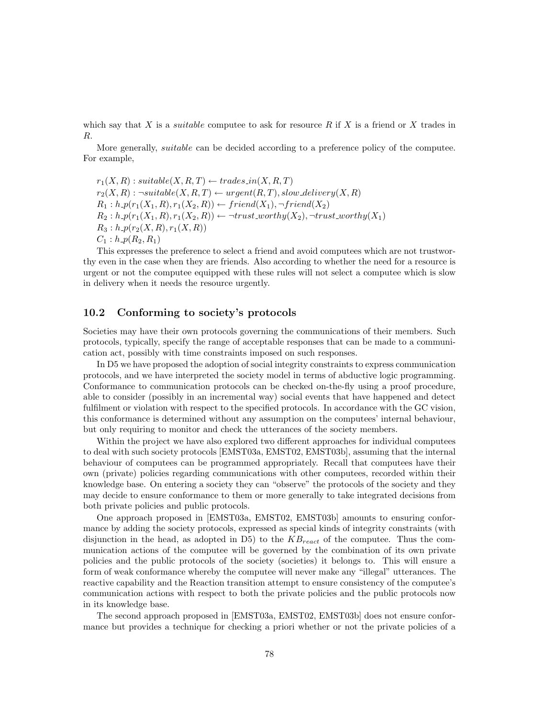which say that X is a *suitable* computee to ask for resource  $R$  if X is a friend or X trades in R.

More generally, suitable can be decided according to a preference policy of the computee. For example,

 $r_1(X, R)$ : suitable $(X, R, T) \leftarrow$  trades in $(X, R, T)$  $r_2(X,R)$ :  $\neg suitable(X,R,T) \leftarrow urgent(R,T), slow\ delivery(X,R)$  $R_1 : h \cdot p(r_1(X_1, R), r_1(X_2, R)) \leftarrow friend(X_1), \neg friend(X_2)$  $R_2 : h \cdot p(r_1(X_1, R), r_1(X_2, R)) \leftarrow \neg trust\_worthy(X_2), \neg trust\_worthy(X_1)$  $R_3 : h \cdot p(r_2(X,R), r_1(X,R))$  $C_1 : h \cdot p(R_2, R_1)$ 

This expresses the preference to select a friend and avoid computees which are not trustworthy even in the case when they are friends. Also according to whether the need for a resource is urgent or not the computee equipped with these rules will not select a computee which is slow in delivery when it needs the resource urgently.

## 10.2 Conforming to society's protocols

Societies may have their own protocols governing the communications of their members. Such protocols, typically, specify the range of acceptable responses that can be made to a communication act, possibly with time constraints imposed on such responses.

In D5 we have proposed the adoption of social integrity constraints to express communication protocols, and we have interpreted the society model in terms of abductive logic programming. Conformance to communication protocols can be checked on-the-fly using a proof procedure, able to consider (possibly in an incremental way) social events that have happened and detect fulfilment or violation with respect to the specified protocols. In accordance with the GC vision, this conformance is determined without any assumption on the computees' internal behaviour, but only requiring to monitor and check the utterances of the society members.

Within the project we have also explored two different approaches for individual computees to deal with such society protocols [EMST03a, EMST02, EMST03b], assuming that the internal behaviour of computees can be programmed appropriately. Recall that computees have their own (private) policies regarding communications with other computees, recorded within their knowledge base. On entering a society they can "observe" the protocols of the society and they may decide to ensure conformance to them or more generally to take integrated decisions from both private policies and public protocols.

One approach proposed in [EMST03a, EMST02, EMST03b] amounts to ensuring conformance by adding the society protocols, expressed as special kinds of integrity constraints (with disjunction in the head, as adopted in D5) to the  $KB_{react}$  of the computee. Thus the communication actions of the computee will be governed by the combination of its own private policies and the public protocols of the society (societies) it belongs to. This will ensure a form of weak conformance whereby the computee will never make any "illegal" utterances. The reactive capability and the Reaction transition attempt to ensure consistency of the computee's communication actions with respect to both the private policies and the public protocols now in its knowledge base.

The second approach proposed in [EMST03a, EMST02, EMST03b] does not ensure conformance but provides a technique for checking a priori whether or not the private policies of a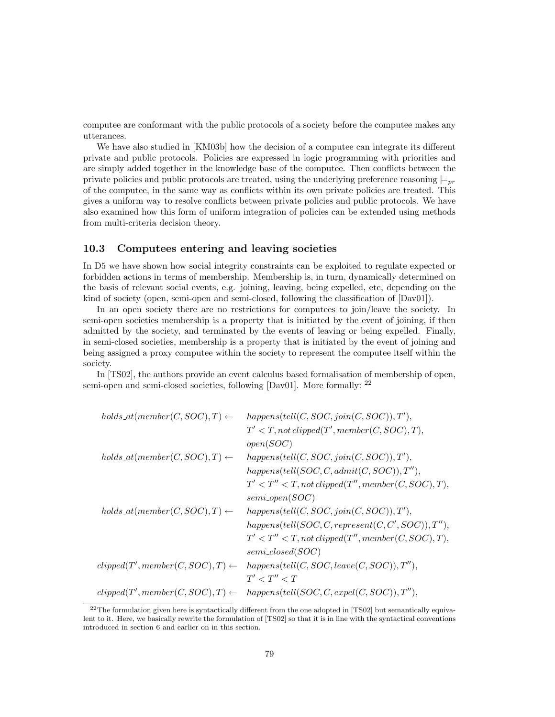computee are conformant with the public protocols of a society before the computee makes any utterances.

We have also studied in [KM03b] how the decision of a computee can integrate its different private and public protocols. Policies are expressed in logic programming with priorities and are simply added together in the knowledge base of the computee. Then conflicts between the private policies and public protocols are treated, using the underlying preference reasoning  $\models_{pr}$ of the computee, in the same way as conflicts within its own private policies are treated. This gives a uniform way to resolve conflicts between private policies and public protocols. We have also examined how this form of uniform integration of policies can be extended using methods from multi-criteria decision theory.

## 10.3 Computees entering and leaving societies

In D5 we have shown how social integrity constraints can be exploited to regulate expected or forbidden actions in terms of membership. Membership is, in turn, dynamically determined on the basis of relevant social events, e.g. joining, leaving, being expelled, etc, depending on the kind of society (open, semi-open and semi-closed, following the classification of [Dav01]).

In an open society there are no restrictions for computees to join/leave the society. In semi-open societies membership is a property that is initiated by the event of joining, if then admitted by the society, and terminated by the events of leaving or being expelled. Finally, in semi-closed societies, membership is a property that is initiated by the event of joining and being assigned a proxy computee within the society to represent the computee itself within the society.

In [TS02], the authors provide an event calculus based formalisation of membership of open, semi-open and semi-closed societies, following [Dav01]. More formally: <sup>22</sup>

| $holds\_at(member(C, SOC), T) \leftarrow$  | happens(tell(C, SOC, join(C, SOC)), $T'$ ),           |
|--------------------------------------------|-------------------------------------------------------|
|                                            | $T' < T$ , not clipped(T', member(C, SOC), T),        |
|                                            | open(SOC)                                             |
| $holds\_at(member(C, SOC), T) \leftarrow$  | happens(tell(C, SOC, join(C, SOC)), $T'$ ),           |
|                                            | happens(tell(SOC, C, admit(C, SOC)), $T''$ ),         |
|                                            | $T' < T'' < T$ , not clipped(T'', member(C, SOC), T), |
|                                            | $semi\ open(SOC)$                                     |
| $holds\_at(member(C, SOC), T) \leftarrow$  | happens(tell(C, SOC, join(C, SOC)), $T'$ ),           |
|                                            | happens(tell(SOC, C, represent(C, C', SOC)), $T''$ ), |
|                                            | $T' < T'' < T$ , not clipped(T'', member(C, SOC), T), |
|                                            | $semi\_closed(SOC)$                                   |
| $clipped(T',member(C, SOC), T) \leftarrow$ | $happens(tell(C, SOC, leave(C, SOC)), T''),$          |
|                                            | T' < T'' < T                                          |
| $clipped(T',member(C, SOC), T) \leftarrow$ | $happens(tell(SOC, C, expel(C, SOC)), T''),$          |

 $^{22}$ The formulation given here is syntactically different from the one adopted in [TS02] but semantically equivalent to it. Here, we basically rewrite the formulation of [TS02] so that it is in line with the syntactical conventions introduced in section 6 and earlier on in this section.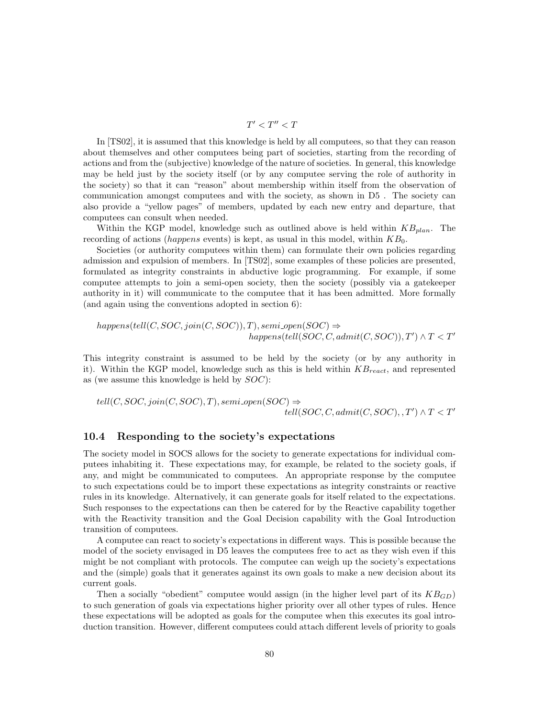$$
T'
$$

In [TS02], it is assumed that this knowledge is held by all computees, so that they can reason about themselves and other computees being part of societies, starting from the recording of actions and from the (subjective) knowledge of the nature of societies. In general, this knowledge may be held just by the society itself (or by any computee serving the role of authority in the society) so that it can "reason" about membership within itself from the observation of communication amongst computees and with the society, as shown in D5 . The society can also provide a "yellow pages" of members, updated by each new entry and departure, that computees can consult when needed.

Within the KGP model, knowledge such as outlined above is held within  $KB_{plan}$ . The recording of actions (happens events) is kept, as usual in this model, within  $KB_0$ .

Societies (or authority computees within them) can formulate their own policies regarding admission and expulsion of members. In [TS02], some examples of these policies are presented, formulated as integrity constraints in abductive logic programming. For example, if some computee attempts to join a semi-open society, then the society (possibly via a gatekeeper authority in it) will communicate to the computee that it has been admitted. More formally (and again using the conventions adopted in section 6):

$$
happens(tell(C,SOC, join(C,SOC)), T), semi.open(SOC) \Rightarrow
$$
  

$$
happens(tell(SOC, C, admit(C, SOC)), T') \land T < T'
$$

This integrity constraint is assumed to be held by the society (or by any authority in it). Within the KGP model, knowledge such as this is held within  $KB_{react}$ , and represented as (we assume this knowledge is held by SOC):

 $tell(C, SOC, join(C, SOC), T), semi.open(SOC) \Rightarrow$  $\acute{t}ell (SOC, C, admit (C, SOC), , T') \wedge T < T'$ 

## 10.4 Responding to the society's expectations

The society model in SOCS allows for the society to generate expectations for individual computees inhabiting it. These expectations may, for example, be related to the society goals, if any, and might be communicated to computees. An appropriate response by the computee to such expectations could be to import these expectations as integrity constraints or reactive rules in its knowledge. Alternatively, it can generate goals for itself related to the expectations. Such responses to the expectations can then be catered for by the Reactive capability together with the Reactivity transition and the Goal Decision capability with the Goal Introduction transition of computees.

A computee can react to society's expectations in different ways. This is possible because the model of the society envisaged in D5 leaves the computees free to act as they wish even if this might be not compliant with protocols. The computee can weigh up the society's expectations and the (simple) goals that it generates against its own goals to make a new decision about its current goals.

Then a socially "obedient" computee would assign (in the higher level part of its  $KB_{GD}$ ) to such generation of goals via expectations higher priority over all other types of rules. Hence these expectations will be adopted as goals for the computee when this executes its goal introduction transition. However, different computees could attach different levels of priority to goals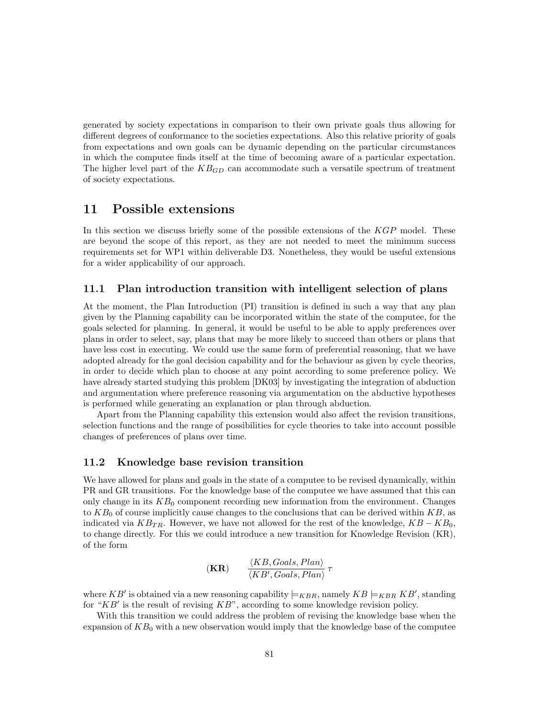generated by society expectations in comparison to their own private goals thus allowing for different degrees of conformance to the societies expectations. Also this relative priority of goals from expectations and own goals can be dynamic depending on the particular circumstances in which the computee finds itself at the time of becoming aware of a particular expectation. The higher level part of the  $KB_{GD}$  can accommodate such a versatile spectrum of treatment of society expectations.

# 11 Possible extensions

In this section we discuss briefly some of the possible extensions of the KGP model. These are beyond the scope of this report, as they are not needed to meet the minimum success requirements set for WP1 within deliverable D3. Nonetheless, they would be useful extensions for a wider applicability of our approach.

## 11.1 Plan introduction transition with intelligent selection of plans

At the moment, the Plan Introduction (PI) transition is defined in such a way that any plan given by the Planning capability can be incorporated within the state of the computee, for the goals selected for planning. In general, it would be useful to be able to apply preferences over plans in order to select, say, plans that may be more likely to succeed than others or plans that have less cost in executing. We could use the same form of preferential reasoning, that we have adopted already for the goal decision capability and for the behaviour as given by cycle theories, in order to decide which plan to choose at any point according to some preference policy. We have already started studying this problem [DK03] by investigating the integration of abduction and argumentation where preference reasoning via argumentation on the abductive hypotheses is performed while generating an explanation or plan through abduction.

Apart from the Planning capability this extension would also affect the revision transitions, selection functions and the range of possibilities for cycle theories to take into account possible changes of preferences of plans over time.

## 11.2 Knowledge base revision transition

We have allowed for plans and goals in the state of a computee to be revised dynamically, within PR and GR transitions. For the knowledge base of the computee we have assumed that this can only change in its  $KB<sub>0</sub>$  component recording new information from the environment. Changes to  $KB<sub>0</sub>$  of course implicitly cause changes to the conclusions that can be derived within  $KB$ , as indicated via  $KB_{TR}$ . However, we have not allowed for the rest of the knowledge,  $KB - KB_0$ , to change directly. For this we could introduce a new transition for Knowledge Revision (KR), of the form

$$
(\mathbf{KR}) \qquad \frac{\langle KB, Goals, Plan \rangle}{\langle KB', Goals, Plan \rangle} \tau
$$

where KB' is obtained via a new reasoning capability  $\models_{KBR}$ , namely  $KB \models_{KBR} KB'$ , standing for " $KB'$  is the result of revising  $KB$ ", according to some knowledge revision policy.

With this transition we could address the problem of revising the knowledge base when the expansion of  $KB<sub>0</sub>$  with a new observation would imply that the knowledge base of the computee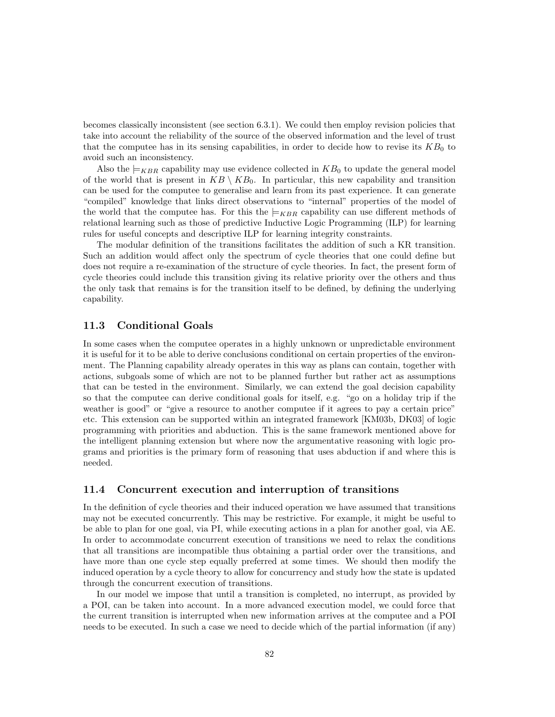becomes classically inconsistent (see section 6.3.1). We could then employ revision policies that take into account the reliability of the source of the observed information and the level of trust that the computee has in its sensing capabilities, in order to decide how to revise its  $KB<sub>0</sub>$  to avoid such an inconsistency.

Also the  $\models_{KBR}$  capability may use evidence collected in  $KB_0$  to update the general model of the world that is present in  $KB \setminus KB_0$ . In particular, this new capability and transition can be used for the computee to generalise and learn from its past experience. It can generate "compiled" knowledge that links direct observations to "internal" properties of the model of the world that the computee has. For this the  $\vDash_{KBR}$  capability can use different methods of relational learning such as those of predictive Inductive Logic Programming (ILP) for learning rules for useful concepts and descriptive ILP for learning integrity constraints.

The modular definition of the transitions facilitates the addition of such a KR transition. Such an addition would affect only the spectrum of cycle theories that one could define but does not require a re-examination of the structure of cycle theories. In fact, the present form of cycle theories could include this transition giving its relative priority over the others and thus the only task that remains is for the transition itself to be defined, by defining the underlying capability.

## 11.3 Conditional Goals

In some cases when the computee operates in a highly unknown or unpredictable environment it is useful for it to be able to derive conclusions conditional on certain properties of the environment. The Planning capability already operates in this way as plans can contain, together with actions, subgoals some of which are not to be planned further but rather act as assumptions that can be tested in the environment. Similarly, we can extend the goal decision capability so that the computee can derive conditional goals for itself, e.g. "go on a holiday trip if the weather is good" or "give a resource to another computee if it agrees to pay a certain price" etc. This extension can be supported within an integrated framework [KM03b, DK03] of logic programming with priorities and abduction. This is the same framework mentioned above for the intelligent planning extension but where now the argumentative reasoning with logic programs and priorities is the primary form of reasoning that uses abduction if and where this is needed.

## 11.4 Concurrent execution and interruption of transitions

In the definition of cycle theories and their induced operation we have assumed that transitions may not be executed concurrently. This may be restrictive. For example, it might be useful to be able to plan for one goal, via PI, while executing actions in a plan for another goal, via AE. In order to accommodate concurrent execution of transitions we need to relax the conditions that all transitions are incompatible thus obtaining a partial order over the transitions, and have more than one cycle step equally preferred at some times. We should then modify the induced operation by a cycle theory to allow for concurrency and study how the state is updated through the concurrent execution of transitions.

In our model we impose that until a transition is completed, no interrupt, as provided by a POI, can be taken into account. In a more advanced execution model, we could force that the current transition is interrupted when new information arrives at the computee and a POI needs to be executed. In such a case we need to decide which of the partial information (if any)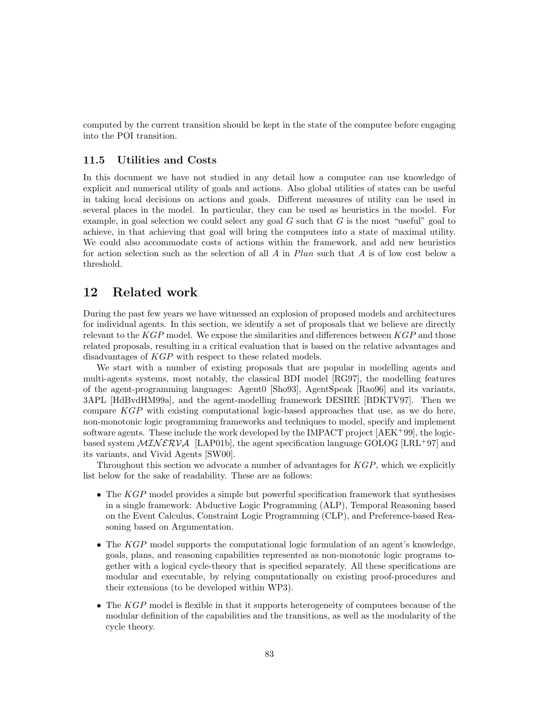computed by the current transition should be kept in the state of the computee before engaging into the POI transition.

## 11.5 Utilities and Costs

In this document we have not studied in any detail how a computee can use knowledge of explicit and numerical utility of goals and actions. Also global utilities of states can be useful in taking local decisions on actions and goals. Different measures of utility can be used in several places in the model. In particular, they can be used as heuristics in the model. For example, in goal selection we could select any goal  $G$  such that  $G$  is the most "useful" goal to achieve, in that achieving that goal will bring the computees into a state of maximal utility. We could also accommodate costs of actions within the framework, and add new heuristics for action selection such as the selection of all A in  $Plan$  such that A is of low cost below a threshold.

# 12 Related work

During the past few years we have witnessed an explosion of proposed models and architectures for individual agents. In this section, we identify a set of proposals that we believe are directly relevant to the  $KGP$  model. We expose the similarities and differences between  $KGP$  and those related proposals, resulting in a critical evaluation that is based on the relative advantages and disadvantages of KGP with respect to these related models.

We start with a number of existing proposals that are popular in modelling agents and multi-agents systems, most notably, the classical BDI model [RG97], the modelling features of the agent-programming languages: Agent0 [Sho93], AgentSpeak [Rao96] and its variants, 3APL [HdBvdHM99a], and the agent-modelling framework DESIRE [BDKTV97]. Then we compare KGP with existing computational logic-based approaches that use, as we do here, non-monotonic logic programming frameworks and techniques to model, specify and implement software agents. These include the work developed by the IMPACT project  $[AEK^+99]$ , the logicbased system  $\mathcal{MINERVA}$  [LAP01b], the agent specification language GOLOG [LRL<sup>+</sup>97] and its variants, and Vivid Agents [SW00].

Throughout this section we advocate a number of advantages for KGP, which we explicitly list below for the sake of readability. These are as follows:

- The KGP model provides a simple but powerful specification framework that synthesises in a single framework: Abductive Logic Programming (ALP), Temporal Reasoning based on the Event Calculus, Constraint Logic Programming (CLP), and Preference-based Reasoning based on Argumentation.
- The KGP model supports the computational logic formulation of an agent's knowledge. goals, plans, and reasoning capabilities represented as non-monotonic logic programs together with a logical cycle-theory that is specified separately. All these specifications are modular and executable, by relying computationally on existing proof-procedures and their extensions (to be developed within WP3).
- The  $KGP$  model is flexible in that it supports heterogeneity of computees because of the modular definition of the capabilities and the transitions, as well as the modularity of the cycle theory.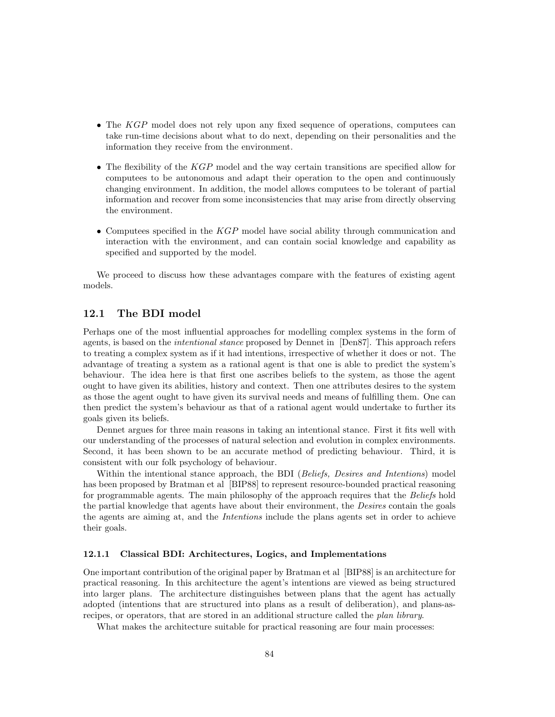- The KGP model does not rely upon any fixed sequence of operations, computees can take run-time decisions about what to do next, depending on their personalities and the information they receive from the environment.
- The flexibility of the KGP model and the way certain transitions are specified allow for computees to be autonomous and adapt their operation to the open and continuously changing environment. In addition, the model allows computees to be tolerant of partial information and recover from some inconsistencies that may arise from directly observing the environment.
- Computees specified in the KGP model have social ability through communication and interaction with the environment, and can contain social knowledge and capability as specified and supported by the model.

We proceed to discuss how these advantages compare with the features of existing agent models.

## 12.1 The BDI model

Perhaps one of the most influential approaches for modelling complex systems in the form of agents, is based on the *intentional stance* proposed by Dennet in [Den87]. This approach refers to treating a complex system as if it had intentions, irrespective of whether it does or not. The advantage of treating a system as a rational agent is that one is able to predict the system's behaviour. The idea here is that first one ascribes beliefs to the system, as those the agent ought to have given its abilities, history and context. Then one attributes desires to the system as those the agent ought to have given its survival needs and means of fulfilling them. One can then predict the system's behaviour as that of a rational agent would undertake to further its goals given its beliefs.

Dennet argues for three main reasons in taking an intentional stance. First it fits well with our understanding of the processes of natural selection and evolution in complex environments. Second, it has been shown to be an accurate method of predicting behaviour. Third, it is consistent with our folk psychology of behaviour.

Within the intentional stance approach, the BDI (Beliefs, Desires and Intentions) model has been proposed by Bratman et al [BIP88] to represent resource-bounded practical reasoning for programmable agents. The main philosophy of the approach requires that the Beliefs hold the partial knowledge that agents have about their environment, the Desires contain the goals the agents are aiming at, and the Intentions include the plans agents set in order to achieve their goals.

#### 12.1.1 Classical BDI: Architectures, Logics, and Implementations

One important contribution of the original paper by Bratman et al [BIP88] is an architecture for practical reasoning. In this architecture the agent's intentions are viewed as being structured into larger plans. The architecture distinguishes between plans that the agent has actually adopted (intentions that are structured into plans as a result of deliberation), and plans-asrecipes, or operators, that are stored in an additional structure called the plan library.

What makes the architecture suitable for practical reasoning are four main processes: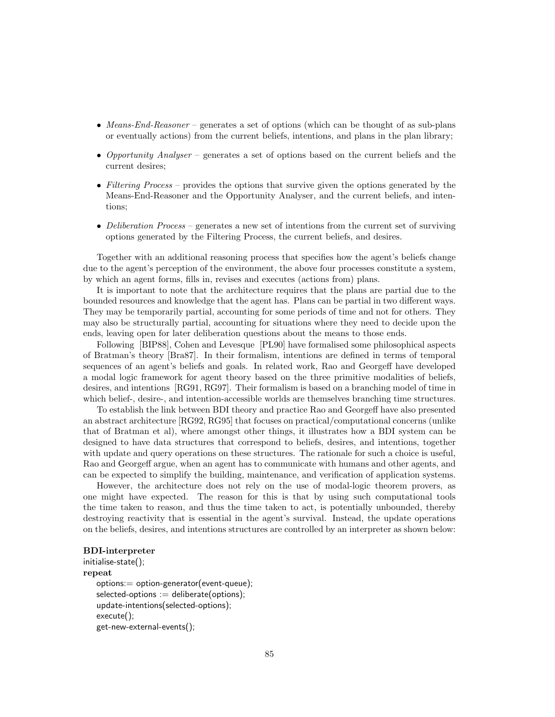- Means-End-Reasoner generates a set of options (which can be thought of as sub-plans or eventually actions) from the current beliefs, intentions, and plans in the plan library;
- Opportunity Analyser generates a set of options based on the current beliefs and the current desires;
- Filtering Process provides the options that survive given the options generated by the Means-End-Reasoner and the Opportunity Analyser, and the current beliefs, and intentions;
- Deliberation Process generates a new set of intentions from the current set of surviving options generated by the Filtering Process, the current beliefs, and desires.

Together with an additional reasoning process that specifies how the agent's beliefs change due to the agent's perception of the environment, the above four processes constitute a system, by which an agent forms, fills in, revises and executes (actions from) plans.

It is important to note that the architecture requires that the plans are partial due to the bounded resources and knowledge that the agent has. Plans can be partial in two different ways. They may be temporarily partial, accounting for some periods of time and not for others. They may also be structurally partial, accounting for situations where they need to decide upon the ends, leaving open for later deliberation questions about the means to those ends.

Following [BIP88], Cohen and Levesque [PL90] have formalised some philosophical aspects of Bratman's theory [Bra87]. In their formalism, intentions are defined in terms of temporal sequences of an agent's beliefs and goals. In related work, Rao and Georgeff have developed a modal logic framework for agent theory based on the three primitive modalities of beliefs, desires, and intentions [RG91, RG97]. Their formalism is based on a branching model of time in which belief-, desire-, and intention-accessible worlds are themselves branching time structures.

To establish the link between BDI theory and practice Rao and Georgeff have also presented an abstract architecture [RG92, RG95] that focuses on practical/computational concerns (unlike that of Bratman et al), where amongst other things, it illustrates how a BDI system can be designed to have data structures that correspond to beliefs, desires, and intentions, together with update and query operations on these structures. The rationale for such a choice is useful, Rao and Georgeff argue, when an agent has to communicate with humans and other agents, and can be expected to simplify the building, maintenance, and verification of application systems.

However, the architecture does not rely on the use of modal-logic theorem provers, as one might have expected. The reason for this is that by using such computational tools the time taken to reason, and thus the time taken to act, is potentially unbounded, thereby destroying reactivity that is essential in the agent's survival. Instead, the update operations on the beliefs, desires, and intentions structures are controlled by an interpreter as shown below:

## BDI-interpreter

```
initialise-state();
repeat
   options:= option-generator(event-queue);
   selected-options := deliberate(options);update-intentions(selected-options);
   execute();
   get-new-external-events();
```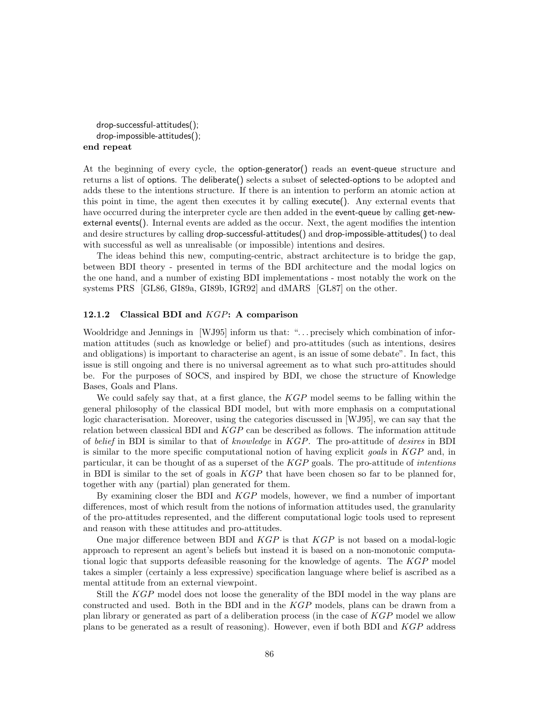drop-successful-attitudes(); drop-impossible-attitudes(); end repeat

At the beginning of every cycle, the option-generator() reads an event-queue structure and returns a list of options. The deliberate() selects a subset of selected-options to be adopted and adds these to the intentions structure. If there is an intention to perform an atomic action at this point in time, the agent then executes it by calling execute(). Any external events that have occurred during the interpreter cycle are then added in the **event-queue** by calling **get-new**external events(). Internal events are added as the occur. Next, the agent modifies the intention and desire structures by calling drop-successful-attitudes() and drop-impossible-attitudes() to deal with successful as well as unrealisable (or impossible) intentions and desires.

The ideas behind this new, computing-centric, abstract architecture is to bridge the gap, between BDI theory - presented in terms of the BDI architecture and the modal logics on the one hand, and a number of existing BDI implementations - most notably the work on the systems PRS [GL86, GI89a, GI89b, IGR92] and dMARS [GL87] on the other.

#### 12.1.2 Classical BDI and  $KGP:$  A comparison

Wooldridge and Jennings in [WJ95] inform us that: "... precisely which combination of information attitudes (such as knowledge or belief) and pro-attitudes (such as intentions, desires and obligations) is important to characterise an agent, is an issue of some debate". In fact, this issue is still ongoing and there is no universal agreement as to what such pro-attitudes should be. For the purposes of SOCS, and inspired by BDI, we chose the structure of Knowledge Bases, Goals and Plans.

We could safely say that, at a first glance, the  $KGP$  model seems to be falling within the general philosophy of the classical BDI model, but with more emphasis on a computational logic characterisation. Moreover, using the categories discussed in [WJ95], we can say that the relation between classical BDI and  $KGP$  can be described as follows. The information attitude of belief in BDI is similar to that of knowledge in KGP. The pro-attitude of desires in BDI is similar to the more specific computational notion of having explicit *goals* in KGP and, in particular, it can be thought of as a superset of the  $KGP$  goals. The pro-attitude of intentions in BDI is similar to the set of goals in  $KGP$  that have been chosen so far to be planned for, together with any (partial) plan generated for them.

By examining closer the BDI and KGP models, however, we find a number of important differences, most of which result from the notions of information attitudes used, the granularity of the pro-attitudes represented, and the different computational logic tools used to represent and reason with these attitudes and pro-attitudes.

One major difference between BDI and  $KGP$  is that  $KGP$  is not based on a modal-logic approach to represent an agent's beliefs but instead it is based on a non-monotonic computational logic that supports defeasible reasoning for the knowledge of agents. The KGP model takes a simpler (certainly a less expressive) specification language where belief is ascribed as a mental attitude from an external viewpoint.

Still the KGP model does not loose the generality of the BDI model in the way plans are constructed and used. Both in the BDI and in the KGP models, plans can be drawn from a plan library or generated as part of a deliberation process (in the case of KGP model we allow plans to be generated as a result of reasoning). However, even if both BDI and KGP address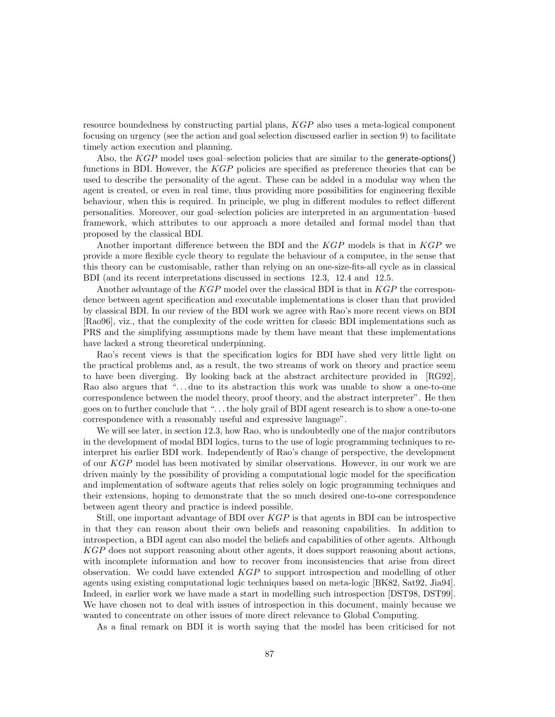resource boundedness by constructing partial plans, KGP also uses a meta-logical component focusing on urgency (see the action and goal selection discussed earlier in section 9) to facilitate timely action execution and planning.

Also, the KGP model uses goal–selection policies that are similar to the generate-options() functions in BDI. However, the KGP policies are specified as preference theories that can be used to describe the personality of the agent. These can be added in a modular way when the agent is created, or even in real time, thus providing more possibilities for engineering flexible behaviour, when this is required. In principle, we plug in different modules to reflect different personalities. Moreover, our goal–selection policies are interpreted in an argumentation–based framework, which attributes to our approach a more detailed and formal model than that proposed by the classical BDI.

Another important difference between the BDI and the KGP models is that in KGP we provide a more flexible cycle theory to regulate the behaviour of a computee, in the sense that this theory can be customisable, rather than relying on an one-size-fits-all cycle as in classical BDI (and its recent interpretations discussed in sections 12.3, 12.4 and 12.5.

Another advantage of the KGP model over the classical BDI is that in KGP the correspondence between agent specification and executable implementations is closer than that provided by classical BDI. In our review of the BDI work we agree with Rao's more recent views on BDI [Rao96], viz., that the complexity of the code written for classic BDI implementations such as PRS and the simplifying assumptions made by them have meant that these implementations have lacked a strong theoretical underpinning.

Rao's recent views is that the specification logics for BDI have shed very little light on the practical problems and, as a result, the two streams of work on theory and practice seem to have been diverging. By looking back at the abstract architecture provided in [RG92], Rao also argues that "... due to its abstraction this work was unable to show a one-to-one correspondence between the model theory, proof theory, and the abstract interpreter". He then goes on to further conclude that ". . . the holy grail of BDI agent research is to show a one-to-one correspondence with a reasonably useful and expressive language".

We will see later, in section 12.3, how Rao, who is undoubtedly one of the major contributors in the development of modal BDI logics, turns to the use of logic programming techniques to reinterpret his earlier BDI work. Independently of Rao's change of perspective, the development of our KGP model has been motivated by similar observations. However, in our work we are driven mainly by the possibility of providing a computational logic model for the specification and implementation of software agents that relies solely on logic programming techniques and their extensions, hoping to demonstrate that the so much desired one-to-one correspondence between agent theory and practice is indeed possible.

Still, one important advantage of BDI over KGP is that agents in BDI can be introspective in that they can reason about their own beliefs and reasoning capabilities. In addition to introspection, a BDI agent can also model the beliefs and capabilities of other agents. Although KGP does not support reasoning about other agents, it does support reasoning about actions, with incomplete information and how to recover from inconsistencies that arise from direct observation. We could have extended KGP to support introspection and modelling of other agents using existing computational logic techniques based on meta-logic [BK82, Sat92, Jia94]. Indeed, in earlier work we have made a start in modelling such introspection [DST98, DST99]. We have chosen not to deal with issues of introspection in this document, mainly because we wanted to concentrate on other issues of more direct relevance to Global Computing.

As a final remark on BDI it is worth saying that the model has been criticised for not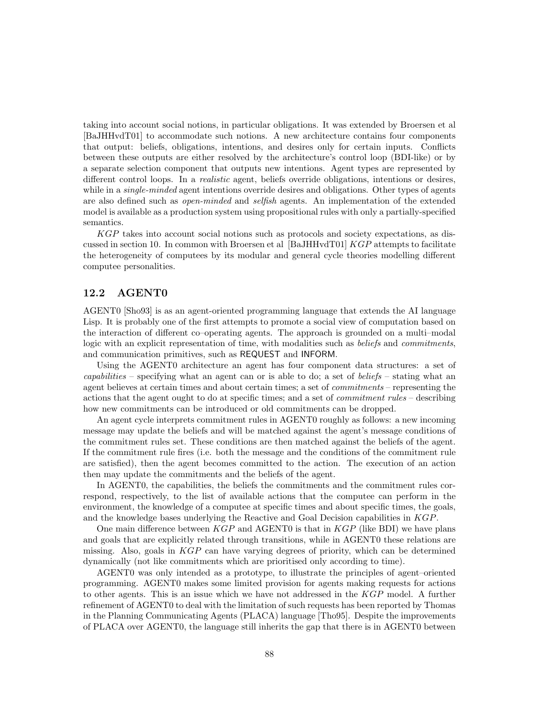taking into account social notions, in particular obligations. It was extended by Broersen et al [BaJHHvdT01] to accommodate such notions. A new architecture contains four components that output: beliefs, obligations, intentions, and desires only for certain inputs. Conflicts between these outputs are either resolved by the architecture's control loop (BDI-like) or by a separate selection component that outputs new intentions. Agent types are represented by different control loops. In a realistic agent, beliefs override obligations, intentions or desires, while in a *single-minded* agent intentions override desires and obligations. Other types of agents are also defined such as open-minded and selfish agents. An implementation of the extended model is available as a production system using propositional rules with only a partially-specified semantics.

KGP takes into account social notions such as protocols and society expectations, as discussed in section 10. In common with Broersen et al  $\left| \text{BaJHHvdT01} \right| KGP$  attempts to facilitate the heterogeneity of computees by its modular and general cycle theories modelling different computee personalities.

## 12.2 AGENT0

AGENT0 [Sho93] is as an agent-oriented programming language that extends the AI language Lisp. It is probably one of the first attempts to promote a social view of computation based on the interaction of different co–operating agents. The approach is grounded on a multi–modal logic with an explicit representation of time, with modalities such as *beliefs* and *commitments*, and communication primitives, such as REQUEST and INFORM.

Using the AGENT0 architecture an agent has four component data structures: a set of capabilities – specifying what an agent can or is able to do; a set of beliefs – stating what an agent believes at certain times and about certain times; a set of commitments – representing the actions that the agent ought to do at specific times; and a set of commitment rules – describing how new commitments can be introduced or old commitments can be dropped.

An agent cycle interprets commitment rules in AGENT0 roughly as follows: a new incoming message may update the beliefs and will be matched against the agent's message conditions of the commitment rules set. These conditions are then matched against the beliefs of the agent. If the commitment rule fires (i.e. both the message and the conditions of the commitment rule are satisfied), then the agent becomes committed to the action. The execution of an action then may update the commitments and the beliefs of the agent.

In AGENT0, the capabilities, the beliefs the commitments and the commitment rules correspond, respectively, to the list of available actions that the computee can perform in the environment, the knowledge of a computee at specific times and about specific times, the goals, and the knowledge bases underlying the Reactive and Goal Decision capabilities in KGP.

One main difference between  $KGP$  and AGENT0 is that in  $KGP$  (like BDI) we have plans and goals that are explicitly related through transitions, while in AGENT0 these relations are missing. Also, goals in  $KGP$  can have varying degrees of priority, which can be determined dynamically (not like commitments which are prioritised only according to time).

AGENT0 was only intended as a prototype, to illustrate the principles of agent–oriented programming. AGENT0 makes some limited provision for agents making requests for actions to other agents. This is an issue which we have not addressed in the KGP model. A further refinement of AGENT0 to deal with the limitation of such requests has been reported by Thomas in the Planning Communicating Agents (PLACA) language [Tho95]. Despite the improvements of PLACA over AGENT0, the language still inherits the gap that there is in AGENT0 between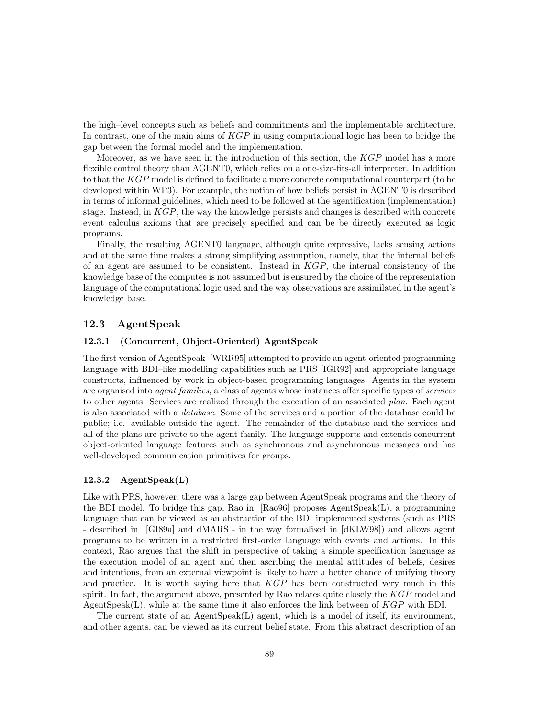the high–level concepts such as beliefs and commitments and the implementable architecture. In contrast, one of the main aims of  $KGP$  in using computational logic has been to bridge the gap between the formal model and the implementation.

Moreover, as we have seen in the introduction of this section, the KGP model has a more flexible control theory than AGENT0, which relies on a one-size-fits-all interpreter. In addition to that the KGP model is defined to facilitate a more concrete computational counterpart (to be developed within WP3). For example, the notion of how beliefs persist in AGENT0 is described in terms of informal guidelines, which need to be followed at the agentification (implementation) stage. Instead, in  $KGP$ , the way the knowledge persists and changes is described with concrete event calculus axioms that are precisely specified and can be be directly executed as logic programs.

Finally, the resulting AGENT0 language, although quite expressive, lacks sensing actions and at the same time makes a strong simplifying assumption, namely, that the internal beliefs of an agent are assumed to be consistent. Instead in  $KGP$ , the internal consistency of the knowledge base of the computee is not assumed but is ensured by the choice of the representation language of the computational logic used and the way observations are assimilated in the agent's knowledge base.

## 12.3 AgentSpeak

#### 12.3.1 (Concurrent, Object-Oriented) AgentSpeak

The first version of AgentSpeak [WRR95] attempted to provide an agent-oriented programming language with BDI–like modelling capabilities such as PRS [IGR92] and appropriate language constructs, influenced by work in object-based programming languages. Agents in the system are organised into agent families, a class of agents whose instances offer specific types of services to other agents. Services are realized through the execution of an associated plan. Each agent is also associated with a database. Some of the services and a portion of the database could be public; i.e. available outside the agent. The remainder of the database and the services and all of the plans are private to the agent family. The language supports and extends concurrent object-oriented language features such as synchronous and asynchronous messages and has well-developed communication primitives for groups.

#### 12.3.2 AgentSpeak(L)

Like with PRS, however, there was a large gap between AgentSpeak programs and the theory of the BDI model. To bridge this gap, Rao in [Rao96] proposes AgentSpeak(L), a programming language that can be viewed as an abstraction of the BDI implemented systems (such as PRS - described in [GI89a] and dMARS - in the way formalised in [dKLW98]) and allows agent programs to be written in a restricted first-order language with events and actions. In this context, Rao argues that the shift in perspective of taking a simple specification language as the execution model of an agent and then ascribing the mental attitudes of beliefs, desires and intentions, from an external viewpoint is likely to have a better chance of unifying theory and practice. It is worth saying here that  $KGP$  has been constructed very much in this spirit. In fact, the argument above, presented by Rao relates quite closely the  $KGP$  model and Agent Speak(L), while at the same time it also enforces the link between of  $KGP$  with BDI.

The current state of an  $AgentSpeak(L)$  agent, which is a model of itself, its environment, and other agents, can be viewed as its current belief state. From this abstract description of an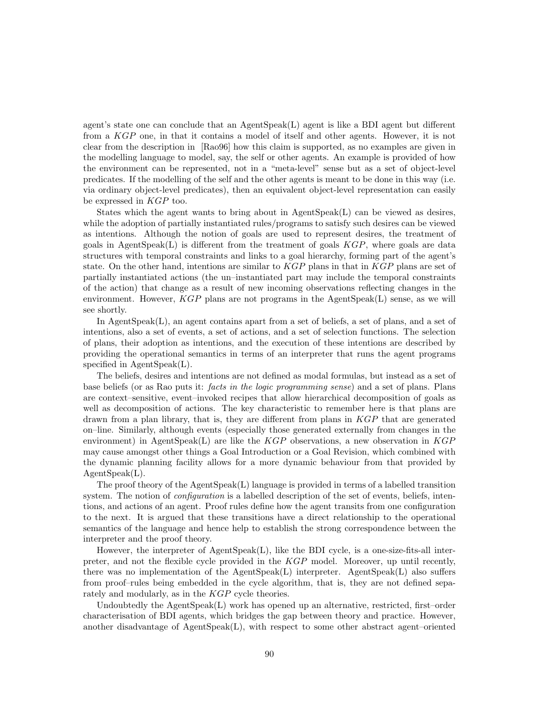agent's state one can conclude that an AgentSpeak(L) agent is like a BDI agent but different from a KGP one, in that it contains a model of itself and other agents. However, it is not clear from the description in [Rao96] how this claim is supported, as no examples are given in the modelling language to model, say, the self or other agents. An example is provided of how the environment can be represented, not in a "meta-level" sense but as a set of object-level predicates. If the modelling of the self and the other agents is meant to be done in this way (i.e. via ordinary object-level predicates), then an equivalent object-level representation can easily be expressed in KGP too.

States which the agent wants to bring about in  $AgentSpeak(L)$  can be viewed as desires, while the adoption of partially instantiated rules/programs to satisfy such desires can be viewed as intentions. Although the notion of goals are used to represent desires, the treatment of goals in AgentSpeak(L) is different from the treatment of goals  $KGP$ , where goals are data structures with temporal constraints and links to a goal hierarchy, forming part of the agent's state. On the other hand, intentions are similar to  $KGP$  plans in that in  $KGP$  plans are set of partially instantiated actions (the un–instantiated part may include the temporal constraints of the action) that change as a result of new incoming observations reflecting changes in the environment. However,  $KGP$  plans are not programs in the AgentSpeak $(L)$  sense, as we will see shortly.

In AgentSpeak(L), an agent contains apart from a set of beliefs, a set of plans, and a set of intentions, also a set of events, a set of actions, and a set of selection functions. The selection of plans, their adoption as intentions, and the execution of these intentions are described by providing the operational semantics in terms of an interpreter that runs the agent programs specified in AgentSpeak(L).

The beliefs, desires and intentions are not defined as modal formulas, but instead as a set of base beliefs (or as Rao puts it: facts in the logic programming sense) and a set of plans. Plans are context–sensitive, event–invoked recipes that allow hierarchical decomposition of goals as well as decomposition of actions. The key characteristic to remember here is that plans are drawn from a plan library, that is, they are different from plans in KGP that are generated on–line. Similarly, although events (especially those generated externally from changes in the environment) in AgentSpeak(L) are like the  $KGP$  observations, a new observation in  $KGP$ may cause amongst other things a Goal Introduction or a Goal Revision, which combined with the dynamic planning facility allows for a more dynamic behaviour from that provided by AgentSpeak(L).

The proof theory of the AgentSpeak(L) language is provided in terms of a labelled transition system. The notion of *configuration* is a labelled description of the set of events, beliefs, intentions, and actions of an agent. Proof rules define how the agent transits from one configuration to the next. It is argued that these transitions have a direct relationship to the operational semantics of the language and hence help to establish the strong correspondence between the interpreter and the proof theory.

However, the interpreter of AgentSpeak(L), like the BDI cycle, is a one-size-fits-all interpreter, and not the flexible cycle provided in the KGP model. Moreover, up until recently, there was no implementation of the  $AgentSpeak(L)$  interpreter. AgentSpeak $(L)$  also suffers from proof–rules being embedded in the cycle algorithm, that is, they are not defined separately and modularly, as in the KGP cycle theories.

Undoubtedly the  $AgentSpeak(L)$  work has opened up an alternative, restricted, first–order characterisation of BDI agents, which bridges the gap between theory and practice. However, another disadvantage of AgentSpeak(L), with respect to some other abstract agent–oriented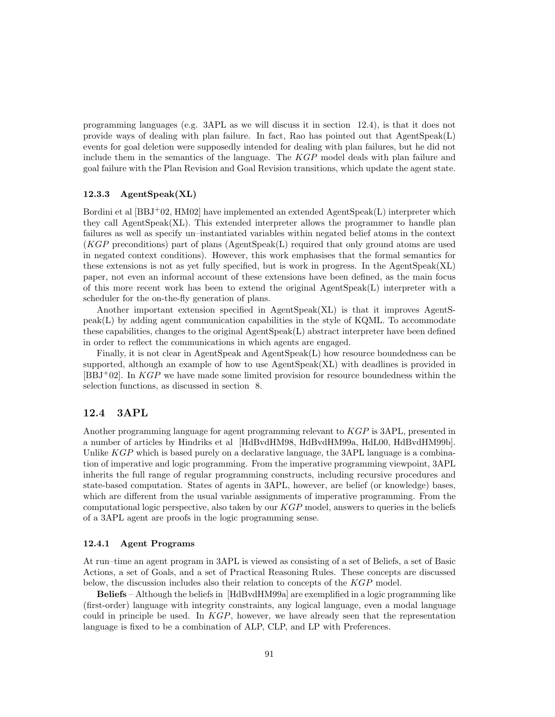programming languages (e.g. 3APL as we will discuss it in section 12.4), is that it does not provide ways of dealing with plan failure. In fact, Rao has pointed out that  $AgenSpec(k)$ events for goal deletion were supposedly intended for dealing with plan failures, but he did not include them in the semantics of the language. The KGP model deals with plan failure and goal failure with the Plan Revision and Goal Revision transitions, which update the agent state.

#### 12.3.3 AgentSpeak(XL)

Bordini et al [BBJ+02, HM02] have implemented an extended AgentSpeak(L) interpreter which they call AgentSpeak(XL). This extended interpreter allows the programmer to handle plan failures as well as specify un–instantiated variables within negated belief atoms in the context (KGP preconditions) part of plans (AgentSpeak(L) required that only ground atoms are used in negated context conditions). However, this work emphasises that the formal semantics for these extensions is not as yet fully specified, but is work in progress. In the AgentSpeak(XL) paper, not even an informal account of these extensions have been defined, as the main focus of this more recent work has been to extend the original AgentSpeak(L) interpreter with a scheduler for the on-the-fly generation of plans.

Another important extension specified in AgentSpeak(XL) is that it improves AgentS $peak(L)$  by adding agent communication capabilities in the style of KQML. To accommodate these capabilities, changes to the original AgentSpeak(L) abstract interpreter have been defined in order to reflect the communications in which agents are engaged.

Finally, it is not clear in AgentSpeak and AgentSpeak(L) how resource boundedness can be supported, although an example of how to use  $\text{AgentSpeak}(XL)$  with deadlines is provided in  $[BBJ^+02]$ . In  $KGP$  we have made some limited provision for resource boundedness within the selection functions, as discussed in section 8.

## 12.4 3APL

Another programming language for agent programming relevant to KGP is 3APL, presented in a number of articles by Hindriks et al [HdBvdHM98, HdBvdHM99a, HdL00, HdBvdHM99b]. Unlike  $KGP$  which is based purely on a declarative language, the  $3API$  language is a combination of imperative and logic programming. From the imperative programming viewpoint, 3APL inherits the full range of regular programming constructs, including recursive procedures and state-based computation. States of agents in 3APL, however, are belief (or knowledge) bases, which are different from the usual variable assignments of imperative programming. From the computational logic perspective, also taken by our  $KGP$  model, answers to queries in the beliefs of a 3APL agent are proofs in the logic programming sense.

#### 12.4.1 Agent Programs

At run–time an agent program in 3APL is viewed as consisting of a set of Beliefs, a set of Basic Actions, a set of Goals, and a set of Practical Reasoning Rules. These concepts are discussed below, the discussion includes also their relation to concepts of the KGP model.

Beliefs – Although the beliefs in [HdBvdHM99a] are exemplified in a logic programming like (first-order) language with integrity constraints, any logical language, even a modal language could in principle be used. In KGP, however, we have already seen that the representation language is fixed to be a combination of ALP, CLP, and LP with Preferences.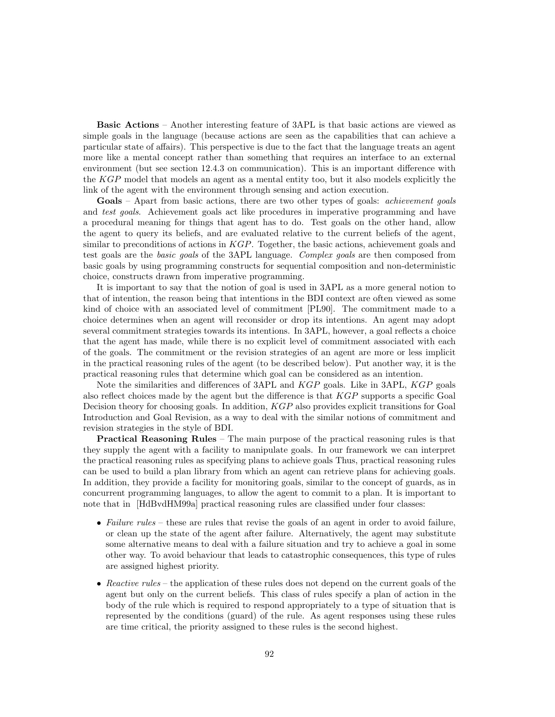Basic Actions – Another interesting feature of 3APL is that basic actions are viewed as simple goals in the language (because actions are seen as the capabilities that can achieve a particular state of affairs). This perspective is due to the fact that the language treats an agent more like a mental concept rather than something that requires an interface to an external environment (but see section 12.4.3 on communication). This is an important difference with the KGP model that models an agent as a mental entity too, but it also models explicitly the link of the agent with the environment through sensing and action execution.

Goals – Apart from basic actions, there are two other types of goals: *achievement goals* and *test goals*. Achievement goals act like procedures in imperative programming and have a procedural meaning for things that agent has to do. Test goals on the other hand, allow the agent to query its beliefs, and are evaluated relative to the current beliefs of the agent, similar to preconditions of actions in  $KGP$ . Together, the basic actions, achievement goals and test goals are the basic goals of the 3APL language. Complex goals are then composed from basic goals by using programming constructs for sequential composition and non-deterministic choice, constructs drawn from imperative programming.

It is important to say that the notion of goal is used in 3APL as a more general notion to that of intention, the reason being that intentions in the BDI context are often viewed as some kind of choice with an associated level of commitment [PL90]. The commitment made to a choice determines when an agent will reconsider or drop its intentions. An agent may adopt several commitment strategies towards its intentions. In 3APL, however, a goal reflects a choice that the agent has made, while there is no explicit level of commitment associated with each of the goals. The commitment or the revision strategies of an agent are more or less implicit in the practical reasoning rules of the agent (to be described below). Put another way, it is the practical reasoning rules that determine which goal can be considered as an intention.

Note the similarities and differences of 3APL and KGP goals. Like in 3APL, KGP goals also reflect choices made by the agent but the difference is that KGP supports a specific Goal Decision theory for choosing goals. In addition, KGP also provides explicit transitions for Goal Introduction and Goal Revision, as a way to deal with the similar notions of commitment and revision strategies in the style of BDI.

Practical Reasoning Rules – The main purpose of the practical reasoning rules is that they supply the agent with a facility to manipulate goals. In our framework we can interpret the practical reasoning rules as specifying plans to achieve goals Thus, practical reasoning rules can be used to build a plan library from which an agent can retrieve plans for achieving goals. In addition, they provide a facility for monitoring goals, similar to the concept of guards, as in concurrent programming languages, to allow the agent to commit to a plan. It is important to note that in [HdBvdHM99a] practical reasoning rules are classified under four classes:

- Failure rules these are rules that revise the goals of an agent in order to avoid failure, or clean up the state of the agent after failure. Alternatively, the agent may substitute some alternative means to deal with a failure situation and try to achieve a goal in some other way. To avoid behaviour that leads to catastrophic consequences, this type of rules are assigned highest priority.
- Reactive rules the application of these rules does not depend on the current goals of the agent but only on the current beliefs. This class of rules specify a plan of action in the body of the rule which is required to respond appropriately to a type of situation that is represented by the conditions (guard) of the rule. As agent responses using these rules are time critical, the priority assigned to these rules is the second highest.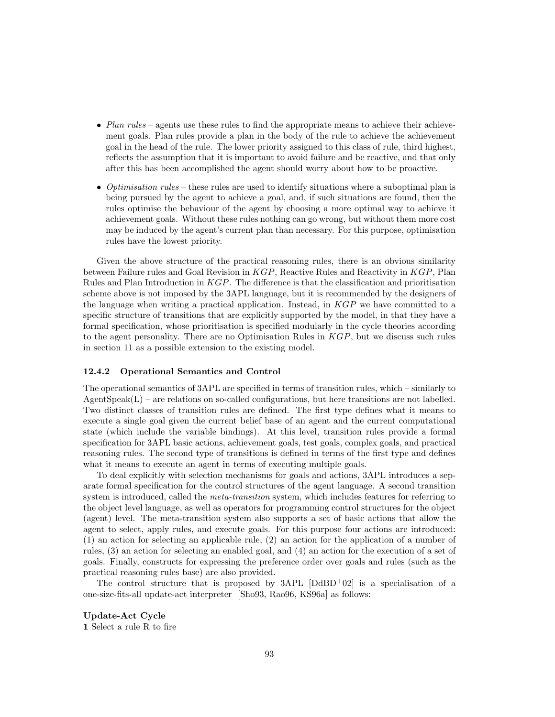- Plan rules agents use these rules to find the appropriate means to achieve their achievement goals. Plan rules provide a plan in the body of the rule to achieve the achievement goal in the head of the rule. The lower priority assigned to this class of rule, third highest, reflects the assumption that it is important to avoid failure and be reactive, and that only after this has been accomplished the agent should worry about how to be proactive.
- Optimisation rules these rules are used to identify situations where a suboptimal plan is being pursued by the agent to achieve a goal, and, if such situations are found, then the rules optimise the behaviour of the agent by choosing a more optimal way to achieve it achievement goals. Without these rules nothing can go wrong, but without them more cost may be induced by the agent's current plan than necessary. For this purpose, optimisation rules have the lowest priority.

Given the above structure of the practical reasoning rules, there is an obvious similarity between Failure rules and Goal Revision in KGP, Reactive Rules and Reactivity in KGP, Plan Rules and Plan Introduction in KGP. The difference is that the classification and prioritisation scheme above is not imposed by the 3APL language, but it is recommended by the designers of the language when writing a practical application. Instead, in  $KGP$  we have committed to a specific structure of transitions that are explicitly supported by the model, in that they have a formal specification, whose prioritisation is specified modularly in the cycle theories according to the agent personality. There are no Optimisation Rules in  $KGP$ , but we discuss such rules in section 11 as a possible extension to the existing model.

#### 12.4.2 Operational Semantics and Control

The operational semantics of 3APL are specified in terms of transition rules, which – similarly to  $AgentSpeak(L)$  – are relations on so-called configurations, but here transitions are not labelled. Two distinct classes of transition rules are defined. The first type defines what it means to execute a single goal given the current belief base of an agent and the current computational state (which include the variable bindings). At this level, transition rules provide a formal specification for 3APL basic actions, achievement goals, test goals, complex goals, and practical reasoning rules. The second type of transitions is defined in terms of the first type and defines what it means to execute an agent in terms of executing multiple goals.

To deal explicitly with selection mechanisms for goals and actions, 3APL introduces a separate formal specification for the control structures of the agent language. A second transition system is introduced, called the *meta-transition* system, which includes features for referring to the object level language, as well as operators for programming control structures for the object (agent) level. The meta-transition system also supports a set of basic actions that allow the agent to select, apply rules, and execute goals. For this purpose four actions are introduced: (1) an action for selecting an applicable rule, (2) an action for the application of a number of rules, (3) an action for selecting an enabled goal, and (4) an action for the execution of a set of goals. Finally, constructs for expressing the preference order over goals and rules (such as the practical reasoning rules base) are also provided.

The control structure that is proposed by  $3APL$  [DdBD+02] is a specialisation of a one-size-fits-all update-act interpreter [Sho93, Rao96, KS96a] as follows:

Update-Act Cycle

1 Select a rule R to fire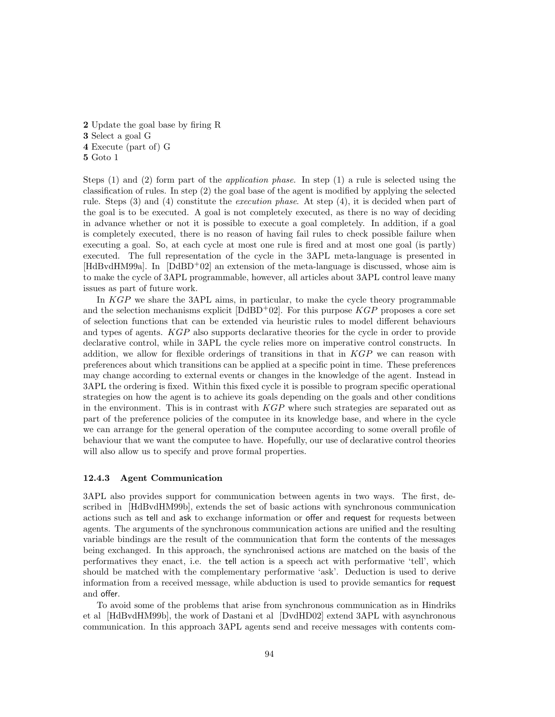Update the goal base by firing R Select a goal G Execute (part of) G 5 Goto 1

Steps  $(1)$  and  $(2)$  form part of the *application phase*. In step  $(1)$  a rule is selected using the classification of rules. In step (2) the goal base of the agent is modified by applying the selected rule. Steps (3) and (4) constitute the execution phase. At step (4), it is decided when part of the goal is to be executed. A goal is not completely executed, as there is no way of deciding in advance whether or not it is possible to execute a goal completely. In addition, if a goal is completely executed, there is no reason of having fail rules to check possible failure when executing a goal. So, at each cycle at most one rule is fired and at most one goal (is partly) executed. The full representation of the cycle in the 3APL meta-language is presented in  $[HdBV dH M99a]$ . In  $[DdBD+02]$  an extension of the meta-language is discussed, whose aim is to make the cycle of 3APL programmable, however, all articles about 3APL control leave many issues as part of future work.

In KGP we share the 3APL aims, in particular, to make the cycle theory programmable and the selection mechanisms explicit  $[D\text{dBD}^+02]$ . For this purpose  $KGP$  proposes a core set of selection functions that can be extended via heuristic rules to model different behaviours and types of agents. KGP also supports declarative theories for the cycle in order to provide declarative control, while in 3APL the cycle relies more on imperative control constructs. In addition, we allow for flexible orderings of transitions in that in  $KGP$  we can reason with preferences about which transitions can be applied at a specific point in time. These preferences may change according to external events or changes in the knowledge of the agent. Instead in 3APL the ordering is fixed. Within this fixed cycle it is possible to program specific operational strategies on how the agent is to achieve its goals depending on the goals and other conditions in the environment. This is in contrast with  $KGP$  where such strategies are separated out as part of the preference policies of the computee in its knowledge base, and where in the cycle we can arrange for the general operation of the computee according to some overall profile of behaviour that we want the computee to have. Hopefully, our use of declarative control theories will also allow us to specify and prove formal properties.

#### 12.4.3 Agent Communication

3APL also provides support for communication between agents in two ways. The first, described in [HdBvdHM99b], extends the set of basic actions with synchronous communication actions such as tell and ask to exchange information or offer and request for requests between agents. The arguments of the synchronous communication actions are unified and the resulting variable bindings are the result of the communication that form the contents of the messages being exchanged. In this approach, the synchronised actions are matched on the basis of the performatives they enact, i.e. the tell action is a speech act with performative 'tell', which should be matched with the complementary performative 'ask'. Deduction is used to derive information from a received message, while abduction is used to provide semantics for request and offer.

To avoid some of the problems that arise from synchronous communication as in Hindriks et al [HdBvdHM99b], the work of Dastani et al [DvdHD02] extend 3APL with asynchronous communication. In this approach 3APL agents send and receive messages with contents com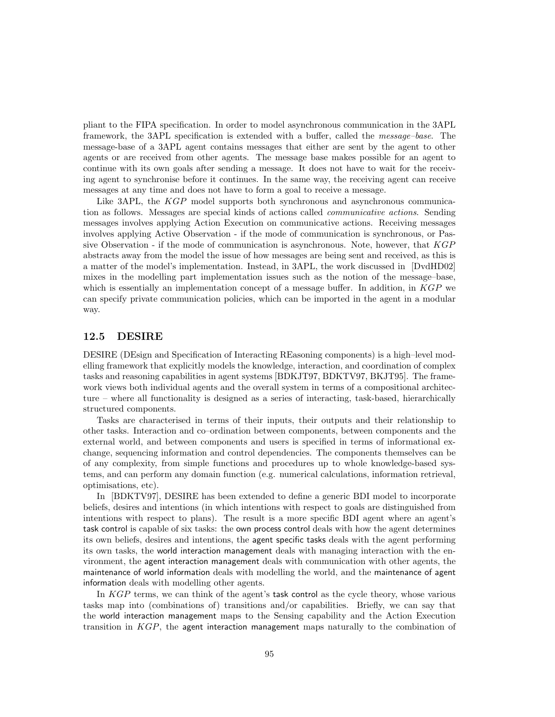pliant to the FIPA specification. In order to model asynchronous communication in the 3APL framework, the 3APL specification is extended with a buffer, called the message–base. The message-base of a 3APL agent contains messages that either are sent by the agent to other agents or are received from other agents. The message base makes possible for an agent to continue with its own goals after sending a message. It does not have to wait for the receiving agent to synchronise before it continues. In the same way, the receiving agent can receive messages at any time and does not have to form a goal to receive a message.

Like 3APL, the KGP model supports both synchronous and asynchronous communication as follows. Messages are special kinds of actions called communicative actions. Sending messages involves applying Action Execution on communicative actions. Receiving messages involves applying Active Observation - if the mode of communication is synchronous, or Passive Observation - if the mode of communication is asynchronous. Note, however, that KGP abstracts away from the model the issue of how messages are being sent and received, as this is a matter of the model's implementation. Instead, in 3APL, the work discussed in [DvdHD02] mixes in the modelling part implementation issues such as the notion of the message–base, which is essentially an implementation concept of a message buffer. In addition, in  $KGP$  we can specify private communication policies, which can be imported in the agent in a modular way.

## 12.5 DESIRE

DESIRE (DEsign and Specification of Interacting REasoning components) is a high–level modelling framework that explicitly models the knowledge, interaction, and coordination of complex tasks and reasoning capabilities in agent systems [BDKJT97, BDKTV97, BKJT95]. The framework views both individual agents and the overall system in terms of a compositional architecture – where all functionality is designed as a series of interacting, task-based, hierarchically structured components.

Tasks are characterised in terms of their inputs, their outputs and their relationship to other tasks. Interaction and co–ordination between components, between components and the external world, and between components and users is specified in terms of informational exchange, sequencing information and control dependencies. The components themselves can be of any complexity, from simple functions and procedures up to whole knowledge-based systems, and can perform any domain function (e.g. numerical calculations, information retrieval, optimisations, etc).

In [BDKTV97], DESIRE has been extended to define a generic BDI model to incorporate beliefs, desires and intentions (in which intentions with respect to goals are distinguished from intentions with respect to plans). The result is a more specific BDI agent where an agent's task control is capable of six tasks: the own process control deals with how the agent determines its own beliefs, desires and intentions, the agent specific tasks deals with the agent performing its own tasks, the world interaction management deals with managing interaction with the environment, the agent interaction management deals with communication with other agents, the maintenance of world information deals with modelling the world, and the maintenance of agent information deals with modelling other agents.

In KGP terms, we can think of the agent's task control as the cycle theory, whose various tasks map into (combinations of) transitions and/or capabilities. Briefly, we can say that the world interaction management maps to the Sensing capability and the Action Execution transition in  $KGP$ , the agent interaction management maps naturally to the combination of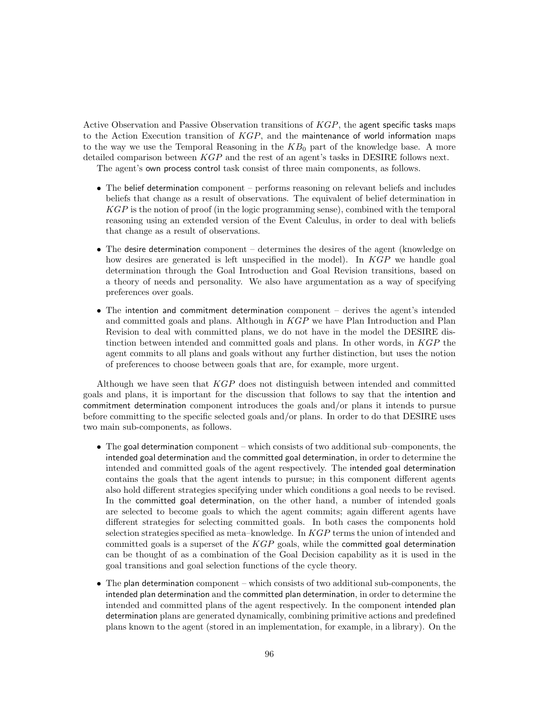Active Observation and Passive Observation transitions of KGP, the agent specific tasks maps to the Action Execution transition of  $KGP$ , and the maintenance of world information maps to the way we use the Temporal Reasoning in the  $KB<sub>0</sub>$  part of the knowledge base. A more detailed comparison between KGP and the rest of an agent's tasks in DESIRE follows next.

The agent's own process control task consist of three main components, as follows.

- The belief determination component performs reasoning on relevant beliefs and includes beliefs that change as a result of observations. The equivalent of belief determination in KGP is the notion of proof (in the logic programming sense), combined with the temporal reasoning using an extended version of the Event Calculus, in order to deal with beliefs that change as a result of observations.
- The desire determination component determines the desires of the agent (knowledge on how desires are generated is left unspecified in the model). In KGP we handle goal determination through the Goal Introduction and Goal Revision transitions, based on a theory of needs and personality. We also have argumentation as a way of specifying preferences over goals.
- The intention and commitment determination component derives the agent's intended and committed goals and plans. Although in  $KGP$  we have Plan Introduction and Plan Revision to deal with committed plans, we do not have in the model the DESIRE distinction between intended and committed goals and plans. In other words, in KGP the agent commits to all plans and goals without any further distinction, but uses the notion of preferences to choose between goals that are, for example, more urgent.

Although we have seen that KGP does not distinguish between intended and committed goals and plans, it is important for the discussion that follows to say that the intention and commitment determination component introduces the goals and/or plans it intends to pursue before committing to the specific selected goals and/or plans. In order to do that DESIRE uses two main sub-components, as follows.

- The goal determination component which consists of two additional sub–components, the intended goal determination and the committed goal determination, in order to determine the intended and committed goals of the agent respectively. The intended goal determination contains the goals that the agent intends to pursue; in this component different agents also hold different strategies specifying under which conditions a goal needs to be revised. In the committed goal determination, on the other hand, a number of intended goals are selected to become goals to which the agent commits; again different agents have different strategies for selecting committed goals. In both cases the components hold selection strategies specified as meta–knowledge. In  $KGP$  terms the union of intended and committed goals is a superset of the  $KGP$  goals, while the committed goal determination can be thought of as a combination of the Goal Decision capability as it is used in the goal transitions and goal selection functions of the cycle theory.
- The plan determination component which consists of two additional sub-components, the intended plan determination and the committed plan determination, in order to determine the intended and committed plans of the agent respectively. In the component intended plan determination plans are generated dynamically, combining primitive actions and predefined plans known to the agent (stored in an implementation, for example, in a library). On the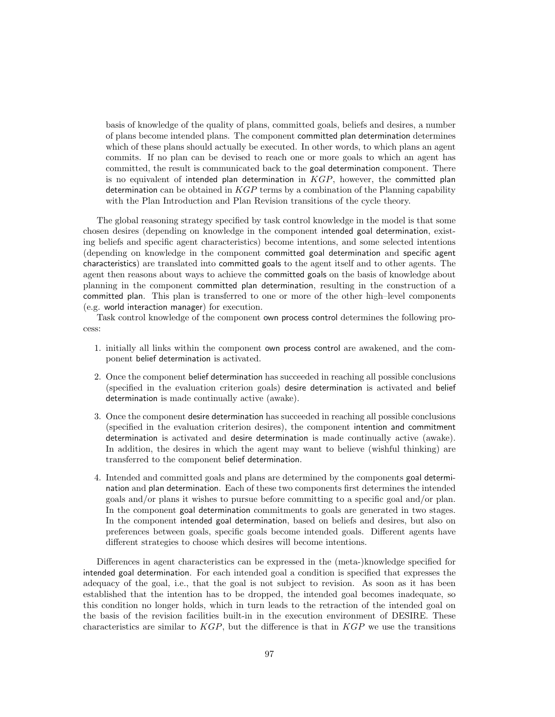basis of knowledge of the quality of plans, committed goals, beliefs and desires, a number of plans become intended plans. The component committed plan determination determines which of these plans should actually be executed. In other words, to which plans an agent commits. If no plan can be devised to reach one or more goals to which an agent has committed, the result is communicated back to the goal determination component. There is no equivalent of intended plan determination in  $KGP$ , however, the committed plan determination can be obtained in  $KGP$  terms by a combination of the Planning capability with the Plan Introduction and Plan Revision transitions of the cycle theory.

The global reasoning strategy specified by task control knowledge in the model is that some chosen desires (depending on knowledge in the component intended goal determination, existing beliefs and specific agent characteristics) become intentions, and some selected intentions (depending on knowledge in the component committed goal determination and specific agent characteristics) are translated into committed goals to the agent itself and to other agents. The agent then reasons about ways to achieve the committed goals on the basis of knowledge about planning in the component committed plan determination, resulting in the construction of a committed plan. This plan is transferred to one or more of the other high–level components (e.g. world interaction manager) for execution.

Task control knowledge of the component own process control determines the following process:

- 1. initially all links within the component own process control are awakened, and the component belief determination is activated.
- 2. Once the component belief determination has succeeded in reaching all possible conclusions (specified in the evaluation criterion goals) desire determination is activated and belief determination is made continually active (awake).
- 3. Once the component desire determination has succeeded in reaching all possible conclusions (specified in the evaluation criterion desires), the component intention and commitment determination is activated and desire determination is made continually active (awake). In addition, the desires in which the agent may want to believe (wishful thinking) are transferred to the component belief determination.
- 4. Intended and committed goals and plans are determined by the components goal determination and plan determination. Each of these two components first determines the intended goals and/or plans it wishes to pursue before committing to a specific goal and/or plan. In the component goal determination commitments to goals are generated in two stages. In the component intended goal determination, based on beliefs and desires, but also on preferences between goals, specific goals become intended goals. Different agents have different strategies to choose which desires will become intentions.

Differences in agent characteristics can be expressed in the (meta-)knowledge specified for intended goal determination. For each intended goal a condition is specified that expresses the adequacy of the goal, i.e., that the goal is not subject to revision. As soon as it has been established that the intention has to be dropped, the intended goal becomes inadequate, so this condition no longer holds, which in turn leads to the retraction of the intended goal on the basis of the revision facilities built-in in the execution environment of DESIRE. These characteristics are similar to  $KGP$ , but the difference is that in  $KGP$  we use the transitions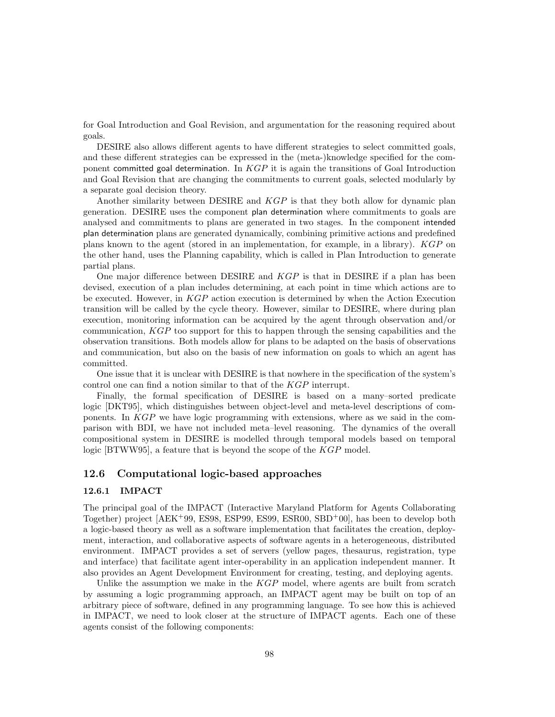for Goal Introduction and Goal Revision, and argumentation for the reasoning required about goals.

DESIRE also allows different agents to have different strategies to select committed goals, and these different strategies can be expressed in the (meta-)knowledge specified for the component committed goal determination. In  $KGP$  it is again the transitions of Goal Introduction and Goal Revision that are changing the commitments to current goals, selected modularly by a separate goal decision theory.

Another similarity between DESIRE and KGP is that they both allow for dynamic plan generation. DESIRE uses the component plan determination where commitments to goals are analysed and commitments to plans are generated in two stages. In the component intended plan determination plans are generated dynamically, combining primitive actions and predefined plans known to the agent (stored in an implementation, for example, in a library). KGP on the other hand, uses the Planning capability, which is called in Plan Introduction to generate partial plans.

One major difference between DESIRE and KGP is that in DESIRE if a plan has been devised, execution of a plan includes determining, at each point in time which actions are to be executed. However, in KGP action execution is determined by when the Action Execution transition will be called by the cycle theory. However, similar to DESIRE, where during plan execution, monitoring information can be acquired by the agent through observation and/or communication, KGP too support for this to happen through the sensing capabilities and the observation transitions. Both models allow for plans to be adapted on the basis of observations and communication, but also on the basis of new information on goals to which an agent has committed.

One issue that it is unclear with DESIRE is that nowhere in the specification of the system's control one can find a notion similar to that of the KGP interrupt.

Finally, the formal specification of DESIRE is based on a many–sorted predicate logic [DKT95], which distinguishes between object-level and meta-level descriptions of components. In KGP we have logic programming with extensions, where as we said in the comparison with BDI, we have not included meta–level reasoning. The dynamics of the overall compositional system in DESIRE is modelled through temporal models based on temporal logic [BTWW95], a feature that is beyond the scope of the KGP model.

## 12.6 Computational logic-based approaches

## 12.6.1 IMPACT

The principal goal of the IMPACT (Interactive Maryland Platform for Agents Collaborating Together) project [AEK<sup>+</sup>99, ES98, ESP99, ES99, ESR00, SBD<sup>+</sup>00], has been to develop both a logic-based theory as well as a software implementation that facilitates the creation, deployment, interaction, and collaborative aspects of software agents in a heterogeneous, distributed environment. IMPACT provides a set of servers (yellow pages, thesaurus, registration, type and interface) that facilitate agent inter-operability in an application independent manner. It also provides an Agent Development Environment for creating, testing, and deploying agents.

Unlike the assumption we make in the  $KGP$  model, where agents are built from scratch by assuming a logic programming approach, an IMPACT agent may be built on top of an arbitrary piece of software, defined in any programming language. To see how this is achieved in IMPACT, we need to look closer at the structure of IMPACT agents. Each one of these agents consist of the following components: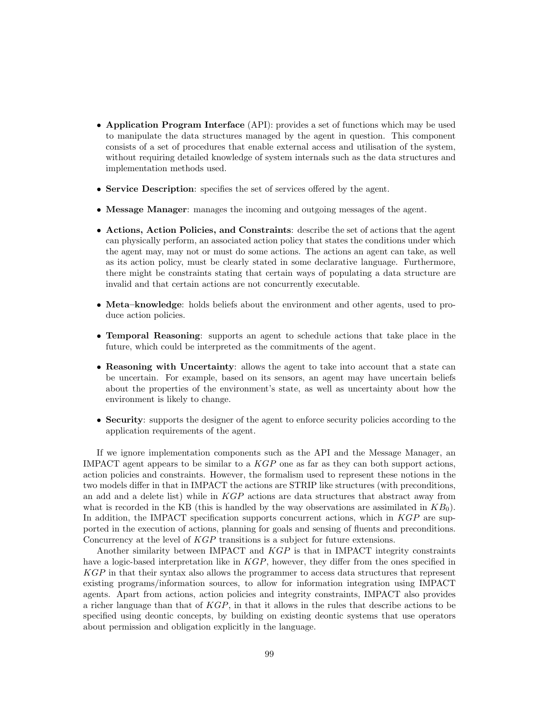- Application Program Interface (API): provides a set of functions which may be used to manipulate the data structures managed by the agent in question. This component consists of a set of procedures that enable external access and utilisation of the system, without requiring detailed knowledge of system internals such as the data structures and implementation methods used.
- Service Description: specifies the set of services offered by the agent.
- Message Manager: manages the incoming and outgoing messages of the agent.
- Actions, Action Policies, and Constraints: describe the set of actions that the agent can physically perform, an associated action policy that states the conditions under which the agent may, may not or must do some actions. The actions an agent can take, as well as its action policy, must be clearly stated in some declarative language. Furthermore, there might be constraints stating that certain ways of populating a data structure are invalid and that certain actions are not concurrently executable.
- Meta–knowledge: holds beliefs about the environment and other agents, used to produce action policies.
- Temporal Reasoning: supports an agent to schedule actions that take place in the future, which could be interpreted as the commitments of the agent.
- Reasoning with Uncertainty: allows the agent to take into account that a state can be uncertain. For example, based on its sensors, an agent may have uncertain beliefs about the properties of the environment's state, as well as uncertainty about how the environment is likely to change.
- Security: supports the designer of the agent to enforce security policies according to the application requirements of the agent.

If we ignore implementation components such as the API and the Message Manager, an IMPACT agent appears to be similar to a  $KGP$  one as far as they can both support actions, action policies and constraints. However, the formalism used to represent these notions in the two models differ in that in IMPACT the actions are STRIP like structures (with preconditions, an add and a delete list) while in  $KGP$  actions are data structures that abstract away from what is recorded in the KB (this is handled by the way observations are assimilated in  $KB<sub>0</sub>$ ). In addition, the IMPACT specification supports concurrent actions, which in KGP are supported in the execution of actions, planning for goals and sensing of fluents and preconditions. Concurrency at the level of KGP transitions is a subject for future extensions.

Another similarity between IMPACT and KGP is that in IMPACT integrity constraints have a logic-based interpretation like in  $KGP$ , however, they differ from the ones specified in KGP in that their syntax also allows the programmer to access data structures that represent existing programs/information sources, to allow for information integration using IMPACT agents. Apart from actions, action policies and integrity constraints, IMPACT also provides a richer language than that of KGP, in that it allows in the rules that describe actions to be specified using deontic concepts, by building on existing deontic systems that use operators about permission and obligation explicitly in the language.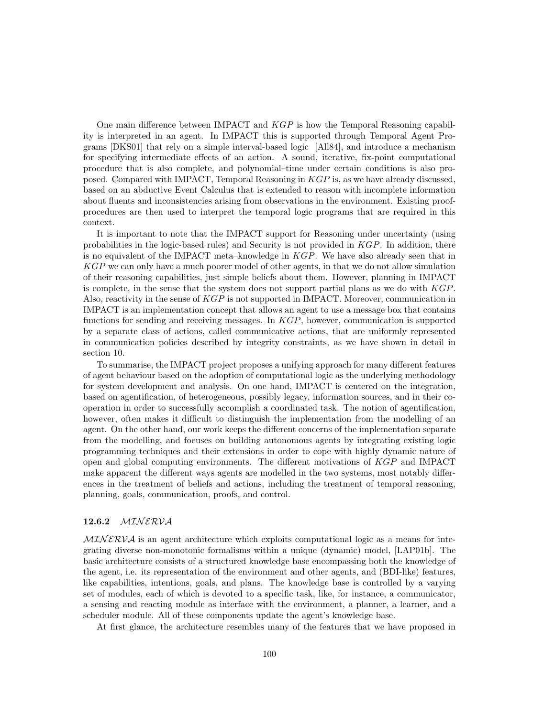One main difference between IMPACT and KGP is how the Temporal Reasoning capability is interpreted in an agent. In IMPACT this is supported through Temporal Agent Programs [DKS01] that rely on a simple interval-based logic [All84], and introduce a mechanism for specifying intermediate effects of an action. A sound, iterative, fix-point computational procedure that is also complete, and polynomial–time under certain conditions is also proposed. Compared with IMPACT, Temporal Reasoning in KGP is, as we have already discussed, based on an abductive Event Calculus that is extended to reason with incomplete information about fluents and inconsistencies arising from observations in the environment. Existing proofprocedures are then used to interpret the temporal logic programs that are required in this context.

It is important to note that the IMPACT support for Reasoning under uncertainty (using probabilities in the logic-based rules) and Security is not provided in KGP. In addition, there is no equivalent of the IMPACT meta–knowledge in  $KGP$ . We have also already seen that in KGP we can only have a much poorer model of other agents, in that we do not allow simulation of their reasoning capabilities, just simple beliefs about them. However, planning in IMPACT is complete, in the sense that the system does not support partial plans as we do with KGP. Also, reactivity in the sense of KGP is not supported in IMPACT. Moreover, communication in IMPACT is an implementation concept that allows an agent to use a message box that contains functions for sending and receiving messages. In KGP, however, communication is supported by a separate class of actions, called communicative actions, that are uniformly represented in communication policies described by integrity constraints, as we have shown in detail in section 10.

To summarise, the IMPACT project proposes a unifying approach for many different features of agent behaviour based on the adoption of computational logic as the underlying methodology for system development and analysis. On one hand, IMPACT is centered on the integration, based on agentification, of heterogeneous, possibly legacy, information sources, and in their cooperation in order to successfully accomplish a coordinated task. The notion of agentification, however, often makes it difficult to distinguish the implementation from the modelling of an agent. On the other hand, our work keeps the different concerns of the implementation separate from the modelling, and focuses on building autonomous agents by integrating existing logic programming techniques and their extensions in order to cope with highly dynamic nature of open and global computing environments. The different motivations of KGP and IMPACT make apparent the different ways agents are modelled in the two systems, most notably differences in the treatment of beliefs and actions, including the treatment of temporal reasoning, planning, goals, communication, proofs, and control.

## 12.6.2 MINERVA

 $MINERVA$  is an agent architecture which exploits computational logic as a means for integrating diverse non-monotonic formalisms within a unique (dynamic) model, [LAP01b]. The basic architecture consists of a structured knowledge base encompassing both the knowledge of the agent, i.e. its representation of the environment and other agents, and (BDI-like) features, like capabilities, intentions, goals, and plans. The knowledge base is controlled by a varying set of modules, each of which is devoted to a specific task, like, for instance, a communicator, a sensing and reacting module as interface with the environment, a planner, a learner, and a scheduler module. All of these components update the agent's knowledge base.

At first glance, the architecture resembles many of the features that we have proposed in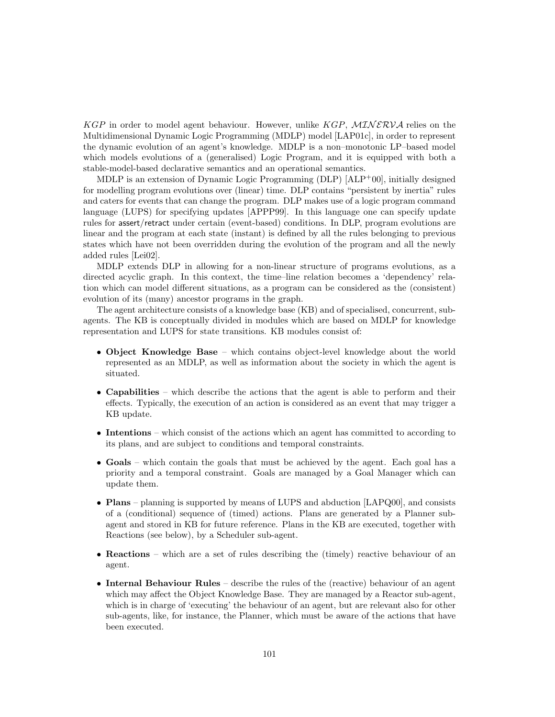KGP in order to model agent behaviour. However, unlike KGP,  $MINERVA$  relies on the Multidimensional Dynamic Logic Programming (MDLP) model [LAP01c], in order to represent the dynamic evolution of an agent's knowledge. MDLP is a non–monotonic LP–based model which models evolutions of a (generalised) Logic Program, and it is equipped with both a stable-model-based declarative semantics and an operational semantics.

MDLP is an extension of Dynamic Logic Programming (DLP) [ALP<sup>+</sup>00], initially designed for modelling program evolutions over (linear) time. DLP contains "persistent by inertia" rules and caters for events that can change the program. DLP makes use of a logic program command language (LUPS) for specifying updates [APPP99]. In this language one can specify update rules for assert/retract under certain (event-based) conditions. In DLP, program evolutions are linear and the program at each state (instant) is defined by all the rules belonging to previous states which have not been overridden during the evolution of the program and all the newly added rules [Lei02].

MDLP extends DLP in allowing for a non-linear structure of programs evolutions, as a directed acyclic graph. In this context, the time–line relation becomes a 'dependency' relation which can model different situations, as a program can be considered as the (consistent) evolution of its (many) ancestor programs in the graph.

The agent architecture consists of a knowledge base (KB) and of specialised, concurrent, subagents. The KB is conceptually divided in modules which are based on MDLP for knowledge representation and LUPS for state transitions. KB modules consist of:

- Object Knowledge Base which contains object-level knowledge about the world represented as an MDLP, as well as information about the society in which the agent is situated.
- Capabilities which describe the actions that the agent is able to perform and their effects. Typically, the execution of an action is considered as an event that may trigger a KB update.
- Intentions which consist of the actions which an agent has committed to according to its plans, and are subject to conditions and temporal constraints.
- Goals which contain the goals that must be achieved by the agent. Each goal has a priority and a temporal constraint. Goals are managed by a Goal Manager which can update them.
- Plans planning is supported by means of LUPS and abduction [LAPQ00], and consists of a (conditional) sequence of (timed) actions. Plans are generated by a Planner subagent and stored in KB for future reference. Plans in the KB are executed, together with Reactions (see below), by a Scheduler sub-agent.
- Reactions which are a set of rules describing the (timely) reactive behaviour of an agent.
- Internal Behaviour Rules describe the rules of the (reactive) behaviour of an agent which may affect the Object Knowledge Base. They are managed by a Reactor sub-agent, which is in charge of 'executing' the behaviour of an agent, but are relevant also for other sub-agents, like, for instance, the Planner, which must be aware of the actions that have been executed.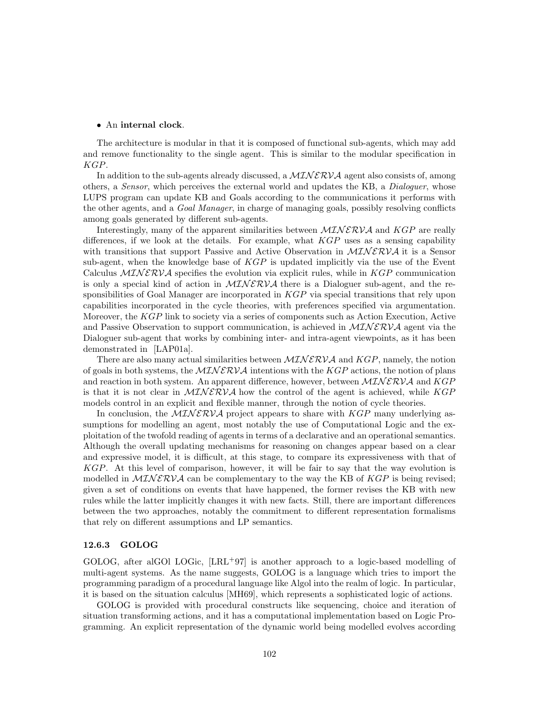#### • An internal clock.

The architecture is modular in that it is composed of functional sub-agents, which may add and remove functionality to the single agent. This is similar to the modular specification in KGP.

In addition to the sub-agents already discussed, a  $MINERVA$  agent also consists of, among others, a Sensor, which perceives the external world and updates the KB, a Dialoguer, whose LUPS program can update KB and Goals according to the communications it performs with the other agents, and a Goal Manager, in charge of managing goals, possibly resolving conflicts among goals generated by different sub-agents.

Interestingly, many of the apparent similarities between  $\mathcal{MINERVA}$  and  $KGP$  are really differences, if we look at the details. For example, what  $KGP$  uses as a sensing capability with transitions that support Passive and Active Observation in  $MINERVA$  it is a Sensor sub-agent, when the knowledge base of  $KGP$  is updated implicitly via the use of the Event Calculus  $MINERVA$  specifies the evolution via explicit rules, while in  $KGP$  communication is only a special kind of action in  $MINERVA$  there is a Dialoguer sub-agent, and the responsibilities of Goal Manager are incorporated in  $KGP$  via special transitions that rely upon capabilities incorporated in the cycle theories, with preferences specified via argumentation. Moreover, the KGP link to society via a series of components such as Action Execution, Active and Passive Observation to support communication, is achieved in  $MINERVA$  agent via the Dialoguer sub-agent that works by combining inter- and intra-agent viewpoints, as it has been demonstrated in [LAP01a].

There are also many actual similarities between  $\mathcal{MINERVA}$  and  $KGP$ , namely, the notion of goals in both systems, the  $MINERVA$  intentions with the KGP actions, the notion of plans and reaction in both system. An apparent difference, however, between  $\mathcal{MINERVA}$  and  $KGP$ is that it is not clear in  $MINERVA$  how the control of the agent is achieved, while  $KGP$ models control in an explicit and flexible manner, through the notion of cycle theories.

In conclusion, the  $MINERVA$  project appears to share with  $KGP$  many underlying assumptions for modelling an agent, most notably the use of Computational Logic and the exploitation of the twofold reading of agents in terms of a declarative and an operational semantics. Although the overall updating mechanisms for reasoning on changes appear based on a clear and expressive model, it is difficult, at this stage, to compare its expressiveness with that of KGP. At this level of comparison, however, it will be fair to say that the way evolution is modelled in  $\mathcal{MINERVA}$  can be complementary to the way the KB of  $KGP$  is being revised; given a set of conditions on events that have happened, the former revises the KB with new rules while the latter implicitly changes it with new facts. Still, there are important differences between the two approaches, notably the commitment to different representation formalisms that rely on different assumptions and LP semantics.

#### 12.6.3 GOLOG

GOLOG, after alGOl LOGic, [LRL<sup>+97]</sup> is another approach to a logic-based modelling of multi-agent systems. As the name suggests, GOLOG is a language which tries to import the programming paradigm of a procedural language like Algol into the realm of logic. In particular, it is based on the situation calculus [MH69], which represents a sophisticated logic of actions.

GOLOG is provided with procedural constructs like sequencing, choice and iteration of situation transforming actions, and it has a computational implementation based on Logic Programming. An explicit representation of the dynamic world being modelled evolves according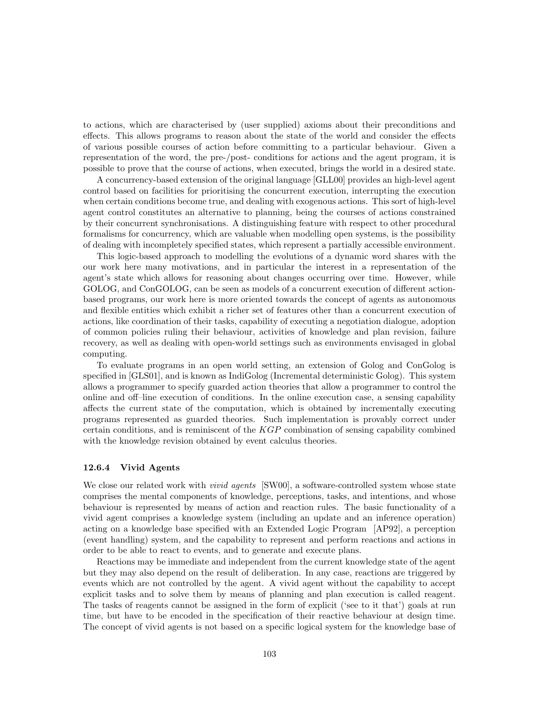to actions, which are characterised by (user supplied) axioms about their preconditions and effects. This allows programs to reason about the state of the world and consider the effects of various possible courses of action before committing to a particular behaviour. Given a representation of the word, the pre-/post- conditions for actions and the agent program, it is possible to prove that the course of actions, when executed, brings the world in a desired state.

A concurrency-based extension of the original language [GLL00] provides an high-level agent control based on facilities for prioritising the concurrent execution, interrupting the execution when certain conditions become true, and dealing with exogenous actions. This sort of high-level agent control constitutes an alternative to planning, being the courses of actions constrained by their concurrent synchronisations. A distinguishing feature with respect to other procedural formalisms for concurrency, which are valuable when modelling open systems, is the possibility of dealing with incompletely specified states, which represent a partially accessible environment.

This logic-based approach to modelling the evolutions of a dynamic word shares with the our work here many motivations, and in particular the interest in a representation of the agent's state which allows for reasoning about changes occurring over time. However, while GOLOG, and ConGOLOG, can be seen as models of a concurrent execution of different actionbased programs, our work here is more oriented towards the concept of agents as autonomous and flexible entities which exhibit a richer set of features other than a concurrent execution of actions, like coordination of their tasks, capability of executing a negotiation dialogue, adoption of common policies ruling their behaviour, activities of knowledge and plan revision, failure recovery, as well as dealing with open-world settings such as environments envisaged in global computing.

To evaluate programs in an open world setting, an extension of Golog and ConGolog is specified in [GLS01], and is known as IndiGolog (Incremental deterministic Golog). This system allows a programmer to specify guarded action theories that allow a programmer to control the online and off–line execution of conditions. In the online execution case, a sensing capability affects the current state of the computation, which is obtained by incrementally executing programs represented as guarded theories. Such implementation is provably correct under certain conditions, and is reminiscent of the KGP combination of sensing capability combined with the knowledge revision obtained by event calculus theories.

#### 12.6.4 Vivid Agents

We close our related work with *vivid agents* [SW00], a software-controlled system whose state comprises the mental components of knowledge, perceptions, tasks, and intentions, and whose behaviour is represented by means of action and reaction rules. The basic functionality of a vivid agent comprises a knowledge system (including an update and an inference operation) acting on a knowledge base specified with an Extended Logic Program [AP92], a perception (event handling) system, and the capability to represent and perform reactions and actions in order to be able to react to events, and to generate and execute plans.

Reactions may be immediate and independent from the current knowledge state of the agent but they may also depend on the result of deliberation. In any case, reactions are triggered by events which are not controlled by the agent. A vivid agent without the capability to accept explicit tasks and to solve them by means of planning and plan execution is called reagent. The tasks of reagents cannot be assigned in the form of explicit ('see to it that') goals at run time, but have to be encoded in the specification of their reactive behaviour at design time. The concept of vivid agents is not based on a specific logical system for the knowledge base of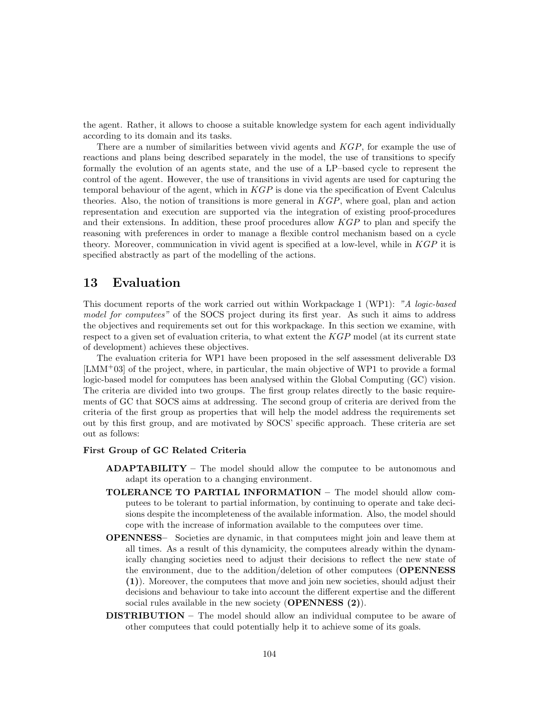the agent. Rather, it allows to choose a suitable knowledge system for each agent individually according to its domain and its tasks.

There are a number of similarities between vivid agents and  $KGP$ , for example the use of reactions and plans being described separately in the model, the use of transitions to specify formally the evolution of an agents state, and the use of a LP–based cycle to represent the control of the agent. However, the use of transitions in vivid agents are used for capturing the temporal behaviour of the agent, which in  $KGP$  is done via the specification of Event Calculus theories. Also, the notion of transitions is more general in  $KGP$ , where goal, plan and action representation and execution are supported via the integration of existing proof-procedures and their extensions. In addition, these proof procedures allow KGP to plan and specify the reasoning with preferences in order to manage a flexible control mechanism based on a cycle theory. Moreover, communication in vivid agent is specified at a low-level, while in  $KGP$  it is specified abstractly as part of the modelling of the actions.

# 13 Evaluation

This document reports of the work carried out within Workpackage 1 (WP1): "A logic-based model for computees" of the SOCS project during its first year. As such it aims to address the objectives and requirements set out for this workpackage. In this section we examine, with respect to a given set of evaluation criteria, to what extent the KGP model (at its current state of development) achieves these objectives.

The evaluation criteria for WP1 have been proposed in the self assessment deliverable D3 [LMM<sup>+</sup>03] of the project, where, in particular, the main objective of WP1 to provide a formal logic-based model for computees has been analysed within the Global Computing (GC) vision. The criteria are divided into two groups. The first group relates directly to the basic requirements of GC that SOCS aims at addressing. The second group of criteria are derived from the criteria of the first group as properties that will help the model address the requirements set out by this first group, and are motivated by SOCS' specific approach. These criteria are set out as follows:

## First Group of GC Related Criteria

- ADAPTABILITY The model should allow the computee to be autonomous and adapt its operation to a changing environment.
- TOLERANCE TO PARTIAL INFORMATION The model should allow computees to be tolerant to partial information, by continuing to operate and take decisions despite the incompleteness of the available information. Also, the model should cope with the increase of information available to the computees over time.
- OPENNESS– Societies are dynamic, in that computees might join and leave them at all times. As a result of this dynamicity, the computees already within the dynamically changing societies need to adjust their decisions to reflect the new state of the environment, due to the addition/deletion of other computees (OPENNESS) (1)). Moreover, the computees that move and join new societies, should adjust their decisions and behaviour to take into account the different expertise and the different social rules available in the new society  $(OPENNESS (2)).$
- **DISTRIBUTION** The model should allow an individual computee to be aware of other computees that could potentially help it to achieve some of its goals.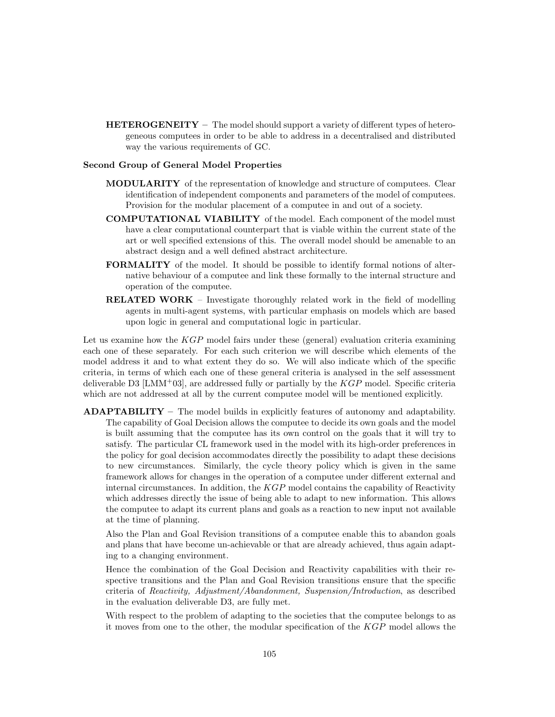HETEROGENEITY – The model should support a variety of different types of heterogeneous computees in order to be able to address in a decentralised and distributed way the various requirements of GC.

### Second Group of General Model Properties

- MODULARITY of the representation of knowledge and structure of computees. Clear identification of independent components and parameters of the model of computees. Provision for the modular placement of a computee in and out of a society.
- COMPUTATIONAL VIABILITY of the model. Each component of the model must have a clear computational counterpart that is viable within the current state of the art or well specified extensions of this. The overall model should be amenable to an abstract design and a well defined abstract architecture.
- FORMALITY of the model. It should be possible to identify formal notions of alternative behaviour of a computee and link these formally to the internal structure and operation of the computee.
- RELATED WORK Investigate thoroughly related work in the field of modelling agents in multi-agent systems, with particular emphasis on models which are based upon logic in general and computational logic in particular.

Let us examine how the  $KGP$  model fairs under these (general) evaluation criteria examining each one of these separately. For each such criterion we will describe which elements of the model address it and to what extent they do so. We will also indicate which of the specific criteria, in terms of which each one of these general criteria is analysed in the self assessment deliverable D3  $[LMM<sup>+</sup>03]$ , are addressed fully or partially by the  $KGP$  model. Specific criteria which are not addressed at all by the current computee model will be mentioned explicitly.

ADAPTABILITY – The model builds in explicitly features of autonomy and adaptability. The capability of Goal Decision allows the computee to decide its own goals and the model is built assuming that the computee has its own control on the goals that it will try to satisfy. The particular CL framework used in the model with its high-order preferences in the policy for goal decision accommodates directly the possibility to adapt these decisions to new circumstances. Similarly, the cycle theory policy which is given in the same framework allows for changes in the operation of a computee under different external and internal circumstances. In addition, the  $KGP$  model contains the capability of Reactivity which addresses directly the issue of being able to adapt to new information. This allows the computee to adapt its current plans and goals as a reaction to new input not available at the time of planning.

Also the Plan and Goal Revision transitions of a computee enable this to abandon goals and plans that have become un-achievable or that are already achieved, thus again adapting to a changing environment.

Hence the combination of the Goal Decision and Reactivity capabilities with their respective transitions and the Plan and Goal Revision transitions ensure that the specific criteria of Reactivity, Adjustment/Abandonment, Suspension/Introduction, as described in the evaluation deliverable D3, are fully met.

With respect to the problem of adapting to the societies that the computee belongs to as it moves from one to the other, the modular specification of the KGP model allows the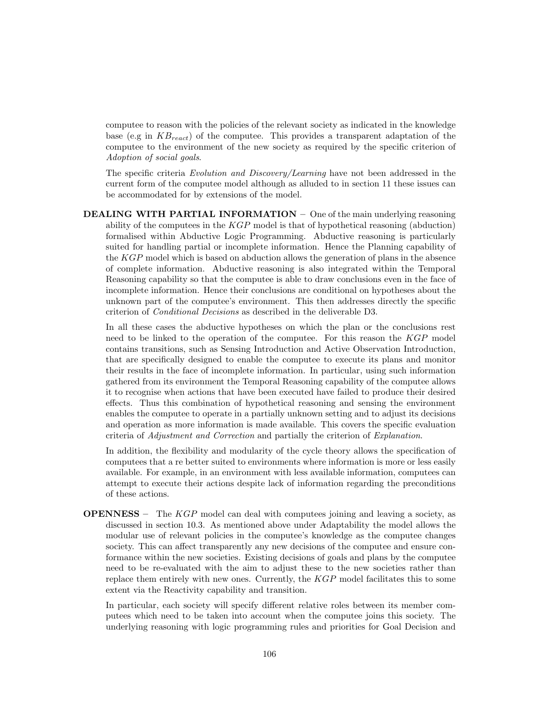computee to reason with the policies of the relevant society as indicated in the knowledge base (e.g in  $KB_{react}$ ) of the computee. This provides a transparent adaptation of the computee to the environment of the new society as required by the specific criterion of Adoption of social goals.

The specific criteria Evolution and Discovery/Learning have not been addressed in the current form of the computee model although as alluded to in section 11 these issues can be accommodated for by extensions of the model.

DEALING WITH PARTIAL INFORMATION – One of the main underlying reasoning ability of the computees in the  $KGP$  model is that of hypothetical reasoning (abduction) formalised within Abductive Logic Programming. Abductive reasoning is particularly suited for handling partial or incomplete information. Hence the Planning capability of the KGP model which is based on abduction allows the generation of plans in the absence of complete information. Abductive reasoning is also integrated within the Temporal Reasoning capability so that the computee is able to draw conclusions even in the face of incomplete information. Hence their conclusions are conditional on hypotheses about the unknown part of the computee's environment. This then addresses directly the specific criterion of Conditional Decisions as described in the deliverable D3.

In all these cases the abductive hypotheses on which the plan or the conclusions rest need to be linked to the operation of the computee. For this reason the KGP model contains transitions, such as Sensing Introduction and Active Observation Introduction, that are specifically designed to enable the computee to execute its plans and monitor their results in the face of incomplete information. In particular, using such information gathered from its environment the Temporal Reasoning capability of the computee allows it to recognise when actions that have been executed have failed to produce their desired effects. Thus this combination of hypothetical reasoning and sensing the environment enables the computee to operate in a partially unknown setting and to adjust its decisions and operation as more information is made available. This covers the specific evaluation criteria of Adjustment and Correction and partially the criterion of Explanation.

In addition, the flexibility and modularity of the cycle theory allows the specification of computees that a re better suited to environments where information is more or less easily available. For example, in an environment with less available information, computees can attempt to execute their actions despite lack of information regarding the preconditions of these actions.

OPENNESS – The KGP model can deal with computees joining and leaving a society, as discussed in section 10.3. As mentioned above under Adaptability the model allows the modular use of relevant policies in the computee's knowledge as the computee changes society. This can affect transparently any new decisions of the computee and ensure conformance within the new societies. Existing decisions of goals and plans by the computee need to be re-evaluated with the aim to adjust these to the new societies rather than replace them entirely with new ones. Currently, the  $KGP$  model facilitates this to some extent via the Reactivity capability and transition.

In particular, each society will specify different relative roles between its member computees which need to be taken into account when the computee joins this society. The underlying reasoning with logic programming rules and priorities for Goal Decision and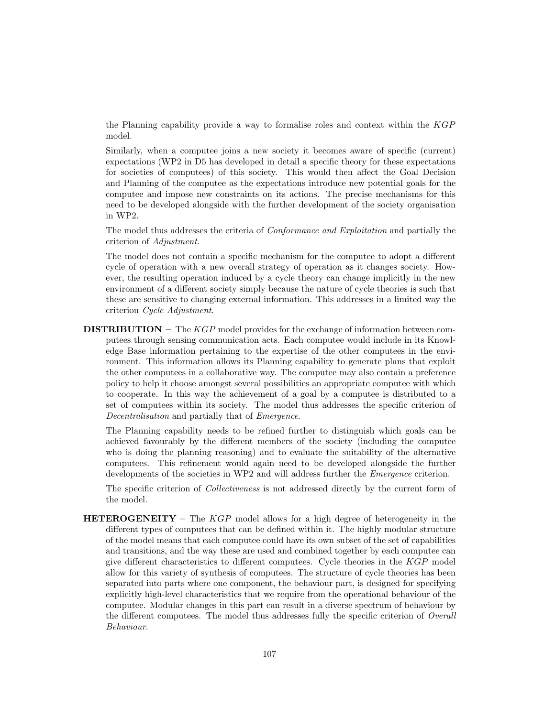the Planning capability provide a way to formalise roles and context within the KGP model.

Similarly, when a computee joins a new society it becomes aware of specific (current) expectations (WP2 in D5 has developed in detail a specific theory for these expectations for societies of computees) of this society. This would then affect the Goal Decision and Planning of the computee as the expectations introduce new potential goals for the computee and impose new constraints on its actions. The precise mechanisms for this need to be developed alongside with the further development of the society organisation in WP2.

The model thus addresses the criteria of Conformance and Exploitation and partially the criterion of Adjustment.

The model does not contain a specific mechanism for the computee to adopt a different cycle of operation with a new overall strategy of operation as it changes society. However, the resulting operation induced by a cycle theory can change implicitly in the new environment of a different society simply because the nature of cycle theories is such that these are sensitive to changing external information. This addresses in a limited way the criterion Cycle Adjustment.

**DISTRIBUTION** – The  $KGP$  model provides for the exchange of information between computees through sensing communication acts. Each computee would include in its Knowledge Base information pertaining to the expertise of the other computees in the environment. This information allows its Planning capability to generate plans that exploit the other computees in a collaborative way. The computee may also contain a preference policy to help it choose amongst several possibilities an appropriate computee with which to cooperate. In this way the achievement of a goal by a computee is distributed to a set of computees within its society. The model thus addresses the specific criterion of Decentralisation and partially that of Emergence.

The Planning capability needs to be refined further to distinguish which goals can be achieved favourably by the different members of the society (including the computee who is doing the planning reasoning) and to evaluate the suitability of the alternative computees. This refinement would again need to be developed alongside the further developments of the societies in WP2 and will address further the *Emergence* criterion.

The specific criterion of Collectiveness is not addressed directly by the current form of the model.

**HETEROGENEITY** – The  $KGP$  model allows for a high degree of heterogeneity in the different types of computees that can be defined within it. The highly modular structure of the model means that each computee could have its own subset of the set of capabilities and transitions, and the way these are used and combined together by each computee can give different characteristics to different computees. Cycle theories in the KGP model allow for this variety of synthesis of computees. The structure of cycle theories has been separated into parts where one component, the behaviour part, is designed for specifying explicitly high-level characteristics that we require from the operational behaviour of the computee. Modular changes in this part can result in a diverse spectrum of behaviour by the different computees. The model thus addresses fully the specific criterion of Overall Behaviour.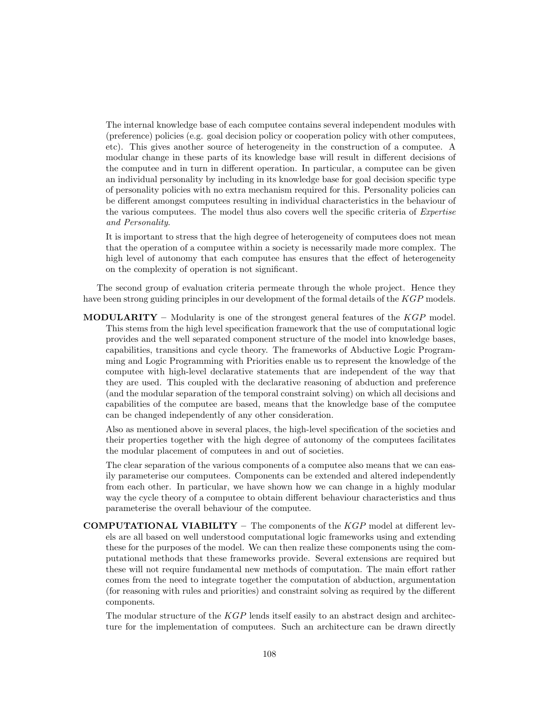The internal knowledge base of each computee contains several independent modules with (preference) policies (e.g. goal decision policy or cooperation policy with other computees, etc). This gives another source of heterogeneity in the construction of a computee. A modular change in these parts of its knowledge base will result in different decisions of the computee and in turn in different operation. In particular, a computee can be given an individual personality by including in its knowledge base for goal decision specific type of personality policies with no extra mechanism required for this. Personality policies can be different amongst computees resulting in individual characteristics in the behaviour of the various computees. The model thus also covers well the specific criteria of Expertise and Personality.

It is important to stress that the high degree of heterogeneity of computees does not mean that the operation of a computee within a society is necessarily made more complex. The high level of autonomy that each computee has ensures that the effect of heterogeneity on the complexity of operation is not significant.

The second group of evaluation criteria permeate through the whole project. Hence they have been strong guiding principles in our development of the formal details of the KGP models.

**MODULARITY** – Modularity is one of the strongest general features of the  $KGP$  model. This stems from the high level specification framework that the use of computational logic provides and the well separated component structure of the model into knowledge bases, capabilities, transitions and cycle theory. The frameworks of Abductive Logic Programming and Logic Programming with Priorities enable us to represent the knowledge of the computee with high-level declarative statements that are independent of the way that they are used. This coupled with the declarative reasoning of abduction and preference (and the modular separation of the temporal constraint solving) on which all decisions and capabilities of the computee are based, means that the knowledge base of the computee can be changed independently of any other consideration.

Also as mentioned above in several places, the high-level specification of the societies and their properties together with the high degree of autonomy of the computees facilitates the modular placement of computees in and out of societies.

The clear separation of the various components of a computee also means that we can easily parameterise our computees. Components can be extended and altered independently from each other. In particular, we have shown how we can change in a highly modular way the cycle theory of a computee to obtain different behaviour characteristics and thus parameterise the overall behaviour of the computee.

**COMPUTATIONAL VIABILITY** – The components of the  $KGP$  model at different levels are all based on well understood computational logic frameworks using and extending these for the purposes of the model. We can then realize these components using the computational methods that these frameworks provide. Several extensions are required but these will not require fundamental new methods of computation. The main effort rather comes from the need to integrate together the computation of abduction, argumentation (for reasoning with rules and priorities) and constraint solving as required by the different components.

The modular structure of the KGP lends itself easily to an abstract design and architecture for the implementation of computees. Such an architecture can be drawn directly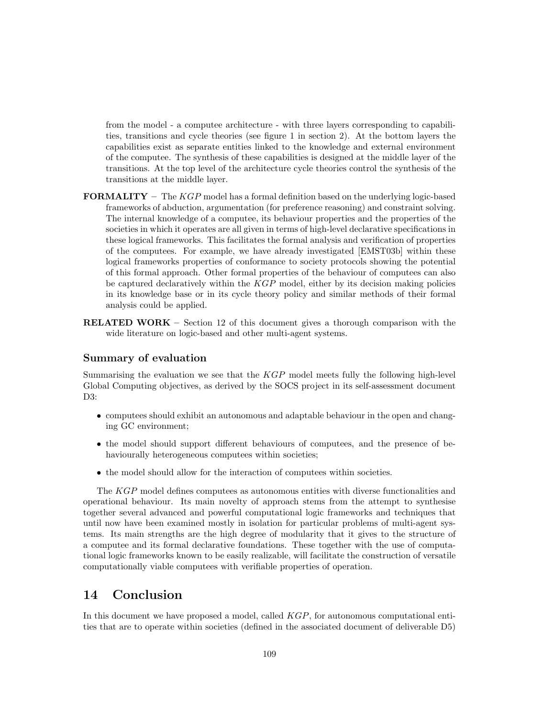from the model - a computee architecture - with three layers corresponding to capabilities, transitions and cycle theories (see figure 1 in section 2). At the bottom layers the capabilities exist as separate entities linked to the knowledge and external environment of the computee. The synthesis of these capabilities is designed at the middle layer of the transitions. At the top level of the architecture cycle theories control the synthesis of the transitions at the middle layer.

- **FORMALITY** The  $KGP$  model has a formal definition based on the underlying logic-based frameworks of abduction, argumentation (for preference reasoning) and constraint solving. The internal knowledge of a computee, its behaviour properties and the properties of the societies in which it operates are all given in terms of high-level declarative specifications in these logical frameworks. This facilitates the formal analysis and verification of properties of the computees. For example, we have already investigated [EMST03b] within these logical frameworks properties of conformance to society protocols showing the potential of this formal approach. Other formal properties of the behaviour of computees can also be captured declaratively within the  $KGP$  model, either by its decision making policies in its knowledge base or in its cycle theory policy and similar methods of their formal analysis could be applied.
- RELATED WORK Section 12 of this document gives a thorough comparison with the wide literature on logic-based and other multi-agent systems.

## Summary of evaluation

Summarising the evaluation we see that the  $KGP$  model meets fully the following high-level Global Computing objectives, as derived by the SOCS project in its self-assessment document D3:

- computees should exhibit an autonomous and adaptable behaviour in the open and changing GC environment;
- the model should support different behaviours of computees, and the presence of behaviourally heterogeneous computees within societies;
- the model should allow for the interaction of computees within societies.

The KGP model defines computees as autonomous entities with diverse functionalities and operational behaviour. Its main novelty of approach stems from the attempt to synthesise together several advanced and powerful computational logic frameworks and techniques that until now have been examined mostly in isolation for particular problems of multi-agent systems. Its main strengths are the high degree of modularity that it gives to the structure of a computee and its formal declarative foundations. These together with the use of computational logic frameworks known to be easily realizable, will facilitate the construction of versatile computationally viable computees with verifiable properties of operation.

## 14 Conclusion

In this document we have proposed a model, called  $KGP$ , for autonomous computational entities that are to operate within societies (defined in the associated document of deliverable D5)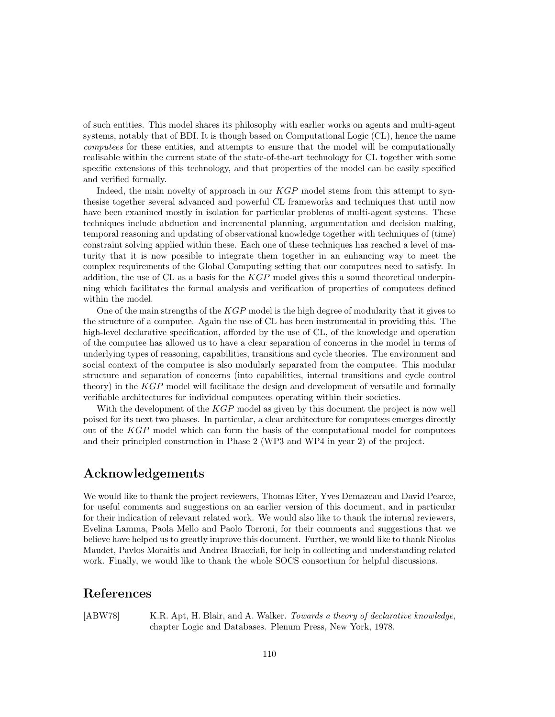of such entities. This model shares its philosophy with earlier works on agents and multi-agent systems, notably that of BDI. It is though based on Computational Logic (CL), hence the name computees for these entities, and attempts to ensure that the model will be computationally realisable within the current state of the state-of-the-art technology for CL together with some specific extensions of this technology, and that properties of the model can be easily specified and verified formally.

Indeed, the main novelty of approach in our KGP model stems from this attempt to synthesise together several advanced and powerful CL frameworks and techniques that until now have been examined mostly in isolation for particular problems of multi-agent systems. These techniques include abduction and incremental planning, argumentation and decision making, temporal reasoning and updating of observational knowledge together with techniques of (time) constraint solving applied within these. Each one of these techniques has reached a level of maturity that it is now possible to integrate them together in an enhancing way to meet the complex requirements of the Global Computing setting that our computees need to satisfy. In addition, the use of CL as a basis for the  $KGP$  model gives this a sound theoretical underpinning which facilitates the formal analysis and verification of properties of computees defined within the model.

One of the main strengths of the KGP model is the high degree of modularity that it gives to the structure of a computee. Again the use of CL has been instrumental in providing this. The high-level declarative specification, afforded by the use of CL, of the knowledge and operation of the computee has allowed us to have a clear separation of concerns in the model in terms of underlying types of reasoning, capabilities, transitions and cycle theories. The environment and social context of the computee is also modularly separated from the computee. This modular structure and separation of concerns (into capabilities, internal transitions and cycle control theory) in the KGP model will facilitate the design and development of versatile and formally verifiable architectures for individual computees operating within their societies.

With the development of the KGP model as given by this document the project is now well poised for its next two phases. In particular, a clear architecture for computees emerges directly out of the  $KGP$  model which can form the basis of the computational model for computees and their principled construction in Phase 2 (WP3 and WP4 in year 2) of the project.

## Acknowledgements

We would like to thank the project reviewers, Thomas Eiter, Yves Demazeau and David Pearce, for useful comments and suggestions on an earlier version of this document, and in particular for their indication of relevant related work. We would also like to thank the internal reviewers, Evelina Lamma, Paola Mello and Paolo Torroni, for their comments and suggestions that we believe have helped us to greatly improve this document. Further, we would like to thank Nicolas Maudet, Pavlos Moraitis and Andrea Bracciali, for help in collecting and understanding related work. Finally, we would like to thank the whole SOCS consortium for helpful discussions.

## References

[ABW78] K.R. Apt, H. Blair, and A. Walker. Towards a theory of declarative knowledge, chapter Logic and Databases. Plenum Press, New York, 1978.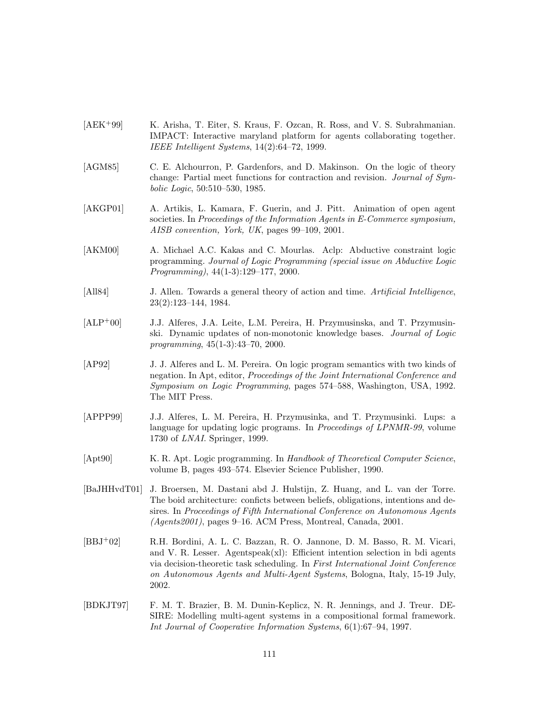- [AEK<sup>+</sup>99] K. Arisha, T. Eiter, S. Kraus, F. Ozcan, R. Ross, and V. S. Subrahmanian. IMPACT: Interactive maryland platform for agents collaborating together. IEEE Intelligent Systems, 14(2):64–72, 1999.
- [AGM85] C. E. Alchourron, P. Gardenfors, and D. Makinson. On the logic of theory change: Partial meet functions for contraction and revision. Journal of Symbolic Logic, 50:510–530, 1985.
- [AKGP01] A. Artikis, L. Kamara, F. Guerin, and J. Pitt. Animation of open agent societies. In Proceedings of the Information Agents in E-Commerce symposium, AISB convention, York, UK, pages 99–109, 2001.
- [AKM00] A. Michael A.C. Kakas and C. Mourlas. Aclp: Abductive constraint logic programming. Journal of Logic Programming (special issue on Abductive Logic Programming), 44(1-3):129–177, 2000.
- [All84] J. Allen. Towards a general theory of action and time. Artificial Intelligence, 23(2):123–144, 1984.
- [ALP<sup>+</sup>00] J.J. Alferes, J.A. Leite, L.M. Pereira, H. Przymusinska, and T. Przymusinski. Dynamic updates of non-monotonic knowledge bases. Journal of Logic programming, 45(1-3):43–70, 2000.
- [AP92] J. J. Alferes and L. M. Pereira. On logic program semantics with two kinds of negation. In Apt, editor, Proceedings of the Joint International Conference and Symposium on Logic Programming, pages 574–588, Washington, USA, 1992. The MIT Press.
- [APPP99] J.J. Alferes, L. M. Pereira, H. Przymusinka, and T. Przymusinki. Lups: a language for updating logic programs. In *Proceedings of LPNMR-99*, volume 1730 of LNAI. Springer, 1999.
- [Apt90] K. R. Apt. Logic programming. In Handbook of Theoretical Computer Science, volume B, pages 493–574. Elsevier Science Publisher, 1990.
- [BaJHHvdT01] J. Broersen, M. Dastani abd J. Hulstijn, Z. Huang, and L. van der Torre. The boid architecture: conficts between beliefs, obligations, intentions and desires. In Proceedings of Fifth International Conference on Autonomous Agents (Agents2001), pages 9–16. ACM Press, Montreal, Canada, 2001.
- [BBJ<sup>+</sup>02] R.H. Bordini, A. L. C. Bazzan, R. O. Jannone, D. M. Basso, R. M. Vicari, and V. R. Lesser. Agentspeak(xl): Efficient intention selection in bdi agents via decision-theoretic task scheduling. In First International Joint Conference on Autonomous Agents and Multi-Agent Systems, Bologna, Italy, 15-19 July, 2002.
- [BDKJT97] F. M. T. Brazier, B. M. Dunin-Keplicz, N. R. Jennings, and J. Treur. DE-SIRE: Modelling multi-agent systems in a compositional formal framework. Int Journal of Cooperative Information Systems, 6(1):67–94, 1997.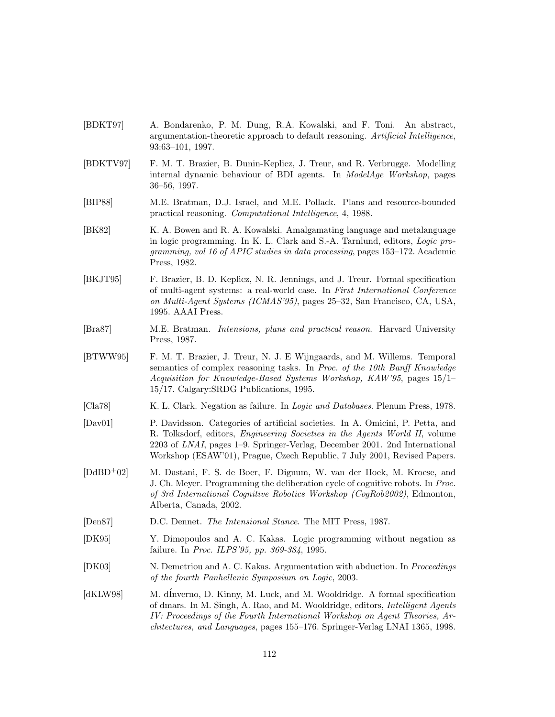- [BDKT97] A. Bondarenko, P. M. Dung, R.A. Kowalski, and F. Toni. An abstract, argumentation-theoretic approach to default reasoning. Artificial Intelligence, 93:63–101, 1997.
- [BDKTV97] F. M. T. Brazier, B. Dunin-Keplicz, J. Treur, and R. Verbrugge. Modelling internal dynamic behaviour of BDI agents. In ModelAge Workshop, pages 36–56, 1997.
- [BIP88] M.E. Bratman, D.J. Israel, and M.E. Pollack. Plans and resource-bounded practical reasoning. Computational Intelligence, 4, 1988.
- [BK82] K. A. Bowen and R. A. Kowalski. Amalgamating language and metalanguage in logic programming. In K. L. Clark and S.-A. Tarnlund, editors, Logic programming, vol 16 of APIC studies in data processing, pages 153–172. Academic Press, 1982.
- [BKJT95] F. Brazier, B. D. Keplicz, N. R. Jennings, and J. Treur. Formal specification of multi-agent systems: a real-world case. In First International Conference on Multi-Agent Systems (ICMAS'95), pages 25–32, San Francisco, CA, USA, 1995. AAAI Press.
- [Bra87] M.E. Bratman. Intensions, plans and practical reason. Harvard University Press, 1987.
- [BTWW95] F. M. T. Brazier, J. Treur, N. J. E Wijngaards, and M. Willems. Temporal semantics of complex reasoning tasks. In Proc. of the 10th Banff Knowledge Acquisition for Knowledge-Based Systems Workshop, KAW'95, pages 15/1– 15/17. Calgary:SRDG Publications, 1995.
- [Cla78] K. L. Clark. Negation as failure. In Logic and Databases. Plenum Press, 1978.
- [Dav01] P. Davidsson. Categories of artificial societies. In A. Omicini, P. Petta, and R. Tolksdorf, editors, Engineering Societies in the Agents World II, volume 2203 of LNAI, pages 1–9. Springer-Verlag, December 2001. 2nd International Workshop (ESAW'01), Prague, Czech Republic, 7 July 2001, Revised Papers.
- [DdBD<sup>+</sup>02] M. Dastani, F. S. de Boer, F. Dignum, W. van der Hoek, M. Kroese, and J. Ch. Meyer. Programming the deliberation cycle of cognitive robots. In Proc. of 3rd International Cognitive Robotics Workshop (CogRob2002), Edmonton, Alberta, Canada, 2002.
- [Den87] D.C. Dennet. The Intensional Stance. The MIT Press, 1987.
- [DK95] Y. Dimopoulos and A. C. Kakas. Logic programming without negation as failure. In *Proc. ILPS'95*, pp. 369-384, 1995.
- [DK03] N. Demetriou and A. C. Kakas. Argumentation with abduction. In Proceedings of the fourth Panhellenic Symposium on Logic, 2003.
- [dKLW98] M. dInverno, D. Kinny, M. Luck, and M. Wooldridge. A formal specification of dmars. In M. Singh, A. Rao, and M. Wooldridge, editors, Intelligent Agents IV: Proceedings of the Fourth International Workshop on Agent Theories, Architectures, and Languages, pages 155–176. Springer-Verlag LNAI 1365, 1998.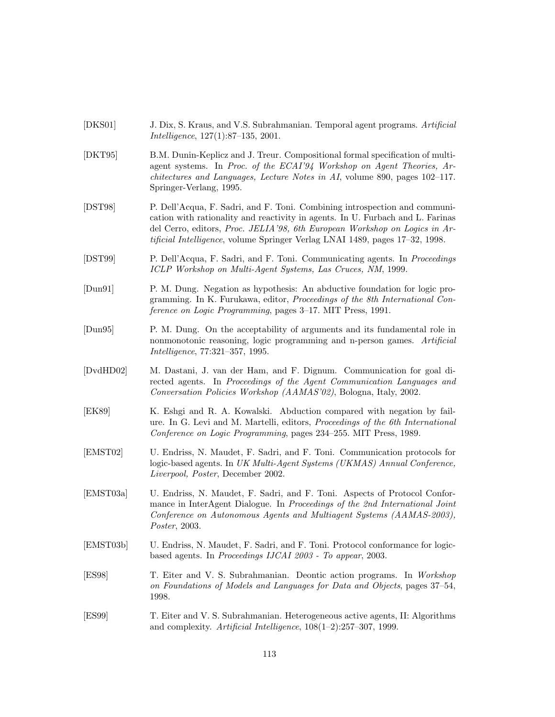- [DKS01] J. Dix, S. Kraus, and V.S. Subrahmanian. Temporal agent programs. Artificial Intelligence, 127(1):87–135, 2001.
- [DKT95] B.M. Dunin-Keplicz and J. Treur. Compositional formal specification of multiagent systems. In Proc. of the ECAI'94 Workshop on Agent Theories, Architectures and Languages, Lecture Notes in AI, volume 890, pages 102–117. Springer-Verlang, 1995.
- [DST98] P. Dell'Acqua, F. Sadri, and F. Toni. Combining introspection and communication with rationality and reactivity in agents. In U. Furbach and L. Farinas del Cerro, editors, Proc. JELIA'98, 6th European Workshop on Logics in Artificial Intelligence, volume Springer Verlag LNAI 1489, pages 17–32, 1998.
- [DST99] P. Dell'Acqua, F. Sadri, and F. Toni. Communicating agents. In Proceedings ICLP Workshop on Multi-Agent Systems, Las Cruces, NM, 1999.
- [Dun91] P. M. Dung. Negation as hypothesis: An abductive foundation for logic programming. In K. Furukawa, editor, Proceedings of the 8th International Conference on Logic Programming, pages 3–17. MIT Press, 1991.
- [Dun95] P. M. Dung. On the acceptability of arguments and its fundamental role in nonmonotonic reasoning, logic programming and n-person games. Artificial Intelligence, 77:321–357, 1995.
- [DvdHD02] M. Dastani, J. van der Ham, and F. Dignum. Communication for goal directed agents. In Proceedings of the Agent Communication Languages and Conversation Policies Workshop (AAMAS'02), Bologna, Italy, 2002.
- [EK89] K. Eshgi and R. A. Kowalski. Abduction compared with negation by failure. In G. Levi and M. Martelli, editors, Proceedings of the 6th International Conference on Logic Programming, pages 234–255. MIT Press, 1989.
- [EMST02] U. Endriss, N. Maudet, F. Sadri, and F. Toni. Communication protocols for logic-based agents. In UK Multi-Agent Systems (UKMAS) Annual Conference, Liverpool, Poster, December 2002.
- [EMST03a] U. Endriss, N. Maudet, F. Sadri, and F. Toni. Aspects of Protocol Conformance in InterAgent Dialogue. In Proceedings of the 2nd International Joint Conference on Autonomous Agents and Multiagent Systems (AAMAS-2003), Poster, 2003.
- [EMST03b] U. Endriss, N. Maudet, F. Sadri, and F. Toni. Protocol conformance for logicbased agents. In Proceedings IJCAI 2003 - To appear, 2003.
- [ES98] T. Eiter and V. S. Subrahmanian. Deontic action programs. In Workshop on Foundations of Models and Languages for Data and Objects, pages 37–54, 1998.
- [ES99] T. Eiter and V. S. Subrahmanian. Heterogeneous active agents, II: Algorithms and complexity. Artificial Intelligence, 108(1–2):257–307, 1999.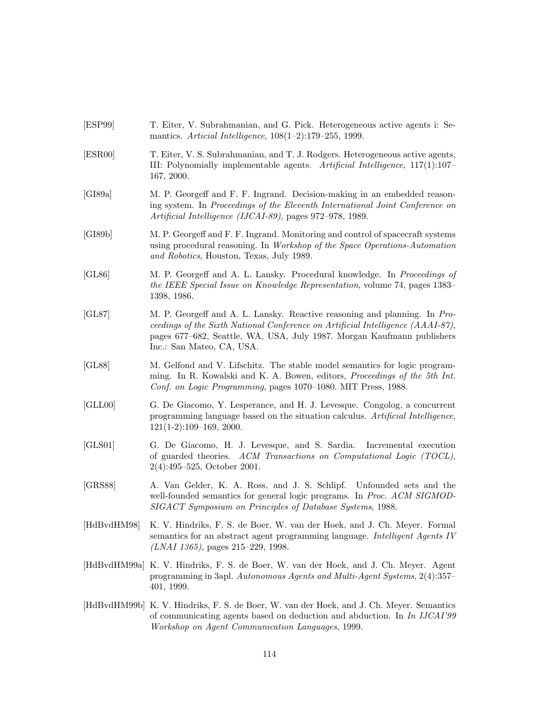- [ESP99] T. Eiter, V. Subrahmanian, and G. Pick. Heterogeneous active agents i: Semantics. Articial Intelligence, 108(1–2):179–255, 1999.
- [ESR00] T. Eiter, V. S. Subrahmanian, and T. J. Rodgers. Heterogeneous active agents, III: Polynomially implementable agents. Artificial Intelligence, 117(1):107– 167, 2000.
- [GI89a] M. P. Georgeff and F. F. Ingrand. Decision-making in an embedded reasoning system. In Proceedings of the Eleventh International Joint Conference on Artificial Intelligence (IJCAI-89), pages 972–978, 1989.
- [GI89b] M. P. Georgeff and F. F. Ingrand. Monitoring and control of spacecraft systems using procedural reasoning. In Workshop of the Space Operations-Automation and Robotics, Houston, Texas, July 1989.
- [GL86] M. P. Georgeff and A. L. Lansky. Procedural knowledge. In Proceedings of the IEEE Special Issue on Knowledge Representation, volume 74, pages 1383– 1398, 1986.
- [GL87] M. P. Georgeff and A. L. Lansky. Reactive reasoning and planning. In Proceedings of the Sixth National Conference on Artificial Intelligence (AAAI-87), pages 677–682, Seattle, WA, USA, July 1987. Morgan Kaufmann publishers Inc.: San Mateo, CA, USA.
- [GL88] M. Gelfond and V. Lifschitz. The stable model semantics for logic programming. In R. Kowalski and K. A. Bowen, editors, Proceedings of the 5th Int. Conf. on Logic Programming, pages 1070–1080. MIT Press, 1988.
- [GLL00] G. De Giacomo, Y. Lesperance, and H. J. Levesque. Congolog, a concurrent programming language based on the situation calculus. Artificial Intelligence, 121(1-2):109–169, 2000.
- [GLS01] G. De Giacomo, H. J. Levesque, and S. Sardia. Incremental execution of guarded theories. ACM Transactions on Computational Logic (TOCL), 2(4):495–525, October 2001.
- [GRS88] A. Van Gelder, K. A. Ross, and J. S. Schlipf. Unfounded sets and the well-founded semantics for general logic programs. In *Proc. ACM SIGMOD*-SIGACT Symposium on Principles of Database Systems, 1988.
- [HdBvdHM98] K. V. Hindriks, F. S. de Boer, W. van der Hoek, and J. Ch. Meyer. Formal semantics for an abstract agent programming language. Intelligent Agents IV (LNAI 1365), pages 215–229, 1998.
- [HdBvdHM99a] K. V. Hindriks, F. S. de Boer, W. van der Hoek, and J. Ch. Meyer. Agent programming in 3apl. Autonomous Agents and Multi-Agent Systems, 2(4):357– 401, 1999.
- [HdBvdHM99b] K. V. Hindriks, F. S. de Boer, W. van der Hoek, and J. Ch. Meyer. Semantics of communicating agents based on deduction and abduction. In In IJCAI'99 Workshop on Agent Communication Languages, 1999.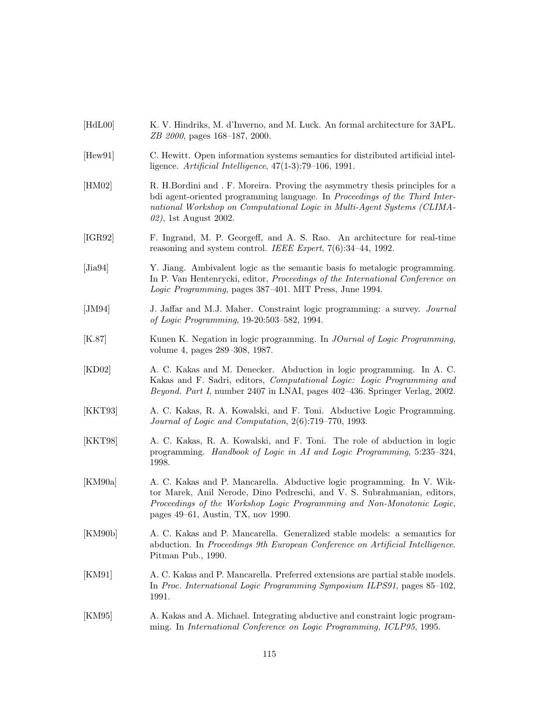| [HdL00]          | K. V. Hindriks, M. d'Inverno, and M. Luck. An formal architecture for 3APL.<br>ZB 2000, pages 168-187, 2000.                                                                                                                                                       |
|------------------|--------------------------------------------------------------------------------------------------------------------------------------------------------------------------------------------------------------------------------------------------------------------|
| [Hew91]          | C. Hewitt. Open information systems semantics for distributed artificial intel-<br>ligence. Artificial Intelligence, $47(1-3)$ :79-106, 1991.                                                                                                                      |
| [HM02]           | R. H.Bordini and . F. Moreira. Proving the asymmetry thesis principles for a<br>bdi agent-oriented programming language. In Proceedings of the Third Inter-<br>national Workshop on Computational Logic in Multi-Agent Systems (CLIMA-<br>02), 1st August 2002.    |
| [IGR92]          | F. Ingrand, M. P. Georgeff, and A. S. Rao. An architecture for real-time<br>reasoning and system control. IEEE Expert, $7(6):34-44$ , 1992.                                                                                                                        |
| $[\text{Jia}94]$ | Y. Jiang. Ambivalent logic as the semantic basis fo metalogic programming.<br>In P. Van Hentenrycki, editor, <i>Proceedings of the International Conference on</i><br>Logic Programming, pages 387-401. MIT Press, June 1994.                                      |
| [JM94]           | J. Jaffar and M.J. Maher. Constraint logic programming: a survey. <i>Journal</i><br>of Logic Programming, 19-20:503-582, 1994.                                                                                                                                     |
| [K.87]           | Kunen K. Negation in logic programming. In <i>JOurnal of Logic Programming</i> ,<br>volume 4, pages 289-308, 1987.                                                                                                                                                 |
| [KD02]           | A. C. Kakas and M. Denecker. Abduction in logic programming. In A. C.<br>Kakas and F. Sadri, editors, Computational Logic: Logic Programming and<br>Beyond. Part I, number 2407 in LNAI, pages 402-436. Springer Verlag, 2002.                                     |
| [KKT93]          | A. C. Kakas, R. A. Kowalski, and F. Toni. Abductive Logic Programming.<br>Journal of Logic and Computation, 2(6):719-770, 1993.                                                                                                                                    |
| [KKT98]          | A. C. Kakas, R. A. Kowalski, and F. Toni. The role of abduction in logic<br>programming. Handbook of Logic in AI and Logic Programming, 5:235-324,<br>1998.                                                                                                        |
| [KM90a]          | A. C. Kakas and P. Mancarella. Abductive logic programming. In V. Wik-<br>tor Marek, Anil Nerode, Dino Pedreschi, and V. S. Subrahmanian, editors,<br>Proceedings of the Workshop Logic Programming and Non-Monotonic Logic,<br>pages 49–61, Austin, TX, nov 1990. |
| [KM90b]          | A. C. Kakas and P. Mancarella. Generalized stable models: a semantics for<br>abduction. In Proceedings 9th European Conference on Artificial Intelligence.<br>Pitman Pub., 1990.                                                                                   |
| [KM91]           | A. C. Kakas and P. Mancarella. Preferred extensions are partial stable models.<br>In Proc. International Logic Programming Symposium ILPS91, pages 85-102,<br>1991.                                                                                                |
| [KM95]           | A. Kakas and A. Michael. Integrating abductive and constraint logic program-<br>ming. In International Conference on Logic Programming, ICLP95, 1995.                                                                                                              |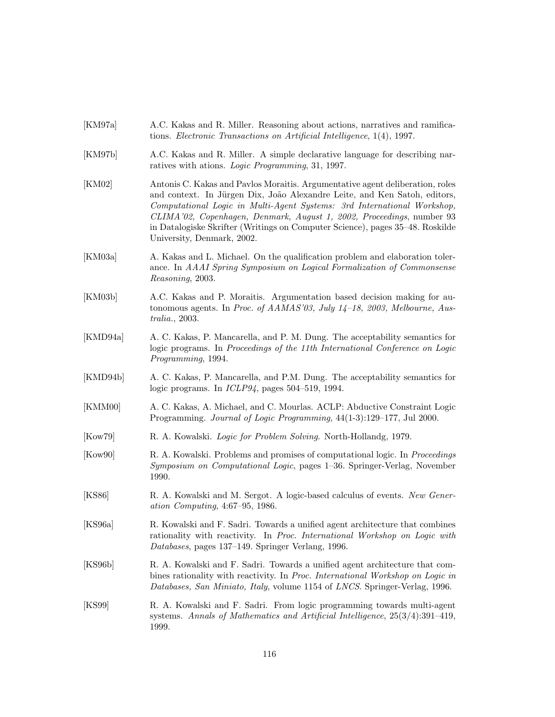- [KM97a] A.C. Kakas and R. Miller. Reasoning about actions, narratives and ramifications. Electronic Transactions on Artificial Intelligence, 1(4), 1997.
- [KM97b] A.C. Kakas and R. Miller. A simple declarative language for describing narratives with ations. Logic Programming, 31, 1997.
- [KM02] Antonis C. Kakas and Pavlos Moraitis. Argumentative agent deliberation, roles and context. In Jürgen Dix, João Alexandre Leite, and Ken Satoh, editors, Computational Logic in Multi-Agent Systems: 3rd International Workshop, CLIMA'02, Copenhagen, Denmark, August 1, 2002, Proceedings, number 93 in Datalogiske Skrifter (Writings on Computer Science), pages 35–48. Roskilde University, Denmark, 2002.
- [KM03a] A. Kakas and L. Michael. On the qualification problem and elaboration tolerance. In AAAI Spring Symposium on Logical Formalization of Commonsense Reasoning, 2003.
- [KM03b] A.C. Kakas and P. Moraitis. Argumentation based decision making for autonomous agents. In Proc. of AAMAS'03, July 14-18, 2003, Melbourne, Australia., 2003.
- [KMD94a] A. C. Kakas, P. Mancarella, and P. M. Dung. The acceptability semantics for logic programs. In Proceedings of the 11th International Conference on Logic Programming, 1994.
- [KMD94b] A. C. Kakas, P. Mancarella, and P.M. Dung. The acceptability semantics for logic programs. In ICLP94, pages 504–519, 1994.
- [KMM00] A. C. Kakas, A. Michael, and C. Mourlas. ACLP: Abductive Constraint Logic Programming. Journal of Logic Programming, 44(1-3):129–177, Jul 2000.
- [Kow79] R. A. Kowalski. Logic for Problem Solving. North-Hollandg, 1979.
- [Kow90] R. A. Kowalski. Problems and promises of computational logic. In Proceedings Symposium on Computational Logic, pages 1–36. Springer-Verlag, November 1990.
- [KS86] R. A. Kowalski and M. Sergot. A logic-based calculus of events. New Generation Computing, 4:67–95, 1986.
- [KS96a] R. Kowalski and F. Sadri. Towards a unified agent architecture that combines rationality with reactivity. In Proc. International Workshop on Logic with Databases, pages 137–149. Springer Verlang, 1996.
- [KS96b] R. A. Kowalski and F. Sadri. Towards a unified agent architecture that combines rationality with reactivity. In Proc. International Workshop on Logic in Databases, San Miniato, Italy, volume 1154 of LNCS. Springer-Verlag, 1996.
- [KS99] R. A. Kowalski and F. Sadri. From logic programming towards multi-agent systems. Annals of Mathematics and Artificial Intelligence, 25(3/4):391–419, 1999.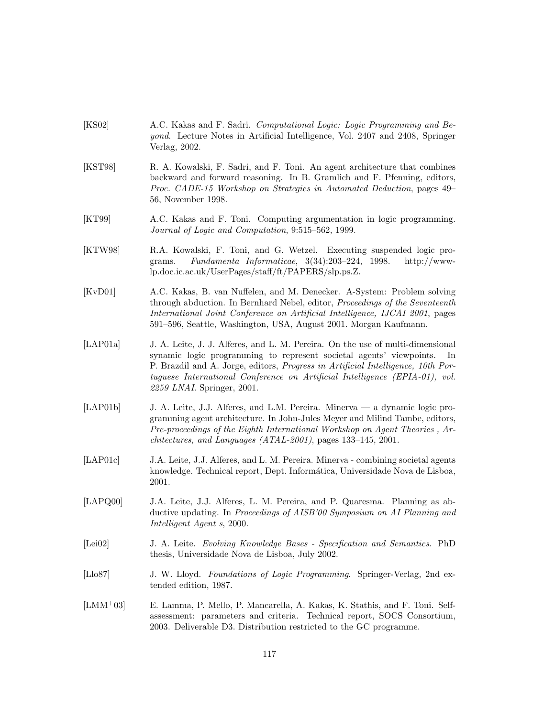- [KS02] A.C. Kakas and F. Sadri. Computational Logic: Logic Programming and Beyond. Lecture Notes in Artificial Intelligence, Vol. 2407 and 2408, Springer Verlag, 2002.
- [KST98] R. A. Kowalski, F. Sadri, and F. Toni. An agent architecture that combines backward and forward reasoning. In B. Gramlich and F. Pfenning, editors, Proc. CADE-15 Workshop on Strategies in Automated Deduction, pages 49– 56, November 1998.
- [KT99] A.C. Kakas and F. Toni. Computing argumentation in logic programming. Journal of Logic and Computation, 9:515–562, 1999.
- [KTW98] R.A. Kowalski, F. Toni, and G. Wetzel. Executing suspended logic programs. Fundamenta Informaticae, 3(34):203–224, 1998. http://wwwlp.doc.ic.ac.uk/UserPages/staff/ft/PAPERS/slp.ps.Z.
- [KvD01] A.C. Kakas, B. van Nuffelen, and M. Denecker. A-System: Problem solving through abduction. In Bernhard Nebel, editor, Proceedings of the Seventeenth International Joint Conference on Artificial Intelligence, IJCAI 2001, pages 591–596, Seattle, Washington, USA, August 2001. Morgan Kaufmann.
- [LAP01a] J. A. Leite, J. J. Alferes, and L. M. Pereira. On the use of multi-dimensional synamic logic programming to represent societal agents' viewpoints. In P. Brazdil and A. Jorge, editors, Progress in Artificial Intelligence, 10th Portuguese International Conference on Artificial Intelligence (EPIA-01), vol. 2259 LNAI. Springer, 2001.
- [LAP01b] J. A. Leite, J.J. Alferes, and L.M. Pereira. Minerva a dynamic logic programming agent architecture. In John-Jules Meyer and Milind Tambe, editors, Pre-proceedings of the Eighth International Workshop on Agent Theories , Architectures, and Languages (ATAL-2001), pages 133–145, 2001.
- [LAP01c] J.A. Leite, J.J. Alferes, and L. M. Pereira. Minerva combining societal agents knowledge. Technical report, Dept. Informática, Universidade Nova de Lisboa, 2001.
- [LAPQ00] J.A. Leite, J.J. Alferes, L. M. Pereira, and P. Quaresma. Planning as abductive updating. In Proceedings of AISB'00 Symposium on AI Planning and Intelligent Agent s, 2000.
- [Lei02] J. A. Leite. Evolving Knowledge Bases Specification and Semantics. PhD thesis, Universidade Nova de Lisboa, July 2002.
- [Llo87] J. W. Lloyd. Foundations of Logic Programming. Springer-Verlag, 2nd extended edition, 1987.
- [LMM<sup>+</sup>03] E. Lamma, P. Mello, P. Mancarella, A. Kakas, K. Stathis, and F. Toni. Selfassessment: parameters and criteria. Technical report, SOCS Consortium, 2003. Deliverable D3. Distribution restricted to the GC programme.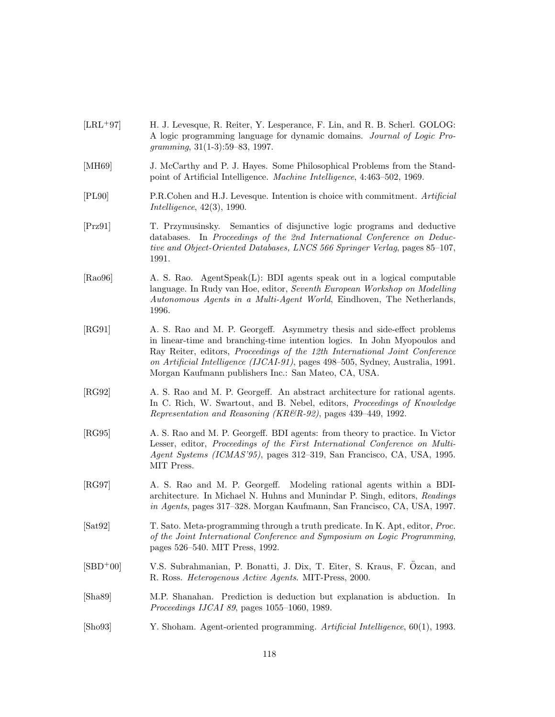|            | gramming, $31(1-3):59-83$ , 1997.                                                                                                                                                                                                                                                                                                                                                    |
|------------|--------------------------------------------------------------------------------------------------------------------------------------------------------------------------------------------------------------------------------------------------------------------------------------------------------------------------------------------------------------------------------------|
| [MH69]     | J. McCarthy and P. J. Hayes. Some Philosophical Problems from the Stand-<br>point of Artificial Intelligence. Machine Intelligence, 4:463-502, 1969.                                                                                                                                                                                                                                 |
| [PL90]     | P.R.Cohen and H.J. Levesque. Intention is choice with commitment. Artificial<br>Intelligence, $42(3)$ , 1990.                                                                                                                                                                                                                                                                        |
| [Prz91]    | T. Przymusinsky. Semantics of disjunctive logic programs and deductive<br>databases. In Proceedings of the 2nd International Conference on Deduc-<br>tive and Object-Oriented Databases, LNCS 566 Springer Verlag, pages 85-107,<br>1991.                                                                                                                                            |
| [Ra096]    | A. S. Rao. AgentSpeak(L): BDI agents speak out in a logical computable<br>language. In Rudy van Hoe, editor, Seventh European Workshop on Modelling<br>Autonomous Agents in a Multi-Agent World, Eindhoven, The Netherlands,<br>1996.                                                                                                                                                |
| [RG91]     | A. S. Rao and M. P. Georgeff. Asymmetry thesis and side-effect problems<br>in linear-time and branching-time intention logics. In John Myopoulos and<br>Ray Reiter, editors, <i>Proceedings of the 12th International Joint Conference</i><br>on Artificial Intelligence (IJCAI-91), pages 498-505, Sydney, Australia, 1991.<br>Morgan Kaufmann publishers Inc.: San Mateo, CA, USA. |
| [RG92]     | A. S. Rao and M. P. Georgeff. An abstract architecture for rational agents.<br>In C. Rich, W. Swartout, and B. Nebel, editors, <i>Proceedings of Knowledge</i><br><i>Representation and Reasoning (KR&amp;R-92)</i> , pages 439–449, 1992.                                                                                                                                           |
| [RG95]     | A. S. Rao and M. P. Georgeff. BDI agents: from theory to practice. In Victor<br>Lesser, editor, Proceedings of the First International Conference on Multi-<br>Agent Systems (ICMAS'95), pages 312–319, San Francisco, CA, USA, 1995.<br>MIT Press.                                                                                                                                  |
| [RG97]     | A. S. Rao and M. P. Georgeff. Modeling rational agents within a BDI-<br>architecture. In Michael N. Huhns and Munindar P. Singh, editors, Readings<br>in Agents, pages 317–328. Morgan Kaufmann, San Francisco, CA, USA, 1997.                                                                                                                                                       |
| [Sat92]    | T. Sato. Meta-programming through a truth predicate. In K. Apt, editor, <i>Proc.</i><br>of the Joint International Conference and Symposium on Logic Programming,<br>pages 526–540. MIT Press, 1992.                                                                                                                                                                                 |
| $[SBD+00]$ | V.S. Subrahmanian, P. Bonatti, J. Dix, T. Eiter, S. Kraus, F. Ozcan, and<br>R. Ross. <i>Heterogenous Active Agents</i> . MIT-Press, 2000.                                                                                                                                                                                                                                            |
| [Sha89]    | M.P. Shanahan. Prediction is deduction but explanation is abduction. In<br><i>Proceedings IJCAI 89</i> , pages 1055–1060, 1989.                                                                                                                                                                                                                                                      |
|            |                                                                                                                                                                                                                                                                                                                                                                                      |

[LRL<sup>+</sup>97] H. J. Levesque, R. Reiter, Y. Lesperance, F. Lin, and R. B. Scherl. GOLOG:

A logic programming language for dynamic domains. Journal of Logic Pro-

[Sho93] Y. Shoham. Agent-oriented programming. Artificial Intelligence, 60(1), 1993.